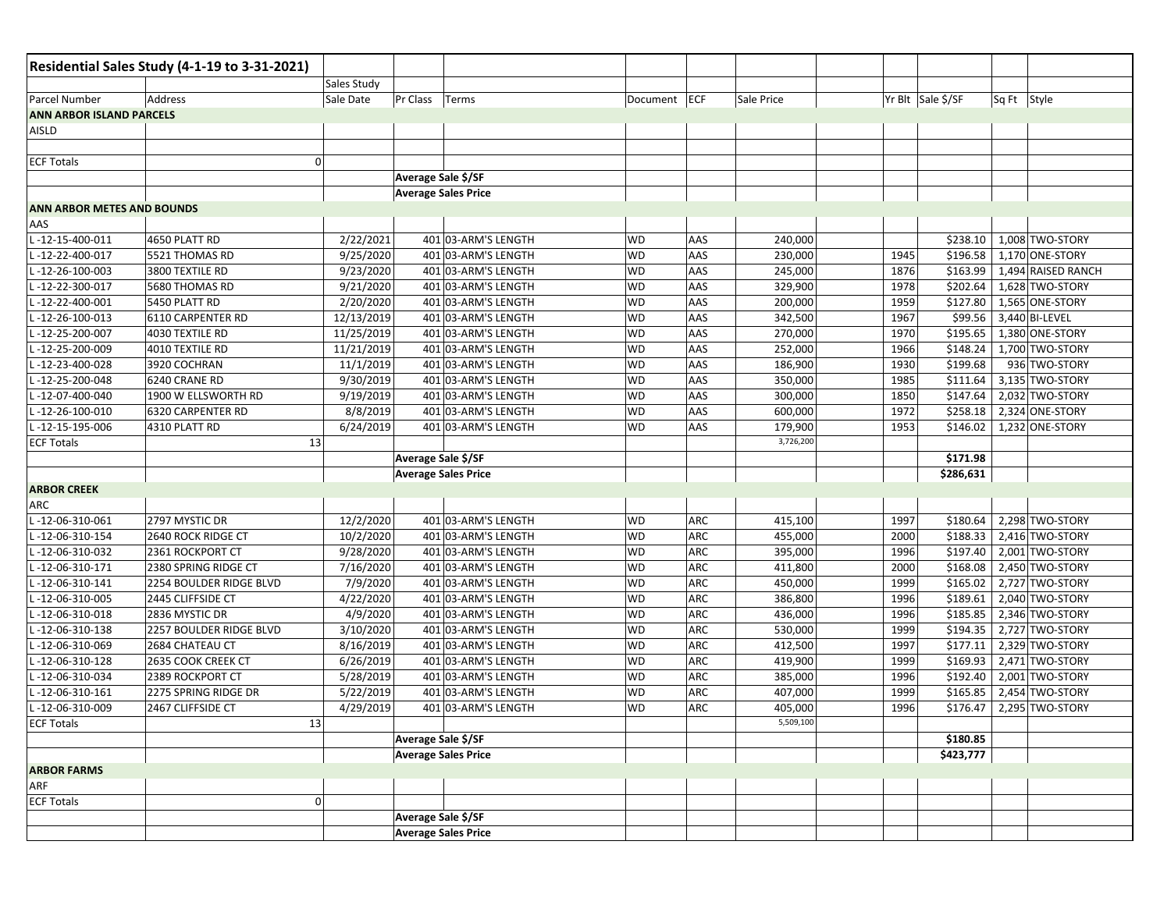| Sales Study<br>Yr Blt Sale \$/SF<br>Sale Date<br>Pr Class<br>Document ECF<br>Sq Ft Style<br>Address<br>Terms<br>Sale Price<br>ANN ARBOR ISLAND PARCELS<br>0<br>Average Sale \$/SF<br><b>Average Sales Price</b><br><b>ANN ARBOR METES AND BOUNDS</b><br>L-12-15-400-011<br>2/22/2021<br>401 03-ARM'S LENGTH<br>4650 PLATT RD<br><b>WD</b><br>AAS<br>240,000<br>\$238.10<br>1,008 TWO-STORY<br>L-12-22-400-017<br>5521 THOMAS RD<br>9/25/2020<br>401 03-ARM'S LENGTH<br><b>WD</b><br>\$196.58<br>1,170 ONE-STORY<br>AAS<br>230,000<br>1945<br>9/23/2020<br>401 03-ARM'S LENGTH<br><b>WD</b><br>AAS<br>1876<br>\$163.99<br>1,494 RAISED RANCH<br>L-12-26-100-003<br>3800 TEXTILE RD<br>245,000<br><b>WD</b><br>AAS<br>1978<br>\$202.64<br>1,628 TWO-STORY<br>L-12-22-300-017<br>5680 THOMAS RD<br>9/21/2020<br>401 03-ARM'S LENGTH<br>329,900<br>AAS<br>\$127.80<br>2/20/2020<br><b>WD</b><br>1959<br>1,565 ONE-STORY<br>L-12-22-400-001<br>5450 PLATT RD<br>401 03-ARM'S LENGTH<br>200,000<br>12/13/2019<br><b>WD</b><br>342,500<br>1967<br>\$99.56<br>L-12-26-100-013<br>6110 CARPENTER RD<br>401 03-ARM'S LENGTH<br>AAS<br>3,440 BI-LEVEL<br>11/25/2019<br>AAS<br>1970<br>\$195.65<br>L-12-25-200-007<br>4030 TEXTILE RD<br>401 03-ARM'S LENGTH<br><b>WD</b><br>270,000<br>1,380 ONE-STORY<br>\$148.24<br>L-12-25-200-009<br>4010 TEXTILE RD<br>11/21/2019<br>401 03-ARM'S LENGTH<br><b>WD</b><br>AAS<br>252,000<br>1966<br>1,700 TWO-STORY<br>11/1/2019<br>AAS<br>1930<br>\$199.68<br>L-12-23-400-028<br>3920 COCHRAN<br>401 03-ARM'S LENGTH<br><b>WD</b><br>186,900<br>936 TWO-STORY<br>9/30/2019<br>401 03-ARM'S LENGTH<br><b>WD</b><br>1985<br>\$111.64<br>L-12-25-200-048<br>6240 CRANE RD<br>AAS<br>350,000<br>3,135 TWO-STORY<br>1900 W ELLSWORTH RD<br>9/19/2019<br><b>WD</b><br>AAS<br>\$147.64<br>2,032 TWO-STORY<br>L-12-07-400-040<br>401 03-ARM'S LENGTH<br>300,000<br>1850<br>6320 CARPENTER RD<br>8/8/2019<br>AAS<br>1972<br>\$258.18<br>2,324 ONE-STORY<br>L-12-26-100-010<br>401 03-ARM'S LENGTH<br><b>WD</b><br>600,000<br>L-12-15-195-006<br>1953<br>\$146.02<br>1,232 ONE-STORY<br>4310 PLATT RD<br>6/24/2019<br>401 03-ARM'S LENGTH<br><b>WD</b><br>AAS<br>179,900<br>3,726,200<br>13<br><b>ECF Totals</b><br>\$171.98<br>Average Sale \$/SF<br>\$286,631<br><b>Average Sales Price</b><br><b>ARBOR CREEK</b><br>ARC<br>2797 MYSTIC DR<br>12/2/2020<br>401 03-ARM'S LENGTH<br>1997<br>\$180.64<br>2,298 TWO-STORY<br>L-12-06-310-061<br><b>WD</b><br>ARC<br>415,100<br>L-12-06-310-154<br>10/2/2020<br>401 03-ARM'S LENGTH<br><b>WD</b><br><b>ARC</b><br>\$188.33<br>2640 ROCK RIDGE CT<br>455,000<br>2000<br>2,416 TWO-STORY<br>ARC<br>\$197.40<br>L-12-06-310-032<br>2361 ROCKPORT CT<br>9/28/2020<br>401 03-ARM'S LENGTH<br><b>WD</b><br>395,000<br>1996<br>2,001 TWO-STORY<br>7/16/2020<br>401 03-ARM'S LENGTH<br>ARC<br>2000<br>\$168.08<br>L-12-06-310-171<br>2380 SPRING RIDGE CT<br><b>WD</b><br>411,800<br>2,450 TWO-STORY<br><b>WD</b><br>ARC<br>1999<br>\$165.02<br>L-12-06-310-141<br>2254 BOULDER RIDGE BLVD<br>7/9/2020<br>401 03-ARM'S LENGTH<br>450,000<br>2,727 TWO-STORY<br>L-12-06-310-005<br>4/22/2020<br>401 03-ARM'S LENGTH<br><b>WD</b><br>ARC<br>1996<br>\$189.61<br>2,040 TWO-STORY<br>2445 CLIFFSIDE CT<br>386,800<br>ARC<br>1996<br>\$185.85<br>L-12-06-310-018<br>2836 MYSTIC DR<br>4/9/2020<br>401 03-ARM'S LENGTH<br><b>WD</b><br>436,000<br>2,346 TWO-STORY<br>2257 BOULDER RIDGE BLVD<br>3/10/2020<br>401 03-ARM'S LENGTH<br>ARC<br>1999<br>\$194.35<br>2,727 TWO-STORY<br>L-12-06-310-138<br><b>WD</b><br>530,000<br>\$177.11<br>L-12-06-310-069<br>2684 CHATEAU CT<br>8/16/2019<br>401 03-ARM'S LENGTH<br><b>WD</b><br>ARC<br>1997<br>2,329 TWO-STORY<br>412,500<br>6/26/2019<br>401 03-ARM'S LENGTH<br><b>WD</b><br>ARC<br>1999<br>\$169.93<br>2,471 TWO-STORY<br>L-12-06-310-128<br>2635 COOK CREEK CT<br>419,900<br>ARC<br>1996<br>\$192.40<br>2,001 TWO-STORY<br>L-12-06-310-034<br>2389 ROCKPORT CT<br>5/28/2019<br>401 03-ARM'S LENGTH<br><b>WD</b><br>385,000<br>ARC<br>1999<br>\$165.85<br>L-12-06-310-161<br>2275 SPRING RIDGE DR<br>5/22/2019<br>401 03-ARM'S LENGTH<br><b>WD</b><br>407,000<br>2,454 TWO-STORY<br>1996<br>L-12-06-310-009<br>2467 CLIFFSIDE CT<br>4/29/2019<br>401 03-ARM'S LENGTH<br><b>WD</b><br>ARC<br>405,000<br>\$176.47<br>2,295 TWO-STORY<br>5,509,100<br><b>ECF Totals</b><br>13<br>Average Sale \$/SF<br>\$180.85<br><b>Average Sales Price</b><br>\$423,777<br><b>ECF Totals</b><br>$\mathbf 0$<br>Average Sale \$/SF<br><b>Average Sales Price</b> |                    | Residential Sales Study (4-1-19 to 3-31-2021) |  |  |  |  |
|--------------------------------------------------------------------------------------------------------------------------------------------------------------------------------------------------------------------------------------------------------------------------------------------------------------------------------------------------------------------------------------------------------------------------------------------------------------------------------------------------------------------------------------------------------------------------------------------------------------------------------------------------------------------------------------------------------------------------------------------------------------------------------------------------------------------------------------------------------------------------------------------------------------------------------------------------------------------------------------------------------------------------------------------------------------------------------------------------------------------------------------------------------------------------------------------------------------------------------------------------------------------------------------------------------------------------------------------------------------------------------------------------------------------------------------------------------------------------------------------------------------------------------------------------------------------------------------------------------------------------------------------------------------------------------------------------------------------------------------------------------------------------------------------------------------------------------------------------------------------------------------------------------------------------------------------------------------------------------------------------------------------------------------------------------------------------------------------------------------------------------------------------------------------------------------------------------------------------------------------------------------------------------------------------------------------------------------------------------------------------------------------------------------------------------------------------------------------------------------------------------------------------------------------------------------------------------------------------------------------------------------------------------------------------------------------------------------------------------------------------------------------------------------------------------------------------------------------------------------------------------------------------------------------------------------------------------------------------------------------------------------------------------------------------------------------------------------------------------------------------------------------------------------------------------------------------------------------------------------------------------------------------------------------------------------------------------------------------------------------------------------------------------------------------------------------------------------------------------------------------------------------------------------------------------------------------------------------------------------------------------------------------------------------------------------------------------------------------------------------------------------------------------------------------------------------------------------------------------------------------------------------------------------------------------------------------------------------------------------------------------------------------------------------------------------------------------------------------------------------------------------------------------------------------------------------------------------------------------------------------------------------------------------------------------------------------------------------------------------------------------------------------------------------------------------------------------------------------------------------------------------------------------------------------|--------------------|-----------------------------------------------|--|--|--|--|
|                                                                                                                                                                                                                                                                                                                                                                                                                                                                                                                                                                                                                                                                                                                                                                                                                                                                                                                                                                                                                                                                                                                                                                                                                                                                                                                                                                                                                                                                                                                                                                                                                                                                                                                                                                                                                                                                                                                                                                                                                                                                                                                                                                                                                                                                                                                                                                                                                                                                                                                                                                                                                                                                                                                                                                                                                                                                                                                                                                                                                                                                                                                                                                                                                                                                                                                                                                                                                                                                                                                                                                                                                                                                                                                                                                                                                                                                                                                                                                                                                                                                                                                                                                                                                                                                                                                                                                                                                                                                                                                                                  |                    |                                               |  |  |  |  |
|                                                                                                                                                                                                                                                                                                                                                                                                                                                                                                                                                                                                                                                                                                                                                                                                                                                                                                                                                                                                                                                                                                                                                                                                                                                                                                                                                                                                                                                                                                                                                                                                                                                                                                                                                                                                                                                                                                                                                                                                                                                                                                                                                                                                                                                                                                                                                                                                                                                                                                                                                                                                                                                                                                                                                                                                                                                                                                                                                                                                                                                                                                                                                                                                                                                                                                                                                                                                                                                                                                                                                                                                                                                                                                                                                                                                                                                                                                                                                                                                                                                                                                                                                                                                                                                                                                                                                                                                                                                                                                                                                  | Parcel Number      |                                               |  |  |  |  |
|                                                                                                                                                                                                                                                                                                                                                                                                                                                                                                                                                                                                                                                                                                                                                                                                                                                                                                                                                                                                                                                                                                                                                                                                                                                                                                                                                                                                                                                                                                                                                                                                                                                                                                                                                                                                                                                                                                                                                                                                                                                                                                                                                                                                                                                                                                                                                                                                                                                                                                                                                                                                                                                                                                                                                                                                                                                                                                                                                                                                                                                                                                                                                                                                                                                                                                                                                                                                                                                                                                                                                                                                                                                                                                                                                                                                                                                                                                                                                                                                                                                                                                                                                                                                                                                                                                                                                                                                                                                                                                                                                  |                    |                                               |  |  |  |  |
|                                                                                                                                                                                                                                                                                                                                                                                                                                                                                                                                                                                                                                                                                                                                                                                                                                                                                                                                                                                                                                                                                                                                                                                                                                                                                                                                                                                                                                                                                                                                                                                                                                                                                                                                                                                                                                                                                                                                                                                                                                                                                                                                                                                                                                                                                                                                                                                                                                                                                                                                                                                                                                                                                                                                                                                                                                                                                                                                                                                                                                                                                                                                                                                                                                                                                                                                                                                                                                                                                                                                                                                                                                                                                                                                                                                                                                                                                                                                                                                                                                                                                                                                                                                                                                                                                                                                                                                                                                                                                                                                                  | AISLD              |                                               |  |  |  |  |
|                                                                                                                                                                                                                                                                                                                                                                                                                                                                                                                                                                                                                                                                                                                                                                                                                                                                                                                                                                                                                                                                                                                                                                                                                                                                                                                                                                                                                                                                                                                                                                                                                                                                                                                                                                                                                                                                                                                                                                                                                                                                                                                                                                                                                                                                                                                                                                                                                                                                                                                                                                                                                                                                                                                                                                                                                                                                                                                                                                                                                                                                                                                                                                                                                                                                                                                                                                                                                                                                                                                                                                                                                                                                                                                                                                                                                                                                                                                                                                                                                                                                                                                                                                                                                                                                                                                                                                                                                                                                                                                                                  |                    |                                               |  |  |  |  |
|                                                                                                                                                                                                                                                                                                                                                                                                                                                                                                                                                                                                                                                                                                                                                                                                                                                                                                                                                                                                                                                                                                                                                                                                                                                                                                                                                                                                                                                                                                                                                                                                                                                                                                                                                                                                                                                                                                                                                                                                                                                                                                                                                                                                                                                                                                                                                                                                                                                                                                                                                                                                                                                                                                                                                                                                                                                                                                                                                                                                                                                                                                                                                                                                                                                                                                                                                                                                                                                                                                                                                                                                                                                                                                                                                                                                                                                                                                                                                                                                                                                                                                                                                                                                                                                                                                                                                                                                                                                                                                                                                  | <b>ECF Totals</b>  |                                               |  |  |  |  |
|                                                                                                                                                                                                                                                                                                                                                                                                                                                                                                                                                                                                                                                                                                                                                                                                                                                                                                                                                                                                                                                                                                                                                                                                                                                                                                                                                                                                                                                                                                                                                                                                                                                                                                                                                                                                                                                                                                                                                                                                                                                                                                                                                                                                                                                                                                                                                                                                                                                                                                                                                                                                                                                                                                                                                                                                                                                                                                                                                                                                                                                                                                                                                                                                                                                                                                                                                                                                                                                                                                                                                                                                                                                                                                                                                                                                                                                                                                                                                                                                                                                                                                                                                                                                                                                                                                                                                                                                                                                                                                                                                  |                    |                                               |  |  |  |  |
|                                                                                                                                                                                                                                                                                                                                                                                                                                                                                                                                                                                                                                                                                                                                                                                                                                                                                                                                                                                                                                                                                                                                                                                                                                                                                                                                                                                                                                                                                                                                                                                                                                                                                                                                                                                                                                                                                                                                                                                                                                                                                                                                                                                                                                                                                                                                                                                                                                                                                                                                                                                                                                                                                                                                                                                                                                                                                                                                                                                                                                                                                                                                                                                                                                                                                                                                                                                                                                                                                                                                                                                                                                                                                                                                                                                                                                                                                                                                                                                                                                                                                                                                                                                                                                                                                                                                                                                                                                                                                                                                                  |                    |                                               |  |  |  |  |
|                                                                                                                                                                                                                                                                                                                                                                                                                                                                                                                                                                                                                                                                                                                                                                                                                                                                                                                                                                                                                                                                                                                                                                                                                                                                                                                                                                                                                                                                                                                                                                                                                                                                                                                                                                                                                                                                                                                                                                                                                                                                                                                                                                                                                                                                                                                                                                                                                                                                                                                                                                                                                                                                                                                                                                                                                                                                                                                                                                                                                                                                                                                                                                                                                                                                                                                                                                                                                                                                                                                                                                                                                                                                                                                                                                                                                                                                                                                                                                                                                                                                                                                                                                                                                                                                                                                                                                                                                                                                                                                                                  |                    |                                               |  |  |  |  |
|                                                                                                                                                                                                                                                                                                                                                                                                                                                                                                                                                                                                                                                                                                                                                                                                                                                                                                                                                                                                                                                                                                                                                                                                                                                                                                                                                                                                                                                                                                                                                                                                                                                                                                                                                                                                                                                                                                                                                                                                                                                                                                                                                                                                                                                                                                                                                                                                                                                                                                                                                                                                                                                                                                                                                                                                                                                                                                                                                                                                                                                                                                                                                                                                                                                                                                                                                                                                                                                                                                                                                                                                                                                                                                                                                                                                                                                                                                                                                                                                                                                                                                                                                                                                                                                                                                                                                                                                                                                                                                                                                  | AAS                |                                               |  |  |  |  |
|                                                                                                                                                                                                                                                                                                                                                                                                                                                                                                                                                                                                                                                                                                                                                                                                                                                                                                                                                                                                                                                                                                                                                                                                                                                                                                                                                                                                                                                                                                                                                                                                                                                                                                                                                                                                                                                                                                                                                                                                                                                                                                                                                                                                                                                                                                                                                                                                                                                                                                                                                                                                                                                                                                                                                                                                                                                                                                                                                                                                                                                                                                                                                                                                                                                                                                                                                                                                                                                                                                                                                                                                                                                                                                                                                                                                                                                                                                                                                                                                                                                                                                                                                                                                                                                                                                                                                                                                                                                                                                                                                  |                    |                                               |  |  |  |  |
|                                                                                                                                                                                                                                                                                                                                                                                                                                                                                                                                                                                                                                                                                                                                                                                                                                                                                                                                                                                                                                                                                                                                                                                                                                                                                                                                                                                                                                                                                                                                                                                                                                                                                                                                                                                                                                                                                                                                                                                                                                                                                                                                                                                                                                                                                                                                                                                                                                                                                                                                                                                                                                                                                                                                                                                                                                                                                                                                                                                                                                                                                                                                                                                                                                                                                                                                                                                                                                                                                                                                                                                                                                                                                                                                                                                                                                                                                                                                                                                                                                                                                                                                                                                                                                                                                                                                                                                                                                                                                                                                                  |                    |                                               |  |  |  |  |
|                                                                                                                                                                                                                                                                                                                                                                                                                                                                                                                                                                                                                                                                                                                                                                                                                                                                                                                                                                                                                                                                                                                                                                                                                                                                                                                                                                                                                                                                                                                                                                                                                                                                                                                                                                                                                                                                                                                                                                                                                                                                                                                                                                                                                                                                                                                                                                                                                                                                                                                                                                                                                                                                                                                                                                                                                                                                                                                                                                                                                                                                                                                                                                                                                                                                                                                                                                                                                                                                                                                                                                                                                                                                                                                                                                                                                                                                                                                                                                                                                                                                                                                                                                                                                                                                                                                                                                                                                                                                                                                                                  |                    |                                               |  |  |  |  |
|                                                                                                                                                                                                                                                                                                                                                                                                                                                                                                                                                                                                                                                                                                                                                                                                                                                                                                                                                                                                                                                                                                                                                                                                                                                                                                                                                                                                                                                                                                                                                                                                                                                                                                                                                                                                                                                                                                                                                                                                                                                                                                                                                                                                                                                                                                                                                                                                                                                                                                                                                                                                                                                                                                                                                                                                                                                                                                                                                                                                                                                                                                                                                                                                                                                                                                                                                                                                                                                                                                                                                                                                                                                                                                                                                                                                                                                                                                                                                                                                                                                                                                                                                                                                                                                                                                                                                                                                                                                                                                                                                  |                    |                                               |  |  |  |  |
|                                                                                                                                                                                                                                                                                                                                                                                                                                                                                                                                                                                                                                                                                                                                                                                                                                                                                                                                                                                                                                                                                                                                                                                                                                                                                                                                                                                                                                                                                                                                                                                                                                                                                                                                                                                                                                                                                                                                                                                                                                                                                                                                                                                                                                                                                                                                                                                                                                                                                                                                                                                                                                                                                                                                                                                                                                                                                                                                                                                                                                                                                                                                                                                                                                                                                                                                                                                                                                                                                                                                                                                                                                                                                                                                                                                                                                                                                                                                                                                                                                                                                                                                                                                                                                                                                                                                                                                                                                                                                                                                                  |                    |                                               |  |  |  |  |
|                                                                                                                                                                                                                                                                                                                                                                                                                                                                                                                                                                                                                                                                                                                                                                                                                                                                                                                                                                                                                                                                                                                                                                                                                                                                                                                                                                                                                                                                                                                                                                                                                                                                                                                                                                                                                                                                                                                                                                                                                                                                                                                                                                                                                                                                                                                                                                                                                                                                                                                                                                                                                                                                                                                                                                                                                                                                                                                                                                                                                                                                                                                                                                                                                                                                                                                                                                                                                                                                                                                                                                                                                                                                                                                                                                                                                                                                                                                                                                                                                                                                                                                                                                                                                                                                                                                                                                                                                                                                                                                                                  |                    |                                               |  |  |  |  |
|                                                                                                                                                                                                                                                                                                                                                                                                                                                                                                                                                                                                                                                                                                                                                                                                                                                                                                                                                                                                                                                                                                                                                                                                                                                                                                                                                                                                                                                                                                                                                                                                                                                                                                                                                                                                                                                                                                                                                                                                                                                                                                                                                                                                                                                                                                                                                                                                                                                                                                                                                                                                                                                                                                                                                                                                                                                                                                                                                                                                                                                                                                                                                                                                                                                                                                                                                                                                                                                                                                                                                                                                                                                                                                                                                                                                                                                                                                                                                                                                                                                                                                                                                                                                                                                                                                                                                                                                                                                                                                                                                  |                    |                                               |  |  |  |  |
|                                                                                                                                                                                                                                                                                                                                                                                                                                                                                                                                                                                                                                                                                                                                                                                                                                                                                                                                                                                                                                                                                                                                                                                                                                                                                                                                                                                                                                                                                                                                                                                                                                                                                                                                                                                                                                                                                                                                                                                                                                                                                                                                                                                                                                                                                                                                                                                                                                                                                                                                                                                                                                                                                                                                                                                                                                                                                                                                                                                                                                                                                                                                                                                                                                                                                                                                                                                                                                                                                                                                                                                                                                                                                                                                                                                                                                                                                                                                                                                                                                                                                                                                                                                                                                                                                                                                                                                                                                                                                                                                                  |                    |                                               |  |  |  |  |
|                                                                                                                                                                                                                                                                                                                                                                                                                                                                                                                                                                                                                                                                                                                                                                                                                                                                                                                                                                                                                                                                                                                                                                                                                                                                                                                                                                                                                                                                                                                                                                                                                                                                                                                                                                                                                                                                                                                                                                                                                                                                                                                                                                                                                                                                                                                                                                                                                                                                                                                                                                                                                                                                                                                                                                                                                                                                                                                                                                                                                                                                                                                                                                                                                                                                                                                                                                                                                                                                                                                                                                                                                                                                                                                                                                                                                                                                                                                                                                                                                                                                                                                                                                                                                                                                                                                                                                                                                                                                                                                                                  |                    |                                               |  |  |  |  |
|                                                                                                                                                                                                                                                                                                                                                                                                                                                                                                                                                                                                                                                                                                                                                                                                                                                                                                                                                                                                                                                                                                                                                                                                                                                                                                                                                                                                                                                                                                                                                                                                                                                                                                                                                                                                                                                                                                                                                                                                                                                                                                                                                                                                                                                                                                                                                                                                                                                                                                                                                                                                                                                                                                                                                                                                                                                                                                                                                                                                                                                                                                                                                                                                                                                                                                                                                                                                                                                                                                                                                                                                                                                                                                                                                                                                                                                                                                                                                                                                                                                                                                                                                                                                                                                                                                                                                                                                                                                                                                                                                  |                    |                                               |  |  |  |  |
|                                                                                                                                                                                                                                                                                                                                                                                                                                                                                                                                                                                                                                                                                                                                                                                                                                                                                                                                                                                                                                                                                                                                                                                                                                                                                                                                                                                                                                                                                                                                                                                                                                                                                                                                                                                                                                                                                                                                                                                                                                                                                                                                                                                                                                                                                                                                                                                                                                                                                                                                                                                                                                                                                                                                                                                                                                                                                                                                                                                                                                                                                                                                                                                                                                                                                                                                                                                                                                                                                                                                                                                                                                                                                                                                                                                                                                                                                                                                                                                                                                                                                                                                                                                                                                                                                                                                                                                                                                                                                                                                                  |                    |                                               |  |  |  |  |
|                                                                                                                                                                                                                                                                                                                                                                                                                                                                                                                                                                                                                                                                                                                                                                                                                                                                                                                                                                                                                                                                                                                                                                                                                                                                                                                                                                                                                                                                                                                                                                                                                                                                                                                                                                                                                                                                                                                                                                                                                                                                                                                                                                                                                                                                                                                                                                                                                                                                                                                                                                                                                                                                                                                                                                                                                                                                                                                                                                                                                                                                                                                                                                                                                                                                                                                                                                                                                                                                                                                                                                                                                                                                                                                                                                                                                                                                                                                                                                                                                                                                                                                                                                                                                                                                                                                                                                                                                                                                                                                                                  |                    |                                               |  |  |  |  |
|                                                                                                                                                                                                                                                                                                                                                                                                                                                                                                                                                                                                                                                                                                                                                                                                                                                                                                                                                                                                                                                                                                                                                                                                                                                                                                                                                                                                                                                                                                                                                                                                                                                                                                                                                                                                                                                                                                                                                                                                                                                                                                                                                                                                                                                                                                                                                                                                                                                                                                                                                                                                                                                                                                                                                                                                                                                                                                                                                                                                                                                                                                                                                                                                                                                                                                                                                                                                                                                                                                                                                                                                                                                                                                                                                                                                                                                                                                                                                                                                                                                                                                                                                                                                                                                                                                                                                                                                                                                                                                                                                  |                    |                                               |  |  |  |  |
|                                                                                                                                                                                                                                                                                                                                                                                                                                                                                                                                                                                                                                                                                                                                                                                                                                                                                                                                                                                                                                                                                                                                                                                                                                                                                                                                                                                                                                                                                                                                                                                                                                                                                                                                                                                                                                                                                                                                                                                                                                                                                                                                                                                                                                                                                                                                                                                                                                                                                                                                                                                                                                                                                                                                                                                                                                                                                                                                                                                                                                                                                                                                                                                                                                                                                                                                                                                                                                                                                                                                                                                                                                                                                                                                                                                                                                                                                                                                                                                                                                                                                                                                                                                                                                                                                                                                                                                                                                                                                                                                                  |                    |                                               |  |  |  |  |
|                                                                                                                                                                                                                                                                                                                                                                                                                                                                                                                                                                                                                                                                                                                                                                                                                                                                                                                                                                                                                                                                                                                                                                                                                                                                                                                                                                                                                                                                                                                                                                                                                                                                                                                                                                                                                                                                                                                                                                                                                                                                                                                                                                                                                                                                                                                                                                                                                                                                                                                                                                                                                                                                                                                                                                                                                                                                                                                                                                                                                                                                                                                                                                                                                                                                                                                                                                                                                                                                                                                                                                                                                                                                                                                                                                                                                                                                                                                                                                                                                                                                                                                                                                                                                                                                                                                                                                                                                                                                                                                                                  |                    |                                               |  |  |  |  |
|                                                                                                                                                                                                                                                                                                                                                                                                                                                                                                                                                                                                                                                                                                                                                                                                                                                                                                                                                                                                                                                                                                                                                                                                                                                                                                                                                                                                                                                                                                                                                                                                                                                                                                                                                                                                                                                                                                                                                                                                                                                                                                                                                                                                                                                                                                                                                                                                                                                                                                                                                                                                                                                                                                                                                                                                                                                                                                                                                                                                                                                                                                                                                                                                                                                                                                                                                                                                                                                                                                                                                                                                                                                                                                                                                                                                                                                                                                                                                                                                                                                                                                                                                                                                                                                                                                                                                                                                                                                                                                                                                  |                    |                                               |  |  |  |  |
|                                                                                                                                                                                                                                                                                                                                                                                                                                                                                                                                                                                                                                                                                                                                                                                                                                                                                                                                                                                                                                                                                                                                                                                                                                                                                                                                                                                                                                                                                                                                                                                                                                                                                                                                                                                                                                                                                                                                                                                                                                                                                                                                                                                                                                                                                                                                                                                                                                                                                                                                                                                                                                                                                                                                                                                                                                                                                                                                                                                                                                                                                                                                                                                                                                                                                                                                                                                                                                                                                                                                                                                                                                                                                                                                                                                                                                                                                                                                                                                                                                                                                                                                                                                                                                                                                                                                                                                                                                                                                                                                                  |                    |                                               |  |  |  |  |
|                                                                                                                                                                                                                                                                                                                                                                                                                                                                                                                                                                                                                                                                                                                                                                                                                                                                                                                                                                                                                                                                                                                                                                                                                                                                                                                                                                                                                                                                                                                                                                                                                                                                                                                                                                                                                                                                                                                                                                                                                                                                                                                                                                                                                                                                                                                                                                                                                                                                                                                                                                                                                                                                                                                                                                                                                                                                                                                                                                                                                                                                                                                                                                                                                                                                                                                                                                                                                                                                                                                                                                                                                                                                                                                                                                                                                                                                                                                                                                                                                                                                                                                                                                                                                                                                                                                                                                                                                                                                                                                                                  |                    |                                               |  |  |  |  |
|                                                                                                                                                                                                                                                                                                                                                                                                                                                                                                                                                                                                                                                                                                                                                                                                                                                                                                                                                                                                                                                                                                                                                                                                                                                                                                                                                                                                                                                                                                                                                                                                                                                                                                                                                                                                                                                                                                                                                                                                                                                                                                                                                                                                                                                                                                                                                                                                                                                                                                                                                                                                                                                                                                                                                                                                                                                                                                                                                                                                                                                                                                                                                                                                                                                                                                                                                                                                                                                                                                                                                                                                                                                                                                                                                                                                                                                                                                                                                                                                                                                                                                                                                                                                                                                                                                                                                                                                                                                                                                                                                  |                    |                                               |  |  |  |  |
|                                                                                                                                                                                                                                                                                                                                                                                                                                                                                                                                                                                                                                                                                                                                                                                                                                                                                                                                                                                                                                                                                                                                                                                                                                                                                                                                                                                                                                                                                                                                                                                                                                                                                                                                                                                                                                                                                                                                                                                                                                                                                                                                                                                                                                                                                                                                                                                                                                                                                                                                                                                                                                                                                                                                                                                                                                                                                                                                                                                                                                                                                                                                                                                                                                                                                                                                                                                                                                                                                                                                                                                                                                                                                                                                                                                                                                                                                                                                                                                                                                                                                                                                                                                                                                                                                                                                                                                                                                                                                                                                                  |                    |                                               |  |  |  |  |
|                                                                                                                                                                                                                                                                                                                                                                                                                                                                                                                                                                                                                                                                                                                                                                                                                                                                                                                                                                                                                                                                                                                                                                                                                                                                                                                                                                                                                                                                                                                                                                                                                                                                                                                                                                                                                                                                                                                                                                                                                                                                                                                                                                                                                                                                                                                                                                                                                                                                                                                                                                                                                                                                                                                                                                                                                                                                                                                                                                                                                                                                                                                                                                                                                                                                                                                                                                                                                                                                                                                                                                                                                                                                                                                                                                                                                                                                                                                                                                                                                                                                                                                                                                                                                                                                                                                                                                                                                                                                                                                                                  |                    |                                               |  |  |  |  |
|                                                                                                                                                                                                                                                                                                                                                                                                                                                                                                                                                                                                                                                                                                                                                                                                                                                                                                                                                                                                                                                                                                                                                                                                                                                                                                                                                                                                                                                                                                                                                                                                                                                                                                                                                                                                                                                                                                                                                                                                                                                                                                                                                                                                                                                                                                                                                                                                                                                                                                                                                                                                                                                                                                                                                                                                                                                                                                                                                                                                                                                                                                                                                                                                                                                                                                                                                                                                                                                                                                                                                                                                                                                                                                                                                                                                                                                                                                                                                                                                                                                                                                                                                                                                                                                                                                                                                                                                                                                                                                                                                  |                    |                                               |  |  |  |  |
|                                                                                                                                                                                                                                                                                                                                                                                                                                                                                                                                                                                                                                                                                                                                                                                                                                                                                                                                                                                                                                                                                                                                                                                                                                                                                                                                                                                                                                                                                                                                                                                                                                                                                                                                                                                                                                                                                                                                                                                                                                                                                                                                                                                                                                                                                                                                                                                                                                                                                                                                                                                                                                                                                                                                                                                                                                                                                                                                                                                                                                                                                                                                                                                                                                                                                                                                                                                                                                                                                                                                                                                                                                                                                                                                                                                                                                                                                                                                                                                                                                                                                                                                                                                                                                                                                                                                                                                                                                                                                                                                                  |                    |                                               |  |  |  |  |
|                                                                                                                                                                                                                                                                                                                                                                                                                                                                                                                                                                                                                                                                                                                                                                                                                                                                                                                                                                                                                                                                                                                                                                                                                                                                                                                                                                                                                                                                                                                                                                                                                                                                                                                                                                                                                                                                                                                                                                                                                                                                                                                                                                                                                                                                                                                                                                                                                                                                                                                                                                                                                                                                                                                                                                                                                                                                                                                                                                                                                                                                                                                                                                                                                                                                                                                                                                                                                                                                                                                                                                                                                                                                                                                                                                                                                                                                                                                                                                                                                                                                                                                                                                                                                                                                                                                                                                                                                                                                                                                                                  |                    |                                               |  |  |  |  |
|                                                                                                                                                                                                                                                                                                                                                                                                                                                                                                                                                                                                                                                                                                                                                                                                                                                                                                                                                                                                                                                                                                                                                                                                                                                                                                                                                                                                                                                                                                                                                                                                                                                                                                                                                                                                                                                                                                                                                                                                                                                                                                                                                                                                                                                                                                                                                                                                                                                                                                                                                                                                                                                                                                                                                                                                                                                                                                                                                                                                                                                                                                                                                                                                                                                                                                                                                                                                                                                                                                                                                                                                                                                                                                                                                                                                                                                                                                                                                                                                                                                                                                                                                                                                                                                                                                                                                                                                                                                                                                                                                  |                    |                                               |  |  |  |  |
|                                                                                                                                                                                                                                                                                                                                                                                                                                                                                                                                                                                                                                                                                                                                                                                                                                                                                                                                                                                                                                                                                                                                                                                                                                                                                                                                                                                                                                                                                                                                                                                                                                                                                                                                                                                                                                                                                                                                                                                                                                                                                                                                                                                                                                                                                                                                                                                                                                                                                                                                                                                                                                                                                                                                                                                                                                                                                                                                                                                                                                                                                                                                                                                                                                                                                                                                                                                                                                                                                                                                                                                                                                                                                                                                                                                                                                                                                                                                                                                                                                                                                                                                                                                                                                                                                                                                                                                                                                                                                                                                                  |                    |                                               |  |  |  |  |
|                                                                                                                                                                                                                                                                                                                                                                                                                                                                                                                                                                                                                                                                                                                                                                                                                                                                                                                                                                                                                                                                                                                                                                                                                                                                                                                                                                                                                                                                                                                                                                                                                                                                                                                                                                                                                                                                                                                                                                                                                                                                                                                                                                                                                                                                                                                                                                                                                                                                                                                                                                                                                                                                                                                                                                                                                                                                                                                                                                                                                                                                                                                                                                                                                                                                                                                                                                                                                                                                                                                                                                                                                                                                                                                                                                                                                                                                                                                                                                                                                                                                                                                                                                                                                                                                                                                                                                                                                                                                                                                                                  |                    |                                               |  |  |  |  |
|                                                                                                                                                                                                                                                                                                                                                                                                                                                                                                                                                                                                                                                                                                                                                                                                                                                                                                                                                                                                                                                                                                                                                                                                                                                                                                                                                                                                                                                                                                                                                                                                                                                                                                                                                                                                                                                                                                                                                                                                                                                                                                                                                                                                                                                                                                                                                                                                                                                                                                                                                                                                                                                                                                                                                                                                                                                                                                                                                                                                                                                                                                                                                                                                                                                                                                                                                                                                                                                                                                                                                                                                                                                                                                                                                                                                                                                                                                                                                                                                                                                                                                                                                                                                                                                                                                                                                                                                                                                                                                                                                  |                    |                                               |  |  |  |  |
|                                                                                                                                                                                                                                                                                                                                                                                                                                                                                                                                                                                                                                                                                                                                                                                                                                                                                                                                                                                                                                                                                                                                                                                                                                                                                                                                                                                                                                                                                                                                                                                                                                                                                                                                                                                                                                                                                                                                                                                                                                                                                                                                                                                                                                                                                                                                                                                                                                                                                                                                                                                                                                                                                                                                                                                                                                                                                                                                                                                                                                                                                                                                                                                                                                                                                                                                                                                                                                                                                                                                                                                                                                                                                                                                                                                                                                                                                                                                                                                                                                                                                                                                                                                                                                                                                                                                                                                                                                                                                                                                                  |                    |                                               |  |  |  |  |
|                                                                                                                                                                                                                                                                                                                                                                                                                                                                                                                                                                                                                                                                                                                                                                                                                                                                                                                                                                                                                                                                                                                                                                                                                                                                                                                                                                                                                                                                                                                                                                                                                                                                                                                                                                                                                                                                                                                                                                                                                                                                                                                                                                                                                                                                                                                                                                                                                                                                                                                                                                                                                                                                                                                                                                                                                                                                                                                                                                                                                                                                                                                                                                                                                                                                                                                                                                                                                                                                                                                                                                                                                                                                                                                                                                                                                                                                                                                                                                                                                                                                                                                                                                                                                                                                                                                                                                                                                                                                                                                                                  |                    |                                               |  |  |  |  |
|                                                                                                                                                                                                                                                                                                                                                                                                                                                                                                                                                                                                                                                                                                                                                                                                                                                                                                                                                                                                                                                                                                                                                                                                                                                                                                                                                                                                                                                                                                                                                                                                                                                                                                                                                                                                                                                                                                                                                                                                                                                                                                                                                                                                                                                                                                                                                                                                                                                                                                                                                                                                                                                                                                                                                                                                                                                                                                                                                                                                                                                                                                                                                                                                                                                                                                                                                                                                                                                                                                                                                                                                                                                                                                                                                                                                                                                                                                                                                                                                                                                                                                                                                                                                                                                                                                                                                                                                                                                                                                                                                  |                    |                                               |  |  |  |  |
|                                                                                                                                                                                                                                                                                                                                                                                                                                                                                                                                                                                                                                                                                                                                                                                                                                                                                                                                                                                                                                                                                                                                                                                                                                                                                                                                                                                                                                                                                                                                                                                                                                                                                                                                                                                                                                                                                                                                                                                                                                                                                                                                                                                                                                                                                                                                                                                                                                                                                                                                                                                                                                                                                                                                                                                                                                                                                                                                                                                                                                                                                                                                                                                                                                                                                                                                                                                                                                                                                                                                                                                                                                                                                                                                                                                                                                                                                                                                                                                                                                                                                                                                                                                                                                                                                                                                                                                                                                                                                                                                                  |                    |                                               |  |  |  |  |
|                                                                                                                                                                                                                                                                                                                                                                                                                                                                                                                                                                                                                                                                                                                                                                                                                                                                                                                                                                                                                                                                                                                                                                                                                                                                                                                                                                                                                                                                                                                                                                                                                                                                                                                                                                                                                                                                                                                                                                                                                                                                                                                                                                                                                                                                                                                                                                                                                                                                                                                                                                                                                                                                                                                                                                                                                                                                                                                                                                                                                                                                                                                                                                                                                                                                                                                                                                                                                                                                                                                                                                                                                                                                                                                                                                                                                                                                                                                                                                                                                                                                                                                                                                                                                                                                                                                                                                                                                                                                                                                                                  |                    |                                               |  |  |  |  |
|                                                                                                                                                                                                                                                                                                                                                                                                                                                                                                                                                                                                                                                                                                                                                                                                                                                                                                                                                                                                                                                                                                                                                                                                                                                                                                                                                                                                                                                                                                                                                                                                                                                                                                                                                                                                                                                                                                                                                                                                                                                                                                                                                                                                                                                                                                                                                                                                                                                                                                                                                                                                                                                                                                                                                                                                                                                                                                                                                                                                                                                                                                                                                                                                                                                                                                                                                                                                                                                                                                                                                                                                                                                                                                                                                                                                                                                                                                                                                                                                                                                                                                                                                                                                                                                                                                                                                                                                                                                                                                                                                  | <b>ARBOR FARMS</b> |                                               |  |  |  |  |
|                                                                                                                                                                                                                                                                                                                                                                                                                                                                                                                                                                                                                                                                                                                                                                                                                                                                                                                                                                                                                                                                                                                                                                                                                                                                                                                                                                                                                                                                                                                                                                                                                                                                                                                                                                                                                                                                                                                                                                                                                                                                                                                                                                                                                                                                                                                                                                                                                                                                                                                                                                                                                                                                                                                                                                                                                                                                                                                                                                                                                                                                                                                                                                                                                                                                                                                                                                                                                                                                                                                                                                                                                                                                                                                                                                                                                                                                                                                                                                                                                                                                                                                                                                                                                                                                                                                                                                                                                                                                                                                                                  | ARF                |                                               |  |  |  |  |
|                                                                                                                                                                                                                                                                                                                                                                                                                                                                                                                                                                                                                                                                                                                                                                                                                                                                                                                                                                                                                                                                                                                                                                                                                                                                                                                                                                                                                                                                                                                                                                                                                                                                                                                                                                                                                                                                                                                                                                                                                                                                                                                                                                                                                                                                                                                                                                                                                                                                                                                                                                                                                                                                                                                                                                                                                                                                                                                                                                                                                                                                                                                                                                                                                                                                                                                                                                                                                                                                                                                                                                                                                                                                                                                                                                                                                                                                                                                                                                                                                                                                                                                                                                                                                                                                                                                                                                                                                                                                                                                                                  |                    |                                               |  |  |  |  |
|                                                                                                                                                                                                                                                                                                                                                                                                                                                                                                                                                                                                                                                                                                                                                                                                                                                                                                                                                                                                                                                                                                                                                                                                                                                                                                                                                                                                                                                                                                                                                                                                                                                                                                                                                                                                                                                                                                                                                                                                                                                                                                                                                                                                                                                                                                                                                                                                                                                                                                                                                                                                                                                                                                                                                                                                                                                                                                                                                                                                                                                                                                                                                                                                                                                                                                                                                                                                                                                                                                                                                                                                                                                                                                                                                                                                                                                                                                                                                                                                                                                                                                                                                                                                                                                                                                                                                                                                                                                                                                                                                  |                    |                                               |  |  |  |  |
|                                                                                                                                                                                                                                                                                                                                                                                                                                                                                                                                                                                                                                                                                                                                                                                                                                                                                                                                                                                                                                                                                                                                                                                                                                                                                                                                                                                                                                                                                                                                                                                                                                                                                                                                                                                                                                                                                                                                                                                                                                                                                                                                                                                                                                                                                                                                                                                                                                                                                                                                                                                                                                                                                                                                                                                                                                                                                                                                                                                                                                                                                                                                                                                                                                                                                                                                                                                                                                                                                                                                                                                                                                                                                                                                                                                                                                                                                                                                                                                                                                                                                                                                                                                                                                                                                                                                                                                                                                                                                                                                                  |                    |                                               |  |  |  |  |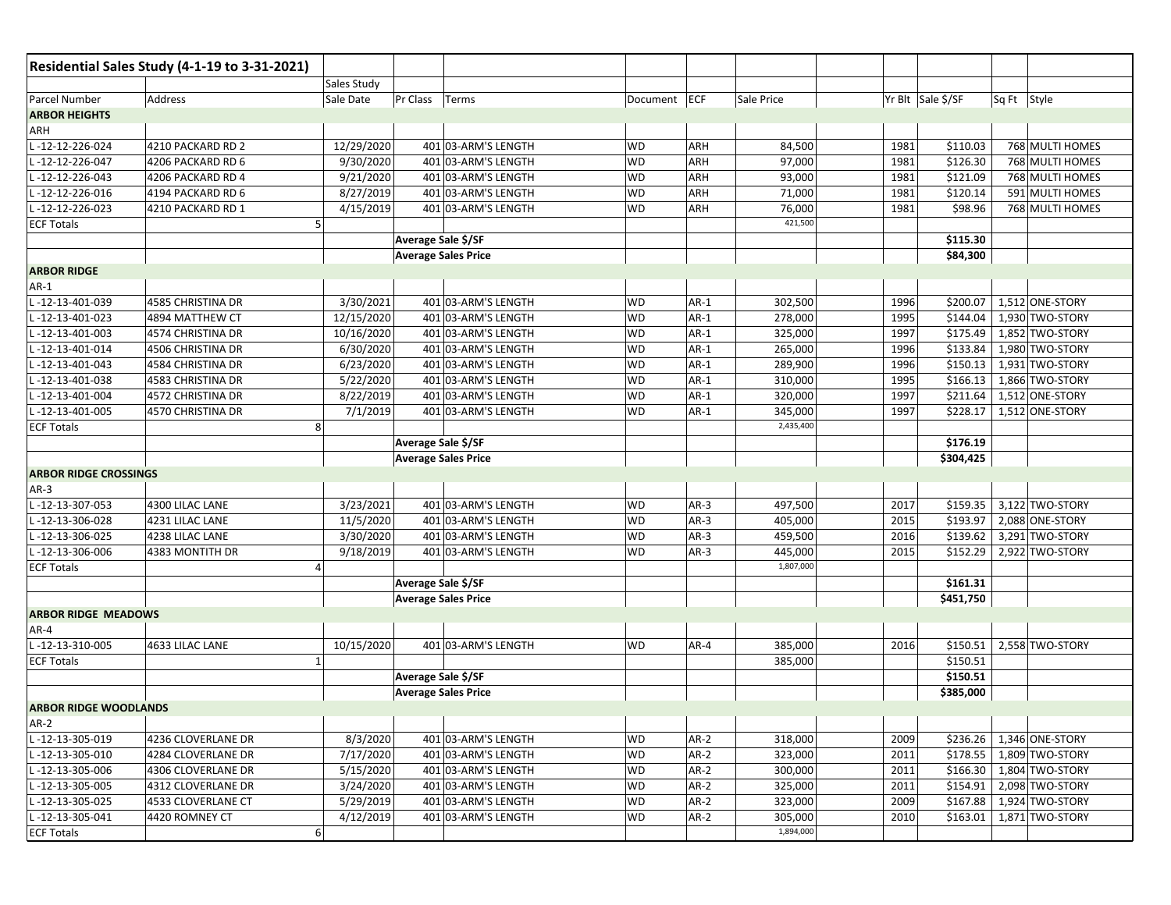|                              | Residential Sales Study (4-1-19 to 3-31-2021) |                             |                            |              |        |            |      |                   |             |                            |
|------------------------------|-----------------------------------------------|-----------------------------|----------------------------|--------------|--------|------------|------|-------------------|-------------|----------------------------|
|                              |                                               | Sales Study                 |                            |              |        |            |      |                   |             |                            |
| Parcel Number                | Address                                       | Sale Date<br>Pr Class Terms |                            | Document ECF |        | Sale Price |      | Yr Blt Sale \$/SF | Sq Ft Style |                            |
| <b>ARBOR HEIGHTS</b>         |                                               |                             |                            |              |        |            |      |                   |             |                            |
| ARH                          |                                               |                             |                            |              |        |            |      |                   |             |                            |
| -12-12-226-024               | 4210 PACKARD RD 2                             | 12/29/2020                  | 401 03-ARM'S LENGTH        | WD           | ARH    | 84,500     | 1981 | \$110.03          |             | 768 MULTI HOMES            |
| -12-12-226-047               | 4206 PACKARD RD 6                             | 9/30/2020                   | 401 03-ARM'S LENGTH        | WD           | ARH    | 97,000     | 1981 | \$126.30          |             | 768 MULTI HOMES            |
| -12-12-226-043               | 4206 PACKARD RD 4                             | 9/21/2020                   | 401 03-ARM'S LENGTH        | WD           | ARH    | 93,000     | 1981 | \$121.09          |             | 768 MULTI HOMES            |
| L-12-12-226-016              | 4194 PACKARD RD 6                             | 8/27/2019                   | 401 03-ARM'S LENGTH        | WD           | ARH    | 71,000     | 1981 | \$120.14          |             | 591 MULTI HOMES            |
| L-12-12-226-023              | 4210 PACKARD RD 1                             | 4/15/2019                   | 401 03-ARM'S LENGTH        | WD           | ARH    | 76,000     | 1981 | \$98.96           |             | 768 MULTI HOMES            |
| <b>ECF Totals</b>            | 5                                             |                             |                            |              |        | 421,500    |      |                   |             |                            |
|                              |                                               | Average Sale \$/SF          |                            |              |        |            |      | \$115.30          |             |                            |
|                              |                                               | <b>Average Sales Price</b>  |                            |              |        |            |      | \$84,300          |             |                            |
| <b>ARBOR RIDGE</b>           |                                               |                             |                            |              |        |            |      |                   |             |                            |
| $AR-1$                       |                                               |                             |                            |              |        |            |      |                   |             |                            |
| L-12-13-401-039              | 4585 CHRISTINA DR                             | 3/30/2021                   | 401 03-ARM'S LENGTH        | WD           | $AR-1$ | 302,500    | 1996 | \$200.07          |             | 1,512 ONE-STORY            |
| L-12-13-401-023              | 4894 MATTHEW CT                               | 12/15/2020                  | 401 03-ARM'S LENGTH        | WD           | $AR-1$ | 278,000    | 1995 | \$144.04          |             | 1,930 TWO-STORY            |
| L-12-13-401-003              | 4574 CHRISTINA DR                             | 10/16/2020                  | 401 03-ARM'S LENGTH        | WD           | $AR-1$ | 325,000    | 1997 | \$175.49          |             | 1,852 TWO-STORY            |
| -12-13-401-014               | 4506 CHRISTINA DR                             | 6/30/2020                   | 401 03-ARM'S LENGTH        | WD           | $AR-1$ | 265,000    | 1996 | \$133.84          |             | 1,980 TWO-STORY            |
| -12-13-401-043               | 4584 CHRISTINA DR                             | 6/23/2020                   | 401 03-ARM'S LENGTH        | WD           | $AR-1$ | 289,900    | 1996 | \$150.13          |             | 1,931 TWO-STORY            |
| -12-13-401-038               | 4583 CHRISTINA DR                             | 5/22/2020                   | 401 03-ARM'S LENGTH        | WD           | $AR-1$ | 310,000    | 1995 | \$166.13          |             | 1,866 TWO-STORY            |
| $-12 - 13 - 401 - 004$       | 4572 CHRISTINA DR                             | 8/22/2019                   | 401 03-ARM'S LENGTH        | WD           | $AR-1$ | 320,000    | 1997 | \$211.64          |             | 1,512 ONE-STORY            |
| -12-13-401-005               | 4570 CHRISTINA DR                             | 7/1/2019                    | 401 03-ARM'S LENGTH        | WD           | $AR-1$ | 345,000    | 1997 | \$228.17          |             | 1,512 ONE-STORY            |
| <b>ECF Totals</b>            | 8                                             |                             |                            |              |        | 2,435,400  |      |                   |             |                            |
|                              |                                               | Average Sale \$/SF          |                            |              |        |            |      | \$176.19          |             |                            |
|                              |                                               | <b>Average Sales Price</b>  |                            |              |        |            |      | \$304,425         |             |                            |
| <b>ARBOR RIDGE CROSSINGS</b> |                                               |                             |                            |              |        |            |      |                   |             |                            |
| $AR-3$                       |                                               |                             |                            |              |        |            |      |                   |             |                            |
| -12-13-307-053               | 4300 LILAC LANE                               | 3/23/2021                   | 401 03-ARM'S LENGTH        | WD           | $AR-3$ | 497,500    | 2017 |                   |             | \$159.35 3,122 TWO-STORY   |
| -12-13-306-028               | 4231 LILAC LANE                               | 11/5/2020                   | 401 03-ARM'S LENGTH        | WD           | $AR-3$ | 405,000    | 2015 | \$193.97          |             | 2,088 ONE-STORY            |
| L-12-13-306-025              | 4238 LILAC LANE                               | 3/30/2020                   | 401 03-ARM'S LENGTH        | WD           | $AR-3$ | 459,500    | 2016 | \$139.62          |             | 3,291 TWO-STORY            |
| -12-13-306-006               | 4383 MONTITH DR                               | 9/18/2019                   | 401 03-ARM'S LENGTH        | WD           | $AR-3$ | 445,000    | 2015 | \$152.29          |             | 2,922 TWO-STORY            |
| <b>ECF Totals</b>            | 4                                             |                             |                            |              |        | 1,807,000  |      |                   |             |                            |
|                              |                                               | Average Sale \$/SF          |                            |              |        |            |      | \$161.31          |             |                            |
|                              |                                               |                             | <b>Average Sales Price</b> |              |        |            |      | \$451,750         |             |                            |
| <b>ARBOR RIDGE MEADOWS</b>   |                                               |                             |                            |              |        |            |      |                   |             |                            |
| AR-4                         |                                               |                             |                            |              |        |            |      |                   |             |                            |
| -12-13-310-005               | 4633 LILAC LANE                               | 10/15/2020                  | 401 03-ARM'S LENGTH        | WD           | $AR-4$ | 385,000    | 2016 | \$150.51          |             | 2,558 TWO-STORY            |
| <b>ECF Totals</b>            | $\overline{1}$                                |                             |                            |              |        | 385,000    |      | \$150.51          |             |                            |
|                              |                                               | Average Sale \$/SF          |                            |              |        |            |      | \$150.51          |             |                            |
|                              |                                               | <b>Average Sales Price</b>  |                            |              |        |            |      | \$385,000         |             |                            |
| <b>ARBOR RIDGE WOODLANDS</b> |                                               |                             |                            |              |        |            |      |                   |             |                            |
| $AR-2$                       |                                               |                             |                            |              |        |            |      |                   |             |                            |
| L-12-13-305-019              | 4236 CLOVERLANE DR                            | 8/3/2020                    | 401 03-ARM'S LENGTH        | WD           | $AR-2$ | 318,000    | 2009 |                   |             | \$236.26   1,346 ONE-STORY |
| L-12-13-305-010              | 4284 CLOVERLANE DR                            | 7/17/2020                   | 401 03-ARM'S LENGTH        | WD           | $AR-2$ | 323,000    | 2011 |                   |             | \$178.55   1,809 TWO-STORY |
| L-12-13-305-006              | 4306 CLOVERLANE DR                            | 5/15/2020                   | 401 03-ARM'S LENGTH        | WD           | $AR-2$ | 300,000    | 2011 |                   |             | \$166.30   1,804 TWO-STORY |
| L-12-13-305-005              | 4312 CLOVERLANE DR                            | 3/24/2020                   | 401 03-ARM'S LENGTH        | WD           | $AR-2$ | 325,000    | 2011 | \$154.91          |             | 2,098 TWO-STORY            |
| L-12-13-305-025              | 4533 CLOVERLANE CT                            | 5/29/2019                   | 401 03-ARM'S LENGTH        | <b>WD</b>    | $AR-2$ | 323,000    | 2009 | \$167.88          |             | 1,924 TWO-STORY            |
| L-12-13-305-041              | 4420 ROMNEY CT                                | 4/12/2019                   | 401 03-ARM'S LENGTH        | WD           | $AR-2$ | 305,000    | 2010 | \$163.01          |             | 1,871 TWO-STORY            |
| <b>ECF Totals</b>            | 6                                             |                             |                            |              |        | 1,894,000  |      |                   |             |                            |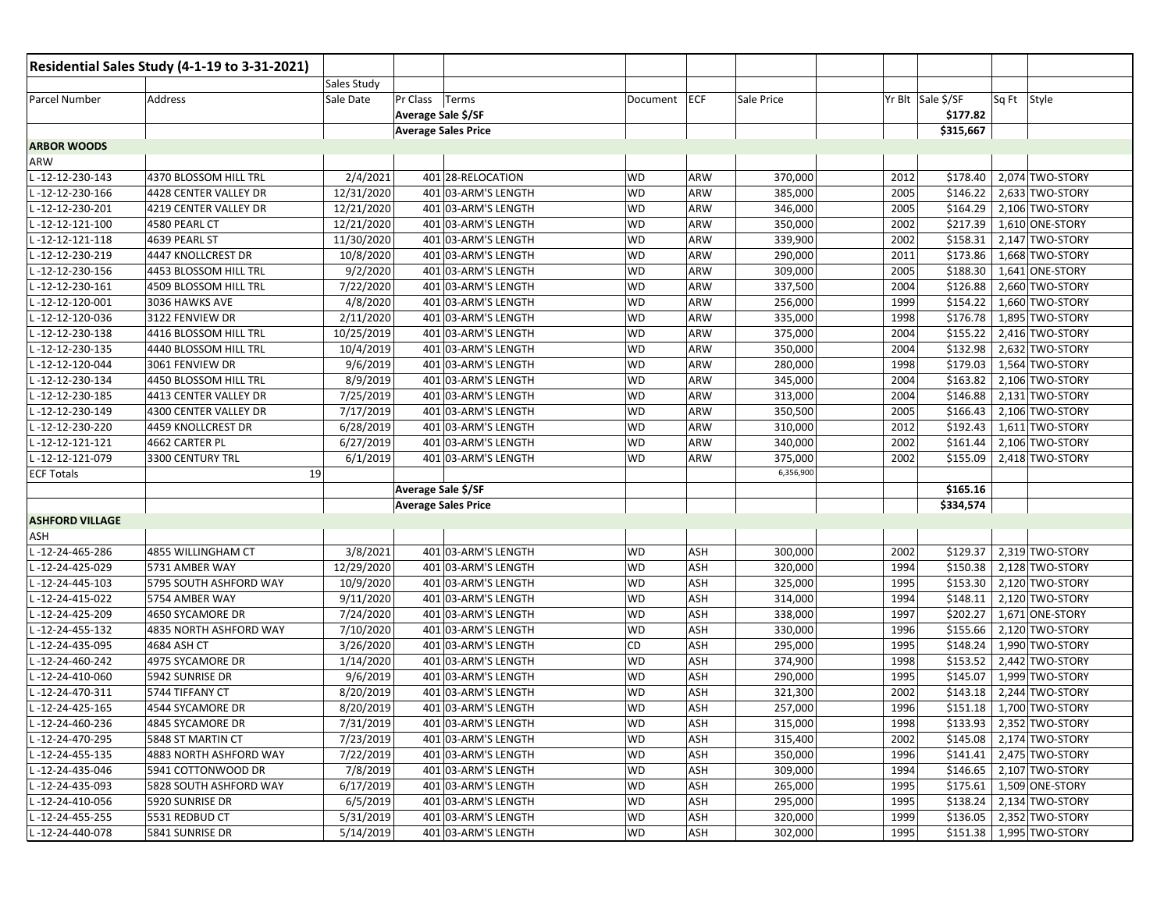|                        | Residential Sales Study (4-1-19 to 3-31-2021) |             |                    |                            |           |     |            |                   |           |             |                            |
|------------------------|-----------------------------------------------|-------------|--------------------|----------------------------|-----------|-----|------------|-------------------|-----------|-------------|----------------------------|
|                        |                                               | Sales Study |                    |                            |           |     |            |                   |           |             |                            |
| Parcel Number          | Address                                       | Sale Date   | Pr Class           | Terms                      | Document  | ECF | Sale Price | Yr Blt Sale \$/SF |           | Sq Ft Style |                            |
|                        |                                               |             | Average Sale \$/SF |                            |           |     |            |                   | \$177.82  |             |                            |
|                        |                                               |             |                    | <b>Average Sales Price</b> |           |     |            |                   | \$315,667 |             |                            |
| <b>ARBOR WOODS</b>     |                                               |             |                    |                            |           |     |            |                   |           |             |                            |
| ARW                    |                                               |             |                    |                            |           |     |            |                   |           |             |                            |
| -12-12-230-143         | 4370 BLOSSOM HILL TRL                         | 2/4/2021    |                    | 401 28-RELOCATION          | WD        | ARW | 370,000    | 2012              | \$178.40  |             | 2,074 TWO-STORY            |
| -12-12-230-166         | 4428 CENTER VALLEY DR                         | 12/31/2020  |                    | 401 03-ARM'S LENGTH        | <b>WD</b> | ARW | 385,000    | 2005              | \$146.22  |             | 2,633 TWO-STORY            |
| -12-12-230-201         | 4219 CENTER VALLEY DR                         | 12/21/2020  |                    | 401 03-ARM'S LENGTH        | <b>WD</b> | ARW | 346,000    | 2005              | \$164.29  |             | 2,106 TWO-STORY            |
| -12-12-121-100         | 4580 PEARL CT                                 | 12/21/2020  |                    | 401 03-ARM'S LENGTH        | <b>WD</b> | ARW | 350,000    | 2002              | \$217.39  |             | 1,610 ONE-STORY            |
| $-12 - 12 - 121 - 118$ | 4639 PEARL ST                                 | 11/30/2020  |                    | 401 03-ARM'S LENGTH        | <b>WD</b> | ARW | 339,900    | 2002              | \$158.31  |             | 2,147 TWO-STORY            |
| -12-12-230-219         | 4447 KNOLLCREST DR                            | 10/8/2020   |                    | 401 03-ARM'S LENGTH        | <b>WD</b> | ARW | 290,000    | 2011              | \$173.86  |             | 1,668 TWO-STORY            |
| -12-12-230-156         | 4453 BLOSSOM HILL TRL                         | 9/2/2020    |                    | 401 03-ARM'S LENGTH        | <b>WD</b> | ARW | 309,000    | 2005              | \$188.30  |             | 1,641 ONE-STORY            |
| $-12 - 12 - 230 - 161$ | 4509 BLOSSOM HILL TRL                         | 7/22/2020   |                    | 401 03-ARM'S LENGTH        | <b>WD</b> | ARW | 337,500    | 2004              | \$126.88  |             | 2,660 TWO-STORY            |
| $-12-12-120-001$       | 3036 HAWKS AVE                                | 4/8/2020    |                    | 401 03-ARM'S LENGTH        | <b>WD</b> | ARW | 256,000    | 1999              | \$154.22  |             | 1,660 TWO-STORY            |
| -12-12-120-036         | 3122 FENVIEW DR                               | 2/11/2020   |                    | 401 03-ARM'S LENGTH        | <b>WD</b> | ARW | 335,000    | 1998              | \$176.78  |             | 1,895 TWO-STORY            |
| -12-12-230-138         | 4416 BLOSSOM HILL TRL                         | 10/25/2019  |                    | 401 03-ARM'S LENGTH        | <b>WD</b> | ARW | 375,000    | 2004              | \$155.22  |             | 2,416 TWO-STORY            |
| -12-12-230-135         | 4440 BLOSSOM HILL TRL                         | 10/4/2019   |                    | 401 03-ARM'S LENGTH        | WD        | ARW | 350,000    | 2004              | \$132.98  |             | 2,632 TWO-STORY            |
| -12-12-120-044         | 3061 FENVIEW DR                               | 9/6/2019    |                    | 401 03-ARM'S LENGTH        | WD        | ARW | 280,000    | 1998              | \$179.03  |             | 1,564 TWO-STORY            |
| -12-12-230-134         | 4450 BLOSSOM HILL TRL                         | 8/9/2019    |                    | 401 03-ARM'S LENGTH        | <b>WD</b> | ARW | 345,000    | 2004              | \$163.82  |             | 2,106 TWO-STORY            |
| -12-12-230-185         | 4413 CENTER VALLEY DR                         | 7/25/2019   |                    | 401 03-ARM'S LENGTH        | <b>WD</b> | ARW | 313,000    | 2004              | \$146.88  |             | 2,131 TWO-STORY            |
| -12-12-230-149         | 4300 CENTER VALLEY DR                         | 7/17/2019   |                    | 401 03-ARM'S LENGTH        | <b>WD</b> | ARW | 350,500    | 2005              | \$166.43  |             | 2,106 TWO-STORY            |
| -12-12-230-220         | 4459 KNOLLCREST DR                            | 6/28/2019   |                    | 401 03-ARM'S LENGTH        | WD        | ARW | 310,000    | 2012              | \$192.43  |             | 1,611 TWO-STORY            |
| $-12 - 12 - 121 - 121$ | 4662 CARTER PL                                | 6/27/2019   |                    | 401 03-ARM'S LENGTH        | <b>WD</b> | ARW | 340,000    | 2002              | \$161.44  |             | 2,106 TWO-STORY            |
| -12-12-121-079         | 3300 CENTURY TRL                              | 6/1/2019    |                    | 401 03-ARM'S LENGTH        | <b>WD</b> | ARW | 375,000    | 2002              | \$155.09  |             | 2,418 TWO-STORY            |
| <b>ECF Totals</b>      | 19                                            |             |                    |                            |           |     | 6,356,900  |                   |           |             |                            |
|                        |                                               |             | Average Sale \$/SF |                            |           |     |            |                   | \$165.16  |             |                            |
|                        |                                               |             |                    | <b>Average Sales Price</b> |           |     |            |                   | \$334,574 |             |                            |
| <b>ASHFORD VILLAGE</b> |                                               |             |                    |                            |           |     |            |                   |           |             |                            |
| ASH                    |                                               |             |                    |                            |           |     |            |                   |           |             |                            |
| -12-24-465-286         | 4855 WILLINGHAM CT                            | 3/8/2021    |                    | 401 03-ARM'S LENGTH        | WD        | ASH | 300,000    | 2002              | \$129.37  |             | 2,319 TWO-STORY            |
| -12-24-425-029         | 5731 AMBER WAY                                | 12/29/2020  |                    | 401 03-ARM'S LENGTH        | <b>WD</b> | ASH | 320,000    | 1994              | \$150.38  |             | 2,128 TWO-STORY            |
| -12-24-445-103         | 5795 SOUTH ASHFORD WAY                        | 10/9/2020   |                    | 401 03-ARM'S LENGTH        | <b>WD</b> | ASH | 325,000    | 1995              | \$153.30  |             | 2,120 TWO-STORY            |
| -12-24-415-022         | 5754 AMBER WAY                                | 9/11/2020   |                    | 401 03-ARM'S LENGTH        | <b>WD</b> | ASH | 314,000    | 1994              | \$148.11  |             | 2,120 TWO-STORY            |
| -12-24-425-209         | 4650 SYCAMORE DR                              | 7/24/2020   |                    | 401 03-ARM'S LENGTH        | WD        | ASH | 338,000    | 1997              | \$202.27  |             | 1,671 ONE-STORY            |
| -12-24-455-132         | 4835 NORTH ASHFORD WAY                        | 7/10/2020   |                    | 401 03-ARM'S LENGTH        | <b>WD</b> | ASH | 330,000    | 1996              | \$155.66  |             | 2,120 TWO-STORY            |
| -12-24-435-095         | 4684 ASH CT                                   | 3/26/2020   |                    | 401 03-ARM'S LENGTH        | CD        | ASH | 295,000    | 1995              | \$148.24  |             | 1,990 TWO-STORY            |
| -12-24-460-242         | 4975 SYCAMORE DR                              | 1/14/2020   |                    | 401 03-ARM'S LENGTH        | <b>WD</b> | ASH | 374,900    | 1998              | \$153.52  |             | 2,442 TWO-STORY            |
| -12-24-410-060         | 5942 SUNRISE DR                               | 9/6/2019    |                    | 401 03-ARM'S LENGTH        | <b>WD</b> | ASH | 290,000    | 1995              | \$145.07  |             | 1,999 TWO-STORY            |
| -12-24-470-311         | 5744 TIFFANY CT                               | 8/20/2019   |                    | 401 03-ARM'S LENGTH        | WD        | ASH | 321,300    | 2002              | \$143.18  |             | 2,244 TWO-STORY            |
| -12-24-425-165         | 4544 SYCAMORE DR                              | 8/20/2019   |                    | 401 03-ARM'S LENGTH        | WD        | ASH | 257,000    | 1996              | \$151.18  |             | 1,700 TWO-STORY            |
| L-12-24-460-236        | 4845 SYCAMORE DR                              | 7/31/2019   |                    | 401 03-ARM'S LENGTH        | <b>WD</b> | ASH | 315,000    | 1998              |           |             | \$133.93 2,352 TWO-STORY   |
| L-12-24-470-295        | 5848 ST MARTIN CT                             | 7/23/2019   |                    | 401 03-ARM'S LENGTH        | WD        | ASH | 315,400    | 2002              |           |             | \$145.08   2,174 TWO-STORY |
| L-12-24-455-135        | 4883 NORTH ASHFORD WAY                        | 7/22/2019   |                    | 401 03-ARM'S LENGTH        | WD        | ASH | 350,000    | 1996              |           |             | \$141.41 2,475 TWO-STORY   |
| L-12-24-435-046        | 5941 COTTONWOOD DR                            | 7/8/2019    |                    | 401 03-ARM'S LENGTH        | WD        | ASH | 309,000    | 1994              |           |             | \$146.65 2,107 TWO-STORY   |
| L-12-24-435-093        | 5828 SOUTH ASHFORD WAY                        | 6/17/2019   |                    | 401 03-ARM'S LENGTH        | WD        | ASH | 265,000    | 1995              |           |             | \$175.61 1,509 ONE-STORY   |
| L-12-24-410-056        | 5920 SUNRISE DR                               | 6/5/2019    |                    | 401 03-ARM'S LENGTH        | WD        | ASH | 295,000    | 1995              | \$138.24  |             | 2,134 TWO-STORY            |
| L-12-24-455-255        | 5531 REDBUD CT                                | 5/31/2019   |                    | 401 03-ARM'S LENGTH        | WD        | ASH | 320,000    | 1999              |           |             | \$136.05 2,352 TWO-STORY   |
| L-12-24-440-078        | 5841 SUNRISE DR                               | 5/14/2019   |                    | 401 03-ARM'S LENGTH        | WD        | ASH | 302,000    | 1995              |           |             | \$151.38   1,995 TWO-STORY |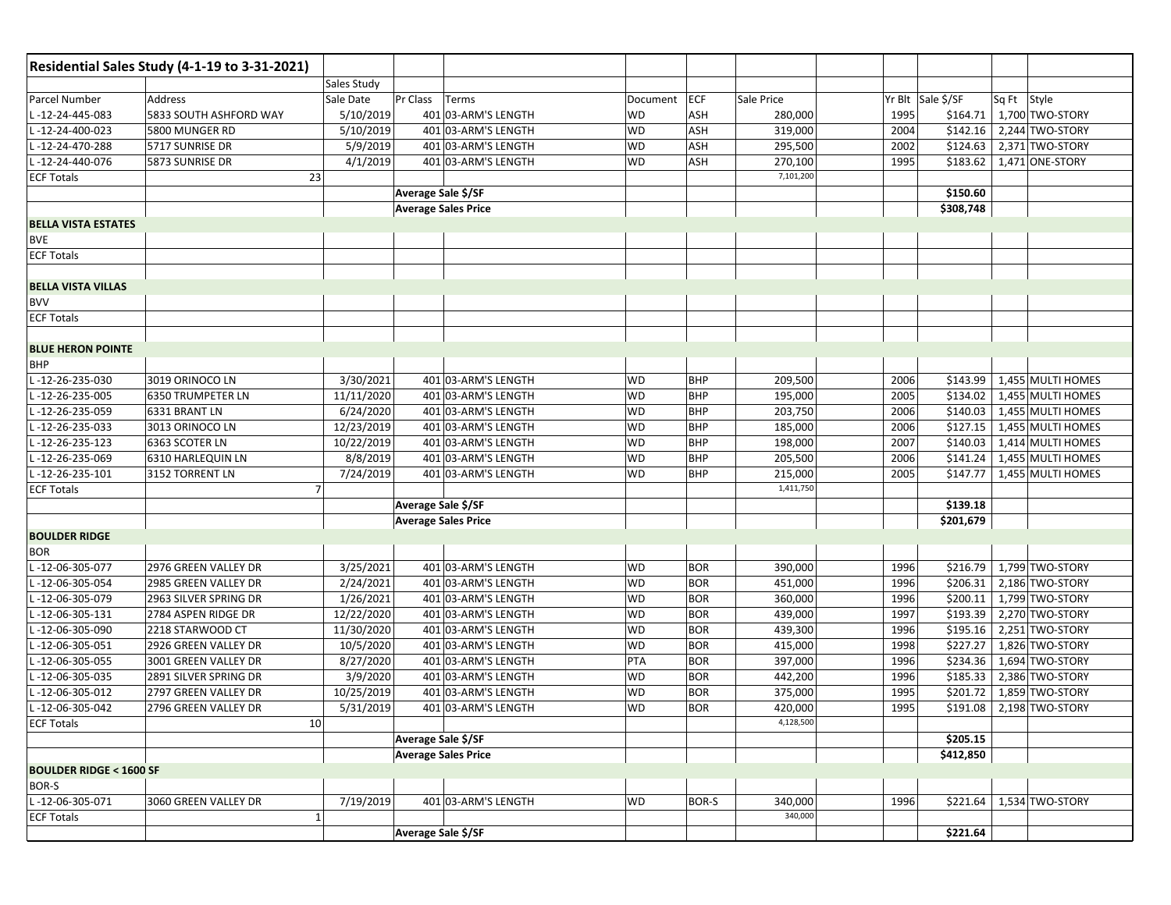|                                   | Residential Sales Study (4-1-19 to 3-31-2021) |                    |                            |                            |           |            |            |                   |           |             |                          |
|-----------------------------------|-----------------------------------------------|--------------------|----------------------------|----------------------------|-----------|------------|------------|-------------------|-----------|-------------|--------------------------|
|                                   |                                               | <b>Sales Study</b> |                            |                            |           |            |            |                   |           |             |                          |
| Parcel Number                     | Address                                       | Sale Date          | Pr Class                   | Terms                      | Document  | ECF        | Sale Price | Yr Blt Sale \$/SF |           | Sq Ft Style |                          |
| -12-24-445-083                    | 5833 SOUTH ASHFORD WAY                        | 5/10/2019          |                            | 401 03-ARM'S LENGTH        | WD        | ASH        | 280,000    | 1995              | \$164.71  |             | 1,700 TWO-STORY          |
| -12-24-400-023                    | 5800 MUNGER RD                                | 5/10/2019          |                            | 401 03-ARM'S LENGTH        | <b>WD</b> | ASH        | 319,000    | 2004              | \$142.16  |             | 2,244 TWO-STORY          |
| L-12-24-470-288                   | 5717 SUNRISE DR                               | 5/9/2019           |                            | 401 03-ARM'S LENGTH        | <b>WD</b> | ASH        | 295,500    | 2002              | \$124.63  |             | 2,371 TWO-STORY          |
| -12-24-440-076                    | 5873 SUNRISE DR                               | 4/1/2019           |                            | 401 03-ARM'S LENGTH        | <b>WD</b> | ASH        | 270,100    | 1995              | \$183.62  |             | 1,471 ONE-STORY          |
| <b>ECF Totals</b>                 | 23                                            |                    |                            |                            |           |            | 7,101,200  |                   |           |             |                          |
|                                   |                                               |                    | Average Sale \$/SF         |                            |           |            |            |                   | \$150.60  |             |                          |
|                                   |                                               |                    | <b>Average Sales Price</b> |                            |           |            |            |                   | \$308,748 |             |                          |
| <b>BELLA VISTA ESTATES</b>        |                                               |                    |                            |                            |           |            |            |                   |           |             |                          |
| <b>BVE</b>                        |                                               |                    |                            |                            |           |            |            |                   |           |             |                          |
| <b>ECF Totals</b>                 |                                               |                    |                            |                            |           |            |            |                   |           |             |                          |
|                                   |                                               |                    |                            |                            |           |            |            |                   |           |             |                          |
| <b>BELLA VISTA VILLAS</b>         |                                               |                    |                            |                            |           |            |            |                   |           |             |                          |
| <b>BVV</b>                        |                                               |                    |                            |                            |           |            |            |                   |           |             |                          |
| <b>ECF Totals</b>                 |                                               |                    |                            |                            |           |            |            |                   |           |             |                          |
|                                   |                                               |                    |                            |                            |           |            |            |                   |           |             |                          |
| <b>BLUE HERON POINTE</b>          |                                               |                    |                            |                            |           |            |            |                   |           |             |                          |
| <b>BHP</b>                        |                                               |                    |                            |                            |           |            |            |                   |           |             |                          |
| -12-26-235-030                    | 3019 ORINOCO LN                               | 3/30/2021          |                            | 401 03-ARM'S LENGTH        | <b>WD</b> | <b>BHP</b> | 209,500    | 2006              | \$143.99  |             | 1,455 MULTI HOMES        |
| -12-26-235-005                    | <b>6350 TRUMPETER LN</b>                      | 11/11/2020         |                            | 401 03-ARM'S LENGTH        | <b>WD</b> | <b>BHP</b> | 195,000    | 2005              | \$134.02  |             | 1,455 MULTI HOMES        |
| -12-26-235-059                    | 6331 BRANT LN                                 | 6/24/2020          |                            | 401 03-ARM'S LENGTH        | <b>WD</b> | <b>BHP</b> | 203,750    | 2006              | \$140.03  |             | 1,455 MULTI HOMES        |
| -12-26-235-033                    | 3013 ORINOCO LN                               | 12/23/2019         |                            | 401 03-ARM'S LENGTH        | WD        | <b>BHP</b> | 185,000    | 2006              | \$127.15  |             | 1,455 MULTI HOMES        |
| -12-26-235-123                    | 6363 SCOTER LN                                | 10/22/2019         |                            | 401 03-ARM'S LENGTH        | WD        | <b>BHP</b> | 198,000    | 2007              | \$140.03  |             | 1,414 MULTI HOMES        |
| -12-26-235-069                    | 6310 HARLEQUIN LN                             | 8/8/2019           |                            | 401 03-ARM'S LENGTH        | WD        | <b>BHP</b> | 205,500    | 2006              | \$141.24  |             | 1,455 MULTI HOMES        |
| -12-26-235-101                    | 3152 TORRENT LN                               | 7/24/2019          |                            | 401 03-ARM'S LENGTH        | <b>WD</b> | <b>BHP</b> | 215,000    | 2005              | \$147.77  |             | 1,455 MULTI HOMES        |
| <b>ECF Totals</b>                 |                                               |                    |                            |                            |           |            | 1,411,750  |                   |           |             |                          |
|                                   |                                               |                    | Average Sale \$/SF         |                            |           |            |            |                   | \$139.18  |             |                          |
|                                   |                                               |                    | <b>Average Sales Price</b> |                            |           |            |            |                   | \$201,679 |             |                          |
| <b>BOULDER RIDGE</b>              |                                               |                    |                            |                            |           |            |            |                   |           |             |                          |
| <b>BOR</b>                        |                                               |                    |                            |                            |           |            |            |                   |           |             |                          |
| -12-06-305-077                    | 2976 GREEN VALLEY DR                          | 3/25/2021          |                            | 401 03-ARM'S LENGTH        | <b>WD</b> | <b>BOR</b> | 390,000    | 1996              |           |             | \$216.79 1,799 TWO-STORY |
| -12-06-305-054                    | 2985 GREEN VALLEY DR                          | 2/24/2021          |                            | 401 03-ARM'S LENGTH        | <b>WD</b> | <b>BOR</b> | 451,000    | 1996              | \$206.31  |             | 2,186 TWO-STORY          |
| -12-06-305-079                    | 2963 SILVER SPRING DR                         | 1/26/2021          |                            | 401 03-ARM'S LENGTH        | <b>WD</b> | <b>BOR</b> | 360,000    | 1996              | \$200.11  |             | 1,799 TWO-STORY          |
| -12-06-305-131                    | 2784 ASPEN RIDGE DR                           | 12/22/2020         |                            | 401 03-ARM'S LENGTH        | <b>WD</b> | <b>BOR</b> | 439,000    | 1997              | \$193.39  |             | 2,270 TWO-STORY          |
| -12-06-305-090                    | 2218 STARWOOD CT                              | 11/30/2020         |                            | 401 03-ARM'S LENGTH        | WD        | <b>BOR</b> | 439,300    | 1996              |           |             | \$195.16 2,251 TWO-STORY |
| -12-06-305-051                    | 2926 GREEN VALLEY DR                          | 10/5/2020          |                            | 401 03-ARM'S LENGTH        | <b>WD</b> | <b>BOR</b> | 415,000    | 1998              | \$227.27  |             | 1,826 TWO-STORY          |
| -12-06-305-055                    | 3001 GREEN VALLEY DR                          | 8/27/2020          |                            | 401 03-ARM'S LENGTH        | PTA       | <b>BOR</b> | 397,000    | 1996              |           |             | \$234.36 1,694 TWO-STORY |
| -12-06-305-035                    | 2891 SILVER SPRING DR                         | 3/9/2020           |                            | 401 03-ARM'S LENGTH        | <b>WD</b> | <b>BOR</b> | 442,200    | 1996              | \$185.33  |             | 2,386 TWO-STORY          |
| -12-06-305-012                    | 2797 GREEN VALLEY DR                          | 10/25/2019         |                            | 401 03-ARM'S LENGTH        | WD        | <b>BOR</b> | 375,000    | 1995              | \$201.72  |             | 1,859 TWO-STORY          |
| L-12-06-305-042                   | 2796 GREEN VALLEY DR                          | 5/31/2019          |                            | 401 03-ARM'S LENGTH        | <b>WD</b> | <b>BOR</b> | 420,000    | 1995              |           |             | \$191.08 2,198 TWO-STORY |
| <b>ECF Totals</b>                 | 10                                            |                    |                            |                            |           |            | 4,128,500  |                   |           |             |                          |
|                                   |                                               |                    | Average Sale \$/SF         |                            |           |            |            |                   | \$205.15  |             |                          |
|                                   |                                               |                    |                            | <b>Average Sales Price</b> |           |            |            |                   | \$412,850 |             |                          |
| <b>BOULDER RIDGE &lt; 1600 SF</b> |                                               |                    |                            |                            |           |            |            |                   |           |             |                          |
| BOR-S                             |                                               |                    |                            |                            |           |            |            |                   |           |             |                          |
| L-12-06-305-071                   | 3060 GREEN VALLEY DR                          | 7/19/2019          |                            | 401 03-ARM'S LENGTH        | <b>WD</b> | BOR-S      | 340,000    | 1996              | \$221.64  |             | 1,534 TWO-STORY          |
| <b>ECF Totals</b>                 | $\mathbf{1}$                                  |                    |                            |                            |           |            | 340,000    |                   |           |             |                          |
|                                   |                                               |                    | Average Sale \$/SF         |                            |           |            |            |                   | \$221.64  |             |                          |
|                                   |                                               |                    |                            |                            |           |            |            |                   |           |             |                          |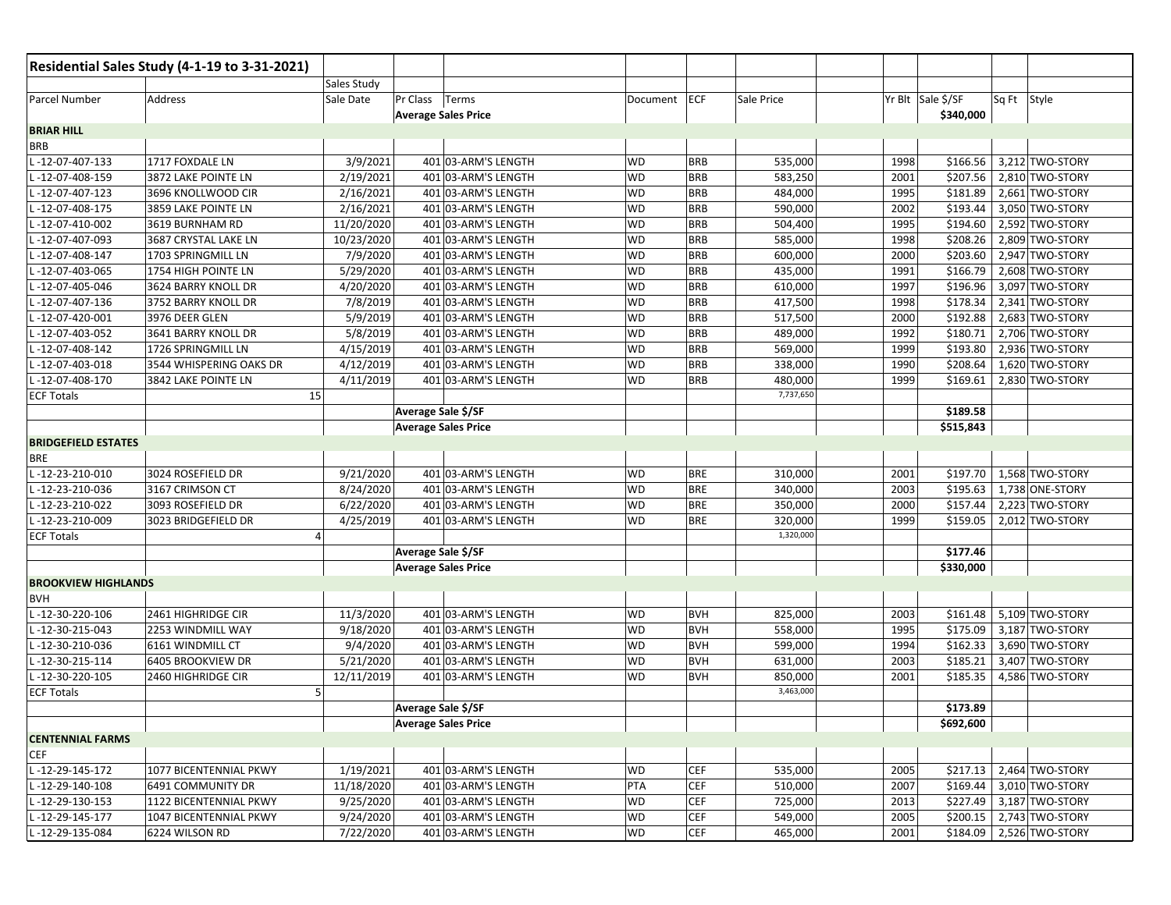|                            | Residential Sales Study (4-1-19 to 3-31-2021) |                    |                            |                     |              |            |            |      |                   |             |                              |
|----------------------------|-----------------------------------------------|--------------------|----------------------------|---------------------|--------------|------------|------------|------|-------------------|-------------|------------------------------|
|                            |                                               | <b>Sales Study</b> |                            |                     |              |            |            |      |                   |             |                              |
| Parcel Number              | Address                                       | Sale Date          | Pr Class Terms             |                     | Document ECF |            | Sale Price |      | Yr Blt Sale \$/SF | Sq Ft Style |                              |
|                            |                                               |                    | <b>Average Sales Price</b> |                     |              |            |            |      | \$340,000         |             |                              |
| <b>BRIAR HILL</b>          |                                               |                    |                            |                     |              |            |            |      |                   |             |                              |
| <b>BRB</b>                 |                                               |                    |                            |                     |              |            |            |      |                   |             |                              |
| L-12-07-407-133            | 1717 FOXDALE LN                               | 3/9/2021           |                            | 401 03-ARM'S LENGTH | <b>WD</b>    | <b>BRB</b> | 535,000    | 1998 | \$166.56          |             | 3,212 TWO-STORY              |
| L-12-07-408-159            | 3872 LAKE POINTE LN                           | 2/19/2021          |                            | 401 03-ARM'S LENGTH | <b>WD</b>    | <b>BRB</b> | 583,250    | 2001 | \$207.56          |             | 2,810 TWO-STORY              |
| L-12-07-407-123            | 3696 KNOLLWOOD CIR                            | 2/16/2021          |                            | 401 03-ARM'S LENGTH | <b>WD</b>    | <b>BRB</b> | 484,000    | 1995 | \$181.89          |             | 2,661 TWO-STORY              |
| L-12-07-408-175            | 3859 LAKE POINTE LN                           | 2/16/2021          |                            | 401 03-ARM'S LENGTH | <b>WD</b>    | <b>BRB</b> | 590,000    | 2002 | \$193.44          |             | 3,050 TWO-STORY              |
| L-12-07-410-002            | 3619 BURNHAM RD                               | 11/20/2020         |                            | 401 03-ARM'S LENGTH | <b>WD</b>    | <b>BRB</b> | 504,400    | 1995 | \$194.60          |             | 2,592 TWO-STORY              |
| L-12-07-407-093            | 3687 CRYSTAL LAKE LN                          | 10/23/2020         |                            | 401 03-ARM'S LENGTH | <b>WD</b>    | <b>BRB</b> | 585,000    | 1998 | \$208.26          |             | 2,809 TWO-STORY              |
| -12-07-408-147             | 1703 SPRINGMILL LN                            | 7/9/2020           |                            | 401 03-ARM'S LENGTH | <b>WD</b>    | <b>BRB</b> | 600,000    | 2000 | \$203.60          |             | 2,947 TWO-STORY              |
| L-12-07-403-065            | 1754 HIGH POINTE LN                           | 5/29/2020          |                            | 401 03-ARM'S LENGTH | <b>WD</b>    | <b>BRB</b> | 435,000    | 1991 | \$166.79          |             | 2,608 TWO-STORY              |
| -12-07-405-046             | 3624 BARRY KNOLL DR                           | 4/20/2020          |                            | 401 03-ARM'S LENGTH | <b>WD</b>    | <b>BRB</b> | 610,000    | 1997 | \$196.96          |             | 3,097 TWO-STORY              |
| -12-07-407-136             | 3752 BARRY KNOLL DR                           | 7/8/2019           |                            | 401 03-ARM'S LENGTH | <b>WD</b>    | <b>BRB</b> | 417,500    | 1998 | \$178.34          |             | 2,341 TWO-STORY              |
| -12-07-420-001             | 3976 DEER GLEN                                | 5/9/2019           |                            | 401 03-ARM'S LENGTH | <b>WD</b>    | <b>BRB</b> | 517,500    | 2000 | \$192.88          |             | 2,683 TWO-STORY              |
| L-12-07-403-052            | 3641 BARRY KNOLL DR                           | 5/8/2019           |                            | 401 03-ARM'S LENGTH | <b>WD</b>    | <b>BRB</b> | 489,000    | 1992 | \$180.71          |             | 2,706 TWO-STORY              |
| -12-07-408-142             | 1726 SPRINGMILL LN                            | 4/15/2019          |                            | 401 03-ARM'S LENGTH | <b>WD</b>    | <b>BRB</b> | 569,000    | 1999 | \$193.80          |             | 2,936 TWO-STORY              |
| -12-07-403-018             | 3544 WHISPERING OAKS DR                       | 4/12/2019          |                            | 401 03-ARM'S LENGTH | <b>WD</b>    | <b>BRB</b> | 338,000    | 1990 | \$208.64          |             | 1,620 TWO-STORY              |
| $-12-07-408-170$           | 3842 LAKE POINTE LN                           | 4/11/2019          |                            | 401 03-ARM'S LENGTH | WD           | <b>BRB</b> | 480,000    | 1999 | \$169.61          |             | 2,830 TWO-STORY              |
| <b>ECF Totals</b>          | 15                                            |                    |                            |                     |              |            | 7,737,650  |      |                   |             |                              |
|                            |                                               |                    | Average Sale \$/SF         |                     |              |            |            |      | \$189.58          |             |                              |
|                            |                                               |                    | <b>Average Sales Price</b> |                     |              |            |            |      | \$515,843         |             |                              |
| <b>BRIDGEFIELD ESTATES</b> |                                               |                    |                            |                     |              |            |            |      |                   |             |                              |
| <b>BRE</b>                 |                                               |                    |                            |                     |              |            |            |      |                   |             |                              |
| L-12-23-210-010            | 3024 ROSEFIELD DR                             | 9/21/2020          |                            | 401 03-ARM'S LENGTH | <b>WD</b>    | <b>BRE</b> | 310,000    | 2001 | \$197.70          |             | 1,568 TWO-STORY              |
| -12-23-210-036             | 3167 CRIMSON CT                               | 8/24/2020          |                            | 401 03-ARM'S LENGTH | <b>WD</b>    | <b>BRE</b> | 340,000    | 2003 | \$195.63          |             | 1,738 ONE-STORY              |
| -12-23-210-022             | 3093 ROSEFIELD DR                             | 6/22/2020          |                            | 401 03-ARM'S LENGTH | <b>WD</b>    | <b>BRE</b> | 350,000    | 2000 | \$157.44          |             | $\overline{2,223}$ TWO-STORY |
| -12-23-210-009             | 3023 BRIDGEFIELD DR                           | 4/25/2019          |                            | 401 03-ARM'S LENGTH | <b>WD</b>    | <b>BRE</b> | 320,000    | 1999 | \$159.05          |             | 2,012 TWO-STORY              |
| <b>ECF Totals</b>          |                                               |                    |                            |                     |              |            | 1,320,000  |      |                   |             |                              |
|                            |                                               |                    | Average Sale \$/SF         |                     |              |            |            |      | \$177.46          |             |                              |
|                            |                                               |                    | <b>Average Sales Price</b> |                     |              |            |            |      | \$330,000         |             |                              |
| <b>BROOKVIEW HIGHLANDS</b> |                                               |                    |                            |                     |              |            |            |      |                   |             |                              |
| <b>BVH</b>                 |                                               |                    |                            |                     |              |            |            |      |                   |             |                              |
| L-12-30-220-106            | 2461 HIGHRIDGE CIR                            | 11/3/2020          |                            | 401 03-ARM'S LENGTH | <b>WD</b>    | <b>BVH</b> | 825,000    | 2003 |                   |             | \$161.48 5,109 TWO-STORY     |
| L-12-30-215-043            | 2253 WINDMILL WAY                             | 9/18/2020          |                            | 401 03-ARM'S LENGTH | <b>WD</b>    | <b>BVH</b> | 558,000    | 1995 | \$175.09          |             | 3,187 TWO-STORY              |
| L-12-30-210-036            | 6161 WINDMILL CT                              | 9/4/2020           |                            | 401 03-ARM'S LENGTH | <b>WD</b>    | <b>BVH</b> | 599,000    | 1994 | \$162.33          |             | 3,690 TWO-STORY              |
| L-12-30-215-114            | 6405 BROOKVIEW DR                             | 5/21/2020          |                            | 401 03-ARM'S LENGTH | <b>WD</b>    | <b>BVH</b> | 631,000    | 2003 | \$185.21          |             | 3,407 TWO-STORY              |
| -12-30-220-105             | 2460 HIGHRIDGE CIR                            | 12/11/2019         |                            | 401 03-ARM'S LENGTH | <b>WD</b>    | <b>BVH</b> | 850,000    | 2001 | \$185.35          |             | 4,586 TWO-STORY              |
| <b>ECF Totals</b>          | 5                                             |                    |                            |                     |              |            | 3,463,000  |      |                   |             |                              |
|                            |                                               |                    | Average Sale \$/SF         |                     |              |            |            |      | \$173.89          |             |                              |
|                            |                                               |                    | <b>Average Sales Price</b> |                     |              |            |            |      | \$692,600         |             |                              |
| <b>CENTENNIAL FARMS</b>    |                                               |                    |                            |                     |              |            |            |      |                   |             |                              |
| <b>CEF</b>                 |                                               |                    |                            |                     |              |            |            |      |                   |             |                              |
| L-12-29-145-172            | 1077 BICENTENNIAL PKWY                        | 1/19/2021          |                            | 401 03-ARM'S LENGTH | <b>WD</b>    | <b>CEF</b> | 535,000    | 2005 |                   |             | \$217.13 2,464 TWO-STORY     |
| L-12-29-140-108            | 6491 COMMUNITY DR                             | 11/18/2020         |                            | 401 03-ARM'S LENGTH | PTA          | <b>CEF</b> | 510,000    | 2007 | \$169.44          |             | 3,010 TWO-STORY              |
| L-12-29-130-153            | 1122 BICENTENNIAL PKWY                        | 9/25/2020          |                            | 401 03-ARM'S LENGTH | <b>WD</b>    | <b>CEF</b> | 725,000    | 2013 | \$227.49          |             | 3,187 TWO-STORY              |
| L-12-29-145-177            | 1047 BICENTENNIAL PKWY                        | 9/24/2020          |                            | 401 03-ARM'S LENGTH | WD           | <b>CEF</b> | 549,000    | 2005 |                   |             | \$200.15 2,743 TWO-STORY     |
| L-12-29-135-084            | 6224 WILSON RD                                | 7/22/2020          |                            | 401 03-ARM'S LENGTH | WD           | <b>CEF</b> | 465,000    | 2001 |                   |             | \$184.09 2,526 TWO-STORY     |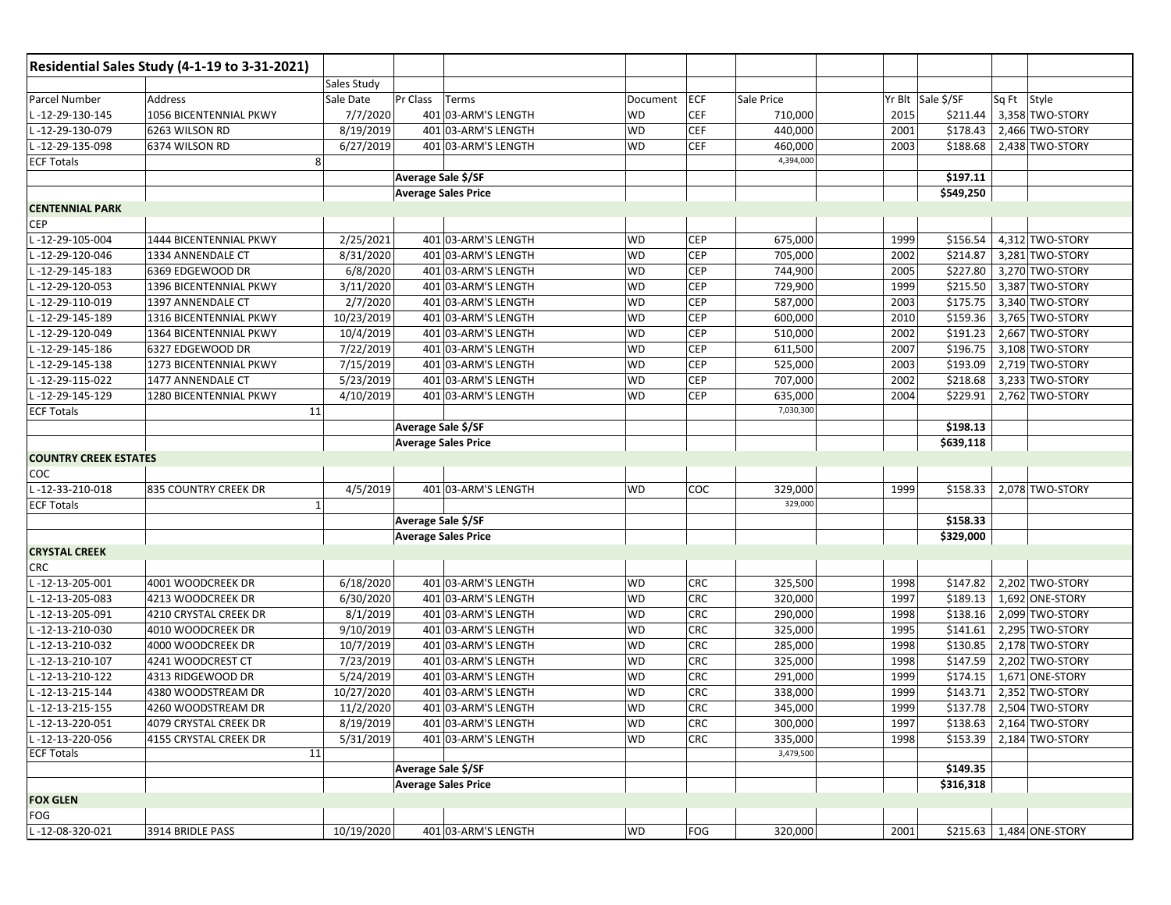|                              | Residential Sales Study (4-1-19 to 3-31-2021) |                    |          |                            |           |            |            |      |                   |                          |
|------------------------------|-----------------------------------------------|--------------------|----------|----------------------------|-----------|------------|------------|------|-------------------|--------------------------|
|                              |                                               | <b>Sales Study</b> |          |                            |           |            |            |      |                   |                          |
| Parcel Number                | Address                                       | Sale Date          | Pr Class | Terms                      | Document  | ECF        | Sale Price |      | Yr Blt Sale \$/SF | Sq Ft Style              |
| -12-29-130-145               | 1056 BICENTENNIAL PKWY                        | 7/7/2020           |          | 401 03-ARM'S LENGTH        | <b>WD</b> | <b>CEF</b> | 710,000    | 2015 | \$211.44          | 3,358 TWO-STORY          |
| $-12 - 29 - 130 - 079$       | 6263 WILSON RD                                | 8/19/2019          |          | 401 03-ARM'S LENGTH        | <b>WD</b> | <b>CEF</b> | 440,000    | 2001 | \$178.43          | 2,466 TWO-STORY          |
| -12-29-135-098               | 6374 WILSON RD                                | 6/27/2019          |          | 401 03-ARM'S LENGTH        | <b>WD</b> | <b>CEF</b> | 460,000    | 2003 | \$188.68          | 2,438 TWO-STORY          |
| <b>ECF Totals</b>            | 8                                             |                    |          |                            |           |            | 4,394,000  |      |                   |                          |
|                              |                                               |                    |          | Average Sale \$/SF         |           |            |            |      | \$197.11          |                          |
|                              |                                               |                    |          | <b>Average Sales Price</b> |           |            |            |      | \$549,250         |                          |
| <b>CENTENNIAL PARK</b>       |                                               |                    |          |                            |           |            |            |      |                   |                          |
| <b>CEP</b>                   |                                               |                    |          |                            |           |            |            |      |                   |                          |
| L-12-29-105-004              | 1444 BICENTENNIAL PKWY                        | 2/25/2021          |          | 401 03-ARM'S LENGTH        | <b>WD</b> | <b>CEP</b> | 675,000    | 1999 | \$156.54          | 4,312 TWO-STORY          |
| -12-29-120-046               | 1334 ANNENDALE CT                             | 8/31/2020          |          | 401 03-ARM'S LENGTH        | <b>WD</b> | <b>CEP</b> | 705,000    | 2002 | \$214.87          | 3,281 TWO-STORY          |
| -12-29-145-183               | 6369 EDGEWOOD DR                              | 6/8/2020           |          | 401 03-ARM'S LENGTH        | <b>WD</b> | <b>CEP</b> | 744,900    | 2005 | \$227.80          | 3,270 TWO-STORY          |
| -12-29-120-053               | 1396 BICENTENNIAL PKWY                        | 3/11/2020          |          | 401 03-ARM'S LENGTH        | <b>WD</b> | <b>CEP</b> | 729,900    | 1999 | \$215.50          | 3,387 TWO-STORY          |
| -12-29-110-019               | 1397 ANNENDALE CT                             | 2/7/2020           |          | 401 03-ARM'S LENGTH        | <b>WD</b> | <b>CEP</b> | 587,000    | 2003 | \$175.75          | 3,340 TWO-STORY          |
| -12-29-145-189               | 1316 BICENTENNIAL PKWY                        | 10/23/2019         |          | 401 03-ARM'S LENGTH        | <b>WD</b> | <b>CEP</b> | 600,000    | 2010 | \$159.36          | 3,765 TWO-STORY          |
| -12-29-120-049               | 1364 BICENTENNIAL PKWY                        | 10/4/2019          |          | 401 03-ARM'S LENGTH        | <b>WD</b> | <b>CEP</b> | 510,000    | 2002 | \$191.23          | 2,667 TWO-STORY          |
| -12-29-145-186               | 6327 EDGEWOOD DR                              | 7/22/2019          |          | 401 03-ARM'S LENGTH        | <b>WD</b> | <b>CEP</b> | 611,500    | 2007 | \$196.75          | 3,108 TWO-STORY          |
| -12-29-145-138               | 1273 BICENTENNIAL PKWY                        | 7/15/2019          |          | 401 03-ARM'S LENGTH        | WD        | <b>CEP</b> | 525,000    | 2003 | \$193.09          | 2,719 TWO-STORY          |
| $-12-29-115-022$             | 1477 ANNENDALE CT                             | 5/23/2019          |          | 401 03-ARM'S LENGTH        | <b>WD</b> | <b>CEP</b> | 707,000    | 2002 | \$218.68          | 3,233 TWO-STORY          |
| -12-29-145-129               | 1280 BICENTENNIAL PKWY                        | 4/10/2019          |          | 401 03-ARM'S LENGTH        | <b>WD</b> | <b>CEP</b> | 635,000    | 2004 | \$229.91          | 2,762 TWO-STORY          |
| <b>ECF Totals</b>            | 11                                            |                    |          |                            |           |            | 7,030,300  |      |                   |                          |
|                              |                                               |                    |          | Average Sale \$/SF         |           |            |            |      | \$198.13          |                          |
|                              |                                               |                    |          | <b>Average Sales Price</b> |           |            |            |      | \$639,118         |                          |
| <b>COUNTRY CREEK ESTATES</b> |                                               |                    |          |                            |           |            |            |      |                   |                          |
| <b>COC</b>                   |                                               |                    |          |                            |           |            |            |      |                   |                          |
| -12-33-210-018               | 835 COUNTRY CREEK DR                          | 4/5/2019           |          | 401 03-ARM'S LENGTH        | <b>WD</b> | COC        | 329,000    | 1999 | \$158.33          | 2,078 TWO-STORY          |
| <b>ECF Totals</b>            | 1                                             |                    |          |                            |           |            | 329,000    |      |                   |                          |
|                              |                                               |                    |          | Average Sale \$/SF         |           |            |            |      | \$158.33          |                          |
|                              |                                               |                    |          | <b>Average Sales Price</b> |           |            |            |      | \$329,000         |                          |
| <b>CRYSTAL CREEK</b>         |                                               |                    |          |                            |           |            |            |      |                   |                          |
| <b>CRC</b>                   |                                               |                    |          |                            |           |            |            |      |                   |                          |
| L-12-13-205-001              | 4001 WOODCREEK DR                             | 6/18/2020          |          | 401 03-ARM'S LENGTH        | <b>WD</b> | <b>CRC</b> | 325,500    | 1998 | \$147.82          | 2,202 TWO-STORY          |
| L-12-13-205-083              | 4213 WOODCREEK DR                             | 6/30/2020          |          | 401 03-ARM'S LENGTH        | <b>WD</b> | <b>CRC</b> | 320,000    | 1997 | \$189.13          | 1,692 ONE-STORY          |
| -12-13-205-091               | 4210 CRYSTAL CREEK DR                         | 8/1/2019           |          | 401 03-ARM'S LENGTH        | <b>WD</b> | <b>CRC</b> | 290,000    | 1998 | \$138.16          | 2,099 TWO-STORY          |
| $-12-13-210-030$             | 4010 WOODCREEK DR                             | 9/10/2019          |          | 401 03-ARM'S LENGTH        | WD        | <b>CRC</b> | 325,000    | 1995 | \$141.61          | 2,295 TWO-STORY          |
| -12-13-210-032               | 4000 WOODCREEK DR                             | 10/7/2019          |          | 401 03-ARM'S LENGTH        | <b>WD</b> | CRC        | 285,000    | 1998 | \$130.85          | 2,178 TWO-STORY          |
| -12-13-210-107               | 4241 WOODCREST CT                             | 7/23/2019          |          | 401 03-ARM'S LENGTH        | <b>WD</b> | <b>CRC</b> | 325,000    | 1998 | \$147.59          | 2,202 TWO-STORY          |
| -12-13-210-122               | 4313 RIDGEWOOD DR                             | 5/24/2019          |          | 401 03-ARM'S LENGTH        | <b>WD</b> | CRC        | 291,000    | 1999 | \$174.15          | 1,671 ONE-STORY          |
| -12-13-215-144               | 4380 WOODSTREAM DR                            | 10/27/2020         |          | 401 03-ARM'S LENGTH        | <b>WD</b> | <b>CRC</b> | 338,000    | 1999 | \$143.71          | 2,352 TWO-STORY          |
| L-12-13-215-155              | 4260 WOODSTREAM DR                            | 11/2/2020          |          | 401 03-ARM'S LENGTH        | <b>WD</b> | CRC        | 345,000    | 1999 | \$137.78          | 2,504 TWO-STORY          |
| L-12-13-220-051              | 4079 CRYSTAL CREEK DR                         | 8/19/2019          |          | 401 03-ARM'S LENGTH        | <b>WD</b> | <b>CRC</b> | 300,000    | 1997 |                   | \$138.63 2,164 TWO-STORY |
| L-12-13-220-056              | <b>4155 CRYSTAL CREEK DR</b>                  | 5/31/2019          |          | 401 03-ARM'S LENGTH        | <b>WD</b> | <b>CRC</b> | 335,000    | 1998 |                   | \$153.39 2,184 TWO-STORY |
| <b>ECF Totals</b>            | 11                                            |                    |          |                            |           |            | 3,479,500  |      |                   |                          |
|                              |                                               |                    |          | Average Sale \$/SF         |           |            |            |      | \$149.35          |                          |
|                              |                                               |                    |          | <b>Average Sales Price</b> |           |            |            |      | \$316,318         |                          |
| <b>FOX GLEN</b><br>FOG       |                                               |                    |          |                            |           |            |            |      |                   |                          |
| L-12-08-320-021              | 3914 BRIDLE PASS                              | 10/19/2020         |          | 401 03-ARM'S LENGTH        | <b>WD</b> | FOG        | 320,000    | 2001 |                   | \$215.63 1,484 ONE-STORY |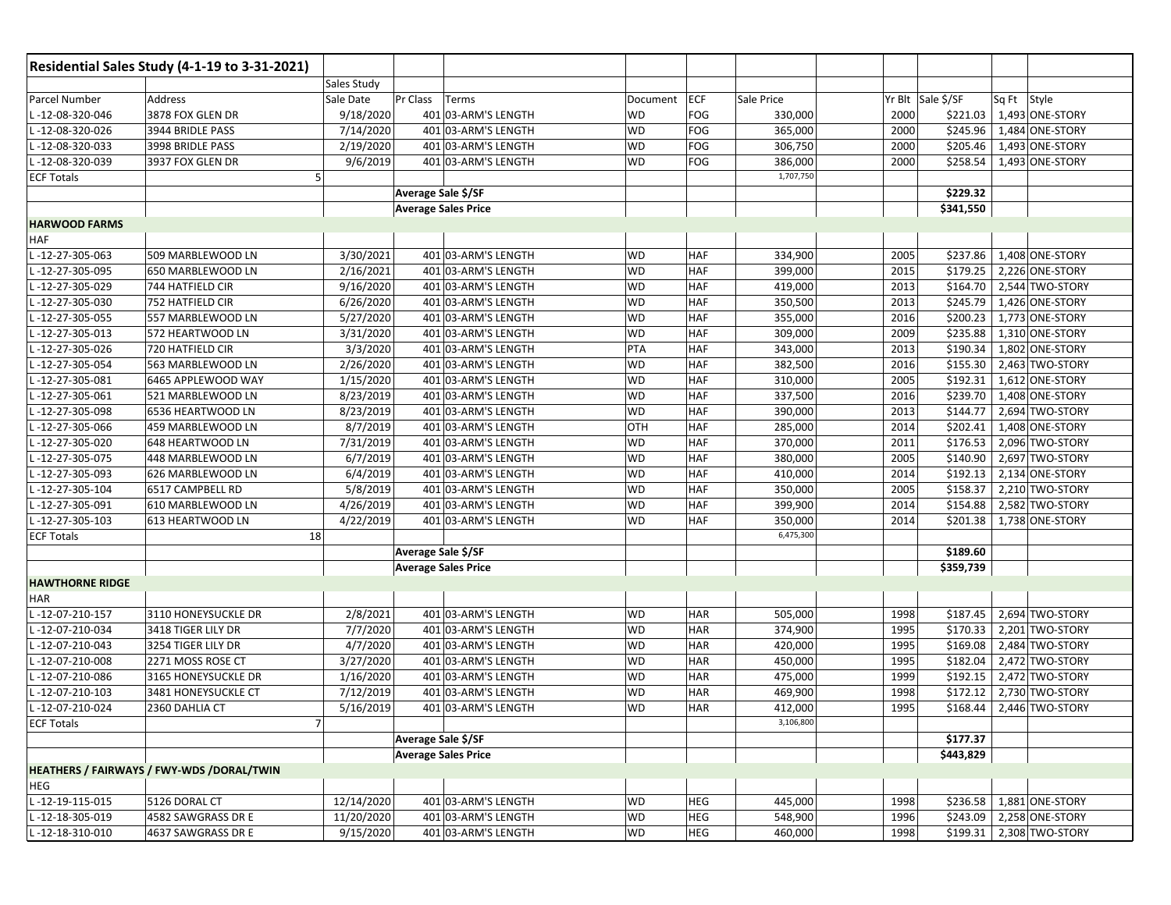|                        | Residential Sales Study (4-1-19 to 3-31-2021) |                    |                            |                     |           |            |            |      |                   |             |                 |
|------------------------|-----------------------------------------------|--------------------|----------------------------|---------------------|-----------|------------|------------|------|-------------------|-------------|-----------------|
|                        |                                               | <b>Sales Study</b> |                            |                     |           |            |            |      |                   |             |                 |
| Parcel Number          | Address                                       | Sale Date          | Pr Class                   | Terms               | Document  | <b>ECF</b> | Sale Price |      | Yr Blt Sale \$/SF | Sq Ft Style |                 |
| -12-08-320-046         | 3878 FOX GLEN DR                              | 9/18/2020          |                            | 401 03-ARM'S LENGTH | WD        | <b>FOG</b> | 330,000    | 2000 | \$221.03          |             | 1,493 ONE-STORY |
| -12-08-320-026         | 3944 BRIDLE PASS                              | 7/14/2020          |                            | 401 03-ARM'S LENGTH | <b>WD</b> | <b>FOG</b> | 365,000    | 2000 | \$245.96          |             | 1,484 ONE-STORY |
| -12-08-320-033         | 3998 BRIDLE PASS                              | 2/19/2020          |                            | 401 03-ARM'S LENGTH | <b>WD</b> | FOG        | 306,750    | 2000 | \$205.46          |             | 1,493 ONE-STORY |
| -12-08-320-039         | 3937 FOX GLEN DR                              | 9/6/2019           |                            | 401 03-ARM'S LENGTH | <b>WD</b> | FOG        | 386,000    | 2000 | \$258.54          |             | 1,493 ONE-STORY |
| <b>ECF Totals</b>      |                                               | 5                  |                            |                     |           |            | 1,707,750  |      |                   |             |                 |
|                        |                                               |                    | Average Sale \$/SF         |                     |           |            |            |      | \$229.32          |             |                 |
|                        |                                               |                    | <b>Average Sales Price</b> |                     |           |            |            |      | \$341,550         |             |                 |
| <b>HARWOOD FARMS</b>   |                                               |                    |                            |                     |           |            |            |      |                   |             |                 |
| HAF                    |                                               |                    |                            |                     |           |            |            |      |                   |             |                 |
| -12-27-305-063         | 509 MARBLEWOOD LN                             | 3/30/2021          |                            | 401 03-ARM'S LENGTH | <b>WD</b> | HAF        | 334,900    | 2005 | \$237.86          |             | 1,408 ONE-STORY |
| -12-27-305-095         | 650 MARBLEWOOD LN                             | 2/16/2021          |                            | 401 03-ARM'S LENGTH | <b>WD</b> | HAF        | 399,000    | 2015 | \$179.25          |             | 2,226 ONE-STORY |
| -12-27-305-029         | 744 HATFIELD CIR                              | 9/16/2020          |                            | 401 03-ARM'S LENGTH | <b>WD</b> | <b>HAF</b> | 419,000    | 2013 | \$164.70          |             | 2,544 TWO-STORY |
| -12-27-305-030         | 752 HATFIELD CIR                              | 6/26/2020          |                            | 401 03-ARM'S LENGTH | <b>WD</b> | <b>HAF</b> | 350,500    | 2013 | \$245.79          |             | 1,426 ONE-STORY |
| -12-27-305-055         | 557 MARBLEWOOD LN                             | 5/27/2020          |                            | 401 03-ARM'S LENGTH | <b>WD</b> | HAF        | 355,000    | 2016 | \$200.23          |             | 1,773 ONE-STORY |
| -12-27-305-013         | 572 HEARTWOOD LN                              | 3/31/2020          |                            | 401 03-ARM'S LENGTH | <b>WD</b> | <b>HAF</b> | 309,000    | 2009 | \$235.88          |             | 1,310 ONE-STORY |
| -12-27-305-026         | 720 HATFIELD CIR                              | 3/3/2020           |                            | 401 03-ARM'S LENGTH | PTA       | HAF        | 343,000    | 2013 | \$190.34          |             | 1,802 ONE-STORY |
| -12-27-305-054         | 563 MARBLEWOOD LN                             | 2/26/2020          |                            | 401 03-ARM'S LENGTH | <b>WD</b> | <b>HAF</b> | 382,500    | 2016 | \$155.30          |             | 2,463 TWO-STORY |
| -12-27-305-081         | 6465 APPLEWOOD WAY                            | 1/15/2020          |                            | 401 03-ARM'S LENGTH | <b>WD</b> | <b>HAF</b> | 310,000    | 2005 | \$192.31          |             | 1,612 ONE-STORY |
| -12-27-305-061         | 521 MARBLEWOOD LN                             | 8/23/2019          |                            | 401 03-ARM'S LENGTH | <b>WD</b> | HAF        | 337,500    | 2016 | \$239.70          |             | 1,408 ONE-STORY |
| -12-27-305-098         | 6536 HEARTWOOD LN                             | 8/23/2019          |                            | 401 03-ARM'S LENGTH | <b>WD</b> | <b>HAF</b> | 390,000    | 2013 | \$144.77          |             | 2,694 TWO-STORY |
| -12-27-305-066         | 459 MARBLEWOOD LN                             | 8/7/2019           |                            | 401 03-ARM'S LENGTH | OTH       | <b>HAF</b> | 285,000    | 2014 | \$202.41          |             | 1,408 ONE-STORY |
| -12-27-305-020         | 648 HEARTWOOD LN                              | 7/31/2019          |                            | 401 03-ARM'S LENGTH | <b>WD</b> | <b>HAF</b> | 370,000    | 2011 | \$176.53          |             | 2,096 TWO-STORY |
| -12-27-305-075         | 448 MARBLEWOOD LN                             | 6/7/2019           |                            | 401 03-ARM'S LENGTH | <b>WD</b> | <b>HAF</b> | 380,000    | 2005 | \$140.90          |             | 2,697 TWO-STORY |
| -12-27-305-093         | 626 MARBLEWOOD LN                             | 6/4/2019           |                            | 401 03-ARM'S LENGTH | <b>WD</b> | <b>HAF</b> | 410,000    | 2014 | \$192.13          |             | 2,134 ONE-STORY |
| -12-27-305-104         | 6517 CAMPBELL RD                              | 5/8/2019           |                            | 401 03-ARM'S LENGTH | <b>WD</b> | <b>HAF</b> | 350,000    | 2005 | \$158.37          |             | 2,210 TWO-STORY |
| -12-27-305-091         | 610 MARBLEWOOD LN                             | 4/26/2019          |                            | 401 03-ARM'S LENGTH | WD        | HAF        | 399,900    | 2014 | \$154.88          |             | 2,582 TWO-STORY |
| -12-27-305-103         | 613 HEARTWOOD LN                              | 4/22/2019          |                            | 401 03-ARM'S LENGTH | WD        | <b>HAF</b> | 350,000    | 2014 | \$201.38          |             | 1,738 ONE-STORY |
| <b>ECF Totals</b>      |                                               | 18                 |                            |                     |           |            | 6,475,300  |      |                   |             |                 |
|                        |                                               |                    | Average Sale \$/SF         |                     |           |            |            |      | \$189.60          |             |                 |
|                        |                                               |                    | <b>Average Sales Price</b> |                     |           |            |            |      | \$359,739         |             |                 |
| <b>HAWTHORNE RIDGE</b> |                                               |                    |                            |                     |           |            |            |      |                   |             |                 |
| <b>HAR</b>             |                                               |                    |                            |                     |           |            |            |      |                   |             |                 |
| -12-07-210-157         | 3110 HONEYSUCKLE DR                           | 2/8/2021           |                            | 401 03-ARM'S LENGTH | <b>WD</b> | <b>HAR</b> | 505,000    | 1998 | \$187.45          |             | 2,694 TWO-STORY |
| -12-07-210-034         | 3418 TIGER LILY DR                            | 7/7/2020           |                            | 401 03-ARM'S LENGTH | <b>WD</b> | <b>HAR</b> | 374,900    | 1995 | \$170.33          |             | 2,201 TWO-STORY |
| -12-07-210-043         | 3254 TIGER LILY DR                            | 4/7/2020           |                            | 401 03-ARM'S LENGTH | <b>WD</b> | <b>HAR</b> | 420,000    | 1995 | \$169.08          |             | 2,484 TWO-STORY |
| -12-07-210-008         | 2271 MOSS ROSE CT                             | 3/27/2020          |                            | 401 03-ARM'S LENGTH | <b>WD</b> | <b>HAR</b> | 450,000    | 1995 | \$182.04          |             | 2,472 TWO-STORY |
| -12-07-210-086         | 3165 HONEYSUCKLE DR                           | 1/16/2020          |                            | 401 03-ARM'S LENGTH | <b>WD</b> | <b>HAR</b> | 475,000    | 1999 | \$192.15          |             | 2,472 TWO-STORY |
| -12-07-210-103         | 3481 HONEYSUCKLE CT                           | 7/12/2019          |                            | 401 03-ARM'S LENGTH | <b>WD</b> | <b>HAR</b> | 469,900    | 1998 | \$172.12          |             | 2,730 TWO-STORY |
| L-12-07-210-024        | 2360 DAHLIA CT                                | 5/16/2019          |                            | 401 03-ARM'S LENGTH | <b>WD</b> | <b>HAR</b> | 412,000    | 1995 | \$168.44          |             | 2,446 TWO-STORY |
| <b>ECF Totals</b>      |                                               | $\overline{7}$     |                            |                     |           |            | 3,106,800  |      |                   |             |                 |
|                        |                                               |                    | Average Sale \$/SF         |                     |           |            |            |      | \$177.37          |             |                 |
|                        |                                               |                    | <b>Average Sales Price</b> |                     |           |            |            |      | \$443,829         |             |                 |
|                        | HEATHERS / FAIRWAYS / FWY-WDS /DORAL/TWIN     |                    |                            |                     |           |            |            |      |                   |             |                 |
| <b>HEG</b>             |                                               |                    |                            |                     |           |            |            |      |                   |             |                 |
| L-12-19-115-015        | 5126 DORAL CT                                 | 12/14/2020         |                            | 401 03-ARM'S LENGTH | <b>WD</b> | <b>HEG</b> | 445,000    | 1998 | \$236.58          |             | 1,881 ONE-STORY |
| -12-18-305-019         | 4582 SAWGRASS DR E                            | 11/20/2020         |                            | 401 03-ARM'S LENGTH | <b>WD</b> | <b>HEG</b> | 548,900    | 1996 | \$243.09          |             | 2,258 ONE-STORY |
| -12-18-310-010         | 4637 SAWGRASS DR E                            | 9/15/2020          |                            | 401 03-ARM'S LENGTH | WD        | <b>HEG</b> | 460,000    | 1998 | \$199.31          |             | 2,308 TWO-STORY |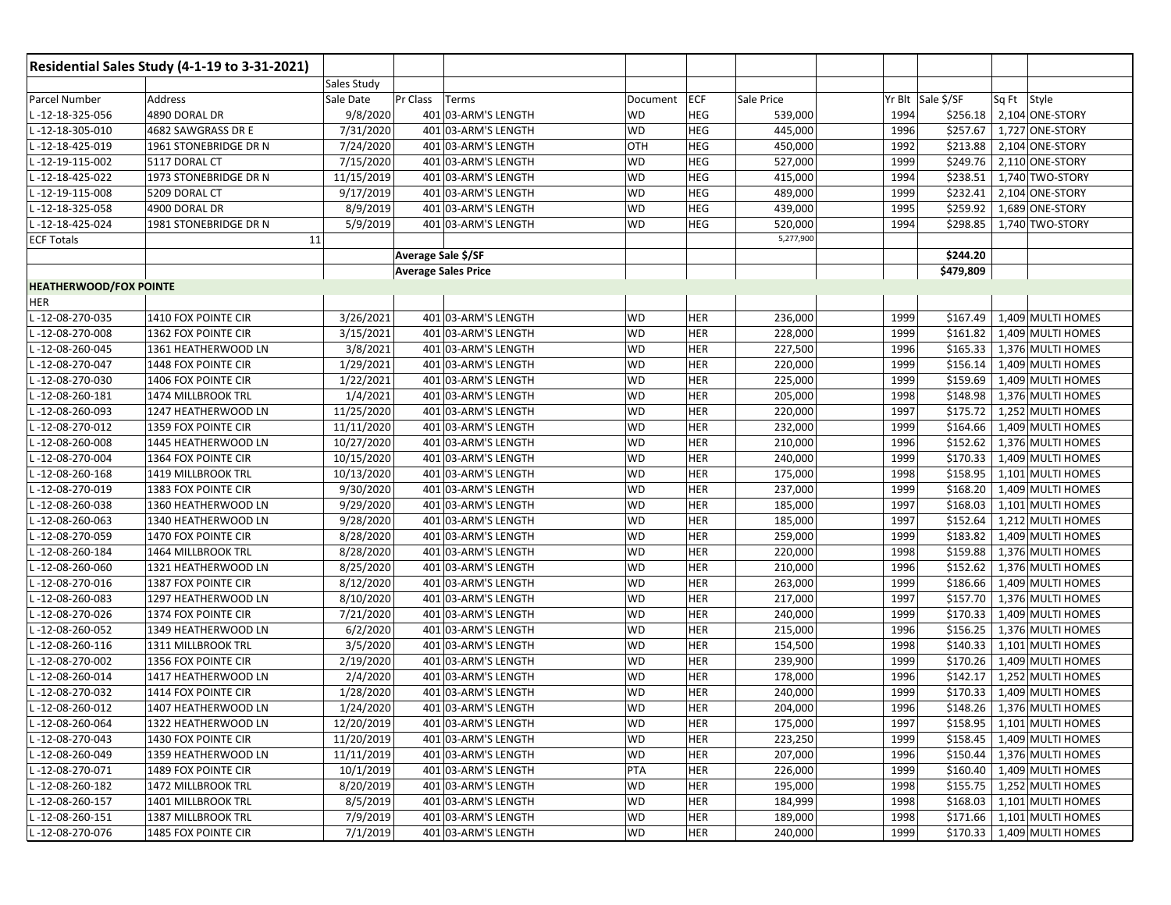|                               | Residential Sales Study (4-1-19 to 3-31-2021) |             |                            |                     |           |            |            |      |                   |                              |
|-------------------------------|-----------------------------------------------|-------------|----------------------------|---------------------|-----------|------------|------------|------|-------------------|------------------------------|
|                               |                                               | Sales Study |                            |                     |           |            |            |      |                   |                              |
| Parcel Number                 | Address                                       | Sale Date   | Pr Class                   | Terms               | Document  | <b>ECF</b> | Sale Price |      | Yr Blt Sale \$/SF | Sq Ft Style                  |
| -12-18-325-056                | 4890 DORAL DR                                 | 9/8/2020    |                            | 401 03-ARM'S LENGTH | WD        | <b>HEG</b> | 539,000    | 1994 | \$256.18          | 2,104 ONE-STORY              |
| $-12 - 18 - 305 - 010$        | 4682 SAWGRASS DR E                            | 7/31/2020   |                            | 401 03-ARM'S LENGTH | WD        | <b>HEG</b> | 445,000    | 1996 | \$257.67          | 1,727 ONE-STORY              |
| $-12 - 18 - 425 - 019$        | 1961 STONEBRIDGE DR N                         | 7/24/2020   |                            | 401 03-ARM'S LENGTH | OTH       | <b>HEG</b> | 450,000    | 1992 | \$213.88          | 2,104 ONE-STORY              |
| $-12-19-115-002$              | 5117 DORAL CT                                 | 7/15/2020   |                            | 401 03-ARM'S LENGTH | <b>WD</b> | <b>HEG</b> | 527,000    | 1999 | \$249.76          | 2,110 ONE-STORY              |
| $-12 - 18 - 425 - 022$        | 1973 STONEBRIDGE DR N                         | 11/15/2019  |                            | 401 03-ARM'S LENGTH | <b>WD</b> | <b>HEG</b> | 415,000    | 1994 | \$238.51          | 1,740 TWO-STORY              |
| $-12-19-115-008$              | 5209 DORAL CT                                 | 9/17/2019   |                            | 401 03-ARM'S LENGTH | <b>WD</b> | <b>HEG</b> | 489,000    | 1999 | \$232.41          | 2,104 ONE-STORY              |
| $-12 - 18 - 325 - 058$        | 4900 DORAL DR                                 | 8/9/2019    |                            | 401 03-ARM'S LENGTH | <b>WD</b> | <b>HEG</b> | 439,000    | 1995 | \$259.92          | 1,689 ONE-STORY              |
| $-12 - 18 - 425 - 024$        | 1981 STONEBRIDGE DR N                         | 5/9/2019    |                            | 401 03-ARM'S LENGTH | WD        | <b>HEG</b> | 520,000    | 1994 | \$298.85          | 1,740 TWO-STORY              |
| <b>ECF Totals</b>             | 11                                            |             |                            |                     |           |            | 5,277,900  |      |                   |                              |
|                               |                                               |             | Average Sale \$/SF         |                     |           |            |            |      | \$244.20          |                              |
|                               |                                               |             | <b>Average Sales Price</b> |                     |           |            |            |      | \$479,809         |                              |
| <b>HEATHERWOOD/FOX POINTE</b> |                                               |             |                            |                     |           |            |            |      |                   |                              |
| HER                           |                                               |             |                            |                     |           |            |            |      |                   |                              |
| -12-08-270-035                | 1410 FOX POINTE CIR                           | 3/26/2021   |                            | 401 03-ARM'S LENGTH | WD        | <b>HER</b> | 236,000    | 1999 | \$167.49          | 1,409 MULTI HOMES            |
| -12-08-270-008                | 1362 FOX POINTE CIR                           | 3/15/2021   |                            | 401 03-ARM'S LENGTH | WD        | <b>HER</b> | 228,000    | 1999 | \$161.82          | 1,409 MULTI HOMES            |
| $-12-08-260-045$              | 1361 HEATHERWOOD LN                           | 3/8/2021    |                            | 401 03-ARM'S LENGTH | <b>WD</b> | <b>HER</b> | 227,500    | 1996 | \$165.33          | 1,376 MULTI HOMES            |
| $-12 - 08 - 270 - 047$        | 1448 FOX POINTE CIR                           | 1/29/2021   |                            | 401 03-ARM'S LENGTH | WD        | <b>HER</b> | 220,000    | 1999 | \$156.14          | 1,409 MULTI HOMES            |
| -12-08-270-030                | 1406 FOX POINTE CIR                           | 1/22/2021   |                            | 401 03-ARM'S LENGTH | WD        | <b>HER</b> | 225,000    | 1999 | \$159.69          | 1,409 MULTI HOMES            |
| $-12 - 08 - 260 - 181$        | 1474 MILLBROOK TRL                            | 1/4/2021    |                            | 401 03-ARM'S LENGTH | WD        | <b>HER</b> | 205,000    | 1998 | \$148.98          | 1,376 MULTI HOMES            |
| $-12-08-260-093$              | 1247 HEATHERWOOD LN                           | 11/25/2020  |                            | 401 03-ARM'S LENGTH | WD        | <b>HER</b> | 220,000    | 1997 | \$175.72          | 1,252 MULTI HOMES            |
| $-12-08-270-012$              | 1359 FOX POINTE CIR                           | 11/11/2020  |                            | 401 03-ARM'S LENGTH | WD        | <b>HER</b> | 232,000    | 1999 | \$164.66          | 1,409 MULTI HOMES            |
| -12-08-260-008                | 1445 HEATHERWOOD LN                           | 10/27/2020  |                            | 401 03-ARM'S LENGTH | WD        | <b>HER</b> | 210,000    | 1996 | \$152.62          | 1,376 MULTI HOMES            |
| $-12-08-270-004$              | 1364 FOX POINTE CIR                           | 10/15/2020  |                            | 401 03-ARM'S LENGTH | WD        | <b>HER</b> | 240,000    | 1999 | \$170.33          | 1,409 MULTI HOMES            |
| $-12 - 08 - 260 - 168$        | 1419 MILLBROOK TRL                            | 10/13/2020  |                            | 401 03-ARM'S LENGTH | WD        | <b>HER</b> | 175,000    | 1998 | \$158.95          | 1,101 MULTI HOMES            |
| -12-08-270-019                | 1383 FOX POINTE CIR                           | 9/30/2020   |                            | 401 03-ARM'S LENGTH | WD        | <b>HER</b> | 237,000    | 1999 | \$168.20          | 1,409 MULTI HOMES            |
| $-12 - 08 - 260 - 038$        | 1360 HEATHERWOOD LN                           | 9/29/2020   |                            | 401 03-ARM'S LENGTH | <b>WD</b> | <b>HER</b> | 185,000    | 1997 | \$168.03          | 1,101 MULTI HOMES            |
| $-12-08-260-063$              | 1340 HEATHERWOOD LN                           | 9/28/2020   |                            | 401 03-ARM'S LENGTH | WD        | <b>HER</b> | 185,000    | 1997 | \$152.64          | 1,212 MULTI HOMES            |
| -12-08-270-059                | 1470 FOX POINTE CIR                           | 8/28/2020   |                            | 401 03-ARM'S LENGTH | WD        | <b>HER</b> | 259,000    | 1999 | \$183.82          | 1,409 MULTI HOMES            |
| $-12 - 08 - 260 - 184$        | 1464 MILLBROOK TRL                            | 8/28/2020   |                            | 401 03-ARM'S LENGTH | WD        | <b>HER</b> | 220,000    | 1998 | \$159.88          | 1,376 MULTI HOMES            |
| $-12 - 08 - 260 - 060$        | 1321 HEATHERWOOD LN                           | 8/25/2020   |                            | 401 03-ARM'S LENGTH | WD        | <b>HER</b> | 210,000    | 1996 | \$152.62          | 1,376 MULTI HOMES            |
| $-12 - 08 - 270 - 016$        | 1387 FOX POINTE CIR                           | 8/12/2020   |                            | 401 03-ARM'S LENGTH | <b>WD</b> | <b>HER</b> | 263,000    | 1999 | \$186.66          | 1,409 MULTI HOMES            |
| L-12-08-260-083               | 1297 HEATHERWOOD LN                           | 8/10/2020   |                            | 401 03-ARM'S LENGTH | <b>WD</b> | <b>HER</b> | 217,000    | 1997 | \$157.70          | 1,376 MULTI HOMES            |
| $-12-08-270-026$              | 1374 FOX POINTE CIR                           | 7/21/2020   |                            | 401 03-ARM'S LENGTH | WD        | <b>HER</b> | 240,000    | 1999 | \$170.33          | 1,409 MULTI HOMES            |
| $-12-08-260-052$              | 1349 HEATHERWOOD LN                           | 6/2/2020    |                            | 401 03-ARM'S LENGTH | WD        | <b>HER</b> | 215,000    | 1996 | \$156.25          | 1,376 MULTI HOMES            |
| $-12 - 08 - 260 - 116$        | 1311 MILLBROOK TRL                            | 3/5/2020    |                            | 401 03-ARM'S LENGTH | WD        | <b>HER</b> | 154,500    | 1998 | \$140.33          | 1,101 MULTI HOMES            |
| $-12-08-270-002$              | 1356 FOX POINTE CIR                           | 2/19/2020   |                            | 401 03-ARM'S LENGTH | <b>WD</b> | <b>HER</b> | 239,900    | 1999 | \$170.26          | 1,409 MULTI HOMES            |
| $-12-08-260-014$              | 1417 HEATHERWOOD LN                           | 2/4/2020    |                            | 401 03-ARM'S LENGTH | WD        | <b>HER</b> | 178,000    | 1996 | \$142.17          | 1,252 MULTI HOMES            |
| -12-08-270-032                | 1414 FOX POINTE CIR                           | 1/28/2020   |                            | 401 03-ARM'S LENGTH | WD        | <b>HER</b> | 240,000    | 1999 | \$170.33          | 1,409 MULTI HOMES            |
| L-12-08-260-012               | 1407 HEATHERWOOD LN                           | 1/24/2020   |                            | 401 03-ARM'S LENGTH | <b>WD</b> | <b>HER</b> | 204,000    | 1996 | \$148.26          | 1,376 MULTI HOMES            |
| L-12-08-260-064               | 1322 HEATHERWOOD LN                           | 12/20/2019  |                            | 401 03-ARM'S LENGTH | WD        | <b>HER</b> | 175,000    | 1997 |                   | \$158.95   1,101 MULTI HOMES |
| L-12-08-270-043               | 1430 FOX POINTE CIR                           | 11/20/2019  |                            | 401 03-ARM'S LENGTH | WD        | <b>HER</b> | 223,250    | 1999 | \$158.45          | 1,409 MULTI HOMES            |
| L-12-08-260-049               | 1359 HEATHERWOOD LN                           | 11/11/2019  |                            | 401 03-ARM'S LENGTH | WD        | <b>HER</b> | 207,000    | 1996 | \$150.44          | 1,376 MULTI HOMES            |
| L-12-08-270-071               | 1489 FOX POINTE CIR                           | 10/1/2019   |                            | 401 03-ARM'S LENGTH | PTA       | <b>HER</b> | 226,000    | 1999 | \$160.40          | 1,409 MULTI HOMES            |
| L-12-08-260-182               | 1472 MILLBROOK TRL                            | 8/20/2019   |                            | 401 03-ARM'S LENGTH | WD        | <b>HER</b> | 195,000    | 1998 | \$155.75          | 1,252 MULTI HOMES            |
| L-12-08-260-157               | 1401 MILLBROOK TRL                            | 8/5/2019    |                            | 401 03-ARM'S LENGTH | WD        | <b>HER</b> | 184,999    | 1998 | \$168.03          | 1,101 MULTI HOMES            |
| $-12 - 08 - 260 - 151$        | 1387 MILLBROOK TRL                            | 7/9/2019    |                            | 401 03-ARM'S LENGTH | WD        | <b>HER</b> | 189,000    | 1998 | \$171.66          | 1,101 MULTI HOMES            |
| -12-08-270-076                | 1485 FOX POINTE CIR                           | 7/1/2019    |                            | 401 03-ARM'S LENGTH | WD        | <b>HER</b> | 240,000    | 1999 |                   | \$170.33   1,409 MULTI HOMES |
|                               |                                               |             |                            |                     |           |            |            |      |                   |                              |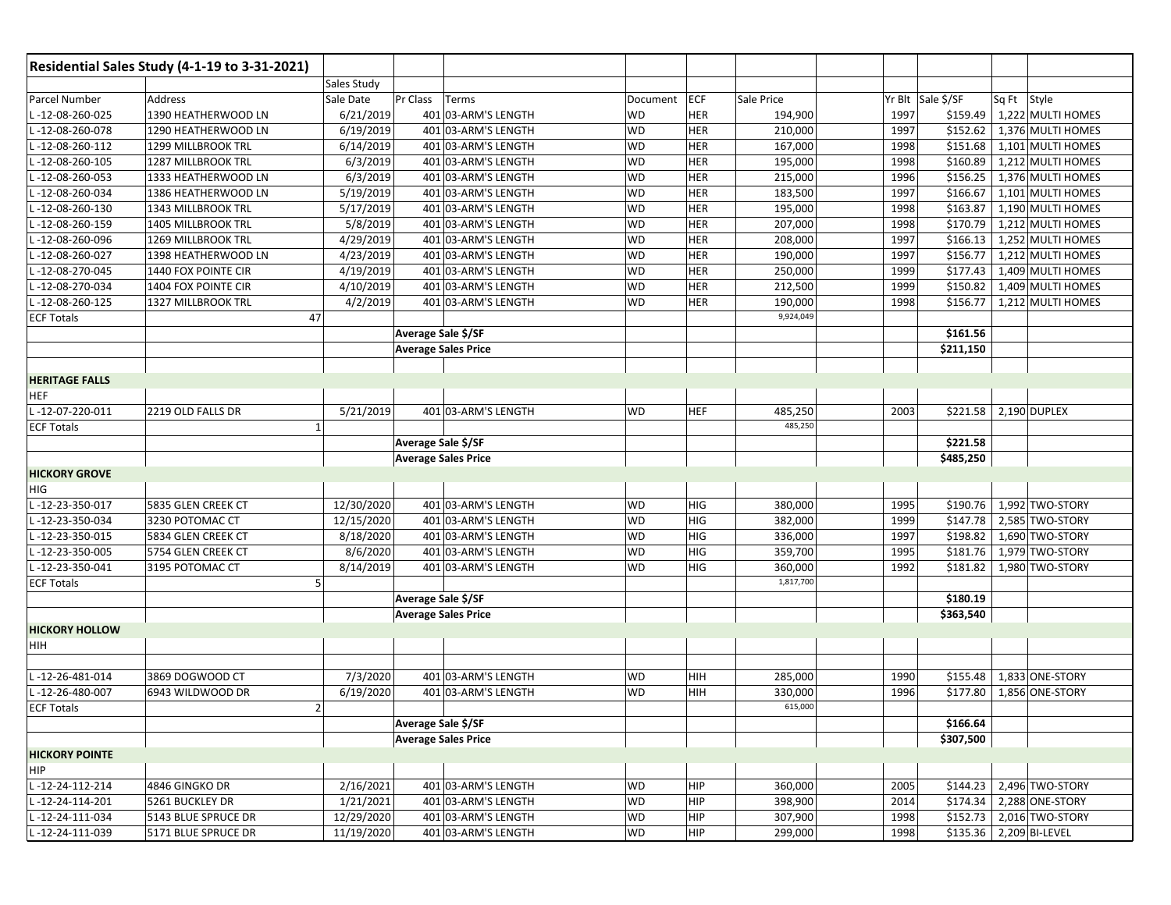|                        | Residential Sales Study (4-1-19 to 3-31-2021) |                |                            |           |            |                      |      |                   |                              |
|------------------------|-----------------------------------------------|----------------|----------------------------|-----------|------------|----------------------|------|-------------------|------------------------------|
|                        |                                               | Sales Study    |                            |           |            |                      |      |                   |                              |
| Parcel Number          | Address                                       | Sale Date      | Pr Class<br>Terms          | Document  | <b>ECF</b> | Sale Price           |      | Yr Blt Sale \$/SF | Sq Ft Style                  |
| L-12-08-260-025        | 1390 HEATHERWOOD LN                           | 6/21/2019      | 401 03-ARM'S LENGTH        | <b>WD</b> | HER        | 194,900              | 1997 |                   | \$159.49   1,222 MULTI HOMES |
| $-12 - 08 - 260 - 078$ | 1290 HEATHERWOOD LN                           | 6/19/2019      | 401 03-ARM'S LENGTH        | <b>WD</b> | HER        | 210,000              | 1997 | \$152.62          | 1,376 MULTI HOMES            |
| $-12 - 08 - 260 - 112$ | 1299 MILLBROOK TRL                            | 6/14/2019      | 401 03-ARM'S LENGTH        | <b>WD</b> | <b>HER</b> | 167,000              | 1998 | \$151.68          | 1,101 MULTI HOMES            |
| -12-08-260-105         | 1287 MILLBROOK TRL                            | 6/3/2019       | 401 03-ARM'S LENGTH        | <b>WD</b> | HER        | 195,000              | 1998 | \$160.89          | 1,212 MULTI HOMES            |
| L-12-08-260-053        | 1333 HEATHERWOOD LN                           | 6/3/2019       | 401 03-ARM'S LENGTH        | <b>WD</b> | <b>HER</b> | 215,000              | 1996 | \$156.25          | 1,376 MULTI HOMES            |
| -12-08-260-034         | 1386 HEATHERWOOD LN                           | 5/19/2019      | 401 03-ARM'S LENGTH        | <b>WD</b> | HER        | 183,500              | 1997 | \$166.67          | 1,101 MULTI HOMES            |
| -12-08-260-130         | 1343 MILLBROOK TRL                            | 5/17/2019      | 401 03-ARM'S LENGTH        | <b>WD</b> | <b>HER</b> | 195,000              | 1998 | \$163.87          | 1,190 MULTI HOMES            |
| -12-08-260-159         | 1405 MILLBROOK TRL                            | 5/8/2019       | 401 03-ARM'S LENGTH        | <b>WD</b> | HER        | 207,000              | 1998 | \$170.79          | 1,212 MULTI HOMES            |
| L-12-08-260-096        | 1269 MILLBROOK TRL                            | 4/29/2019      | 401 03-ARM'S LENGTH        | <b>WD</b> | <b>HER</b> | 208,000              | 1997 | \$166.13          | 1,252 MULTI HOMES            |
| -12-08-260-027         | 1398 HEATHERWOOD LN                           | 4/23/2019      | 401 03-ARM'S LENGTH        | <b>WD</b> | HER        | 190,000              | 1997 | \$156.77          | 1,212 MULTI HOMES            |
|                        |                                               |                |                            | <b>WD</b> | HER        |                      | 1999 |                   | 1,409 MULTI HOMES            |
| $-12-08-270-045$       | 1440 FOX POINTE CIR                           | 4/19/2019      | 401 03-ARM'S LENGTH        |           |            | 250,000              |      | \$177.43          |                              |
| -12-08-270-034         | 1404 FOX POINTE CIR                           | 4/10/2019      | 401 03-ARM'S LENGTH        | <b>WD</b> | HER        | 212,500              | 1999 | \$150.82          | 1,409 MULTI HOMES            |
| $-12-08-260-125$       | 1327 MILLBROOK TRL                            | 4/2/2019       | 401 03-ARM'S LENGTH        | <b>WD</b> | <b>HER</b> | 190,000<br>9,924,049 | 1998 | \$156.77          | 1,212 MULTI HOMES            |
| <b>ECF Totals</b>      |                                               | 47             |                            |           |            |                      |      |                   |                              |
|                        |                                               |                | Average Sale \$/SF         |           |            |                      |      | \$161.56          |                              |
|                        |                                               |                | <b>Average Sales Price</b> |           |            |                      |      | \$211,150         |                              |
|                        |                                               |                |                            |           |            |                      |      |                   |                              |
| <b>HERITAGE FALLS</b>  |                                               |                |                            |           |            |                      |      |                   |                              |
| <b>HEF</b>             |                                               |                |                            |           |            |                      |      |                   |                              |
| L-12-07-220-011        | 2219 OLD FALLS DR                             | 5/21/2019      | 401 03-ARM'S LENGTH        | <b>WD</b> | <b>HEF</b> | 485,250              | 2003 |                   | \$221.58 2,190 DUPLEX        |
| <b>ECF Totals</b>      |                                               | $\overline{1}$ |                            |           |            | 485,250              |      |                   |                              |
|                        |                                               |                | Average Sale \$/SF         |           |            |                      |      | \$221.58          |                              |
|                        |                                               |                | <b>Average Sales Price</b> |           |            |                      |      | \$485,250         |                              |
| <b>HICKORY GROVE</b>   |                                               |                |                            |           |            |                      |      |                   |                              |
| HIG                    |                                               |                |                            |           |            |                      |      |                   |                              |
| L-12-23-350-017        | 5835 GLEN CREEK CT                            | 12/30/2020     | 401 03-ARM'S LENGTH        | <b>WD</b> | <b>HIG</b> | 380,000              | 1995 | \$190.76          | 1,992 TWO-STORY              |
| $-12-23-350-034$       | 3230 POTOMAC CT                               | 12/15/2020     | 401 03-ARM'S LENGTH        | <b>WD</b> | HIG        | 382,000              | 1999 | \$147.78          | 2,585 TWO-STORY              |
| -12-23-350-015         | 5834 GLEN CREEK CT                            | 8/18/2020      | 401 03-ARM'S LENGTH        | <b>WD</b> | <b>HIG</b> | 336,000              | 1997 | \$198.82          | 1,690 TWO-STORY              |
| -12-23-350-005         | 5754 GLEN CREEK CT                            | 8/6/2020       | 401 03-ARM'S LENGTH        | <b>WD</b> | HIG        | 359,700              | 1995 | \$181.76          | 1,979 TWO-STORY              |
| L-12-23-350-041        | 3195 POTOMAC CT                               | 8/14/2019      | 401 03-ARM'S LENGTH        | <b>WD</b> | HIG        | 360,000              | 1992 | \$181.82          | 1,980 TWO-STORY              |
| <b>ECF Totals</b>      |                                               | 5              |                            |           |            | 1,817,700            |      |                   |                              |
|                        |                                               |                | Average Sale \$/SF         |           |            |                      |      | \$180.19          |                              |
|                        |                                               |                | <b>Average Sales Price</b> |           |            |                      |      | \$363,540         |                              |
| <b>HICKORY HOLLOW</b>  |                                               |                |                            |           |            |                      |      |                   |                              |
| HIH                    |                                               |                |                            |           |            |                      |      |                   |                              |
|                        |                                               |                |                            |           |            |                      |      |                   |                              |
| L-12-26-481-014        | 3869 DOGWOOD CT                               | 7/3/2020       | 401 03-ARM'S LENGTH        | <b>WD</b> | HIH        | 285,000              | 1990 | \$155.48          | 1,833 ONE-STORY              |
| L-12-26-480-007        | 6943 WILDWOOD DR                              | 6/19/2020      | 401 03-ARM'S LENGTH        | <b>WD</b> | HIH        | 330,000              | 1996 |                   | \$177.80   1,856 ONE-STORY   |
| <b>ECF Totals</b>      |                                               | $\overline{2}$ |                            |           |            | 615,000              |      |                   |                              |
|                        |                                               |                | Average Sale \$/SF         |           |            |                      |      | \$166.64          |                              |
|                        |                                               |                | <b>Average Sales Price</b> |           |            |                      |      | \$307,500         |                              |
| <b>HICKORY POINTE</b>  |                                               |                |                            |           |            |                      |      |                   |                              |
| <b>HIP</b>             |                                               |                |                            |           |            |                      |      |                   |                              |
| L-12-24-112-214        | 4846 GINGKO DR                                | 2/16/2021      | 401 03-ARM'S LENGTH        | WD        | HIP        | 360,000              | 2005 | \$144.23          | 2,496 TWO-STORY              |
| L-12-24-114-201        | 5261 BUCKLEY DR                               | 1/21/2021      | 401 03-ARM'S LENGTH        | <b>WD</b> | <b>HIP</b> | 398,900              | 2014 | \$174.34          | 2,288 ONE-STORY              |
| L-12-24-111-034        | 5143 BLUE SPRUCE DR                           | 12/29/2020     | 401 03-ARM'S LENGTH        | <b>WD</b> | HIP        | 307,900              | 1998 | \$152.73          | 2,016 TWO-STORY              |
| L-12-24-111-039        | 5171 BLUE SPRUCE DR                           | 11/19/2020     | 401 03-ARM'S LENGTH        | <b>WD</b> | HIP        | 299,000              | 1998 |                   | \$135.36 2,209 BI-LEVEL      |
|                        |                                               |                |                            |           |            |                      |      |                   |                              |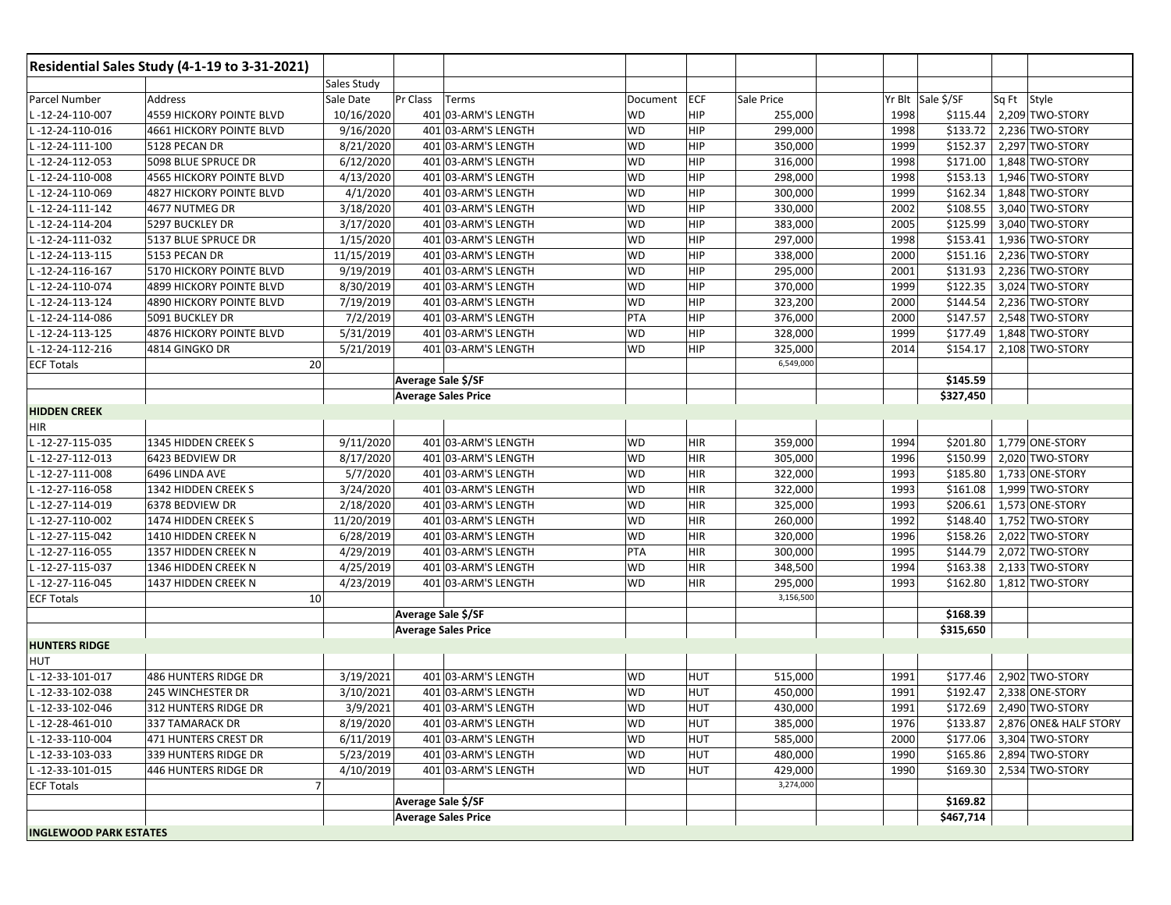|                               | Residential Sales Study (4-1-19 to 3-31-2021) |             |                            |                     |           |            |            |      |                   |             |                                |
|-------------------------------|-----------------------------------------------|-------------|----------------------------|---------------------|-----------|------------|------------|------|-------------------|-------------|--------------------------------|
|                               |                                               | Sales Study |                            |                     |           |            |            |      |                   |             |                                |
| Parcel Number                 | Address                                       | Sale Date   | Pr Class                   | Terms               | Document  | <b>ECF</b> | Sale Price |      | Yr Blt Sale \$/SF | Sq Ft Style |                                |
| -12-24-110-007                | <b>4559 HICKORY POINTE BLVD</b>               | 10/16/2020  |                            | 401 03-ARM'S LENGTH | WD        | <b>HIP</b> | 255,000    | 1998 | \$115.44          |             | 2,209 TWO-STORY                |
| $-12-24-110-016$              | <b>4661 HICKORY POINTE BLVD</b>               | 9/16/2020   |                            | 401 03-ARM'S LENGTH | <b>WD</b> | <b>HIP</b> | 299,000    | 1998 | \$133.72          |             | 2,236 TWO-STORY                |
| -12-24-111-100                | 5128 PECAN DR                                 | 8/21/2020   |                            | 401 03-ARM'S LENGTH | <b>WD</b> | HIP        | 350,000    | 1999 | \$152.37          |             | 2,297 TWO-STORY                |
| $-12-24-112-053$              | 5098 BLUE SPRUCE DR                           | 6/12/2020   |                            | 401 03-ARM'S LENGTH | <b>WD</b> | <b>HIP</b> | 316,000    | 1998 | \$171.00          |             | 1,848 TWO-STORY                |
| $-12-24-110-008$              | 4565 HICKORY POINTE BLVD                      | 4/13/2020   |                            | 401 03-ARM'S LENGTH | <b>WD</b> | <b>HIP</b> | 298,000    | 1998 | \$153.13          |             | 1,946 TWO-STORY                |
| $-12-24-110-069$              | <b>4827 HICKORY POINTE BLVD</b>               | 4/1/2020    |                            | 401 03-ARM'S LENGTH | <b>WD</b> | HIP        | 300,000    | 1999 | \$162.34          |             | 1,848 TWO-STORY                |
| -12-24-111-142                | 4677 NUTMEG DR                                | 3/18/2020   |                            | 401 03-ARM'S LENGTH | <b>WD</b> | <b>HIP</b> | 330,000    | 2002 | \$108.55          |             | 3,040 TWO-STORY                |
| $-12-24-114-204$              | 5297 BUCKLEY DR                               | 3/17/2020   |                            | 401 03-ARM'S LENGTH | <b>WD</b> | <b>HIP</b> | 383,000    | 2005 | \$125.99          |             | 3,040 TWO-STORY                |
| $-12-24-111-032$              | 5137 BLUE SPRUCE DR                           | 1/15/2020   |                            | 401 03-ARM'S LENGTH | <b>WD</b> | <b>HIP</b> | 297,000    | 1998 | \$153.41          |             | 1,936 TWO-STORY                |
| $-12-24-113-115$              | 5153 PECAN DR                                 | 11/15/2019  |                            | 401 03-ARM'S LENGTH | <b>WD</b> | <b>HIP</b> | 338,000    | 2000 | \$151.16          |             | 2,236 TWO-STORY                |
| -12-24-116-167                | 5170 HICKORY POINTE BLVD                      | 9/19/2019   |                            | 401 03-ARM'S LENGTH | <b>WD</b> | <b>HIP</b> | 295,000    | 2001 | \$131.93          |             | 2,236 TWO-STORY                |
| $-12-24-110-074$              | <b>4899 HICKORY POINTE BLVD</b>               | 8/30/2019   |                            | 401 03-ARM'S LENGTH | <b>WD</b> | <b>HIP</b> | 370,000    | 1999 | \$122.35          |             | 3,024 TWO-STORY                |
| $-12-24-113-124$              | 4890 HICKORY POINTE BLVD                      | 7/19/2019   |                            | 401 03-ARM'S LENGTH | <b>WD</b> | <b>HIP</b> | 323,200    | 2000 | \$144.54          |             | 2,236 TWO-STORY                |
| -12-24-114-086                | 5091 BUCKLEY DR                               | 7/2/2019    |                            | 401 03-ARM'S LENGTH | PTA       | HIP        | 376,000    | 2000 | \$147.57          |             | 2,548 TWO-STORY                |
| L-12-24-113-125               | 4876 HICKORY POINTE BLVD                      | 5/31/2019   |                            | 401 03-ARM'S LENGTH | <b>WD</b> | <b>HIP</b> | 328,000    | 1999 | \$177.49          |             | 1,848 TWO-STORY                |
| $-12-24-112-216$              | 4814 GINGKO DR                                | 5/21/2019   |                            | 401 03-ARM'S LENGTH | <b>WD</b> | <b>HIP</b> | 325,000    | 2014 | \$154.17          |             | 2,108 TWO-STORY                |
| <b>ECF Totals</b>             | 20                                            |             |                            |                     |           |            | 6,549,000  |      |                   |             |                                |
|                               |                                               |             | Average Sale \$/SF         |                     |           |            |            |      | \$145.59          |             |                                |
|                               |                                               |             | <b>Average Sales Price</b> |                     |           |            |            |      | \$327,450         |             |                                |
| <b>HIDDEN CREEK</b>           |                                               |             |                            |                     |           |            |            |      |                   |             |                                |
| <b>HIR</b>                    |                                               |             |                            |                     |           |            |            |      |                   |             |                                |
| $-12-27-115-035$              | 1345 HIDDEN CREEK S                           | 9/11/2020   |                            | 401 03-ARM'S LENGTH | WD        | <b>HIR</b> | 359,000    | 1994 | \$201.80          |             | 1,779 ONE-STORY                |
| $-12-27-112-013$              | 6423 BEDVIEW DR                               | 8/17/2020   |                            | 401 03-ARM'S LENGTH | <b>WD</b> | <b>HIR</b> | 305,000    | 1996 | \$150.99          |             | 2,020 TWO-STORY                |
| $-12-27-111-008$              | 6496 LINDA AVE                                | 5/7/2020    |                            | 401 03-ARM'S LENGTH | <b>WD</b> | <b>HIR</b> | 322,000    | 1993 | \$185.80          |             | 1,733 ONE-STORY                |
| $-12-27-116-058$              | 1342 HIDDEN CREEK S                           | 3/24/2020   |                            | 401 03-ARM'S LENGTH | <b>WD</b> | <b>HIR</b> | 322,000    | 1993 | \$161.08          |             | 1,999 TWO-STORY                |
| $-12-27-114-019$              | 6378 BEDVIEW DR                               | 2/18/2020   |                            | 401 03-ARM'S LENGTH | WD        | <b>HIR</b> | 325,000    | 1993 | \$206.61          |             | 1,573 ONE-STORY                |
| $-12-27-110-002$              | 1474 HIDDEN CREEK S                           | 11/20/2019  |                            | 401 03-ARM'S LENGTH | <b>WD</b> | <b>HIR</b> | 260,000    | 1992 | \$148.40          |             | 1,752 TWO-STORY                |
| $-12-27-115-042$              | 1410 HIDDEN CREEK N                           | 6/28/2019   |                            | 401 03-ARM'S LENGTH | <b>WD</b> | <b>HIR</b> | 320,000    | 1996 | \$158.26          |             | 2,022 TWO-STORY                |
| $-12-27-116-055$              | 1357 HIDDEN CREEK N                           | 4/29/2019   |                            | 401 03-ARM'S LENGTH | PTA       | <b>HIR</b> | 300,000    | 1995 | \$144.79          |             | 2,072 TWO-STORY                |
| $-12-27-115-037$              | 1346 HIDDEN CREEK N                           | 4/25/2019   |                            | 401 03-ARM'S LENGTH | <b>WD</b> | <b>HIR</b> | 348,500    | 1994 | \$163.38          |             | 2,133 TWO-STORY                |
| $-12-27-116-045$              | 1437 HIDDEN CREEK N                           | 4/23/2019   |                            | 401 03-ARM'S LENGTH | <b>WD</b> | <b>HIR</b> | 295,000    | 1993 | \$162.80          |             | 1,812 TWO-STORY                |
| <b>ECF Totals</b>             | 10                                            |             |                            |                     |           |            | 3,156,500  |      |                   |             |                                |
|                               |                                               |             | Average Sale \$/SF         |                     |           |            |            |      | \$168.39          |             |                                |
|                               |                                               |             | <b>Average Sales Price</b> |                     |           |            |            |      | \$315,650         |             |                                |
| <b>HUNTERS RIDGE</b>          |                                               |             |                            |                     |           |            |            |      |                   |             |                                |
| <b>HUT</b>                    |                                               |             |                            |                     |           |            |            |      |                   |             |                                |
| -12-33-101-017                | 486 HUNTERS RIDGE DR                          | 3/19/2021   |                            | 401 03-ARM'S LENGTH | <b>WD</b> | <b>HUT</b> | 515,000    | 1991 | \$177.46          |             | 2,902 TWO-STORY                |
| $-12-33-102-038$              | 245 WINCHESTER DR                             | 3/10/2021   |                            | 401 03-ARM'S LENGTH | WD        | <b>HUT</b> | 450,000    | 1991 | \$192.47          |             | 2,338 ONE-STORY                |
| L-12-33-102-046               | 312 HUNTERS RIDGE DR                          | 3/9/2021    |                            | 401 03-ARM'S LENGTH | <b>WD</b> | <b>HUT</b> | 430,000    | 1991 | \$172.69          |             | $2,490$ TWO-STORY              |
| L-12-28-461-010               | 337 TAMARACK DR                               | 8/19/2020   |                            | 401 03-ARM'S LENGTH | <b>WD</b> | <b>HUT</b> | 385,000    | 1976 |                   |             | \$133.87 2,876 ONE& HALF STORY |
| L-12-33-110-004               | 471 HUNTERS CREST DR                          | 6/11/2019   |                            | 401 03-ARM'S LENGTH | WD        | <b>HUT</b> | 585,000    | 2000 |                   |             | \$177.06 3,304 TWO-STORY       |
| L-12-33-103-033               | 339 HUNTERS RIDGE DR                          | 5/23/2019   |                            | 401 03-ARM'S LENGTH | WD        | <b>HUT</b> | 480,000    | 1990 |                   |             | \$165.86 2,894 TWO-STORY       |
| L-12-33-101-015               | 446 HUNTERS RIDGE DR                          | 4/10/2019   |                            | 401 03-ARM'S LENGTH | WD        | HUT        | 429,000    | 1990 |                   |             | \$169.30 2,534 TWO-STORY       |
| <b>ECF Totals</b>             | $\overline{7}$                                |             |                            |                     |           |            | 3,274,000  |      |                   |             |                                |
|                               |                                               |             | Average Sale \$/SF         |                     |           |            |            |      | \$169.82          |             |                                |
|                               |                                               |             | <b>Average Sales Price</b> |                     |           |            |            |      | \$467,714         |             |                                |
| <b>INGLEWOOD PARK ESTATES</b> |                                               |             |                            |                     |           |            |            |      |                   |             |                                |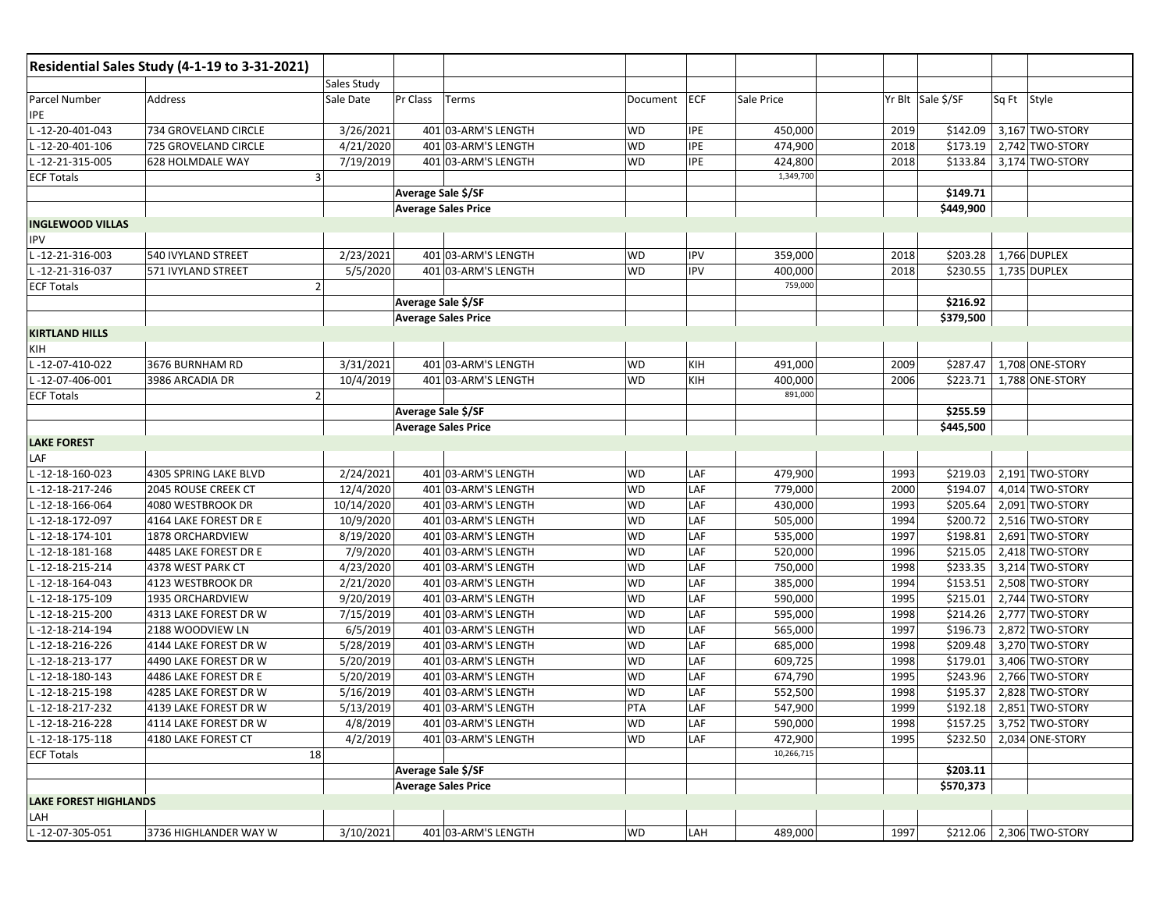|                              | Residential Sales Study (4-1-19 to 3-31-2021) |                       |                            |              |            |            |      |                   |                          |
|------------------------------|-----------------------------------------------|-----------------------|----------------------------|--------------|------------|------------|------|-------------------|--------------------------|
|                              |                                               | <b>Sales Study</b>    |                            |              |            |            |      |                   |                          |
| Parcel Number<br><b>IPE</b>  | Address                                       | Pr Class<br>Sale Date | Terms                      | Document ECF |            | Sale Price |      | Yr Blt Sale \$/SF | Sq Ft Style              |
| -12-20-401-043               | 734 GROVELAND CIRCLE                          | 3/26/2021             | 401 03-ARM'S LENGTH        | WD           | IPE        | 450,000    | 2019 | \$142.09          | 3,167 TWO-STORY          |
| $-12 - 20 - 401 - 106$       | 725 GROVELAND CIRCLE                          | 4/21/2020             | 401 03-ARM'S LENGTH        | <b>WD</b>    | IPE        | 474,900    | 2018 | \$173.19          | 2,742 TWO-STORY          |
| -12-21-315-005               | 628 HOLMDALE WAY                              | 7/19/2019             | 401 03-ARM'S LENGTH        | <b>WD</b>    | <b>IPE</b> | 424,800    | 2018 | \$133.84          | 3,174 TWO-STORY          |
| <b>ECF Totals</b>            | 3                                             |                       |                            |              |            | 1,349,700  |      |                   |                          |
|                              |                                               |                       | Average Sale \$/SF         |              |            |            |      | \$149.71          |                          |
|                              |                                               |                       | <b>Average Sales Price</b> |              |            |            |      | \$449,900         |                          |
| <b>INGLEWOOD VILLAS</b>      |                                               |                       |                            |              |            |            |      |                   |                          |
| IPV                          |                                               |                       |                            |              |            |            |      |                   |                          |
| L-12-21-316-003              | 540 IVYLAND STREET                            | 2/23/2021             | 401 03-ARM'S LENGTH        | WD           | <b>IPV</b> | 359,000    | 2018 | \$203.28          | 1,766 DUPLEX             |
| -12-21-316-037               | 571 IVYLAND STREET                            | 5/5/2020              | 401 03-ARM'S LENGTH        | <b>WD</b>    | <b>IPV</b> | 400,000    | 2018 | \$230.55          | 1,735 DUPLEX             |
| <b>ECF Totals</b>            | $\overline{2}$                                |                       |                            |              |            | 759,000    |      |                   |                          |
|                              |                                               |                       | Average Sale \$/SF         |              |            |            |      | \$216.92          |                          |
|                              |                                               |                       | <b>Average Sales Price</b> |              |            |            |      | \$379,500         |                          |
| <b>KIRTLAND HILLS</b>        |                                               |                       |                            |              |            |            |      |                   |                          |
| KIH                          |                                               |                       |                            |              |            |            |      |                   |                          |
| -12-07-410-022               | 3676 BURNHAM RD                               | 3/31/2021             | 401 03-ARM'S LENGTH        | <b>WD</b>    | KIH        | 491,000    | 2009 | \$287.47          | 1,708 ONE-STORY          |
| -12-07-406-001               | 3986 ARCADIA DR                               | 10/4/2019             | 401 03-ARM'S LENGTH        | WD           | KIH        | 400,000    | 2006 | \$223.71          | 1,788 ONE-STORY          |
| <b>ECF Totals</b>            | $\overline{2}$                                |                       |                            |              |            | 891,000    |      |                   |                          |
|                              |                                               |                       | Average Sale \$/SF         |              |            |            |      | \$255.59          |                          |
|                              |                                               |                       | <b>Average Sales Price</b> |              |            |            |      | \$445,500         |                          |
| <b>LAKE FOREST</b>           |                                               |                       |                            |              |            |            |      |                   |                          |
| LAF                          |                                               |                       |                            |              |            |            |      |                   |                          |
| -12-18-160-023               | 4305 SPRING LAKE BLVD                         | 2/24/2021             | 401 03-ARM'S LENGTH        | <b>WD</b>    | LAF        | 479,900    | 1993 | \$219.03          | 2,191 TWO-STORY          |
| -12-18-217-246               | 2045 ROUSE CREEK CT                           | 12/4/2020             | 401 03-ARM'S LENGTH        | <b>WD</b>    | LAF        | 779,000    | 2000 | \$194.07          | 4,014 TWO-STORY          |
| $-12 - 18 - 166 - 064$       | 4080 WESTBROOK DR                             | 10/14/2020            | 401 03-ARM'S LENGTH        | WD           | LAF        | 430,000    | 1993 | \$205.64          | 2,091 TWO-STORY          |
| -12-18-172-097               | 4164 LAKE FOREST DR E                         | 10/9/2020             | 401 03-ARM'S LENGTH        | <b>WD</b>    | LAF        | 505,000    | 1994 | \$200.72          | 2,516 TWO-STORY          |
| -12-18-174-101               | 1878 ORCHARDVIEW                              | 8/19/2020             | 401 03-ARM'S LENGTH        | <b>WD</b>    | LAF        | 535,000    | 1997 | \$198.81          | 2,691 TWO-STORY          |
| $-12 - 18 - 181 - 168$       | 4485 LAKE FOREST DR E                         | 7/9/2020              | 401 03-ARM'S LENGTH        | <b>WD</b>    | LAF        | 520,000    | 1996 | \$215.05          | 2,418 TWO-STORY          |
| -12-18-215-214               | 4378 WEST PARK CT                             | 4/23/2020             | 401 03-ARM'S LENGTH        | WD           | LAF        | 750,000    | 1998 | \$233.35          | 3,214 TWO-STORY          |
| -12-18-164-043               | 4123 WESTBROOK DR                             | 2/21/2020             | 401 03-ARM'S LENGTH        | <b>WD</b>    | LAF        | 385,000    | 1994 | \$153.51          | 2,508 TWO-STORY          |
| -12-18-175-109               | 1935 ORCHARDVIEW                              | 9/20/2019             | 401 03-ARM'S LENGTH        | <b>WD</b>    | LAF        | 590,000    | 1995 | \$215.01          | 2,744 TWO-STORY          |
| -12-18-215-200               | 4313 LAKE FOREST DR W                         | 7/15/2019             | 401 03-ARM'S LENGTH        | <b>WD</b>    | LAF        | 595,000    | 1998 | \$214.26          | 2,777 TWO-STORY          |
| -12-18-214-194               | 2188 WOODVIEW LN                              | 6/5/2019              | 401 03-ARM'S LENGTH        | WD           | LAF        | 565,000    | 1997 | \$196.73          | 2,872 TWO-STORY          |
| -12-18-216-226               | 4144 LAKE FOREST DR W                         | 5/28/2019             | 401 03-ARM'S LENGTH        | <b>WD</b>    | LAF        | 685,000    | 1998 | \$209.48          | 3,270 TWO-STORY          |
| -12-18-213-177               | 4490 LAKE FOREST DR W                         | 5/20/2019             | 401 03-ARM'S LENGTH        | <b>WD</b>    | LAF        | 609,725    | 1998 | \$179.01          | 3,406 TWO-STORY          |
| -12-18-180-143               | 4486 LAKE FOREST DR E                         | 5/20/2019             | 401 03-ARM'S LENGTH        | <b>WD</b>    | LAF        | 674,790    | 1995 | \$243.96          | 2,766 TWO-STORY          |
| -12-18-215-198               | 4285 LAKE FOREST DR W                         | 5/16/2019             | 401 03-ARM'S LENGTH        | <b>WD</b>    | LAF        | 552,500    | 1998 | \$195.37          | 2,828 TWO-STORY          |
| L-12-18-217-232              | 4139 LAKE FOREST DR W                         | 5/13/2019             | 401 03-ARM'S LENGTH        | PTA          | LAF        | 547,900    | 1999 | \$192.18          | 2,851 TWO-STORY          |
| L-12-18-216-228              | 4114 LAKE FOREST DR W                         | 4/8/2019              | 401 03-ARM'S LENGTH        | <b>WD</b>    | LAF        | 590,000    | 1998 |                   | \$157.25 3,752 TWO-STORY |
| L-12-18-175-118              | 4180 LAKE FOREST CT                           | 4/2/2019              | 401 03-ARM'S LENGTH        | <b>WD</b>    | LAF        | 472,900    | 1995 |                   | \$232.50 2,034 ONE-STORY |
| <b>ECF Totals</b>            | 18                                            |                       |                            |              |            | 10,266,715 |      |                   |                          |
|                              |                                               |                       | Average Sale \$/SF         |              |            |            |      | \$203.11          |                          |
|                              |                                               |                       | <b>Average Sales Price</b> |              |            |            |      | \$570,373         |                          |
| <b>LAKE FOREST HIGHLANDS</b> |                                               |                       |                            |              |            |            |      |                   |                          |
| LAH                          |                                               |                       |                            |              |            |            |      |                   |                          |
| L-12-07-305-051              | 3736 HIGHLANDER WAY W                         | 3/10/2021             | 401 03-ARM'S LENGTH        | <b>WD</b>    | LAH        | 489,000    | 1997 |                   | \$212.06 2,306 TWO-STORY |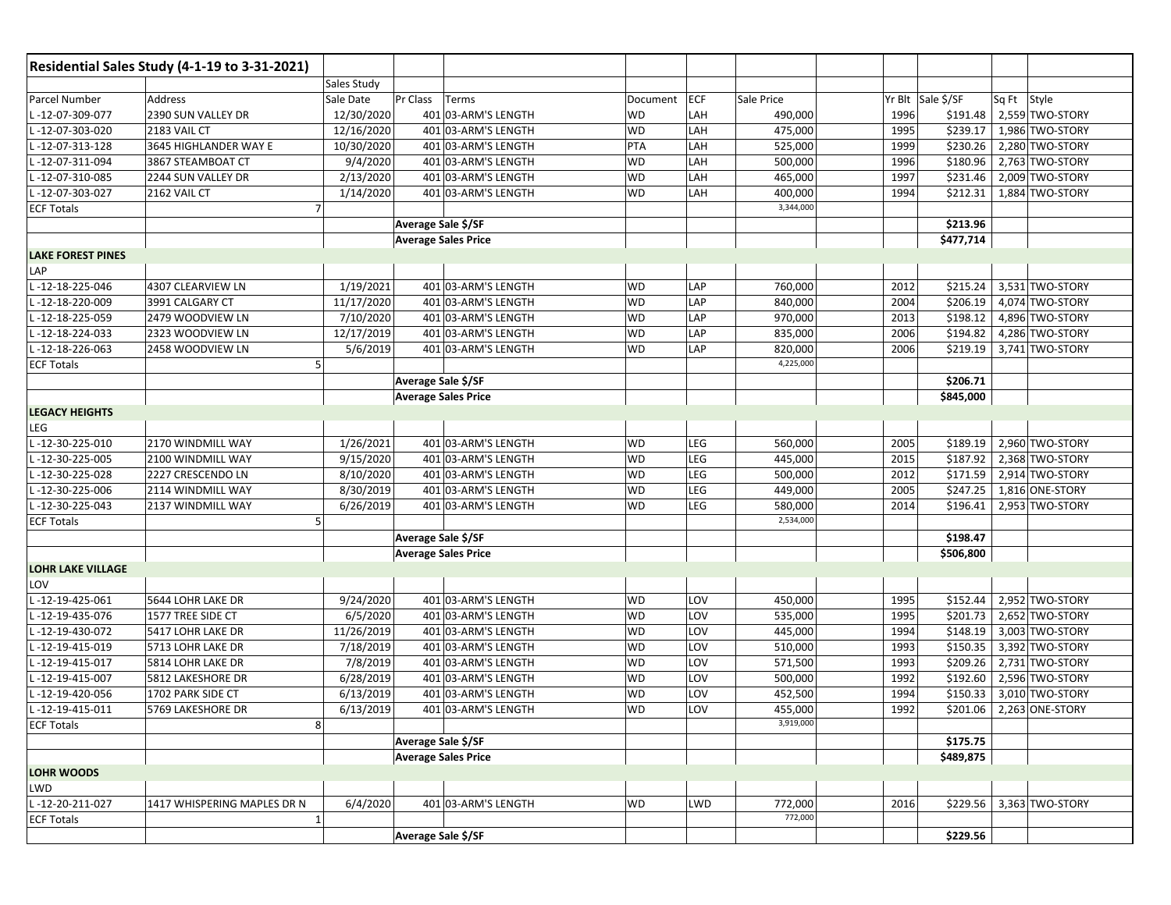|                          | Residential Sales Study (4-1-19 to 3-31-2021) |                            |                     |           |            |            |      |                   |             |                 |
|--------------------------|-----------------------------------------------|----------------------------|---------------------|-----------|------------|------------|------|-------------------|-------------|-----------------|
|                          |                                               | Sales Study                |                     |           |            |            |      |                   |             |                 |
| Parcel Number            | Address                                       | Sale Date<br>Pr Class      | Terms               | Document  | <b>ECF</b> | Sale Price |      | Yr Blt Sale \$/SF | Sq Ft Style |                 |
| L-12-07-309-077          | 2390 SUN VALLEY DR                            | 12/30/2020                 | 401 03-ARM'S LENGTH | WD        | LAH        | 490,000    | 1996 | \$191.48          |             | 2,559 TWO-STORY |
| -12-07-303-020           | 2183 VAIL CT                                  | 12/16/2020                 | 401 03-ARM'S LENGTH | WD        | LAH        | 475,000    | 1995 | \$239.17          |             | 1,986 TWO-STORY |
| L-12-07-313-128          | 3645 HIGHLANDER WAY E                         | 10/30/2020                 | 401 03-ARM'S LENGTH | PTA       | LAH        | 525,000    | 1999 | \$230.26          |             | 2,280 TWO-STORY |
| L-12-07-311-094          | 3867 STEAMBOAT CT                             | 9/4/2020                   | 401 03-ARM'S LENGTH | WD        | LAH        | 500,000    | 1996 | \$180.96          |             | 2,763 TWO-STORY |
| L-12-07-310-085          | 2244 SUN VALLEY DR                            | 2/13/2020                  | 401 03-ARM'S LENGTH | WD        | LAH        | 465,000    | 1997 | \$231.46          |             | 2,009 TWO-STORY |
| L-12-07-303-027          | 2162 VAIL CT                                  | 1/14/2020                  | 401 03-ARM'S LENGTH | WD        | LAH        | 400,000    | 1994 | \$212.31          |             | 1,884 TWO-STORY |
| <b>ECF Totals</b>        | $\overline{7}$                                |                            |                     |           |            | 3,344,000  |      |                   |             |                 |
|                          |                                               | Average Sale \$/SF         |                     |           |            |            |      | \$213.96          |             |                 |
|                          |                                               | <b>Average Sales Price</b> |                     |           |            |            |      | \$477,714         |             |                 |
| <b>LAKE FOREST PINES</b> |                                               |                            |                     |           |            |            |      |                   |             |                 |
| LAP                      |                                               |                            |                     |           |            |            |      |                   |             |                 |
| L-12-18-225-046          | 4307 CLEARVIEW LN                             | 1/19/2021                  | 401 03-ARM'S LENGTH | WD        | LAP        | 760,000    | 2012 | \$215.24          |             | 3,531 TWO-STORY |
| L-12-18-220-009          | 3991 CALGARY CT                               | 11/17/2020                 | 401 03-ARM'S LENGTH | WD        | LAP        | 840,000    | 2004 | \$206.19          |             | 4,074 TWO-STORY |
| -12-18-225-059           | 2479 WOODVIEW LN                              | 7/10/2020                  | 401 03-ARM'S LENGTH | <b>WD</b> | LAP        | 970,000    | 2013 | \$198.12          |             | 4,896 TWO-STORY |
| L-12-18-224-033          | 2323 WOODVIEW LN                              | 12/17/2019                 | 401 03-ARM'S LENGTH | <b>WD</b> | LAP        | 835,000    | 2006 | \$194.82          |             | 4,286 TWO-STORY |
| L-12-18-226-063          | 2458 WOODVIEW LN                              | 5/6/2019                   | 401 03-ARM'S LENGTH | <b>WD</b> | LAP        | 820,000    | 2006 | \$219.19          |             | 3,741 TWO-STORY |
| <b>ECF Totals</b>        | 5                                             |                            |                     |           |            | 4,225,000  |      |                   |             |                 |
|                          |                                               | Average Sale \$/SF         |                     |           |            |            |      | \$206.71          |             |                 |
|                          |                                               | <b>Average Sales Price</b> |                     |           |            |            |      | \$845,000         |             |                 |
| <b>LEGACY HEIGHTS</b>    |                                               |                            |                     |           |            |            |      |                   |             |                 |
| LEG                      |                                               |                            |                     |           |            |            |      |                   |             |                 |
| L-12-30-225-010          | 2170 WINDMILL WAY                             | 1/26/2021                  | 401 03-ARM'S LENGTH | WD        | LEG        | 560,000    | 2005 | \$189.19          |             | 2,960 TWO-STORY |
| L-12-30-225-005          | 2100 WINDMILL WAY                             | 9/15/2020                  | 401 03-ARM'S LENGTH | WD        | LEG        | 445,000    | 2015 | \$187.92          |             | 2,368 TWO-STORY |
| L-12-30-225-028          | 2227 CRESCENDO LN                             | 8/10/2020                  | 401 03-ARM'S LENGTH | <b>WD</b> | LEG        | 500,000    | 2012 | \$171.59          |             | 2,914 TWO-STORY |
| -12-30-225-006           | 2114 WINDMILL WAY                             | 8/30/2019                  | 401 03-ARM'S LENGTH | <b>WD</b> | LEG        | 449,000    | 2005 | \$247.25          |             | 1,816 ONE-STORY |
| L-12-30-225-043          | 2137 WINDMILL WAY                             | 6/26/2019                  | 401 03-ARM'S LENGTH | WD        | LEG        | 580,000    | 2014 | \$196.41          |             | 2,953 TWO-STORY |
| <b>ECF Totals</b>        |                                               |                            |                     |           |            | 2,534,000  |      |                   |             |                 |
|                          |                                               | Average Sale \$/SF         |                     |           |            |            |      | \$198.47          |             |                 |
|                          |                                               | <b>Average Sales Price</b> |                     |           |            |            |      | \$506,800         |             |                 |
| <b>LOHR LAKE VILLAGE</b> |                                               |                            |                     |           |            |            |      |                   |             |                 |
| LOV                      |                                               |                            |                     |           |            |            |      |                   |             |                 |
| L-12-19-425-061          | 5644 LOHR LAKE DR                             | 9/24/2020                  | 401 03-ARM'S LENGTH | WD        | LOV        | 450,000    | 1995 | \$152.44          |             | 2,952 TWO-STORY |
| L-12-19-435-076          | 1577 TREE SIDE CT                             | 6/5/2020                   | 401 03-ARM'S LENGTH | <b>WD</b> | LOV        | 535,000    | 1995 | \$201.73          |             | 2,652 TWO-STORY |
| -12-19-430-072           | 5417 LOHR LAKE DR                             | 11/26/2019                 | 401 03-ARM'S LENGTH | WD        | LOV        | 445,000    | 1994 | \$148.19          |             | 3,003 TWO-STORY |
| L-12-19-415-019          | 5713 LOHR LAKE DR                             | 7/18/2019                  | 401 03-ARM'S LENGTH | WD        | LOV        | 510,000    | 1993 | \$150.35          |             | 3,392 TWO-STORY |
| L-12-19-415-017          | 5814 LOHR LAKE DR                             | 7/8/2019                   | 401 03-ARM'S LENGTH | WD        | LOV        | 571,500    | 1993 | \$209.26          |             | 2,731 TWO-STORY |
| L-12-19-415-007          | 5812 LAKESHORE DR                             | 6/28/2019                  | 401 03-ARM'S LENGTH | WD        | LOV        | 500,000    | 1992 | \$192.60          |             | 2,596 TWO-STORY |
| -12-19-420-056           | 1702 PARK SIDE CT                             | 6/13/2019                  | 401 03-ARM'S LENGTH | WD        | LOV        | 452,500    | 1994 | \$150.33          |             | 3,010 TWO-STORY |
| L-12-19-415-011          | 5769 LAKESHORE DR                             | 6/13/2019                  | 401 03-ARM'S LENGTH | <b>WD</b> | LOV        | 455,000    | 1992 | \$201.06          |             | 2,263 ONE-STORY |
| <b>ECF Totals</b>        | 8                                             |                            |                     |           |            | 3,919,000  |      |                   |             |                 |
|                          |                                               | Average Sale \$/SF         |                     |           |            |            |      | \$175.75          |             |                 |
|                          |                                               | <b>Average Sales Price</b> |                     |           |            |            |      | \$489,875         |             |                 |
| LOHR WOODS               |                                               |                            |                     |           |            |            |      |                   |             |                 |
| LWD                      |                                               |                            |                     |           |            |            |      |                   |             |                 |
| L-12-20-211-027          | 1417 WHISPERING MAPLES DR N                   | 6/4/2020                   | 401 03-ARM'S LENGTH | WD        | LWD        | 772,000    | 2016 | \$229.56          |             | 3,363 TWO-STORY |
| <b>ECF Totals</b>        | $\mathbf{1}$                                  |                            |                     |           |            | 772,000    |      |                   |             |                 |
|                          |                                               | Average Sale \$/SF         |                     |           |            |            |      | \$229.56          |             |                 |
|                          |                                               |                            |                     |           |            |            |      |                   |             |                 |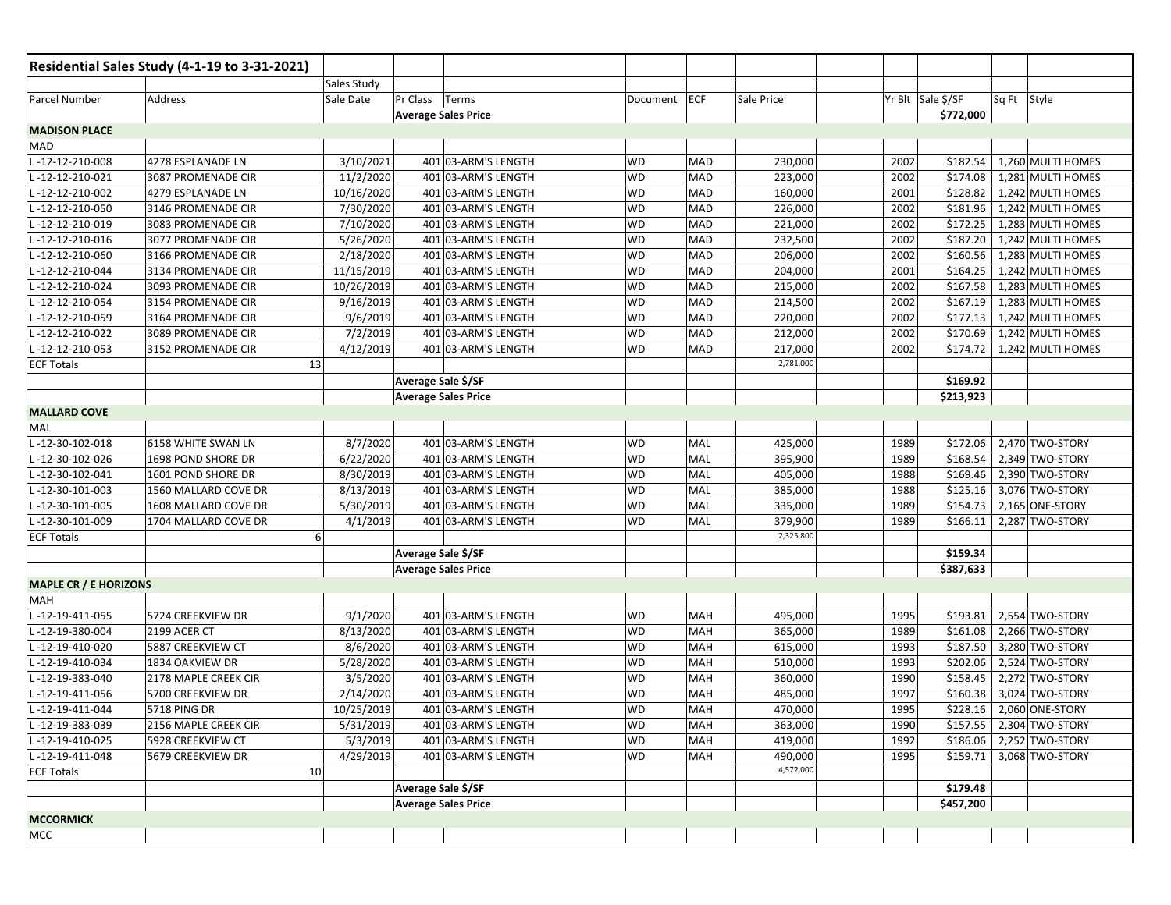|                              | Residential Sales Study (4-1-19 to 3-31-2021) |             |                            |              |            |            |                   |           |             |                          |
|------------------------------|-----------------------------------------------|-------------|----------------------------|--------------|------------|------------|-------------------|-----------|-------------|--------------------------|
|                              |                                               | Sales Study |                            |              |            |            |                   |           |             |                          |
| Parcel Number                | Address                                       | Sale Date   | Pr Class Terms             | Document ECF |            | Sale Price | Yr Blt Sale \$/SF |           | Sq Ft Style |                          |
|                              |                                               |             | <b>Average Sales Price</b> |              |            |            |                   | \$772,000 |             |                          |
| <b>MADISON PLACE</b>         |                                               |             |                            |              |            |            |                   |           |             |                          |
| MAD                          |                                               |             |                            |              |            |            |                   |           |             |                          |
| L-12-12-210-008              | 4278 ESPLANADE LN                             | 3/10/2021   | 401 03-ARM'S LENGTH        | WD           | MAD        | 230,000    | 2002              | \$182.54  |             | 1,260 MULTI HOMES        |
| -12-12-210-021               | 3087 PROMENADE CIR                            | 11/2/2020   | 401 03-ARM'S LENGTH        | <b>WD</b>    | <b>MAD</b> | 223,000    | 2002              | \$174.08  |             | 1,281 MULTI HOMES        |
| L-12-12-210-002              | 4279 ESPLANADE LN                             | 10/16/2020  | 401 03-ARM'S LENGTH        | WD           | MAD        | 160,000    | 2001              | \$128.82  |             | 1,242 MULTI HOMES        |
| L-12-12-210-050              | 3146 PROMENADE CIR                            | 7/30/2020   | 401 03-ARM'S LENGTH        | <b>WD</b>    | MAD        | 226,000    | 2002              | \$181.96  |             | 1,242 MULTI HOMES        |
| -12-12-210-019               | 3083 PROMENADE CIR                            | 7/10/2020   | 401 03-ARM'S LENGTH        | <b>WD</b>    | MAD        | 221,000    | 2002              | \$172.25  |             | 1,283 MULTI HOMES        |
| $-12-12-210-016$             | 3077 PROMENADE CIR                            | 5/26/2020   | 401 03-ARM'S LENGTH        | WD           | MAD        | 232,500    | 2002              | \$187.20  |             | 1,242 MULTI HOMES        |
| $-12-12-210-060$             | 3166 PROMENADE CIR                            | 2/18/2020   | 401 03-ARM'S LENGTH        | <b>WD</b>    | MAD        | 206,000    | 2002              | \$160.56  |             | 1,283 MULTI HOMES        |
| $-12 - 12 - 210 - 044$       | 3134 PROMENADE CIR                            | 11/15/2019  | 401 03-ARM'S LENGTH        | <b>WD</b>    | MAD        | 204,000    | 2001              | \$164.25  |             | 1,242 MULTI HOMES        |
| $-12-12-210-024$             | 3093 PROMENADE CIR                            | 10/26/2019  | 401 03-ARM'S LENGTH        | WD           | MAD        | 215,000    | 2002              | \$167.58  |             | 1,283 MULTI HOMES        |
| $-12-12-210-054$             | 3154 PROMENADE CIR                            | 9/16/2019   | 401 03-ARM'S LENGTH        | WD           | MAD        | 214,500    | 2002              | \$167.19  |             | 1,283 MULTI HOMES        |
| -12-12-210-059               | 3164 PROMENADE CIR                            | 9/6/2019    | 401 03-ARM'S LENGTH        | <b>WD</b>    | MAD        | 220,000    | 2002              | \$177.13  |             | 1,242 MULTI HOMES        |
| $-12-12-210-022$             | 3089 PROMENADE CIR                            | 7/2/2019    | 401 03-ARM'S LENGTH        | <b>WD</b>    | MAD        | 212,000    | 2002              | \$170.69  |             | 1,242 MULTI HOMES        |
| -12-12-210-053               | 3152 PROMENADE CIR                            | 4/12/2019   | 401 03-ARM'S LENGTH        | WD           | MAD        | 217,000    | 2002              | \$174.72  |             | 1,242 MULTI HOMES        |
| <b>ECF Totals</b>            | 13                                            |             |                            |              |            | 2,781,000  |                   |           |             |                          |
|                              |                                               |             | Average Sale \$/SF         |              |            |            |                   | \$169.92  |             |                          |
|                              |                                               |             | <b>Average Sales Price</b> |              |            |            |                   | \$213,923 |             |                          |
| <b>MALLARD COVE</b>          |                                               |             |                            |              |            |            |                   |           |             |                          |
| MAL                          |                                               |             |                            |              |            |            |                   |           |             |                          |
| L-12-30-102-018              | 6158 WHITE SWAN LN                            | 8/7/2020    | 401 03-ARM'S LENGTH        | WD           | MAL        | 425,000    | 1989              | \$172.06  |             | 2,470 TWO-STORY          |
| L-12-30-102-026              | 1698 POND SHORE DR                            | 6/22/2020   | 401 03-ARM'S LENGTH        | WD           | MAL        | 395,900    | 1989              | \$168.54  |             | 2,349 TWO-STORY          |
| L-12-30-102-041              | 1601 POND SHORE DR                            | 8/30/2019   | 401 03-ARM'S LENGTH        | <b>WD</b>    | MAL        | 405,000    | 1988              | \$169.46  |             | 2,390 TWO-STORY          |
| $-12-30-101-003$             | 1560 MALLARD COVE DR                          | 8/13/2019   | 401 03-ARM'S LENGTH        | <b>WD</b>    | MAL        | 385,000    | 1988              | \$125.16  |             | 3,076 TWO-STORY          |
| $-12-30-101-005$             | 1608 MALLARD COVE DR                          | 5/30/2019   | 401 03-ARM'S LENGTH        | WD           | MAL        | 335,000    | 1989              | \$154.73  |             | 2,165 ONE-STORY          |
| -12-30-101-009               | 1704 MALLARD COVE DR                          | 4/1/2019    | 401 03-ARM'S LENGTH        | WD           | MAL        | 379,900    | 1989              | \$166.11  |             | 2,287 TWO-STORY          |
| <b>ECF Totals</b>            | 6                                             |             |                            |              |            | 2,325,800  |                   |           |             |                          |
|                              |                                               |             | Average Sale \$/SF         |              |            |            |                   | \$159.34  |             |                          |
|                              |                                               |             | <b>Average Sales Price</b> |              |            |            |                   | \$387,633 |             |                          |
| <b>MAPLE CR / E HORIZONS</b> |                                               |             |                            |              |            |            |                   |           |             |                          |
| MAH                          |                                               |             |                            |              |            |            |                   |           |             |                          |
| L-12-19-411-055              | 5724 CREEKVIEW DR                             | 9/1/2020    | 401 03-ARM'S LENGTH        | <b>WD</b>    | MAH        | 495,000    | 1995              | \$193.81  |             | 2,554 TWO-STORY          |
| $-12-19-380-004$             | 2199 ACER CT                                  | 8/13/2020   | 401 03-ARM'S LENGTH        | <b>WD</b>    | MAH        | 365,000    | 1989              | \$161.08  |             | 2,266 TWO-STORY          |
| L-12-19-410-020              | 5887 CREEKVIEW CT                             | 8/6/2020    | 401 03-ARM'S LENGTH        | <b>WD</b>    | MAH        | 615,000    | 1993              | \$187.50  |             | 3,280 TWO-STORY          |
| L-12-19-410-034              | 1834 OAKVIEW DR                               | 5/28/2020   | 401 03-ARM'S LENGTH        | <b>WD</b>    | MAH        | 510,000    | 1993              | \$202.06  |             | 2,524 TWO-STORY          |
| L-12-19-383-040              | 2178 MAPLE CREEK CIR                          | 3/5/2020    | 401 03-ARM'S LENGTH        | <b>WD</b>    | MAH        | 360,000    | 1990              | \$158.45  |             | 2,272 TWO-STORY          |
| $-12-19-411-056$             | 5700 CREEKVIEW DR                             | 2/14/2020   | 401 03-ARM'S LENGTH        | WD           | MAH        | 485,000    | 1997              | \$160.38  |             | 3,024 TWO-STORY          |
| L-12-19-411-044              | <b>5718 PING DR</b>                           | 10/25/2019  | 401 03-ARM'S LENGTH        | <b>WD</b>    | MAH        | 470,000    | 1995              | \$228.16  |             | 2,060 ONE-STORY          |
| L-12-19-383-039              | 2156 MAPLE CREEK CIR                          | 5/31/2019   | 401 03-ARM'S LENGTH        | <b>WD</b>    | MAH        | 363,000    | 1990              |           |             | \$157.55 2,304 TWO-STORY |
| L-12-19-410-025              | 5928 CREEKVIEW CT                             | 5/3/2019    | 401 03-ARM'S LENGTH        | WD           | MAH        | 419,000    | 1992              |           |             | \$186.06 2,252 TWO-STORY |
| L-12-19-411-048              | 5679 CREEKVIEW DR                             | 4/29/2019   | 401 03-ARM'S LENGTH        | WD           | MAH        | 490,000    | 1995              | \$159.71  |             | 3,068 TWO-STORY          |
| <b>ECF Totals</b>            | 10                                            |             |                            |              |            | 4,572,000  |                   |           |             |                          |
|                              |                                               |             | Average Sale \$/SF         |              |            |            |                   | \$179.48  |             |                          |
|                              |                                               |             | <b>Average Sales Price</b> |              |            |            |                   | \$457,200 |             |                          |
| <b>MCCORMICK</b>             |                                               |             |                            |              |            |            |                   |           |             |                          |
| MCC                          |                                               |             |                            |              |            |            |                   |           |             |                          |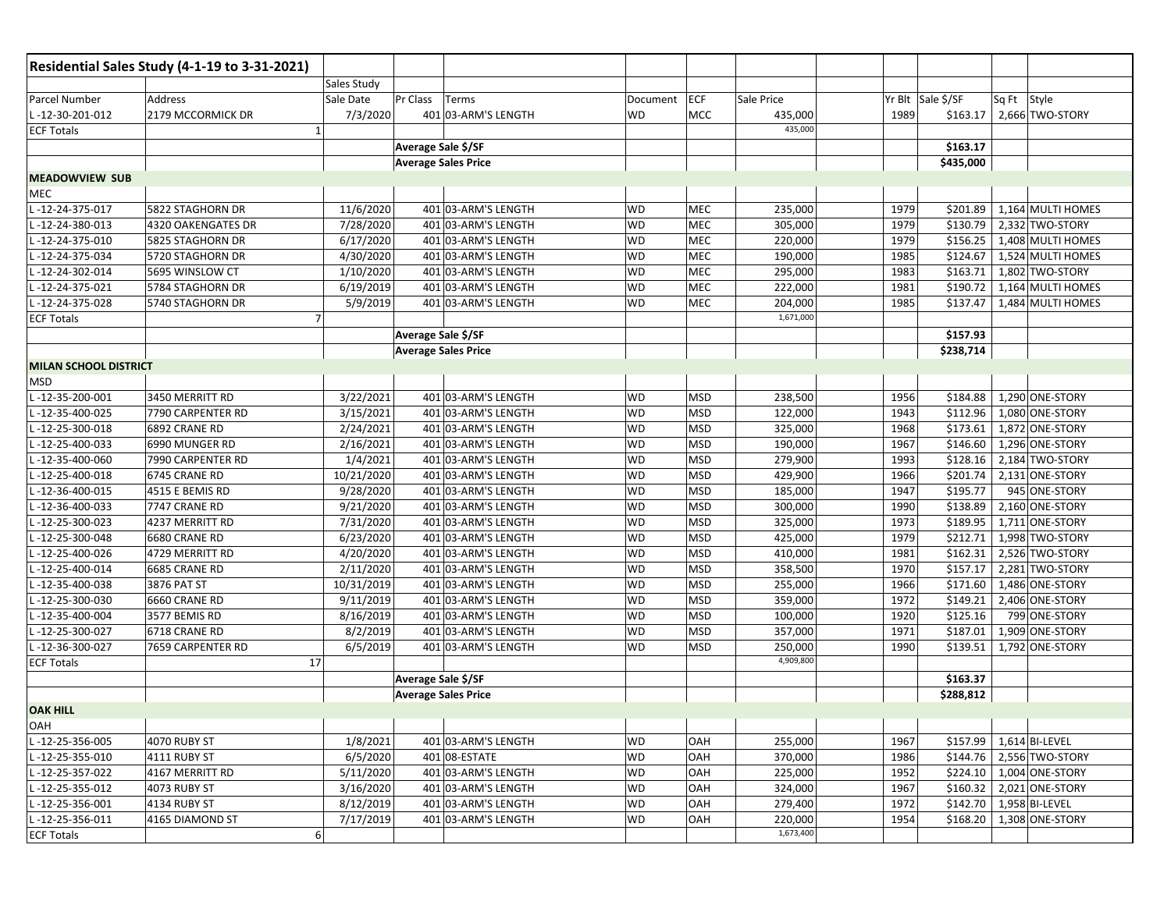| <b>Sales Study</b><br>Yr Blt Sale \$/SF<br><b>Address</b><br>Pr Class<br>ECF<br>Sale Price<br>Sq Ft Style<br>Sale Date<br>Terms<br>Document<br>2179 MCCORMICK DR<br>7/3/2020<br><b>WD</b><br>435,000<br>1989<br>2,666 TWO-STORY<br>-12-30-201-012<br>401 03-ARM'S LENGTH<br><b>MCC</b><br>\$163.17<br>435,000<br>$\mathbf{1}$<br>Average Sale \$/SF<br>\$163.17<br><b>Average Sales Price</b><br>\$435,000<br>11/6/2020<br>401 03-ARM'S LENGTH<br>1,164 MULTI HOMES<br>L-12-24-375-017<br>5822 STAGHORN DR<br>WD<br>MEC<br>235,000<br>1979<br>\$201.89<br>\$130.79<br>-12-24-380-013<br>4320 OAKENGATES DR<br>7/28/2020<br>401 03-ARM'S LENGTH<br><b>WD</b><br>MEC<br>305,000<br>1979<br>2,332 TWO-STORY<br>MEC<br>\$156.25<br>-12-24-375-010<br>6/17/2020<br>401 03-ARM'S LENGTH<br>220,000<br>1979<br>1,408 MULTI HOMES<br>5825 STAGHORN DR<br><b>WD</b><br>4/30/2020<br>MEC<br>\$124.67<br>1,524 MULTI HOMES<br>-12-24-375-034<br>5720 STAGHORN DR<br>401 03-ARM'S LENGTH<br>WD<br>190,000<br>1985<br>1/10/2020<br>\$163.71<br>1,802 TWO-STORY<br>-12-24-302-014<br>5695 WINSLOW CT<br>401 03-ARM'S LENGTH<br><b>WD</b><br>MEC<br>295,000<br>1983<br>-12-24-375-021<br>5784 STAGHORN DR<br>6/19/2019<br>401 03-ARM'S LENGTH<br>WD<br>MEC<br>222,000<br>1981<br>\$190.72<br>1,164 MULTI HOMES<br>-12-24-375-028<br>5/9/2019<br>MEC<br>204,000<br>1985<br>\$137.47<br>1,484 MULTI HOMES<br>5740 STAGHORN DR<br>401 03-ARM'S LENGTH<br><b>WD</b><br>1,671,000<br>$\overline{7}$<br><b>ECF Totals</b><br>\$157.93<br>Average Sale \$/SF<br><b>Average Sales Price</b><br>\$238,714<br><b>MILAN SCHOOL DISTRICT</b><br>1,290 ONE-STORY<br>-12-35-200-001<br>3450 MERRITT RD<br>3/22/2021<br>401 03-ARM'S LENGTH<br><b>WD</b><br>238,500<br>1956<br>\$184.88<br><b>MSD</b><br><b>MSD</b><br>\$112.96<br>-12-35-400-025<br>7790 CARPENTER RD<br>3/15/2021<br>401 03-ARM'S LENGTH<br><b>WD</b><br>122,000<br>1943<br>1,080 ONE-STORY<br>-12-25-300-018<br>6892 CRANE RD<br>2/24/2021<br>401 03-ARM'S LENGTH<br>WD<br><b>MSD</b><br>325,000<br>1968<br>\$173.61<br>1,872 ONE-STORY<br><b>MSD</b><br>-12-25-400-033<br>2/16/2021<br>401 03-ARM'S LENGTH<br><b>WD</b><br>190,000<br>1967<br>\$146.60<br>1,296 ONE-STORY<br>6990 MUNGER RD<br>1/4/2021<br>\$128.16<br>-12-35-400-060<br>7990 CARPENTER RD<br>401 03-ARM'S LENGTH<br><b>WD</b><br><b>MSD</b><br>279,900<br>1993<br>2,184 TWO-STORY<br>10/21/2020<br>\$201.74<br>2,131 ONE-STORY<br>-12-25-400-018<br>6745 CRANE RD<br>401 03-ARM'S LENGTH<br><b>WD</b><br><b>MSD</b><br>429,900<br>1966<br>\$195.77<br>-12-36-400-015<br>4515 E BEMIS RD<br>9/28/2020<br>401 03-ARM'S LENGTH<br>WD<br><b>MSD</b><br>185,000<br>1947<br>945 ONE-STORY<br>2,160 ONE-STORY<br>9/21/2020<br>401 03-ARM'S LENGTH<br><b>MSD</b><br>300,000<br>1990<br>\$138.89<br>-12-36-400-033<br>7747 CRANE RD<br><b>WD</b><br>7/31/2020<br><b>MSD</b><br>\$189.95<br>1,711 ONE-STORY<br>-12-25-300-023<br>4237 MERRITT RD<br>401 03-ARM'S LENGTH<br>WD<br>325,000<br>1973<br>6/23/2020<br><b>MSD</b><br>\$212.71<br>1,998 TWO-STORY<br>-12-25-300-048<br>6680 CRANE RD<br>401 03-ARM'S LENGTH<br><b>WD</b><br>425,000<br>1979<br><b>MSD</b><br>2,526 TWO-STORY<br>-12-25-400-026<br>4729 MERRITT RD<br>4/20/2020<br>401 03-ARM'S LENGTH<br><b>WD</b><br>410,000<br>1981<br>\$162.31<br>\$157.17<br>2/11/2020<br><b>MSD</b><br>358,500<br>1970<br>2,281 TWO-STORY<br>-12-25-400-014<br>6685 CRANE RD<br>401 03-ARM'S LENGTH<br><b>WD</b><br>3876 PAT ST<br>10/31/2019<br>401 03-ARM'S LENGTH<br>WD<br><b>MSD</b><br>255,000<br>1966<br>\$171.60<br>1,486 ONE-STORY<br>-12-35-400-038<br>9/11/2019<br>\$149.21<br>401 03-ARM'S LENGTH<br><b>WD</b><br><b>MSD</b><br>359,000<br>1972<br>2,406 ONE-STORY<br>-12-25-300-030<br>6660 CRANE RD<br>-12-35-400-004<br>3577 BEMIS RD<br>8/16/2019<br>401 03-ARM'S LENGTH<br><b>WD</b><br><b>MSD</b><br>100,000<br>1920<br>\$125.16<br>799 ONE-STORY<br><b>MSD</b><br>357,000<br>\$187.01<br>1,909 ONE-STORY<br>$-12-25-300-027$<br>6718 CRANE RD<br>8/2/2019<br>401 03-ARM'S LENGTH<br>WD<br>1971<br>-12-36-300-027<br>6/5/2019<br>401 03-ARM'S LENGTH<br><b>MSD</b><br>250,000<br>1990<br>\$139.51<br>1,792 ONE-STORY<br>7659 CARPENTER RD<br>WD<br>4,909,800<br>17<br><b>ECF Totals</b><br>Average Sale \$/SF<br>\$163.37<br>\$288,812<br><b>Average Sales Price</b><br><b>OAK HILL</b><br><b>OAH</b><br>$L - 12 - 25 - 356 - 005$<br>1/8/2021<br><b>WD</b><br>$1,614$ BI-LEVEL<br>4070 RUBY ST<br>401 03-ARM'S LENGTH<br>OAH<br>255,000<br>1967<br>\$157.99<br>6/5/2020<br><b>WD</b><br>OAH<br>1986<br>2,556 TWO-STORY<br>4111 RUBY ST<br>401 08-ESTATE<br>370,000<br>\$144.76<br>5/11/2020<br>OAH<br>\$224.10<br>L-12-25-357-022<br>4167 MERRITT RD<br>401 03-ARM'S LENGTH<br><b>WD</b><br>225,000<br>1952<br>1,004 ONE-STORY<br>3/16/2020<br>401 03-ARM'S LENGTH<br>OAH<br>324,000<br>\$160.32<br>2,021 ONE-STORY<br>L-12-25-355-012<br>4073 RUBY ST<br>WD<br>1967<br>L-12-25-356-001<br>8/12/2019<br>279,400<br>\$142.70<br>1,958 BI-LEVEL<br>4134 RUBY ST<br>401 03-ARM'S LENGTH<br><b>WD</b><br>OAH<br>1972<br>L-12-25-356-011<br>7/17/2019<br>1954<br>1,308 ONE-STORY<br>4165 DIAMOND ST<br>401 03-ARM'S LENGTH<br><b>WD</b><br>OAH<br>220,000<br>\$168.20<br>1,673,400<br>6 |                       | Residential Sales Study (4-1-19 to 3-31-2021) |  |  |  |  |
|-------------------------------------------------------------------------------------------------------------------------------------------------------------------------------------------------------------------------------------------------------------------------------------------------------------------------------------------------------------------------------------------------------------------------------------------------------------------------------------------------------------------------------------------------------------------------------------------------------------------------------------------------------------------------------------------------------------------------------------------------------------------------------------------------------------------------------------------------------------------------------------------------------------------------------------------------------------------------------------------------------------------------------------------------------------------------------------------------------------------------------------------------------------------------------------------------------------------------------------------------------------------------------------------------------------------------------------------------------------------------------------------------------------------------------------------------------------------------------------------------------------------------------------------------------------------------------------------------------------------------------------------------------------------------------------------------------------------------------------------------------------------------------------------------------------------------------------------------------------------------------------------------------------------------------------------------------------------------------------------------------------------------------------------------------------------------------------------------------------------------------------------------------------------------------------------------------------------------------------------------------------------------------------------------------------------------------------------------------------------------------------------------------------------------------------------------------------------------------------------------------------------------------------------------------------------------------------------------------------------------------------------------------------------------------------------------------------------------------------------------------------------------------------------------------------------------------------------------------------------------------------------------------------------------------------------------------------------------------------------------------------------------------------------------------------------------------------------------------------------------------------------------------------------------------------------------------------------------------------------------------------------------------------------------------------------------------------------------------------------------------------------------------------------------------------------------------------------------------------------------------------------------------------------------------------------------------------------------------------------------------------------------------------------------------------------------------------------------------------------------------------------------------------------------------------------------------------------------------------------------------------------------------------------------------------------------------------------------------------------------------------------------------------------------------------------------------------------------------------------------------------------------------------------------------------------------------------------------------------------------------------------------------------------------------------------------------------------------------------------------------------------------------------------------------------------------------------------------------------------------------------------------------------------------------------------------------------------------------------------------------------------------------------------------------------------------------------------------------------------------------------------------------------------------------------------------------------------------------------------------------------------------------------------------------------------------------------------------------------------------------------------------------------------------------------------------------------------------------------------------------------------------------------------------------------------------------------------------------------------------|-----------------------|-----------------------------------------------|--|--|--|--|
|                                                                                                                                                                                                                                                                                                                                                                                                                                                                                                                                                                                                                                                                                                                                                                                                                                                                                                                                                                                                                                                                                                                                                                                                                                                                                                                                                                                                                                                                                                                                                                                                                                                                                                                                                                                                                                                                                                                                                                                                                                                                                                                                                                                                                                                                                                                                                                                                                                                                                                                                                                                                                                                                                                                                                                                                                                                                                                                                                                                                                                                                                                                                                                                                                                                                                                                                                                                                                                                                                                                                                                                                                                                                                                                                                                                                                                                                                                                                                                                                                                                                                                                                                                                                                                                                                                                                                                                                                                                                                                                                                                                                                                                                                                                                                                                                                                                                                                                                                                                                                                                                                                                                                                                                                                                 |                       |                                               |  |  |  |  |
|                                                                                                                                                                                                                                                                                                                                                                                                                                                                                                                                                                                                                                                                                                                                                                                                                                                                                                                                                                                                                                                                                                                                                                                                                                                                                                                                                                                                                                                                                                                                                                                                                                                                                                                                                                                                                                                                                                                                                                                                                                                                                                                                                                                                                                                                                                                                                                                                                                                                                                                                                                                                                                                                                                                                                                                                                                                                                                                                                                                                                                                                                                                                                                                                                                                                                                                                                                                                                                                                                                                                                                                                                                                                                                                                                                                                                                                                                                                                                                                                                                                                                                                                                                                                                                                                                                                                                                                                                                                                                                                                                                                                                                                                                                                                                                                                                                                                                                                                                                                                                                                                                                                                                                                                                                                 | Parcel Number         |                                               |  |  |  |  |
|                                                                                                                                                                                                                                                                                                                                                                                                                                                                                                                                                                                                                                                                                                                                                                                                                                                                                                                                                                                                                                                                                                                                                                                                                                                                                                                                                                                                                                                                                                                                                                                                                                                                                                                                                                                                                                                                                                                                                                                                                                                                                                                                                                                                                                                                                                                                                                                                                                                                                                                                                                                                                                                                                                                                                                                                                                                                                                                                                                                                                                                                                                                                                                                                                                                                                                                                                                                                                                                                                                                                                                                                                                                                                                                                                                                                                                                                                                                                                                                                                                                                                                                                                                                                                                                                                                                                                                                                                                                                                                                                                                                                                                                                                                                                                                                                                                                                                                                                                                                                                                                                                                                                                                                                                                                 |                       |                                               |  |  |  |  |
|                                                                                                                                                                                                                                                                                                                                                                                                                                                                                                                                                                                                                                                                                                                                                                                                                                                                                                                                                                                                                                                                                                                                                                                                                                                                                                                                                                                                                                                                                                                                                                                                                                                                                                                                                                                                                                                                                                                                                                                                                                                                                                                                                                                                                                                                                                                                                                                                                                                                                                                                                                                                                                                                                                                                                                                                                                                                                                                                                                                                                                                                                                                                                                                                                                                                                                                                                                                                                                                                                                                                                                                                                                                                                                                                                                                                                                                                                                                                                                                                                                                                                                                                                                                                                                                                                                                                                                                                                                                                                                                                                                                                                                                                                                                                                                                                                                                                                                                                                                                                                                                                                                                                                                                                                                                 | <b>ECF Totals</b>     |                                               |  |  |  |  |
|                                                                                                                                                                                                                                                                                                                                                                                                                                                                                                                                                                                                                                                                                                                                                                                                                                                                                                                                                                                                                                                                                                                                                                                                                                                                                                                                                                                                                                                                                                                                                                                                                                                                                                                                                                                                                                                                                                                                                                                                                                                                                                                                                                                                                                                                                                                                                                                                                                                                                                                                                                                                                                                                                                                                                                                                                                                                                                                                                                                                                                                                                                                                                                                                                                                                                                                                                                                                                                                                                                                                                                                                                                                                                                                                                                                                                                                                                                                                                                                                                                                                                                                                                                                                                                                                                                                                                                                                                                                                                                                                                                                                                                                                                                                                                                                                                                                                                                                                                                                                                                                                                                                                                                                                                                                 |                       |                                               |  |  |  |  |
|                                                                                                                                                                                                                                                                                                                                                                                                                                                                                                                                                                                                                                                                                                                                                                                                                                                                                                                                                                                                                                                                                                                                                                                                                                                                                                                                                                                                                                                                                                                                                                                                                                                                                                                                                                                                                                                                                                                                                                                                                                                                                                                                                                                                                                                                                                                                                                                                                                                                                                                                                                                                                                                                                                                                                                                                                                                                                                                                                                                                                                                                                                                                                                                                                                                                                                                                                                                                                                                                                                                                                                                                                                                                                                                                                                                                                                                                                                                                                                                                                                                                                                                                                                                                                                                                                                                                                                                                                                                                                                                                                                                                                                                                                                                                                                                                                                                                                                                                                                                                                                                                                                                                                                                                                                                 |                       |                                               |  |  |  |  |
|                                                                                                                                                                                                                                                                                                                                                                                                                                                                                                                                                                                                                                                                                                                                                                                                                                                                                                                                                                                                                                                                                                                                                                                                                                                                                                                                                                                                                                                                                                                                                                                                                                                                                                                                                                                                                                                                                                                                                                                                                                                                                                                                                                                                                                                                                                                                                                                                                                                                                                                                                                                                                                                                                                                                                                                                                                                                                                                                                                                                                                                                                                                                                                                                                                                                                                                                                                                                                                                                                                                                                                                                                                                                                                                                                                                                                                                                                                                                                                                                                                                                                                                                                                                                                                                                                                                                                                                                                                                                                                                                                                                                                                                                                                                                                                                                                                                                                                                                                                                                                                                                                                                                                                                                                                                 | <b>MEADOWVIEW SUB</b> |                                               |  |  |  |  |
|                                                                                                                                                                                                                                                                                                                                                                                                                                                                                                                                                                                                                                                                                                                                                                                                                                                                                                                                                                                                                                                                                                                                                                                                                                                                                                                                                                                                                                                                                                                                                                                                                                                                                                                                                                                                                                                                                                                                                                                                                                                                                                                                                                                                                                                                                                                                                                                                                                                                                                                                                                                                                                                                                                                                                                                                                                                                                                                                                                                                                                                                                                                                                                                                                                                                                                                                                                                                                                                                                                                                                                                                                                                                                                                                                                                                                                                                                                                                                                                                                                                                                                                                                                                                                                                                                                                                                                                                                                                                                                                                                                                                                                                                                                                                                                                                                                                                                                                                                                                                                                                                                                                                                                                                                                                 | MEC                   |                                               |  |  |  |  |
|                                                                                                                                                                                                                                                                                                                                                                                                                                                                                                                                                                                                                                                                                                                                                                                                                                                                                                                                                                                                                                                                                                                                                                                                                                                                                                                                                                                                                                                                                                                                                                                                                                                                                                                                                                                                                                                                                                                                                                                                                                                                                                                                                                                                                                                                                                                                                                                                                                                                                                                                                                                                                                                                                                                                                                                                                                                                                                                                                                                                                                                                                                                                                                                                                                                                                                                                                                                                                                                                                                                                                                                                                                                                                                                                                                                                                                                                                                                                                                                                                                                                                                                                                                                                                                                                                                                                                                                                                                                                                                                                                                                                                                                                                                                                                                                                                                                                                                                                                                                                                                                                                                                                                                                                                                                 |                       |                                               |  |  |  |  |
|                                                                                                                                                                                                                                                                                                                                                                                                                                                                                                                                                                                                                                                                                                                                                                                                                                                                                                                                                                                                                                                                                                                                                                                                                                                                                                                                                                                                                                                                                                                                                                                                                                                                                                                                                                                                                                                                                                                                                                                                                                                                                                                                                                                                                                                                                                                                                                                                                                                                                                                                                                                                                                                                                                                                                                                                                                                                                                                                                                                                                                                                                                                                                                                                                                                                                                                                                                                                                                                                                                                                                                                                                                                                                                                                                                                                                                                                                                                                                                                                                                                                                                                                                                                                                                                                                                                                                                                                                                                                                                                                                                                                                                                                                                                                                                                                                                                                                                                                                                                                                                                                                                                                                                                                                                                 |                       |                                               |  |  |  |  |
|                                                                                                                                                                                                                                                                                                                                                                                                                                                                                                                                                                                                                                                                                                                                                                                                                                                                                                                                                                                                                                                                                                                                                                                                                                                                                                                                                                                                                                                                                                                                                                                                                                                                                                                                                                                                                                                                                                                                                                                                                                                                                                                                                                                                                                                                                                                                                                                                                                                                                                                                                                                                                                                                                                                                                                                                                                                                                                                                                                                                                                                                                                                                                                                                                                                                                                                                                                                                                                                                                                                                                                                                                                                                                                                                                                                                                                                                                                                                                                                                                                                                                                                                                                                                                                                                                                                                                                                                                                                                                                                                                                                                                                                                                                                                                                                                                                                                                                                                                                                                                                                                                                                                                                                                                                                 |                       |                                               |  |  |  |  |
|                                                                                                                                                                                                                                                                                                                                                                                                                                                                                                                                                                                                                                                                                                                                                                                                                                                                                                                                                                                                                                                                                                                                                                                                                                                                                                                                                                                                                                                                                                                                                                                                                                                                                                                                                                                                                                                                                                                                                                                                                                                                                                                                                                                                                                                                                                                                                                                                                                                                                                                                                                                                                                                                                                                                                                                                                                                                                                                                                                                                                                                                                                                                                                                                                                                                                                                                                                                                                                                                                                                                                                                                                                                                                                                                                                                                                                                                                                                                                                                                                                                                                                                                                                                                                                                                                                                                                                                                                                                                                                                                                                                                                                                                                                                                                                                                                                                                                                                                                                                                                                                                                                                                                                                                                                                 |                       |                                               |  |  |  |  |
|                                                                                                                                                                                                                                                                                                                                                                                                                                                                                                                                                                                                                                                                                                                                                                                                                                                                                                                                                                                                                                                                                                                                                                                                                                                                                                                                                                                                                                                                                                                                                                                                                                                                                                                                                                                                                                                                                                                                                                                                                                                                                                                                                                                                                                                                                                                                                                                                                                                                                                                                                                                                                                                                                                                                                                                                                                                                                                                                                                                                                                                                                                                                                                                                                                                                                                                                                                                                                                                                                                                                                                                                                                                                                                                                                                                                                                                                                                                                                                                                                                                                                                                                                                                                                                                                                                                                                                                                                                                                                                                                                                                                                                                                                                                                                                                                                                                                                                                                                                                                                                                                                                                                                                                                                                                 |                       |                                               |  |  |  |  |
|                                                                                                                                                                                                                                                                                                                                                                                                                                                                                                                                                                                                                                                                                                                                                                                                                                                                                                                                                                                                                                                                                                                                                                                                                                                                                                                                                                                                                                                                                                                                                                                                                                                                                                                                                                                                                                                                                                                                                                                                                                                                                                                                                                                                                                                                                                                                                                                                                                                                                                                                                                                                                                                                                                                                                                                                                                                                                                                                                                                                                                                                                                                                                                                                                                                                                                                                                                                                                                                                                                                                                                                                                                                                                                                                                                                                                                                                                                                                                                                                                                                                                                                                                                                                                                                                                                                                                                                                                                                                                                                                                                                                                                                                                                                                                                                                                                                                                                                                                                                                                                                                                                                                                                                                                                                 |                       |                                               |  |  |  |  |
|                                                                                                                                                                                                                                                                                                                                                                                                                                                                                                                                                                                                                                                                                                                                                                                                                                                                                                                                                                                                                                                                                                                                                                                                                                                                                                                                                                                                                                                                                                                                                                                                                                                                                                                                                                                                                                                                                                                                                                                                                                                                                                                                                                                                                                                                                                                                                                                                                                                                                                                                                                                                                                                                                                                                                                                                                                                                                                                                                                                                                                                                                                                                                                                                                                                                                                                                                                                                                                                                                                                                                                                                                                                                                                                                                                                                                                                                                                                                                                                                                                                                                                                                                                                                                                                                                                                                                                                                                                                                                                                                                                                                                                                                                                                                                                                                                                                                                                                                                                                                                                                                                                                                                                                                                                                 |                       |                                               |  |  |  |  |
|                                                                                                                                                                                                                                                                                                                                                                                                                                                                                                                                                                                                                                                                                                                                                                                                                                                                                                                                                                                                                                                                                                                                                                                                                                                                                                                                                                                                                                                                                                                                                                                                                                                                                                                                                                                                                                                                                                                                                                                                                                                                                                                                                                                                                                                                                                                                                                                                                                                                                                                                                                                                                                                                                                                                                                                                                                                                                                                                                                                                                                                                                                                                                                                                                                                                                                                                                                                                                                                                                                                                                                                                                                                                                                                                                                                                                                                                                                                                                                                                                                                                                                                                                                                                                                                                                                                                                                                                                                                                                                                                                                                                                                                                                                                                                                                                                                                                                                                                                                                                                                                                                                                                                                                                                                                 |                       |                                               |  |  |  |  |
|                                                                                                                                                                                                                                                                                                                                                                                                                                                                                                                                                                                                                                                                                                                                                                                                                                                                                                                                                                                                                                                                                                                                                                                                                                                                                                                                                                                                                                                                                                                                                                                                                                                                                                                                                                                                                                                                                                                                                                                                                                                                                                                                                                                                                                                                                                                                                                                                                                                                                                                                                                                                                                                                                                                                                                                                                                                                                                                                                                                                                                                                                                                                                                                                                                                                                                                                                                                                                                                                                                                                                                                                                                                                                                                                                                                                                                                                                                                                                                                                                                                                                                                                                                                                                                                                                                                                                                                                                                                                                                                                                                                                                                                                                                                                                                                                                                                                                                                                                                                                                                                                                                                                                                                                                                                 |                       |                                               |  |  |  |  |
|                                                                                                                                                                                                                                                                                                                                                                                                                                                                                                                                                                                                                                                                                                                                                                                                                                                                                                                                                                                                                                                                                                                                                                                                                                                                                                                                                                                                                                                                                                                                                                                                                                                                                                                                                                                                                                                                                                                                                                                                                                                                                                                                                                                                                                                                                                                                                                                                                                                                                                                                                                                                                                                                                                                                                                                                                                                                                                                                                                                                                                                                                                                                                                                                                                                                                                                                                                                                                                                                                                                                                                                                                                                                                                                                                                                                                                                                                                                                                                                                                                                                                                                                                                                                                                                                                                                                                                                                                                                                                                                                                                                                                                                                                                                                                                                                                                                                                                                                                                                                                                                                                                                                                                                                                                                 |                       |                                               |  |  |  |  |
|                                                                                                                                                                                                                                                                                                                                                                                                                                                                                                                                                                                                                                                                                                                                                                                                                                                                                                                                                                                                                                                                                                                                                                                                                                                                                                                                                                                                                                                                                                                                                                                                                                                                                                                                                                                                                                                                                                                                                                                                                                                                                                                                                                                                                                                                                                                                                                                                                                                                                                                                                                                                                                                                                                                                                                                                                                                                                                                                                                                                                                                                                                                                                                                                                                                                                                                                                                                                                                                                                                                                                                                                                                                                                                                                                                                                                                                                                                                                                                                                                                                                                                                                                                                                                                                                                                                                                                                                                                                                                                                                                                                                                                                                                                                                                                                                                                                                                                                                                                                                                                                                                                                                                                                                                                                 |                       |                                               |  |  |  |  |
|                                                                                                                                                                                                                                                                                                                                                                                                                                                                                                                                                                                                                                                                                                                                                                                                                                                                                                                                                                                                                                                                                                                                                                                                                                                                                                                                                                                                                                                                                                                                                                                                                                                                                                                                                                                                                                                                                                                                                                                                                                                                                                                                                                                                                                                                                                                                                                                                                                                                                                                                                                                                                                                                                                                                                                                                                                                                                                                                                                                                                                                                                                                                                                                                                                                                                                                                                                                                                                                                                                                                                                                                                                                                                                                                                                                                                                                                                                                                                                                                                                                                                                                                                                                                                                                                                                                                                                                                                                                                                                                                                                                                                                                                                                                                                                                                                                                                                                                                                                                                                                                                                                                                                                                                                                                 | <b>MSD</b>            |                                               |  |  |  |  |
|                                                                                                                                                                                                                                                                                                                                                                                                                                                                                                                                                                                                                                                                                                                                                                                                                                                                                                                                                                                                                                                                                                                                                                                                                                                                                                                                                                                                                                                                                                                                                                                                                                                                                                                                                                                                                                                                                                                                                                                                                                                                                                                                                                                                                                                                                                                                                                                                                                                                                                                                                                                                                                                                                                                                                                                                                                                                                                                                                                                                                                                                                                                                                                                                                                                                                                                                                                                                                                                                                                                                                                                                                                                                                                                                                                                                                                                                                                                                                                                                                                                                                                                                                                                                                                                                                                                                                                                                                                                                                                                                                                                                                                                                                                                                                                                                                                                                                                                                                                                                                                                                                                                                                                                                                                                 |                       |                                               |  |  |  |  |
|                                                                                                                                                                                                                                                                                                                                                                                                                                                                                                                                                                                                                                                                                                                                                                                                                                                                                                                                                                                                                                                                                                                                                                                                                                                                                                                                                                                                                                                                                                                                                                                                                                                                                                                                                                                                                                                                                                                                                                                                                                                                                                                                                                                                                                                                                                                                                                                                                                                                                                                                                                                                                                                                                                                                                                                                                                                                                                                                                                                                                                                                                                                                                                                                                                                                                                                                                                                                                                                                                                                                                                                                                                                                                                                                                                                                                                                                                                                                                                                                                                                                                                                                                                                                                                                                                                                                                                                                                                                                                                                                                                                                                                                                                                                                                                                                                                                                                                                                                                                                                                                                                                                                                                                                                                                 |                       |                                               |  |  |  |  |
|                                                                                                                                                                                                                                                                                                                                                                                                                                                                                                                                                                                                                                                                                                                                                                                                                                                                                                                                                                                                                                                                                                                                                                                                                                                                                                                                                                                                                                                                                                                                                                                                                                                                                                                                                                                                                                                                                                                                                                                                                                                                                                                                                                                                                                                                                                                                                                                                                                                                                                                                                                                                                                                                                                                                                                                                                                                                                                                                                                                                                                                                                                                                                                                                                                                                                                                                                                                                                                                                                                                                                                                                                                                                                                                                                                                                                                                                                                                                                                                                                                                                                                                                                                                                                                                                                                                                                                                                                                                                                                                                                                                                                                                                                                                                                                                                                                                                                                                                                                                                                                                                                                                                                                                                                                                 |                       |                                               |  |  |  |  |
|                                                                                                                                                                                                                                                                                                                                                                                                                                                                                                                                                                                                                                                                                                                                                                                                                                                                                                                                                                                                                                                                                                                                                                                                                                                                                                                                                                                                                                                                                                                                                                                                                                                                                                                                                                                                                                                                                                                                                                                                                                                                                                                                                                                                                                                                                                                                                                                                                                                                                                                                                                                                                                                                                                                                                                                                                                                                                                                                                                                                                                                                                                                                                                                                                                                                                                                                                                                                                                                                                                                                                                                                                                                                                                                                                                                                                                                                                                                                                                                                                                                                                                                                                                                                                                                                                                                                                                                                                                                                                                                                                                                                                                                                                                                                                                                                                                                                                                                                                                                                                                                                                                                                                                                                                                                 |                       |                                               |  |  |  |  |
|                                                                                                                                                                                                                                                                                                                                                                                                                                                                                                                                                                                                                                                                                                                                                                                                                                                                                                                                                                                                                                                                                                                                                                                                                                                                                                                                                                                                                                                                                                                                                                                                                                                                                                                                                                                                                                                                                                                                                                                                                                                                                                                                                                                                                                                                                                                                                                                                                                                                                                                                                                                                                                                                                                                                                                                                                                                                                                                                                                                                                                                                                                                                                                                                                                                                                                                                                                                                                                                                                                                                                                                                                                                                                                                                                                                                                                                                                                                                                                                                                                                                                                                                                                                                                                                                                                                                                                                                                                                                                                                                                                                                                                                                                                                                                                                                                                                                                                                                                                                                                                                                                                                                                                                                                                                 |                       |                                               |  |  |  |  |
|                                                                                                                                                                                                                                                                                                                                                                                                                                                                                                                                                                                                                                                                                                                                                                                                                                                                                                                                                                                                                                                                                                                                                                                                                                                                                                                                                                                                                                                                                                                                                                                                                                                                                                                                                                                                                                                                                                                                                                                                                                                                                                                                                                                                                                                                                                                                                                                                                                                                                                                                                                                                                                                                                                                                                                                                                                                                                                                                                                                                                                                                                                                                                                                                                                                                                                                                                                                                                                                                                                                                                                                                                                                                                                                                                                                                                                                                                                                                                                                                                                                                                                                                                                                                                                                                                                                                                                                                                                                                                                                                                                                                                                                                                                                                                                                                                                                                                                                                                                                                                                                                                                                                                                                                                                                 |                       |                                               |  |  |  |  |
|                                                                                                                                                                                                                                                                                                                                                                                                                                                                                                                                                                                                                                                                                                                                                                                                                                                                                                                                                                                                                                                                                                                                                                                                                                                                                                                                                                                                                                                                                                                                                                                                                                                                                                                                                                                                                                                                                                                                                                                                                                                                                                                                                                                                                                                                                                                                                                                                                                                                                                                                                                                                                                                                                                                                                                                                                                                                                                                                                                                                                                                                                                                                                                                                                                                                                                                                                                                                                                                                                                                                                                                                                                                                                                                                                                                                                                                                                                                                                                                                                                                                                                                                                                                                                                                                                                                                                                                                                                                                                                                                                                                                                                                                                                                                                                                                                                                                                                                                                                                                                                                                                                                                                                                                                                                 |                       |                                               |  |  |  |  |
|                                                                                                                                                                                                                                                                                                                                                                                                                                                                                                                                                                                                                                                                                                                                                                                                                                                                                                                                                                                                                                                                                                                                                                                                                                                                                                                                                                                                                                                                                                                                                                                                                                                                                                                                                                                                                                                                                                                                                                                                                                                                                                                                                                                                                                                                                                                                                                                                                                                                                                                                                                                                                                                                                                                                                                                                                                                                                                                                                                                                                                                                                                                                                                                                                                                                                                                                                                                                                                                                                                                                                                                                                                                                                                                                                                                                                                                                                                                                                                                                                                                                                                                                                                                                                                                                                                                                                                                                                                                                                                                                                                                                                                                                                                                                                                                                                                                                                                                                                                                                                                                                                                                                                                                                                                                 |                       |                                               |  |  |  |  |
|                                                                                                                                                                                                                                                                                                                                                                                                                                                                                                                                                                                                                                                                                                                                                                                                                                                                                                                                                                                                                                                                                                                                                                                                                                                                                                                                                                                                                                                                                                                                                                                                                                                                                                                                                                                                                                                                                                                                                                                                                                                                                                                                                                                                                                                                                                                                                                                                                                                                                                                                                                                                                                                                                                                                                                                                                                                                                                                                                                                                                                                                                                                                                                                                                                                                                                                                                                                                                                                                                                                                                                                                                                                                                                                                                                                                                                                                                                                                                                                                                                                                                                                                                                                                                                                                                                                                                                                                                                                                                                                                                                                                                                                                                                                                                                                                                                                                                                                                                                                                                                                                                                                                                                                                                                                 |                       |                                               |  |  |  |  |
|                                                                                                                                                                                                                                                                                                                                                                                                                                                                                                                                                                                                                                                                                                                                                                                                                                                                                                                                                                                                                                                                                                                                                                                                                                                                                                                                                                                                                                                                                                                                                                                                                                                                                                                                                                                                                                                                                                                                                                                                                                                                                                                                                                                                                                                                                                                                                                                                                                                                                                                                                                                                                                                                                                                                                                                                                                                                                                                                                                                                                                                                                                                                                                                                                                                                                                                                                                                                                                                                                                                                                                                                                                                                                                                                                                                                                                                                                                                                                                                                                                                                                                                                                                                                                                                                                                                                                                                                                                                                                                                                                                                                                                                                                                                                                                                                                                                                                                                                                                                                                                                                                                                                                                                                                                                 |                       |                                               |  |  |  |  |
|                                                                                                                                                                                                                                                                                                                                                                                                                                                                                                                                                                                                                                                                                                                                                                                                                                                                                                                                                                                                                                                                                                                                                                                                                                                                                                                                                                                                                                                                                                                                                                                                                                                                                                                                                                                                                                                                                                                                                                                                                                                                                                                                                                                                                                                                                                                                                                                                                                                                                                                                                                                                                                                                                                                                                                                                                                                                                                                                                                                                                                                                                                                                                                                                                                                                                                                                                                                                                                                                                                                                                                                                                                                                                                                                                                                                                                                                                                                                                                                                                                                                                                                                                                                                                                                                                                                                                                                                                                                                                                                                                                                                                                                                                                                                                                                                                                                                                                                                                                                                                                                                                                                                                                                                                                                 |                       |                                               |  |  |  |  |
|                                                                                                                                                                                                                                                                                                                                                                                                                                                                                                                                                                                                                                                                                                                                                                                                                                                                                                                                                                                                                                                                                                                                                                                                                                                                                                                                                                                                                                                                                                                                                                                                                                                                                                                                                                                                                                                                                                                                                                                                                                                                                                                                                                                                                                                                                                                                                                                                                                                                                                                                                                                                                                                                                                                                                                                                                                                                                                                                                                                                                                                                                                                                                                                                                                                                                                                                                                                                                                                                                                                                                                                                                                                                                                                                                                                                                                                                                                                                                                                                                                                                                                                                                                                                                                                                                                                                                                                                                                                                                                                                                                                                                                                                                                                                                                                                                                                                                                                                                                                                                                                                                                                                                                                                                                                 |                       |                                               |  |  |  |  |
|                                                                                                                                                                                                                                                                                                                                                                                                                                                                                                                                                                                                                                                                                                                                                                                                                                                                                                                                                                                                                                                                                                                                                                                                                                                                                                                                                                                                                                                                                                                                                                                                                                                                                                                                                                                                                                                                                                                                                                                                                                                                                                                                                                                                                                                                                                                                                                                                                                                                                                                                                                                                                                                                                                                                                                                                                                                                                                                                                                                                                                                                                                                                                                                                                                                                                                                                                                                                                                                                                                                                                                                                                                                                                                                                                                                                                                                                                                                                                                                                                                                                                                                                                                                                                                                                                                                                                                                                                                                                                                                                                                                                                                                                                                                                                                                                                                                                                                                                                                                                                                                                                                                                                                                                                                                 |                       |                                               |  |  |  |  |
|                                                                                                                                                                                                                                                                                                                                                                                                                                                                                                                                                                                                                                                                                                                                                                                                                                                                                                                                                                                                                                                                                                                                                                                                                                                                                                                                                                                                                                                                                                                                                                                                                                                                                                                                                                                                                                                                                                                                                                                                                                                                                                                                                                                                                                                                                                                                                                                                                                                                                                                                                                                                                                                                                                                                                                                                                                                                                                                                                                                                                                                                                                                                                                                                                                                                                                                                                                                                                                                                                                                                                                                                                                                                                                                                                                                                                                                                                                                                                                                                                                                                                                                                                                                                                                                                                                                                                                                                                                                                                                                                                                                                                                                                                                                                                                                                                                                                                                                                                                                                                                                                                                                                                                                                                                                 |                       |                                               |  |  |  |  |
|                                                                                                                                                                                                                                                                                                                                                                                                                                                                                                                                                                                                                                                                                                                                                                                                                                                                                                                                                                                                                                                                                                                                                                                                                                                                                                                                                                                                                                                                                                                                                                                                                                                                                                                                                                                                                                                                                                                                                                                                                                                                                                                                                                                                                                                                                                                                                                                                                                                                                                                                                                                                                                                                                                                                                                                                                                                                                                                                                                                                                                                                                                                                                                                                                                                                                                                                                                                                                                                                                                                                                                                                                                                                                                                                                                                                                                                                                                                                                                                                                                                                                                                                                                                                                                                                                                                                                                                                                                                                                                                                                                                                                                                                                                                                                                                                                                                                                                                                                                                                                                                                                                                                                                                                                                                 |                       |                                               |  |  |  |  |
|                                                                                                                                                                                                                                                                                                                                                                                                                                                                                                                                                                                                                                                                                                                                                                                                                                                                                                                                                                                                                                                                                                                                                                                                                                                                                                                                                                                                                                                                                                                                                                                                                                                                                                                                                                                                                                                                                                                                                                                                                                                                                                                                                                                                                                                                                                                                                                                                                                                                                                                                                                                                                                                                                                                                                                                                                                                                                                                                                                                                                                                                                                                                                                                                                                                                                                                                                                                                                                                                                                                                                                                                                                                                                                                                                                                                                                                                                                                                                                                                                                                                                                                                                                                                                                                                                                                                                                                                                                                                                                                                                                                                                                                                                                                                                                                                                                                                                                                                                                                                                                                                                                                                                                                                                                                 |                       |                                               |  |  |  |  |
|                                                                                                                                                                                                                                                                                                                                                                                                                                                                                                                                                                                                                                                                                                                                                                                                                                                                                                                                                                                                                                                                                                                                                                                                                                                                                                                                                                                                                                                                                                                                                                                                                                                                                                                                                                                                                                                                                                                                                                                                                                                                                                                                                                                                                                                                                                                                                                                                                                                                                                                                                                                                                                                                                                                                                                                                                                                                                                                                                                                                                                                                                                                                                                                                                                                                                                                                                                                                                                                                                                                                                                                                                                                                                                                                                                                                                                                                                                                                                                                                                                                                                                                                                                                                                                                                                                                                                                                                                                                                                                                                                                                                                                                                                                                                                                                                                                                                                                                                                                                                                                                                                                                                                                                                                                                 |                       |                                               |  |  |  |  |
|                                                                                                                                                                                                                                                                                                                                                                                                                                                                                                                                                                                                                                                                                                                                                                                                                                                                                                                                                                                                                                                                                                                                                                                                                                                                                                                                                                                                                                                                                                                                                                                                                                                                                                                                                                                                                                                                                                                                                                                                                                                                                                                                                                                                                                                                                                                                                                                                                                                                                                                                                                                                                                                                                                                                                                                                                                                                                                                                                                                                                                                                                                                                                                                                                                                                                                                                                                                                                                                                                                                                                                                                                                                                                                                                                                                                                                                                                                                                                                                                                                                                                                                                                                                                                                                                                                                                                                                                                                                                                                                                                                                                                                                                                                                                                                                                                                                                                                                                                                                                                                                                                                                                                                                                                                                 |                       |                                               |  |  |  |  |
|                                                                                                                                                                                                                                                                                                                                                                                                                                                                                                                                                                                                                                                                                                                                                                                                                                                                                                                                                                                                                                                                                                                                                                                                                                                                                                                                                                                                                                                                                                                                                                                                                                                                                                                                                                                                                                                                                                                                                                                                                                                                                                                                                                                                                                                                                                                                                                                                                                                                                                                                                                                                                                                                                                                                                                                                                                                                                                                                                                                                                                                                                                                                                                                                                                                                                                                                                                                                                                                                                                                                                                                                                                                                                                                                                                                                                                                                                                                                                                                                                                                                                                                                                                                                                                                                                                                                                                                                                                                                                                                                                                                                                                                                                                                                                                                                                                                                                                                                                                                                                                                                                                                                                                                                                                                 |                       |                                               |  |  |  |  |
|                                                                                                                                                                                                                                                                                                                                                                                                                                                                                                                                                                                                                                                                                                                                                                                                                                                                                                                                                                                                                                                                                                                                                                                                                                                                                                                                                                                                                                                                                                                                                                                                                                                                                                                                                                                                                                                                                                                                                                                                                                                                                                                                                                                                                                                                                                                                                                                                                                                                                                                                                                                                                                                                                                                                                                                                                                                                                                                                                                                                                                                                                                                                                                                                                                                                                                                                                                                                                                                                                                                                                                                                                                                                                                                                                                                                                                                                                                                                                                                                                                                                                                                                                                                                                                                                                                                                                                                                                                                                                                                                                                                                                                                                                                                                                                                                                                                                                                                                                                                                                                                                                                                                                                                                                                                 |                       |                                               |  |  |  |  |
|                                                                                                                                                                                                                                                                                                                                                                                                                                                                                                                                                                                                                                                                                                                                                                                                                                                                                                                                                                                                                                                                                                                                                                                                                                                                                                                                                                                                                                                                                                                                                                                                                                                                                                                                                                                                                                                                                                                                                                                                                                                                                                                                                                                                                                                                                                                                                                                                                                                                                                                                                                                                                                                                                                                                                                                                                                                                                                                                                                                                                                                                                                                                                                                                                                                                                                                                                                                                                                                                                                                                                                                                                                                                                                                                                                                                                                                                                                                                                                                                                                                                                                                                                                                                                                                                                                                                                                                                                                                                                                                                                                                                                                                                                                                                                                                                                                                                                                                                                                                                                                                                                                                                                                                                                                                 |                       |                                               |  |  |  |  |
|                                                                                                                                                                                                                                                                                                                                                                                                                                                                                                                                                                                                                                                                                                                                                                                                                                                                                                                                                                                                                                                                                                                                                                                                                                                                                                                                                                                                                                                                                                                                                                                                                                                                                                                                                                                                                                                                                                                                                                                                                                                                                                                                                                                                                                                                                                                                                                                                                                                                                                                                                                                                                                                                                                                                                                                                                                                                                                                                                                                                                                                                                                                                                                                                                                                                                                                                                                                                                                                                                                                                                                                                                                                                                                                                                                                                                                                                                                                                                                                                                                                                                                                                                                                                                                                                                                                                                                                                                                                                                                                                                                                                                                                                                                                                                                                                                                                                                                                                                                                                                                                                                                                                                                                                                                                 |                       |                                               |  |  |  |  |
|                                                                                                                                                                                                                                                                                                                                                                                                                                                                                                                                                                                                                                                                                                                                                                                                                                                                                                                                                                                                                                                                                                                                                                                                                                                                                                                                                                                                                                                                                                                                                                                                                                                                                                                                                                                                                                                                                                                                                                                                                                                                                                                                                                                                                                                                                                                                                                                                                                                                                                                                                                                                                                                                                                                                                                                                                                                                                                                                                                                                                                                                                                                                                                                                                                                                                                                                                                                                                                                                                                                                                                                                                                                                                                                                                                                                                                                                                                                                                                                                                                                                                                                                                                                                                                                                                                                                                                                                                                                                                                                                                                                                                                                                                                                                                                                                                                                                                                                                                                                                                                                                                                                                                                                                                                                 |                       |                                               |  |  |  |  |
|                                                                                                                                                                                                                                                                                                                                                                                                                                                                                                                                                                                                                                                                                                                                                                                                                                                                                                                                                                                                                                                                                                                                                                                                                                                                                                                                                                                                                                                                                                                                                                                                                                                                                                                                                                                                                                                                                                                                                                                                                                                                                                                                                                                                                                                                                                                                                                                                                                                                                                                                                                                                                                                                                                                                                                                                                                                                                                                                                                                                                                                                                                                                                                                                                                                                                                                                                                                                                                                                                                                                                                                                                                                                                                                                                                                                                                                                                                                                                                                                                                                                                                                                                                                                                                                                                                                                                                                                                                                                                                                                                                                                                                                                                                                                                                                                                                                                                                                                                                                                                                                                                                                                                                                                                                                 | L-12-25-355-010       |                                               |  |  |  |  |
|                                                                                                                                                                                                                                                                                                                                                                                                                                                                                                                                                                                                                                                                                                                                                                                                                                                                                                                                                                                                                                                                                                                                                                                                                                                                                                                                                                                                                                                                                                                                                                                                                                                                                                                                                                                                                                                                                                                                                                                                                                                                                                                                                                                                                                                                                                                                                                                                                                                                                                                                                                                                                                                                                                                                                                                                                                                                                                                                                                                                                                                                                                                                                                                                                                                                                                                                                                                                                                                                                                                                                                                                                                                                                                                                                                                                                                                                                                                                                                                                                                                                                                                                                                                                                                                                                                                                                                                                                                                                                                                                                                                                                                                                                                                                                                                                                                                                                                                                                                                                                                                                                                                                                                                                                                                 |                       |                                               |  |  |  |  |
|                                                                                                                                                                                                                                                                                                                                                                                                                                                                                                                                                                                                                                                                                                                                                                                                                                                                                                                                                                                                                                                                                                                                                                                                                                                                                                                                                                                                                                                                                                                                                                                                                                                                                                                                                                                                                                                                                                                                                                                                                                                                                                                                                                                                                                                                                                                                                                                                                                                                                                                                                                                                                                                                                                                                                                                                                                                                                                                                                                                                                                                                                                                                                                                                                                                                                                                                                                                                                                                                                                                                                                                                                                                                                                                                                                                                                                                                                                                                                                                                                                                                                                                                                                                                                                                                                                                                                                                                                                                                                                                                                                                                                                                                                                                                                                                                                                                                                                                                                                                                                                                                                                                                                                                                                                                 |                       |                                               |  |  |  |  |
|                                                                                                                                                                                                                                                                                                                                                                                                                                                                                                                                                                                                                                                                                                                                                                                                                                                                                                                                                                                                                                                                                                                                                                                                                                                                                                                                                                                                                                                                                                                                                                                                                                                                                                                                                                                                                                                                                                                                                                                                                                                                                                                                                                                                                                                                                                                                                                                                                                                                                                                                                                                                                                                                                                                                                                                                                                                                                                                                                                                                                                                                                                                                                                                                                                                                                                                                                                                                                                                                                                                                                                                                                                                                                                                                                                                                                                                                                                                                                                                                                                                                                                                                                                                                                                                                                                                                                                                                                                                                                                                                                                                                                                                                                                                                                                                                                                                                                                                                                                                                                                                                                                                                                                                                                                                 |                       |                                               |  |  |  |  |
|                                                                                                                                                                                                                                                                                                                                                                                                                                                                                                                                                                                                                                                                                                                                                                                                                                                                                                                                                                                                                                                                                                                                                                                                                                                                                                                                                                                                                                                                                                                                                                                                                                                                                                                                                                                                                                                                                                                                                                                                                                                                                                                                                                                                                                                                                                                                                                                                                                                                                                                                                                                                                                                                                                                                                                                                                                                                                                                                                                                                                                                                                                                                                                                                                                                                                                                                                                                                                                                                                                                                                                                                                                                                                                                                                                                                                                                                                                                                                                                                                                                                                                                                                                                                                                                                                                                                                                                                                                                                                                                                                                                                                                                                                                                                                                                                                                                                                                                                                                                                                                                                                                                                                                                                                                                 |                       |                                               |  |  |  |  |
|                                                                                                                                                                                                                                                                                                                                                                                                                                                                                                                                                                                                                                                                                                                                                                                                                                                                                                                                                                                                                                                                                                                                                                                                                                                                                                                                                                                                                                                                                                                                                                                                                                                                                                                                                                                                                                                                                                                                                                                                                                                                                                                                                                                                                                                                                                                                                                                                                                                                                                                                                                                                                                                                                                                                                                                                                                                                                                                                                                                                                                                                                                                                                                                                                                                                                                                                                                                                                                                                                                                                                                                                                                                                                                                                                                                                                                                                                                                                                                                                                                                                                                                                                                                                                                                                                                                                                                                                                                                                                                                                                                                                                                                                                                                                                                                                                                                                                                                                                                                                                                                                                                                                                                                                                                                 | <b>ECF Totals</b>     |                                               |  |  |  |  |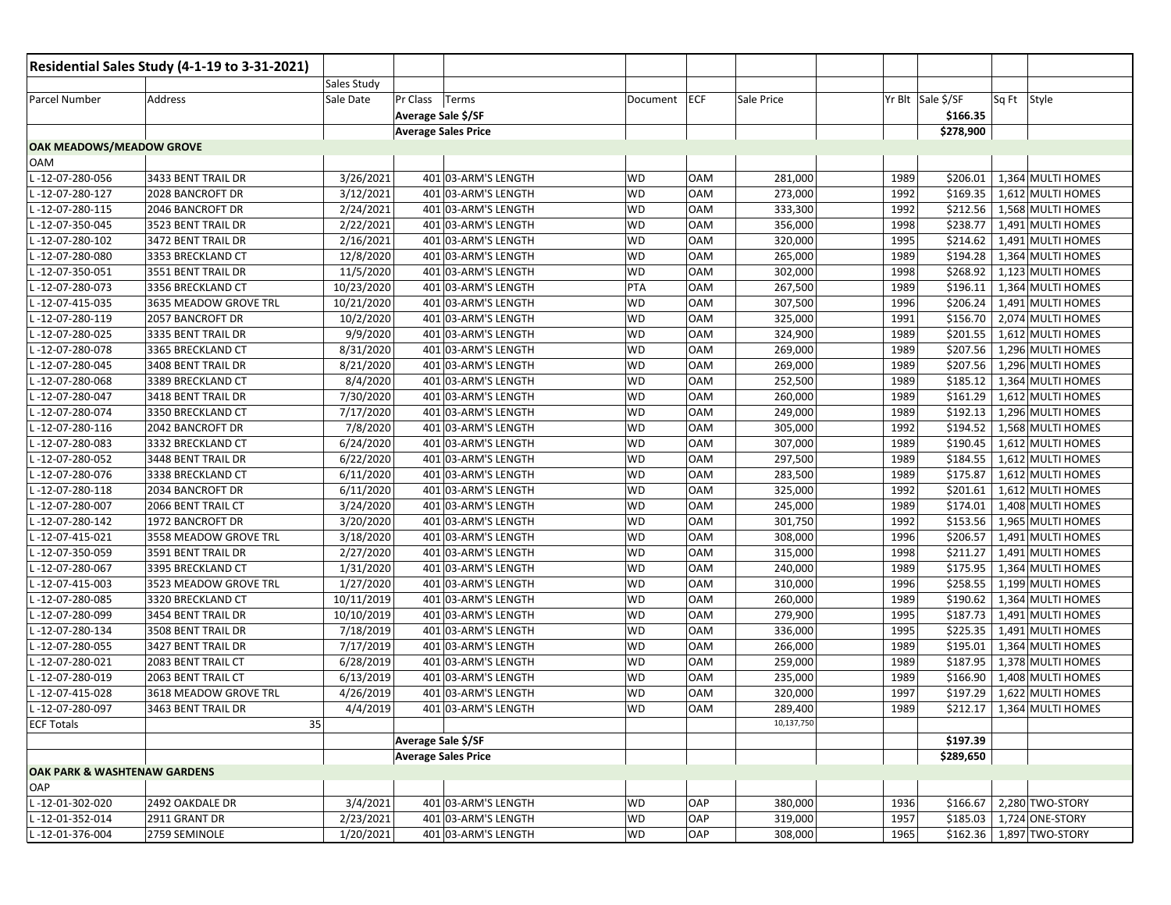|                                         | Residential Sales Study (4-1-19 to 3-31-2021) |                       |                            |           |            |            |      |                   |                          |
|-----------------------------------------|-----------------------------------------------|-----------------------|----------------------------|-----------|------------|------------|------|-------------------|--------------------------|
|                                         |                                               | Sales Study           |                            |           |            |            |      |                   |                          |
| Parcel Number                           | Address                                       | Sale Date<br>Pr Class | Terms                      | Document  | ECF        | Sale Price |      | Yr Blt Sale \$/SF | Sq Ft<br>Style           |
|                                         |                                               |                       | Average Sale \$/SF         |           |            |            |      | \$166.35          |                          |
|                                         |                                               |                       | <b>Average Sales Price</b> |           |            |            |      | \$278,900         |                          |
| OAK MEADOWS/MEADOW GROVE                |                                               |                       |                            |           |            |            |      |                   |                          |
| OAM                                     |                                               |                       |                            |           |            |            |      |                   |                          |
| -12-07-280-056                          | 3433 BENT TRAIL DR                            | 3/26/2021             | 401 03-ARM'S LENGTH        | <b>WD</b> | <b>OAM</b> | 281,000    | 1989 | \$206.01          | 1,364 MULTI HOMES        |
| -12-07-280-127                          | 2028 BANCROFT DR                              | 3/12/2021             | 401 03-ARM'S LENGTH        | <b>WD</b> | <b>OAM</b> | 273,000    | 1992 | \$169.35          | 1,612 MULTI HOMES        |
| -12-07-280-115                          | 2046 BANCROFT DR                              | 2/24/2021             | 401 03-ARM'S LENGTH        | <b>WD</b> | <b>OAM</b> | 333,300    | 1992 | \$212.56          | 1,568 MULTI HOMES        |
| $-12-07-350-045$                        | 3523 BENT TRAIL DR                            | 2/22/2021             | 401 03-ARM'S LENGTH        | <b>WD</b> | <b>OAM</b> | 356,000    | 1998 | \$238.77          | 1,491 MULTI HOMES        |
| -12-07-280-102                          | 3472 BENT TRAIL DR                            | 2/16/2021             | 401 03-ARM'S LENGTH        | WD        | <b>OAM</b> | 320,000    | 1995 | \$214.62          | 1,491 MULTI HOMES        |
| -12-07-280-080                          | 3353 BRECKLAND CT                             | 12/8/2020             | 401 03-ARM'S LENGTH        | <b>WD</b> | <b>OAM</b> | 265,000    | 1989 | \$194.28          | 1,364 MULTI HOMES        |
| -12-07-350-051                          | 3551 BENT TRAIL DR                            | 11/5/2020             | 401 03-ARM'S LENGTH        | <b>WD</b> | <b>OAM</b> | 302,000    | 1998 | \$268.92          | 1,123 MULTI HOMES        |
| -12-07-280-073                          | 3356 BRECKLAND CT                             | 10/23/2020            | 401 03-ARM'S LENGTH        | PTA       | <b>OAM</b> | 267,500    | 1989 | \$196.11          | 1,364 MULTI HOMES        |
| -12-07-415-035                          | 3635 MEADOW GROVE TRL                         | 10/21/2020            | 401 03-ARM'S LENGTH        | WD        | <b>OAM</b> | 307,500    | 1996 | \$206.24          | 1,491 MULTI HOMES        |
| -12-07-280-119                          | 2057 BANCROFT DR                              | 10/2/2020             | 401 03-ARM'S LENGTH        | <b>WD</b> | <b>OAM</b> | 325,000    | 1991 | \$156.70          | 2,074 MULTI HOMES        |
| -12-07-280-025                          | 3335 BENT TRAIL DR                            | 9/9/2020              | 401 03-ARM'S LENGTH        | <b>WD</b> | <b>OAM</b> | 324,900    | 1989 | \$201.55          | 1,612 MULTI HOMES        |
| -12-07-280-078                          | 3365 BRECKLAND CT                             | 8/31/2020             | 401 03-ARM'S LENGTH        | <b>WD</b> | <b>OAM</b> | 269,000    | 1989 | \$207.56          | 1,296 MULTI HOMES        |
| -12-07-280-045                          | 3408 BENT TRAIL DR                            | 8/21/2020             | 401 03-ARM'S LENGTH        | WD        | <b>OAM</b> | 269,000    | 1989 | \$207.56          | 1,296 MULTI HOMES        |
| -12-07-280-068                          | 3389 BRECKLAND CT                             | 8/4/2020              | 401 03-ARM'S LENGTH        | WD        | <b>OAM</b> | 252,500    | 1989 | \$185.12          | 1,364 MULTI HOMES        |
| -12-07-280-047                          | 3418 BENT TRAIL DR                            | 7/30/2020             | 401 03-ARM'S LENGTH        | <b>WD</b> | <b>OAM</b> | 260,000    | 1989 | 5161.29           | 1,612 MULTI HOMES        |
| -12-07-280-074                          | 3350 BRECKLAND CT                             | 7/17/2020             | 401 03-ARM'S LENGTH        | <b>WD</b> | <b>OAM</b> | 249,000    | 1989 | \$192.13          | 1,296 MULTI HOMES        |
| -12-07-280-116                          | 2042 BANCROFT DR                              | 7/8/2020              | 401 03-ARM'S LENGTH        | WD        | <b>OAM</b> | 305,000    | 1992 | \$194.52          | 1,568 MULTI HOMES        |
| -12-07-280-083                          | 3332 BRECKLAND CT                             | 6/24/2020             | 401 03-ARM'S LENGTH        | WD        | <b>OAM</b> | 307,000    | 1989 | \$190.45          | 1,612 MULTI HOMES        |
| -12-07-280-052                          | 3448 BENT TRAIL DR                            | 6/22/2020             | 401 03-ARM'S LENGTH        | WD        | <b>OAM</b> | 297,500    | 1989 | \$184.55          | 1,612 MULTI HOMES        |
| -12-07-280-076                          | 3338 BRECKLAND CT                             | 6/11/2020             | 401 03-ARM'S LENGTH        | <b>WD</b> | <b>OAM</b> | 283,500    | 1989 | \$175.87          | 1,612 MULTI HOMES        |
| -12-07-280-118                          | 2034 BANCROFT DR                              | 6/11/2020             | 401 03-ARM'S LENGTH        | <b>WD</b> | <b>OAM</b> | 325,000    | 1992 | \$201.61          | 1,612 MULTI HOMES        |
| -12-07-280-007                          | 2066 BENT TRAIL CT                            | 3/24/2020             | 401 03-ARM'S LENGTH        | <b>WD</b> | <b>OAM</b> | 245,000    | 1989 | \$174.01          | 1,408 MULTI HOMES        |
| -12-07-280-142                          | 1972 BANCROFT DR                              | 3/20/2020             | 401 03-ARM'S LENGTH        | <b>WD</b> | <b>OAM</b> | 301,750    | 1992 | \$153.56          | 1,965 MULTI HOMES        |
| -12-07-415-021                          | 3558 MEADOW GROVE TRL                         | 3/18/2020             | 401 03-ARM'S LENGTH        | <b>WD</b> | <b>OAM</b> | 308,000    | 1996 | \$206.57          | 1,491 MULTI HOMES        |
| -12-07-350-059                          | 3591 BENT TRAIL DR                            | 2/27/2020             | 401 03-ARM'S LENGTH        | <b>WD</b> | <b>OAM</b> | 315,000    | 1998 | \$211.27          | 1,491 MULTI HOMES        |
| -12-07-280-067                          | 3395 BRECKLAND CT                             | 1/31/2020             | 401 03-ARM'S LENGTH        | <b>WD</b> | <b>OAM</b> | 240,000    | 1989 | \$175.95          | 1,364 MULTI HOMES        |
| -12-07-415-003                          | 3523 MEADOW GROVE TRL                         | 1/27/2020             | 401 03-ARM'S LENGTH        | WD        | <b>OAM</b> | 310,000    | 1996 | \$258.55          | 1,199 MULTI HOMES        |
| -12-07-280-085                          | 3320 BRECKLAND CT                             | 10/11/2019            | 401 03-ARM'S LENGTH        | <b>WD</b> | <b>OAM</b> | 260,000    | 1989 | \$190.62          | 1,364 MULTI HOMES        |
| -12-07-280-099                          | 3454 BENT TRAIL DR                            | 10/10/2019            | 401 03-ARM'S LENGTH        | <b>WD</b> | <b>OAM</b> | 279,900    | 1995 | \$187.73          | 1,491 MULTI HOMES        |
| -12-07-280-134                          | 3508 BENT TRAIL DR                            | 7/18/2019             | 401 03-ARM'S LENGTH        | <b>WD</b> | <b>OAM</b> | 336,000    | 1995 | \$225.35          | 1,491 MULTI HOMES        |
| -12-07-280-055                          | 3427 BENT TRAIL DR                            | 7/17/2019             | 401 03-ARM'S LENGTH        | <b>WD</b> | <b>OAM</b> | 266,000    | 1989 | \$195.01          | 1,364 MULTI HOMES        |
| -12-07-280-021                          | 2083 BENT TRAIL CT                            | 6/28/2019             | 401 03-ARM'S LENGTH        | <b>WD</b> | <b>OAM</b> | 259,000    | 1989 | \$187.95          | 1,378 MULTI HOMES        |
| -12-07-280-019                          | 2063 BENT TRAIL CT                            | 6/13/2019             | 401 03-ARM'S LENGTH        | <b>WD</b> | <b>OAM</b> | 235,000    | 1989 | \$166.90          | 1,408 MULTI HOMES        |
| -12-07-415-028                          | 3618 MEADOW GROVE TRL                         | 4/26/2019             | 401 03-ARM'S LENGTH        | WD        | <b>OAM</b> | 320,000    | 1997 | \$197.29          | 1,622 MULTI HOMES        |
| -12-07-280-097                          | 3463 BENT TRAIL DR                            | 4/4/2019              | 401 03-ARM'S LENGTH        | <b>WD</b> | <b>OAM</b> | 289,400    | 1989 | \$212.17          | 1,364 MULTI HOMES        |
| <b>ECF Totals</b>                       | 35                                            |                       |                            |           |            | 10,137,750 |      |                   |                          |
|                                         |                                               |                       | Average Sale \$/SF         |           |            |            |      | \$197.39          |                          |
|                                         |                                               |                       | <b>Average Sales Price</b> |           |            |            |      | \$289,650         |                          |
| <b>OAK PARK &amp; WASHTENAW GARDENS</b> |                                               |                       |                            |           |            |            |      |                   |                          |
| OAP                                     |                                               |                       |                            |           |            |            |      |                   |                          |
| L-12-01-302-020                         | 2492 OAKDALE DR                               | 3/4/2021              | 401 03-ARM'S LENGTH        | <b>WD</b> | OAP        | 380,000    | 1936 | \$166.67          | 2,280 TWO-STORY          |
| L-12-01-352-014                         | 2911 GRANT DR                                 | 2/23/2021             | 401 03-ARM'S LENGTH        | <b>WD</b> | OAP        | 319,000    | 1957 | \$185.03          | 1,724 ONE-STORY          |
| L-12-01-376-004                         | 2759 SEMINOLE                                 | 1/20/2021             | 401 03-ARM'S LENGTH        | WD        | OAP        | 308,000    | 1965 |                   | \$162.36 1,897 TWO-STORY |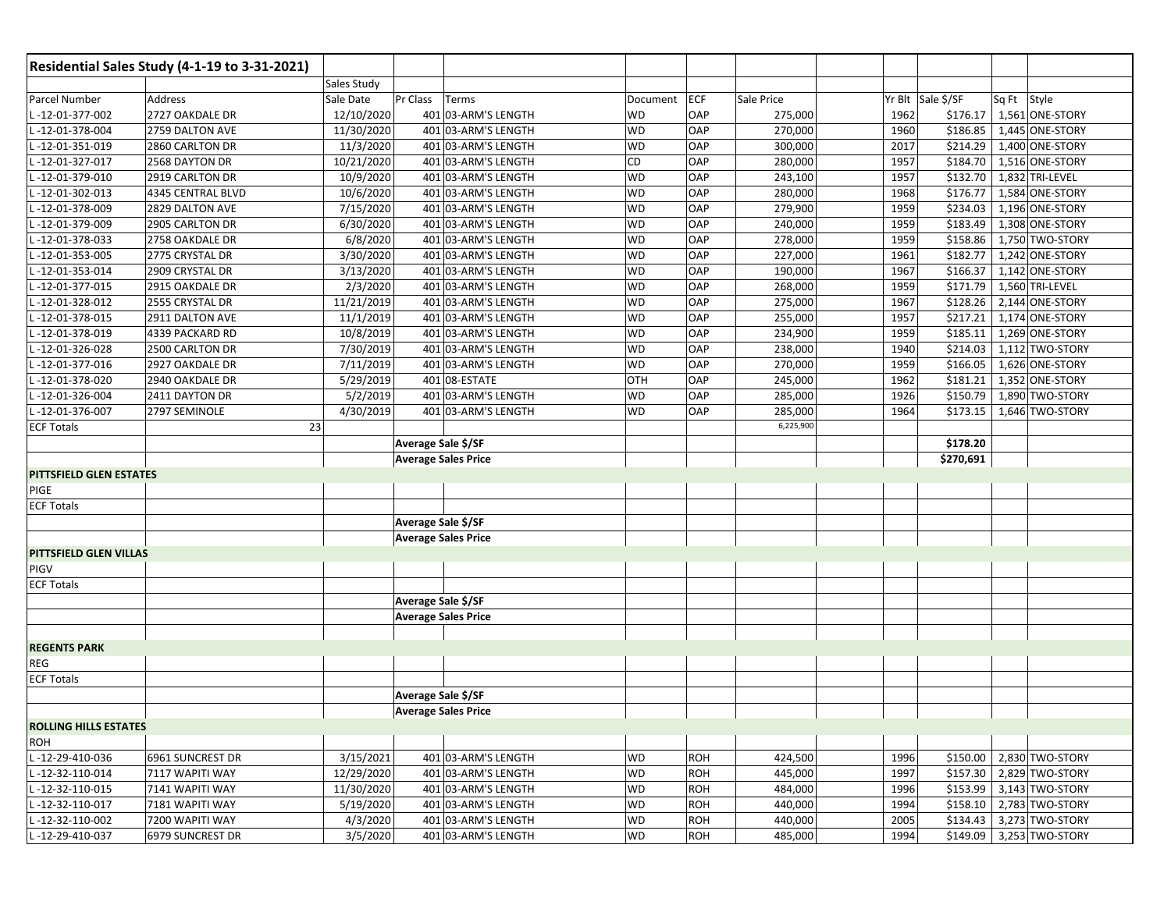|                              | Residential Sales Study (4-1-19 to 3-31-2021) |                            |                     |           |            |            |                   |           |             |                          |
|------------------------------|-----------------------------------------------|----------------------------|---------------------|-----------|------------|------------|-------------------|-----------|-------------|--------------------------|
|                              |                                               | Sales Study                |                     |           |            |            |                   |           |             |                          |
| Parcel Number                | Address                                       | Pr Class<br>Sale Date      | Terms               | Document  | ECF        | Sale Price | Yr Blt Sale \$/SF |           | Sq Ft Style |                          |
| L-12-01-377-002              | 2727 OAKDALE DR                               | 12/10/2020                 | 401 03-ARM'S LENGTH | WD        | OAP        | 275,000    | 1962              |           |             | \$176.17 1,561 ONE-STORY |
| L-12-01-378-004              | 2759 DALTON AVE                               | 11/30/2020                 | 401 03-ARM'S LENGTH | <b>WD</b> | OAP        | 270,000    | 1960              |           |             | \$186.85 1,445 ONE-STORY |
| -12-01-351-019               | 2860 CARLTON DR                               | 11/3/2020                  | 401 03-ARM'S LENGTH | WD        | OAP        | 300,000    | 2017              | \$214.29  |             | 1,400 ONE-STORY          |
| $-12 - 01 - 327 - 017$       | 2568 DAYTON DR                                | 10/21/2020                 | 401 03-ARM'S LENGTH | CD        | OAP        | 280,000    | 1957              | \$184.70  |             | 1,516 ONE-STORY          |
| $-12 - 01 - 379 - 010$       | 2919 CARLTON DR                               | 10/9/2020                  | 401 03-ARM'S LENGTH | <b>WD</b> | OAP        | 243,100    | 1957              | \$132.70  |             | $1,832$ TRI-LEVEL        |
| L-12-01-302-013              | 4345 CENTRAL BLVD                             | 10/6/2020                  | 401 03-ARM'S LENGTH | WD        | OAP        | 280,000    | 1968              | \$176.77  |             | 1,584 ONE-STORY          |
| L-12-01-378-009              | 2829 DALTON AVE                               | 7/15/2020                  | 401 03-ARM'S LENGTH | <b>WD</b> | OAP        | 279,900    | 1959              | \$234.03  |             | 1,196 ONE-STORY          |
| -12-01-379-009               | 2905 CARLTON DR                               | 6/30/2020                  | 401 03-ARM'S LENGTH | WD        | OAP        | 240,000    | 1959              | \$183.49  |             | 1,308 ONE-STORY          |
| $-12 - 01 - 378 - 033$       | 2758 OAKDALE DR                               | 6/8/2020                   | 401 03-ARM'S LENGTH | <b>WD</b> | OAP        | 278,000    | 1959              |           |             | \$158.86 1,750 TWO-STORY |
| L-12-01-353-005              | 2775 CRYSTAL DR                               | 3/30/2020                  | 401 03-ARM'S LENGTH | <b>WD</b> | OAP        | 227,000    | 1961              | \$182.77  |             | 1,242 ONE-STORY          |
| L-12-01-353-014              | 2909 CRYSTAL DR                               | 3/13/2020                  | 401 03-ARM'S LENGTH | <b>WD</b> | OAP        | 190,000    | 1967              | \$166.37  |             | 1,142 ONE-STORY          |
| $-12 - 01 - 377 - 015$       | 2915 OAKDALE DR                               | 2/3/2020                   | 401 03-ARM'S LENGTH | <b>WD</b> | OAP        | 268,000    | 1959              | \$171.79  |             | 1,560 TRI-LEVEL          |
| $-12 - 01 - 328 - 012$       | 2555 CRYSTAL DR                               | 11/21/2019                 | 401 03-ARM'S LENGTH | WD        | OAP        | 275,000    | 1967              | \$128.26  |             | 2,144 ONE-STORY          |
| L-12-01-378-015              | 2911 DALTON AVE                               | 11/1/2019                  | 401 03-ARM'S LENGTH | <b>WD</b> | OAP        | 255,000    | 1957              | \$217.21  |             | 1,174 ONE-STORY          |
| L-12-01-378-019              | 4339 PACKARD RD                               | 10/8/2019                  | 401 03-ARM'S LENGTH | <b>WD</b> | OAP        | 234,900    | 1959              | \$185.11  |             | 1,269 ONE-STORY          |
| L-12-01-326-028              | 2500 CARLTON DR                               | 7/30/2019                  | 401 03-ARM'S LENGTH | <b>WD</b> | OAP        | 238,000    | 1940              | \$214.03  |             | 1,112 TWO-STORY          |
| L-12-01-377-016              | 2927 OAKDALE DR                               | 7/11/2019                  | 401 03-ARM'S LENGTH | <b>WD</b> | OAP        | 270,000    | 1959              |           |             | \$166.05 1,626 ONE-STORY |
| L-12-01-378-020              | 2940 OAKDALE DR                               | 5/29/2019                  | 401 08-ESTATE       | OTH       | OAP        | 245,000    | 1962              |           |             | \$181.21 1,352 ONE-STORY |
| L-12-01-326-004              | 2411 DAYTON DR                                | 5/2/2019                   | 401 03-ARM'S LENGTH | <b>WD</b> | OAP        | 285,000    | 1926              | \$150.79  |             | 1,890 TWO-STORY          |
| -12-01-376-007               | 2797 SEMINOLE                                 | 4/30/2019                  | 401 03-ARM'S LENGTH | <b>WD</b> | OAP        | 285,000    | 1964              | \$173.15  |             | 1,646 TWO-STORY          |
| <b>ECF Totals</b>            | 23                                            |                            |                     |           |            | 6,225,900  |                   |           |             |                          |
|                              |                                               | Average Sale \$/SF         |                     |           |            |            |                   | \$178.20  |             |                          |
|                              |                                               | <b>Average Sales Price</b> |                     |           |            |            |                   | \$270,691 |             |                          |
| PITTSFIELD GLEN ESTATES      |                                               |                            |                     |           |            |            |                   |           |             |                          |
| <b>PIGE</b>                  |                                               |                            |                     |           |            |            |                   |           |             |                          |
| <b>ECF Totals</b>            |                                               |                            |                     |           |            |            |                   |           |             |                          |
|                              |                                               | Average Sale \$/SF         |                     |           |            |            |                   |           |             |                          |
|                              |                                               | <b>Average Sales Price</b> |                     |           |            |            |                   |           |             |                          |
| PITTSFIELD GLEN VILLAS       |                                               |                            |                     |           |            |            |                   |           |             |                          |
| <b>PIGV</b>                  |                                               |                            |                     |           |            |            |                   |           |             |                          |
| <b>ECF Totals</b>            |                                               |                            |                     |           |            |            |                   |           |             |                          |
|                              |                                               | Average Sale \$/SF         |                     |           |            |            |                   |           |             |                          |
|                              |                                               | <b>Average Sales Price</b> |                     |           |            |            |                   |           |             |                          |
|                              |                                               |                            |                     |           |            |            |                   |           |             |                          |
| <b>REGENTS PARK</b>          |                                               |                            |                     |           |            |            |                   |           |             |                          |
| <b>REG</b>                   |                                               |                            |                     |           |            |            |                   |           |             |                          |
| <b>ECF Totals</b>            |                                               |                            |                     |           |            |            |                   |           |             |                          |
|                              |                                               | Average Sale \$/SF         |                     |           |            |            |                   |           |             |                          |
|                              |                                               | <b>Average Sales Price</b> |                     |           |            |            |                   |           |             |                          |
| <b>ROLLING HILLS ESTATES</b> |                                               |                            |                     |           |            |            |                   |           |             |                          |
| <b>ROH</b>                   |                                               |                            |                     |           |            |            |                   |           |             |                          |
| L-12-29-410-036              | 6961 SUNCREST DR                              | 3/15/2021                  | 401 03-ARM'S LENGTH | WD        | <b>ROH</b> | 424,500    | 1996              |           |             | \$150.00 2,830 TWO-STORY |
| L-12-32-110-014              | 7117 WAPITI WAY                               | 12/29/2020                 | 401 03-ARM'S LENGTH | <b>WD</b> | <b>ROH</b> | 445,000    | 1997              |           |             | \$157.30 2,829 TWO-STORY |
| L-12-32-110-015              | 7141 WAPITI WAY                               | 11/30/2020                 | 401 03-ARM'S LENGTH | <b>WD</b> | <b>ROH</b> | 484,000    | 1996              | \$153.99  |             | 3,143 TWO-STORY          |
| L-12-32-110-017              | 7181 WAPITI WAY                               | 5/19/2020                  | 401 03-ARM'S LENGTH | <b>WD</b> | <b>ROH</b> | 440,000    | 1994              | \$158.10  |             | 2,783 TWO-STORY          |
| L-12-32-110-002              | 7200 WAPITI WAY                               | 4/3/2020                   | 401 03-ARM'S LENGTH | WD        | <b>ROH</b> | 440,000    | 2005              | \$134.43  |             | 3,273 TWO-STORY          |
| L-12-29-410-037              | 6979 SUNCREST DR                              | 3/5/2020                   | 401 03-ARM'S LENGTH | <b>WD</b> | <b>ROH</b> | 485,000    | 1994              |           |             | \$149.09 3,253 TWO-STORY |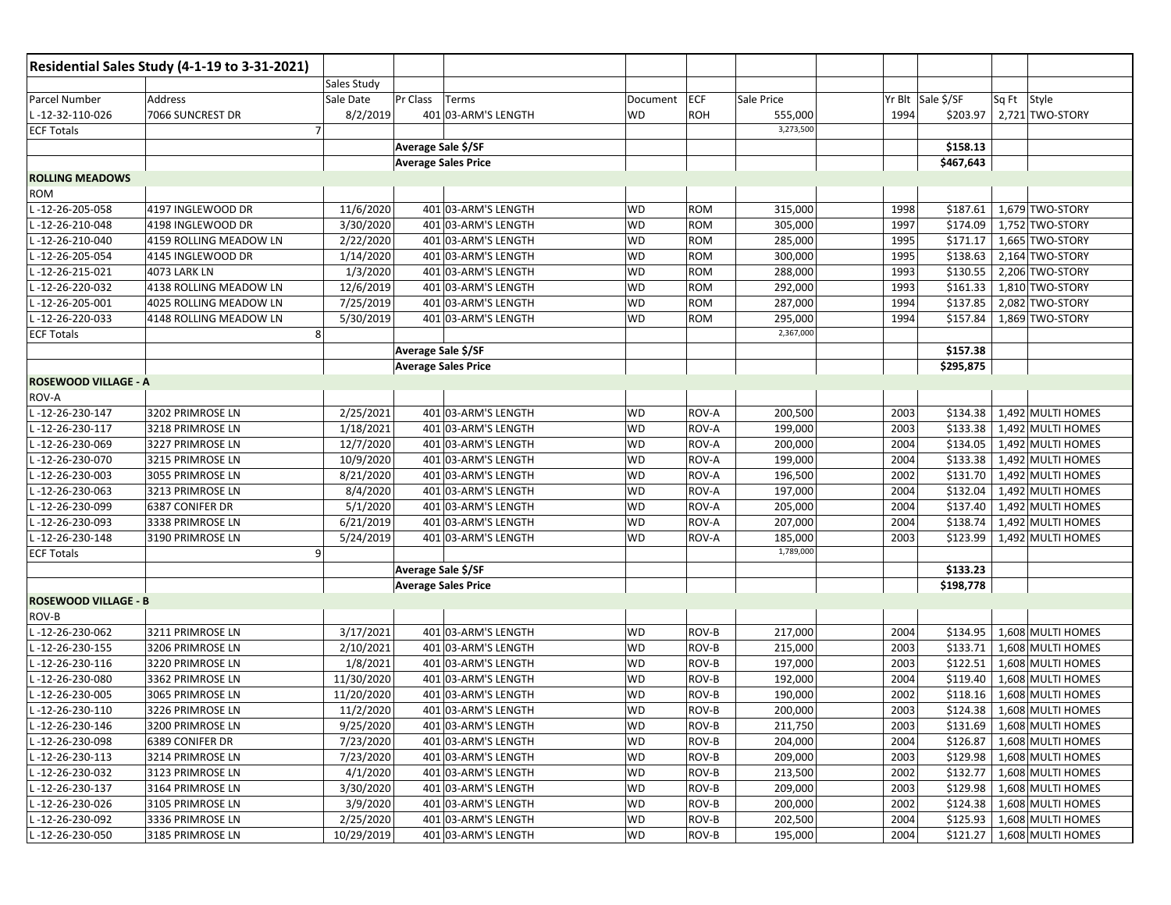|                             | Residential Sales Study (4-1-19 to 3-31-2021) |             |                            |                     |           |              |            |      |                   |                            |
|-----------------------------|-----------------------------------------------|-------------|----------------------------|---------------------|-----------|--------------|------------|------|-------------------|----------------------------|
|                             |                                               | Sales Study |                            |                     |           |              |            |      |                   |                            |
| Parcel Number               | Address                                       | Sale Date   | Pr Class                   | Terms               | Document  | ECF          | Sale Price |      | Yr Blt Sale \$/SF | Sq Ft Style                |
| L-12-32-110-026             | 7066 SUNCREST DR                              | 8/2/2019    |                            | 401 03-ARM'S LENGTH | WD        | <b>ROH</b>   | 555,000    | 1994 | \$203.97          | 2,721 TWO-STORY            |
| <b>ECF Totals</b>           | $\overline{7}$                                |             |                            |                     |           |              | 3,273,500  |      |                   |                            |
|                             |                                               |             | Average Sale \$/SF         |                     |           |              |            |      | \$158.13          |                            |
|                             |                                               |             | <b>Average Sales Price</b> |                     |           |              |            |      | \$467,643         |                            |
| <b>ROLLING MEADOWS</b>      |                                               |             |                            |                     |           |              |            |      |                   |                            |
| ROM                         |                                               |             |                            |                     |           |              |            |      |                   |                            |
| L-12-26-205-058             | 4197 INGLEWOOD DR                             | 11/6/2020   |                            | 401 03-ARM'S LENGTH | <b>WD</b> | <b>ROM</b>   | 315,000    | 1998 | \$187.61          | 1,679 TWO-STORY            |
| -12-26-210-048              | 4198 INGLEWOOD DR                             | 3/30/2020   |                            | 401 03-ARM'S LENGTH | WD        | <b>ROM</b>   | 305,000    | 1997 | \$174.09          | 1,752 TWO-STORY            |
| $-12-26-210-040$            | 4159 ROLLING MEADOW LN                        | 2/22/2020   |                            | 401 03-ARM'S LENGTH | <b>WD</b> | <b>ROM</b>   | 285,000    | 1995 | \$171.17          | 1,665 TWO-STORY            |
| -12-26-205-054              | 4145 INGLEWOOD DR                             | 1/14/2020   |                            | 401 03-ARM'S LENGTH | WD        | ROM          | 300,000    | 1995 | \$138.63          | 2,164 TWO-STORY            |
| -12-26-215-021              | 4073 LARK LN                                  | 1/3/2020    |                            | 401 03-ARM'S LENGTH | <b>WD</b> | <b>ROM</b>   | 288,000    | 1993 | \$130.55          | 2,206 TWO-STORY            |
| -12-26-220-032              | 4138 ROLLING MEADOW LN                        | 12/6/2019   |                            | 401 03-ARM'S LENGTH | WD        | <b>ROM</b>   | 292,000    | 1993 | \$161.33          | 1,810 TWO-STORY            |
| $-12 - 26 - 205 - 001$      | 4025 ROLLING MEADOW LN                        | 7/25/2019   |                            | 401 03-ARM'S LENGTH | WD        | <b>ROM</b>   | 287,000    | 1994 | \$137.85          | 2,082 TWO-STORY            |
| $-12-26-220-033$            | 4148 ROLLING MEADOW LN                        | 5/30/2019   |                            | 401 03-ARM'S LENGTH | WD        | <b>ROM</b>   | 295,000    | 1994 | \$157.84          | 1,869 TWO-STORY            |
| <b>ECF Totals</b>           | 8                                             |             |                            |                     |           |              | 2,367,000  |      |                   |                            |
|                             |                                               |             | Average Sale \$/SF         |                     |           |              |            |      | \$157.38          |                            |
|                             |                                               |             | <b>Average Sales Price</b> |                     |           |              |            |      | \$295,875         |                            |
| <b>ROSEWOOD VILLAGE - A</b> |                                               |             |                            |                     |           |              |            |      |                   |                            |
| ROV-A                       |                                               |             |                            |                     |           |              |            |      |                   |                            |
| -12-26-230-147              | 3202 PRIMROSE LN                              | 2/25/2021   |                            | 401 03-ARM'S LENGTH | WD        | <b>ROV-A</b> | 200,500    | 2003 | \$134.38          | 1,492 MULTI HOMES          |
| -12-26-230-117              | 3218 PRIMROSE LN                              | 1/18/2021   |                            | 401 03-ARM'S LENGTH | WD        | ROV-A        | 199,000    | 2003 | \$133.38          | 1,492 MULTI HOMES          |
| -12-26-230-069              | 3227 PRIMROSE LN                              | 12/7/2020   |                            | 401 03-ARM'S LENGTH | WD        | ROV-A        | 200,000    | 2004 | \$134.05          | 1,492 MULTI HOMES          |
| -12-26-230-070              | 3215 PRIMROSE LN                              | 10/9/2020   |                            | 401 03-ARM'S LENGTH | WD        | ROV-A        | 199,000    | 2004 | \$133.38          | 1,492 MULTI HOMES          |
| -12-26-230-003              | 3055 PRIMROSE LN                              | 8/21/2020   |                            | 401 03-ARM'S LENGTH | WD        | ROV-A        | 196,500    | 2002 | \$131.70          | 1,492 MULTI HOMES          |
| -12-26-230-063              | 3213 PRIMROSE LN                              | 8/4/2020    |                            | 401 03-ARM'S LENGTH | WD        | ROV-A        | 197,000    | 2004 | \$132.04          | 1,492 MULTI HOMES          |
| -12-26-230-099              | 6387 CONIFER DR                               | 5/1/2020    |                            | 401 03-ARM'S LENGTH | WD        | ROV-A        | 205,000    | 2004 | \$137.40          | 1,492 MULTI HOMES          |
| $-12-26-230-093$            | 3338 PRIMROSE LN                              | 6/21/2019   |                            | 401 03-ARM'S LENGTH | WD        | ROV-A        | 207,000    | 2004 | \$138.74          | 1,492 MULTI HOMES          |
| -12-26-230-148              | 3190 PRIMROSE LN                              | 5/24/2019   |                            | 401 03-ARM'S LENGTH | WD        | ROV-A        | 185,000    | 2003 | \$123.99          | 1,492 MULTI HOMES          |
| <b>ECF Totals</b>           | 9                                             |             |                            |                     |           |              | 1,789,000  |      |                   |                            |
|                             |                                               |             | Average Sale \$/SF         |                     |           |              |            |      | \$133.23          |                            |
|                             |                                               |             | <b>Average Sales Price</b> |                     |           |              |            |      | \$198,778         |                            |
| <b>ROSEWOOD VILLAGE - B</b> |                                               |             |                            |                     |           |              |            |      |                   |                            |
| ROV-B                       |                                               |             |                            |                     |           |              |            |      |                   |                            |
| -12-26-230-062              | 3211 PRIMROSE LN                              | 3/17/2021   |                            | 401 03-ARM'S LENGTH | WD        | ROV-B        | 217,000    | 2004 | \$134.95          | 1,608 MULTI HOMES          |
| $-12-26-230-155$            | 3206 PRIMROSE LN                              | 2/10/2021   |                            | 401 03-ARM'S LENGTH | WD        | ROV-B        | 215,000    | 2003 | \$133.71          | 1,608 MULTI HOMES          |
| -12-26-230-116              | 3220 PRIMROSE LN                              | 1/8/2021    |                            | 401 03-ARM'S LENGTH | WD        | ROV-B        | 197,000    | 2003 | \$122.51          | 1,608 MULTI HOMES          |
| L-12-26-230-080             | 3362 PRIMROSE LN                              | 11/30/2020  |                            | 401 03-ARM'S LENGTH | WD        | ROV-B        | 192,000    | 2004 | \$119.40          | 1,608 MULTI HOMES          |
| $-12-26-230-005$            | 3065 PRIMROSE LN                              | 11/20/2020  |                            | 401 03-ARM'S LENGTH | WD        | ROV-B        | 190,000    | 2002 | \$118.16          | 1,608 MULTI HOMES          |
| L-12-26-230-110             | 3226 PRIMROSE LN                              | 11/2/2020   |                            | 401 03-ARM'S LENGTH | <b>WD</b> | ROV-B        | 200,000    | 2003 |                   | \$124.38 1,608 MULTI HOMES |
| L-12-26-230-146             | 3200 PRIMROSE LN                              | 9/25/2020   |                            | 401 03-ARM'S LENGTH | WD        | ROV-B        | 211,750    | 2003 | \$131.69          | 1,608 MULTI HOMES          |
| L-12-26-230-098             | 6389 CONIFER DR                               | 7/23/2020   |                            | 401 03-ARM'S LENGTH | WD        | ROV-B        | 204,000    | 2004 | \$126.87          | 1,608 MULTI HOMES          |
| L-12-26-230-113             | 3214 PRIMROSE LN                              | 7/23/2020   |                            | 401 03-ARM'S LENGTH | WD        | ROV-B        | 209,000    | 2003 | \$129.98          | 1,608 MULTI HOMES          |
| L-12-26-230-032             | 3123 PRIMROSE LN                              | 4/1/2020    |                            | 401 03-ARM'S LENGTH | WD        | ROV-B        | 213,500    | 2002 | \$132.77          | 1,608 MULTI HOMES          |
| L-12-26-230-137             | 3164 PRIMROSE LN                              | 3/30/2020   |                            | 401 03-ARM'S LENGTH | WD        | ROV-B        | 209,000    | 2003 | \$129.98          | 1,608 MULTI HOMES          |
| L-12-26-230-026             | 3105 PRIMROSE LN                              | 3/9/2020    |                            | 401 03-ARM'S LENGTH | WD        | ROV-B        | 200,000    | 2002 | \$124.38          | 1,608 MULTI HOMES          |
| L-12-26-230-092             | 3336 PRIMROSE LN                              | 2/25/2020   |                            | 401 03-ARM'S LENGTH | WD        | ROV-B        | 202,500    | 2004 | \$125.93          | 1,608 MULTI HOMES          |
| L-12-26-230-050             | 3185 PRIMROSE LN                              | 10/29/2019  |                            | 401 03-ARM'S LENGTH | WD        | ROV-B        | 195,000    | 2004 | \$121.27          | 1,608 MULTI HOMES          |
|                             |                                               |             |                            |                     |           |              |            |      |                   |                            |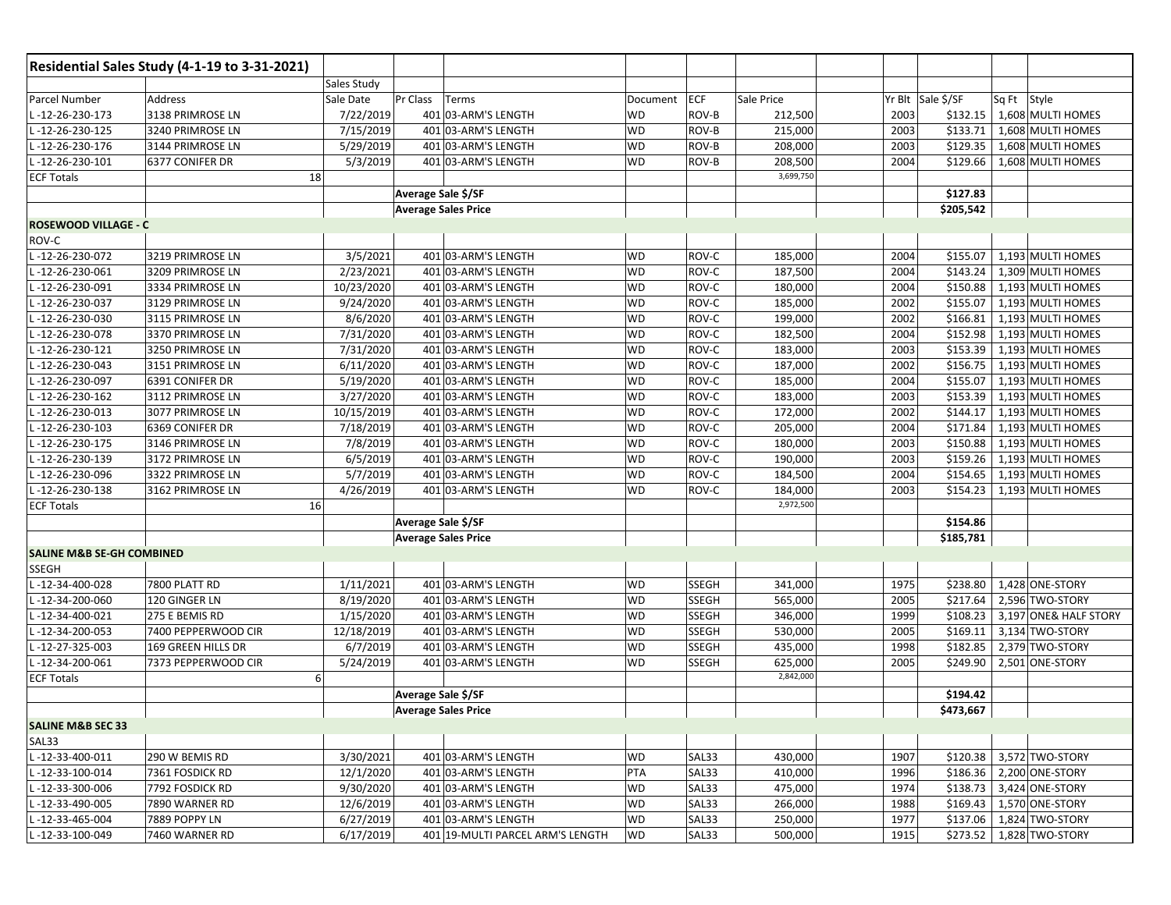|                                      | Residential Sales Study (4-1-19 to 3-31-2021) |                    |                                  |           |              |            |      |                   |             |                          |
|--------------------------------------|-----------------------------------------------|--------------------|----------------------------------|-----------|--------------|------------|------|-------------------|-------------|--------------------------|
|                                      |                                               | <b>Sales Study</b> |                                  |           |              |            |      |                   |             |                          |
| Parcel Number                        | Address                                       | Sale Date          | Pr Class<br>Terms                | Document  | <b>ECF</b>   | Sale Price |      | Yr Blt Sale \$/SF | Sq Ft Style |                          |
| L-12-26-230-173                      | 3138 PRIMROSE LN                              | 7/22/2019          | 401 03-ARM'S LENGTH              | WD        | ROV-B        | 212,500    | 2003 | \$132.15          |             | 1,608 MULTI HOMES        |
| L-12-26-230-125                      | 3240 PRIMROSE LN                              | 7/15/2019          | 401 03-ARM'S LENGTH              | <b>WD</b> | ROV-B        | 215,000    | 2003 | \$133.71          |             | 1,608 MULTI HOMES        |
| L-12-26-230-176                      | 3144 PRIMROSE LN                              | 5/29/2019          | 401 03-ARM'S LENGTH              | WD        | ROV-B        | 208,000    | 2003 | \$129.35          |             | 1,608 MULTI HOMES        |
| L-12-26-230-101                      | 6377 CONIFER DR                               | 5/3/2019           | 401 03-ARM'S LENGTH              | WD        | ROV-B        | 208,500    | 2004 | \$129.66          |             | 1,608 MULTI HOMES        |
| <b>ECF Totals</b>                    | 18                                            |                    |                                  |           |              | 3,699,750  |      |                   |             |                          |
|                                      |                                               |                    | Average Sale \$/SF               |           |              |            |      | \$127.83          |             |                          |
|                                      |                                               |                    | <b>Average Sales Price</b>       |           |              |            |      | \$205,542         |             |                          |
| <b>ROSEWOOD VILLAGE - C</b>          |                                               |                    |                                  |           |              |            |      |                   |             |                          |
| ROV-C                                |                                               |                    |                                  |           |              |            |      |                   |             |                          |
| L-12-26-230-072                      | 3219 PRIMROSE LN                              | 3/5/2021           | 401 03-ARM'S LENGTH              | WD        | ROV-C        | 185,000    | 2004 | \$155.07          |             | 1,193 MULTI HOMES        |
| L-12-26-230-061                      | 3209 PRIMROSE LN                              | 2/23/2021          | 401 03-ARM'S LENGTH              | WD        | ROV-C        | 187,500    | 2004 | \$143.24          |             | 1,309 MULTI HOMES        |
| L-12-26-230-091                      | 3334 PRIMROSE LN                              | 10/23/2020         | 401 03-ARM'S LENGTH              | <b>WD</b> | ROV-C        | 180,000    | 2004 | \$150.88          |             | 1,193 MULTI HOMES        |
| L-12-26-230-037                      | 3129 PRIMROSE LN                              | 9/24/2020          | 401 03-ARM'S LENGTH              | WD        | ROV-C        | 185,000    | 2002 | \$155.07          |             | 1,193 MULTI HOMES        |
| L-12-26-230-030                      | 3115 PRIMROSE LN                              | 8/6/2020           | 401 03-ARM'S LENGTH              | WD        | ROV-C        | 199,000    | 2002 | \$166.81          |             | 1,193 MULTI HOMES        |
| L-12-26-230-078                      | 3370 PRIMROSE LN                              | 7/31/2020          | 401 03-ARM'S LENGTH              | WD        | ROV-C        | 182,500    | 2004 | \$152.98          |             | 1,193 MULTI HOMES        |
| L-12-26-230-121                      | 3250 PRIMROSE LN                              | 7/31/2020          | 401 03-ARM'S LENGTH              | WD        | ROV-C        | 183,000    | 2003 | \$153.39          |             | 1,193 MULTI HOMES        |
| L-12-26-230-043                      | 3151 PRIMROSE LN                              | 6/11/2020          | 401 03-ARM'S LENGTH              | WD        | ROV-C        | 187,000    | 2002 | \$156.75          |             | 1,193 MULTI HOMES        |
| L-12-26-230-097                      | 6391 CONIFER DR                               | 5/19/2020          | 401 03-ARM'S LENGTH              | <b>WD</b> | ROV-C        | 185,000    | 2004 | \$155.07          |             | 1,193 MULTI HOMES        |
| L-12-26-230-162                      | 3112 PRIMROSE LN                              | 3/27/2020          | 401 03-ARM'S LENGTH              | WD        | ROV-C        | 183,000    | 2003 | \$153.39          |             | 1,193 MULTI HOMES        |
| L-12-26-230-013                      | 3077 PRIMROSE LN                              | 10/15/2019         | 401 03-ARM'S LENGTH              | WD        | ROV-C        | 172,000    | 2002 | \$144.17          |             | 1,193 MULTI HOMES        |
| L-12-26-230-103                      | 6369 CONIFER DR                               | 7/18/2019          | 401 03-ARM'S LENGTH              | WD        | ROV-C        | 205,000    | 2004 | \$171.84          |             | 1,193 MULTI HOMES        |
| -12-26-230-175                       | 3146 PRIMROSE LN                              | 7/8/2019           | 401 03-ARM'S LENGTH              | WD        | ROV-C        | 180,000    | 2003 | \$150.88          |             | 1,193 MULTI HOMES        |
| L-12-26-230-139                      | 3172 PRIMROSE LN                              | 6/5/2019           | 401 03-ARM'S LENGTH              | WD        | ROV-C        | 190,000    | 2003 | \$159.26          |             | 1,193 MULTI HOMES        |
| L-12-26-230-096                      | 3322 PRIMROSE LN                              | 5/7/2019           | 401 03-ARM'S LENGTH              | WD        | ROV-C        | 184,500    | 2004 | \$154.65          |             | 1,193 MULTI HOMES        |
| L-12-26-230-138                      | 3162 PRIMROSE LN                              | 4/26/2019          | 401 03-ARM'S LENGTH              | WD        | ROV-C        | 184,000    | 2003 | \$154.23          |             | 1,193 MULTI HOMES        |
| <b>ECF Totals</b>                    | 16                                            |                    |                                  |           |              | 2,972,500  |      |                   |             |                          |
|                                      |                                               |                    | Average Sale \$/SF               |           |              |            |      | \$154.86          |             |                          |
|                                      |                                               |                    | <b>Average Sales Price</b>       |           |              |            |      | \$185,781         |             |                          |
| <b>SALINE M&amp;B SE-GH COMBINED</b> |                                               |                    |                                  |           |              |            |      |                   |             |                          |
| <b>SSEGH</b>                         |                                               |                    |                                  |           |              |            |      |                   |             |                          |
| L-12-34-400-028                      | 7800 PLATT RD                                 | 1/11/2021          | 401 03-ARM'S LENGTH              | WD        | <b>SSEGH</b> | 341,000    | 1975 | \$238.80          |             | 1,428 ONE-STORY          |
| L-12-34-200-060                      | 120 GINGER LN                                 | 8/19/2020          | 401 03-ARM'S LENGTH              | <b>WD</b> | <b>SSEGH</b> | 565,000    | 2005 | \$217.64          |             | 2,596 TWO-STORY          |
| L-12-34-400-021                      | 275 E BEMIS RD                                | 1/15/2020          | 401 03-ARM'S LENGTH              | <b>WD</b> | <b>SSEGH</b> | 346,000    | 1999 | \$108.23          |             | 3,197 ONE& HALF STORY    |
| L-12-34-200-053                      | 7400 PEPPERWOOD CIR                           | 12/18/2019         | 401 03-ARM'S LENGTH              | <b>WD</b> | <b>SSEGH</b> | 530,000    | 2005 | \$169.11          |             | 3,134 TWO-STORY          |
| L-12-27-325-003                      | 169 GREEN HILLS DR                            | 6/7/2019           | 401 03-ARM'S LENGTH              | WD        | <b>SSEGH</b> | 435,000    | 1998 | \$182.85          |             | 2,379 TWO-STORY          |
| L-12-34-200-061                      | 7373 PEPPERWOOD CIR                           | 5/24/2019          | 401 03-ARM'S LENGTH              | WD        | <b>SSEGH</b> | 625,000    | 2005 | \$249.90          |             | 2,501 ONE-STORY          |
| <b>ECF Totals</b>                    |                                               | 6 <sup>1</sup>     |                                  |           |              | 2,842,000  |      |                   |             |                          |
|                                      |                                               |                    | Average Sale \$/SF               |           |              |            |      | \$194.42          |             |                          |
|                                      |                                               |                    | <b>Average Sales Price</b>       |           |              |            |      | \$473,667         |             |                          |
| <b>SALINE M&amp;B SEC 33</b>         |                                               |                    |                                  |           |              |            |      |                   |             |                          |
| SAL33                                |                                               |                    |                                  |           |              |            |      |                   |             |                          |
| $L - 12 - 33 - 400 - 011$            | 290 W BEMIS RD                                | 3/30/2021          | 401 03-ARM'S LENGTH              | <b>WD</b> | SAL33        | 430,000    | 1907 |                   |             | \$120.38 3,572 TWO-STORY |
| L-12-33-100-014                      | 7361 FOSDICK RD                               | 12/1/2020          | 401 03-ARM'S LENGTH              | PTA       | SAL33        | 410,000    | 1996 |                   |             | \$186.36 2,200 ONE-STORY |
| L-12-33-300-006                      | 7792 FOSDICK RD                               | 9/30/2020          | 401 03-ARM'S LENGTH              | WD        | SAL33        | 475,000    | 1974 | \$138.73          |             | 3,424 ONE-STORY          |
| L-12-33-490-005                      | 7890 WARNER RD                                | 12/6/2019          | 401 03-ARM'S LENGTH              | WD        | SAL33        | 266,000    | 1988 | \$169.43          |             | 1,570 ONE-STORY          |
| L-12-33-465-004                      | 7889 POPPY LN                                 | 6/27/2019          | 401 03-ARM'S LENGTH              | <b>WD</b> | SAL33        | 250,000    | 1977 |                   |             | \$137.06 1,824 TWO-STORY |
| L-12-33-100-049                      | 7460 WARNER RD                                | 6/17/2019          | 401 19-MULTI PARCEL ARM'S LENGTH | <b>WD</b> | SAL33        | 500,000    | 1915 |                   |             | \$273.52 1,828 TWO-STORY |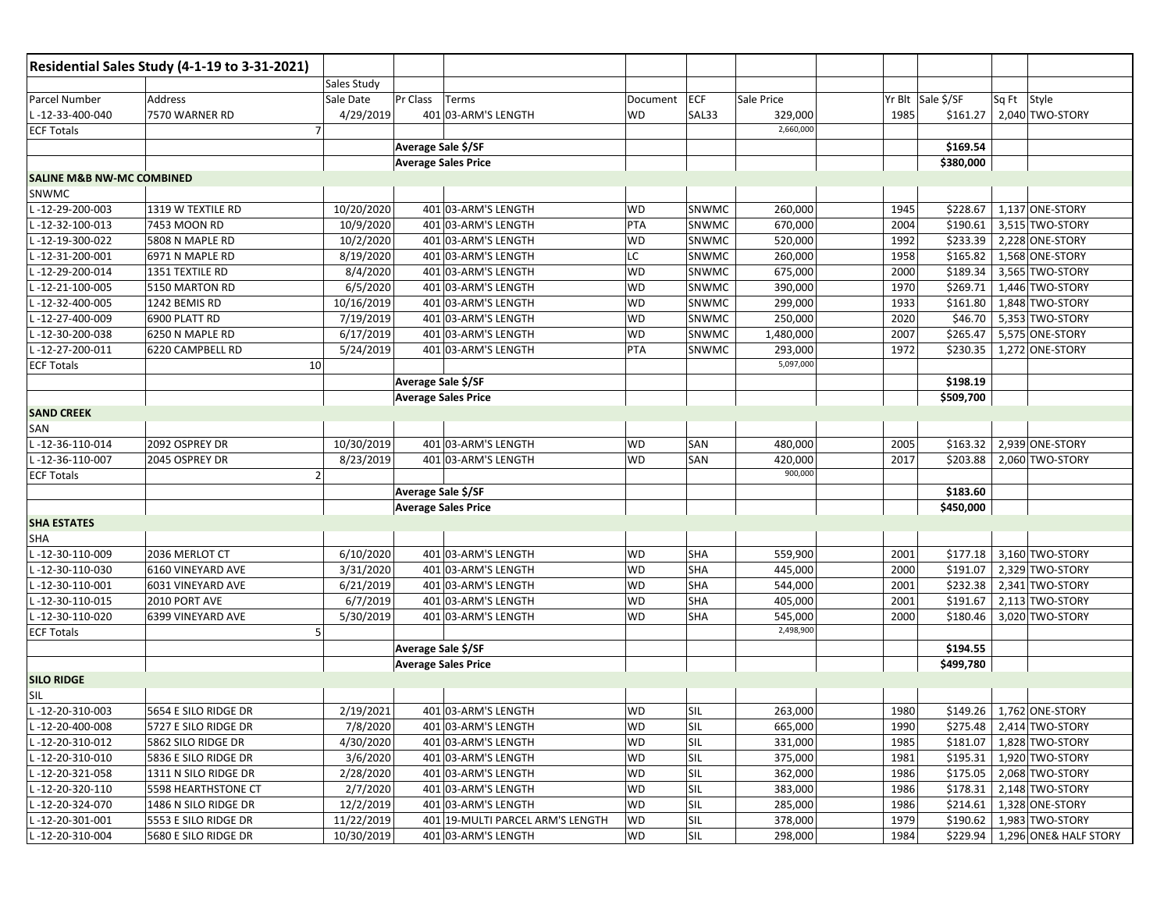|                                      | Residential Sales Study (4-1-19 to 3-31-2021) |                       |                                  |           |            |            |                   |             |                                |
|--------------------------------------|-----------------------------------------------|-----------------------|----------------------------------|-----------|------------|------------|-------------------|-------------|--------------------------------|
|                                      |                                               | Sales Study           |                                  |           |            |            |                   |             |                                |
| Parcel Number                        | Address                                       | Pr Class<br>Sale Date | Terms                            | Document  | ECF        | Sale Price | Yr Blt Sale \$/SF | Sq Ft Style |                                |
| L-12-33-400-040                      | 7570 WARNER RD                                | 4/29/2019             | 401 03-ARM'S LENGTH              | <b>WD</b> | SAL33      | 329,000    | 1985<br>\$161.27  |             | 2,040 TWO-STORY                |
| <b>ECF Totals</b>                    | $\overline{7}$                                |                       |                                  |           |            | 2,660,000  |                   |             |                                |
|                                      |                                               | Average Sale \$/SF    |                                  |           |            |            | \$169.54          |             |                                |
|                                      |                                               |                       | <b>Average Sales Price</b>       |           |            |            | \$380,000         |             |                                |
| <b>SALINE M&amp;B NW-MC COMBINED</b> |                                               |                       |                                  |           |            |            |                   |             |                                |
| SNWMC                                |                                               |                       |                                  |           |            |            |                   |             |                                |
| L-12-29-200-003                      | 1319 W TEXTILE RD                             | 10/20/2020            | 401 03-ARM'S LENGTH              | WD        | SNWMC      | 260,000    | 1945<br>\$228.67  |             | 1,137 ONE-STORY                |
| $-12-32-100-013$                     | 7453 MOON RD                                  | 10/9/2020             | 401 03-ARM'S LENGTH              | PTA       | SNWMC      | 670,000    | \$190.61<br>2004  |             | 3,515 TWO-STORY                |
| $-12-19-300-022$                     | 5808 N MAPLE RD                               | 10/2/2020             | 401 03-ARM'S LENGTH              | WD        | SNWMC      | 520,000    | 1992<br>\$233.39  |             | 2,228 ONE-STORY                |
| -12-31-200-001                       | 6971 N MAPLE RD                               | 8/19/2020             | 401 03-ARM'S LENGTH              | LC        | SNWMC      | 260,000    | 1958<br>\$165.82  |             | 1,568 ONE-STORY                |
| -12-29-200-014                       | 1351 TEXTILE RD                               | 8/4/2020              | 401 03-ARM'S LENGTH              | WD        | SNWMC      | 675,000    | 2000<br>\$189.34  |             | 3,565 TWO-STORY                |
| -12-21-100-005                       | 5150 MARTON RD                                | 6/5/2020              | 401 03-ARM'S LENGTH              | <b>WD</b> | SNWMC      | 390,000    | 1970<br>\$269.71  |             | 1,446 TWO-STORY                |
| -12-32-400-005                       | 1242 BEMIS RD                                 | 10/16/2019            | 401 03-ARM'S LENGTH              | WD        | SNWMC      | 299,000    | 1933<br>\$161.80  |             | 1,848 TWO-STORY                |
| L-12-27-400-009                      | 6900 PLATT RD                                 | 7/19/2019             | 401 03-ARM'S LENGTH              | <b>WD</b> | SNWMC      | 250,000    | 2020<br>\$46.70   |             | 5,353 TWO-STORY                |
| L-12-30-200-038                      | 6250 N MAPLE RD                               | 6/17/2019             | 401 03-ARM'S LENGTH              | WD        | SNWMC      | 1,480,000  | \$265.47<br>2007  |             | 5,575 ONE-STORY                |
| L-12-27-200-011                      | 6220 CAMPBELL RD                              | 5/24/2019             | 401 03-ARM'S LENGTH              | PTA       | SNWMC      | 293,000    | 1972<br>\$230.35  |             | 1,272 ONE-STORY                |
| <b>ECF Totals</b>                    | 10                                            |                       |                                  |           |            | 5,097,000  |                   |             |                                |
|                                      |                                               | Average Sale \$/SF    |                                  |           |            |            | \$198.19          |             |                                |
|                                      |                                               |                       | <b>Average Sales Price</b>       |           |            |            | \$509,700         |             |                                |
| <b>SAND CREEK</b>                    |                                               |                       |                                  |           |            |            |                   |             |                                |
| SAN                                  |                                               |                       |                                  |           |            |            |                   |             |                                |
| L-12-36-110-014                      | 2092 OSPREY DR                                | 10/30/2019            | 401 03-ARM'S LENGTH              | <b>WD</b> | SAN        | 480,000    | \$163.32<br>2005  |             | 2,939 ONE-STORY                |
| L-12-36-110-007                      | 2045 OSPREY DR                                | 8/23/2019             | 401 03-ARM'S LENGTH              | <b>WD</b> | SAN        | 420,000    | 2017<br>\$203.88  |             | 2,060 TWO-STORY                |
| <b>ECF Totals</b>                    | $\overline{2}$                                |                       |                                  |           |            | 900,000    |                   |             |                                |
|                                      |                                               | Average Sale \$/SF    |                                  |           |            |            | \$183.60          |             |                                |
|                                      |                                               |                       | <b>Average Sales Price</b>       |           |            |            | \$450,000         |             |                                |
| <b>SHA ESTATES</b>                   |                                               |                       |                                  |           |            |            |                   |             |                                |
| <b>SHA</b>                           |                                               |                       |                                  |           |            |            |                   |             |                                |
| L-12-30-110-009                      | 2036 MERLOT CT                                | 6/10/2020             | 401 03-ARM'S LENGTH              | WD        | <b>SHA</b> | 559,900    | 2001<br>\$177.18  |             | 3,160 TWO-STORY                |
| -12-30-110-030                       | 6160 VINEYARD AVE                             | 3/31/2020             | 401 03-ARM'S LENGTH              | <b>WD</b> | <b>SHA</b> | 445,000    | \$191.07<br>2000  |             | 2,329 TWO-STORY                |
| $-12-30-110-001$                     | 6031 VINEYARD AVE                             | 6/21/2019             | 401 03-ARM'S LENGTH              | <b>WD</b> | <b>SHA</b> | 544,000    | \$232.38<br>2001  |             | 2,341 TWO-STORY                |
| -12-30-110-015                       | 2010 PORT AVE                                 | 6/7/2019              | 401 03-ARM'S LENGTH              | <b>WD</b> | <b>SHA</b> | 405,000    | 2001<br>\$191.67  |             | 2,113 TWO-STORY                |
| L-12-30-110-020                      | 6399 VINEYARD AVE                             | 5/30/2019             | 401 03-ARM'S LENGTH              | <b>WD</b> | <b>SHA</b> | 545,000    | 2000<br>\$180.46  |             | 3,020 TWO-STORY                |
| <b>ECF Totals</b>                    | 5                                             |                       |                                  |           |            | 2,498,900  |                   |             |                                |
|                                      |                                               | Average Sale \$/SF    |                                  |           |            |            | \$194.55          |             |                                |
|                                      |                                               |                       | <b>Average Sales Price</b>       |           |            |            | \$499,780         |             |                                |
| <b>SILO RIDGE</b>                    |                                               |                       |                                  |           |            |            |                   |             |                                |
| SIL                                  |                                               |                       |                                  |           |            |            |                   |             |                                |
| L-12-20-310-003                      | 5654 E SILO RIDGE DR                          | 2/19/2021             | 401 03-ARM'S LENGTH              | <b>WD</b> | <b>SIL</b> | 263,000    | 1980              |             | \$149.26   1,762 ONE-STORY     |
| L-12-20-400-008                      | 5727 E SILO RIDGE DR                          | 7/8/2020              | 401 03-ARM'S LENGTH              | <b>WD</b> | <b>SIL</b> | 665,000    | 1990              |             | \$275.48 2,414 TWO-STORY       |
| L-12-20-310-012                      | 5862 SILO RIDGE DR                            | 4/30/2020             | 401 03-ARM'S LENGTH              | <b>WD</b> | SIL        | 331,000    | 1985              |             | \$181.07   1,828 TWO-STORY     |
| L-12-20-310-010                      | 5836 E SILO RIDGE DR                          | 3/6/2020              | 401 03-ARM'S LENGTH              | WD        | SIL        | 375,000    | 1981              |             | \$195.31 1,920 TWO-STORY       |
| L-12-20-321-058                      | 1311 N SILO RIDGE DR                          | 2/28/2020             | 401 03-ARM'S LENGTH              | WD        | SIL        | 362,000    | 1986              |             | \$175.05 2,068 TWO-STORY       |
| L-12-20-320-110                      | 5598 HEARTHSTONE CT                           | 2/7/2020              | 401 03-ARM'S LENGTH              | WD        | SIL        | 383,000    | 1986              |             | \$178.31 2,148 TWO-STORY       |
| L-12-20-324-070                      | 1486 N SILO RIDGE DR                          | 12/2/2019             | 401 03-ARM'S LENGTH              | WD        | SIL        | 285,000    | \$214.61<br>1986  |             | 1,328 ONE-STORY                |
| L-12-20-301-001                      | 5553 E SILO RIDGE DR                          | 11/22/2019            | 401 19-MULTI PARCEL ARM'S LENGTH | WD        | SIL        | 378,000    | 1979<br>\$190.62  |             | 1,983 TWO-STORY                |
| L-12-20-310-004                      | 5680 E SILO RIDGE DR                          | 10/30/2019            | 401 03-ARM'S LENGTH              | WD        | SIL        | 298,000    | 1984              |             | \$229.94 1,296 ONE& HALF STORY |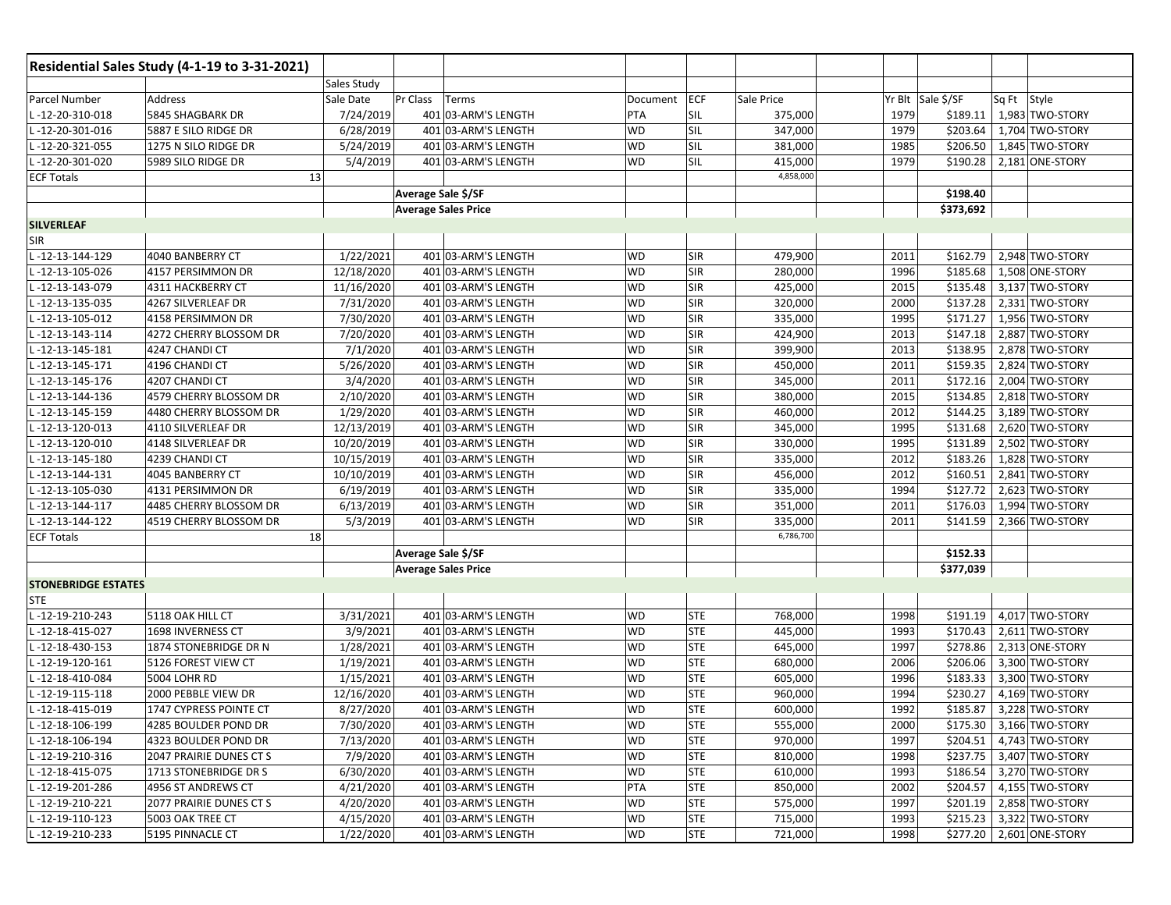|                            | Residential Sales Study (4-1-19 to 3-31-2021) |                    |                            |                     |           |            |            |      |                   |             |                          |
|----------------------------|-----------------------------------------------|--------------------|----------------------------|---------------------|-----------|------------|------------|------|-------------------|-------------|--------------------------|
|                            |                                               | <b>Sales Study</b> |                            |                     |           |            |            |      |                   |             |                          |
| Parcel Number              | Address                                       | Sale Date          | Pr Class                   | Terms               | Document  | <b>ECF</b> | Sale Price |      | Yr Blt Sale \$/SF | Sq Ft Style |                          |
| L-12-20-310-018            | 5845 SHAGBARK DR                              | 7/24/2019          |                            | 401 03-ARM'S LENGTH | PTA       | SIL        | 375,000    | 1979 | \$189.11          |             | 1,983 TWO-STORY          |
| -12-20-301-016             | 5887 E SILO RIDGE DR                          | 6/28/2019          |                            | 401 03-ARM'S LENGTH | <b>WD</b> | SIL        | 347,000    | 1979 | \$203.64          |             | 1,704 TWO-STORY          |
| L-12-20-321-055            | 1275 N SILO RIDGE DR                          | 5/24/2019          |                            | 401 03-ARM'S LENGTH | <b>WD</b> | SIL        | 381,000    | 1985 | \$206.50          |             | 1,845 TWO-STORY          |
| -12-20-301-020             | 5989 SILO RIDGE DR                            | 5/4/2019           |                            | 401 03-ARM'S LENGTH | <b>WD</b> | SIL        | 415,000    | 1979 | \$190.28          |             | 2,181 ONE-STORY          |
| <b>ECF Totals</b>          |                                               | 13                 |                            |                     |           |            | 4,858,000  |      |                   |             |                          |
|                            |                                               |                    | Average Sale \$/SF         |                     |           |            |            |      | \$198.40          |             |                          |
|                            |                                               |                    | <b>Average Sales Price</b> |                     |           |            |            |      | \$373,692         |             |                          |
| <b>SILVERLEAF</b>          |                                               |                    |                            |                     |           |            |            |      |                   |             |                          |
| <b>SIR</b>                 |                                               |                    |                            |                     |           |            |            |      |                   |             |                          |
| -12-13-144-129             | 4040 BANBERRY CT                              | 1/22/2021          |                            | 401 03-ARM'S LENGTH | <b>WD</b> | <b>SIR</b> | 479,900    | 2011 | \$162.79          |             | 2,948 TWO-STORY          |
| -12-13-105-026             | 4157 PERSIMMON DR                             | 12/18/2020         |                            | 401 03-ARM'S LENGTH | <b>WD</b> | <b>SIR</b> | 280,000    | 1996 | \$185.68          |             | 1,508 ONE-STORY          |
| -12-13-143-079             | 4311 HACKBERRY CT                             | 11/16/2020         |                            | 401 03-ARM'S LENGTH | <b>WD</b> | <b>SIR</b> | 425,000    | 2015 | \$135.48          |             | 3,137 TWO-STORY          |
| -12-13-135-035             | 4267 SILVERLEAF DR                            | 7/31/2020          |                            | 401 03-ARM'S LENGTH | <b>WD</b> | <b>SIR</b> | 320,000    | 2000 | \$137.28          |             | 2,331 TWO-STORY          |
| -12-13-105-012             | 4158 PERSIMMON DR                             | 7/30/2020          |                            | 401 03-ARM'S LENGTH | <b>WD</b> | <b>SIR</b> | 335,000    | 1995 | \$171.27          |             | 1,956 TWO-STORY          |
| -12-13-143-114             | 4272 CHERRY BLOSSOM DR                        | 7/20/2020          |                            | 401 03-ARM'S LENGTH | <b>WD</b> | <b>SIR</b> | 424,900    | 2013 | \$147.18          |             | 2,887 TWO-STORY          |
| -12-13-145-181             | 4247 CHANDI CT                                | 7/1/2020           |                            | 401 03-ARM'S LENGTH | <b>WD</b> | <b>SIR</b> | 399,900    | 2013 | \$138.95          |             | 2,878 TWO-STORY          |
| -12-13-145-171             | 4196 CHANDI CT                                | 5/26/2020          |                            | 401 03-ARM'S LENGTH | <b>WD</b> | <b>SIR</b> | 450,000    | 2011 | \$159.35          |             | 2,824 TWO-STORY          |
| -12-13-145-176             | 4207 CHANDI CT                                | 3/4/2020           |                            | 401 03-ARM'S LENGTH | <b>WD</b> | <b>SIR</b> | 345,000    | 2011 | \$172.16          |             | 2,004 TWO-STORY          |
| -12-13-144-136             | 4579 CHERRY BLOSSOM DR                        | 2/10/2020          |                            | 401 03-ARM'S LENGTH | <b>WD</b> | SIR        | 380,000    | 2015 | \$134.85          |             | 2,818 TWO-STORY          |
| -12-13-145-159             | 4480 CHERRY BLOSSOM DR                        | 1/29/2020          |                            | 401 03-ARM'S LENGTH | <b>WD</b> | <b>SIR</b> | 460,000    | 2012 | \$144.25          |             | 3,189 TWO-STORY          |
| -12-13-120-013             | 4110 SILVERLEAF DR                            | 12/13/2019         |                            | 401 03-ARM'S LENGTH | <b>WD</b> | SIR        | 345,000    | 1995 | \$131.68          |             | 2,620 TWO-STORY          |
| -12-13-120-010             | 4148 SILVERLEAF DR                            | 10/20/2019         |                            | 401 03-ARM'S LENGTH | <b>WD</b> | <b>SIR</b> | 330,000    | 1995 | \$131.89          |             | 2,502 TWO-STORY          |
| -12-13-145-180             | 4239 CHANDI CT                                | 10/15/2019         |                            | 401 03-ARM'S LENGTH | <b>WD</b> | SIR        | 335,000    | 2012 | \$183.26          |             | 1,828 TWO-STORY          |
| -12-13-144-131             | 4045 BANBERRY CT                              | 10/10/2019         |                            | 401 03-ARM'S LENGTH | <b>WD</b> | <b>SIR</b> | 456,000    | 2012 | \$160.51          |             | 2,841 TWO-STORY          |
| -12-13-105-030             | 4131 PERSIMMON DR                             | 6/19/2019          |                            | 401 03-ARM'S LENGTH | <b>WD</b> | <b>SIR</b> | 335,000    | 1994 | \$127.72          |             | 2,623 TWO-STORY          |
| -12-13-144-117             | 4485 CHERRY BLOSSOM DR                        | 6/13/2019          |                            | 401 03-ARM'S LENGTH | WD        | <b>SIR</b> | 351,000    | 2011 | \$176.03          |             | 1,994 TWO-STORY          |
| -12-13-144-122             | 4519 CHERRY BLOSSOM DR                        | 5/3/2019           |                            | 401 03-ARM'S LENGTH | WD        | <b>SIR</b> | 335,000    | 2011 | \$141.59          |             | 2,366 TWO-STORY          |
| <b>ECF Totals</b>          |                                               | 18                 |                            |                     |           |            | 6,786,700  |      |                   |             |                          |
|                            |                                               |                    | Average Sale \$/SF         |                     |           |            |            |      | \$152.33          |             |                          |
|                            |                                               |                    | <b>Average Sales Price</b> |                     |           |            |            |      | \$377,039         |             |                          |
| <b>STONEBRIDGE ESTATES</b> |                                               |                    |                            |                     |           |            |            |      |                   |             |                          |
| <b>STE</b>                 |                                               |                    |                            |                     |           |            |            |      |                   |             |                          |
| -12-19-210-243             | 5118 OAK HILL CT                              | 3/31/2021          |                            | 401 03-ARM'S LENGTH | <b>WD</b> | <b>STE</b> | 768,000    | 1998 | \$191.19          |             | 4,017 TWO-STORY          |
| -12-18-415-027             | 1698 INVERNESS CT                             | 3/9/2021           |                            | 401 03-ARM'S LENGTH | <b>WD</b> | <b>STE</b> | 445,000    | 1993 | \$170.43          |             | 2,611 TWO-STORY          |
| -12-18-430-153             | 1874 STONEBRIDGE DR N                         | 1/28/2021          |                            | 401 03-ARM'S LENGTH | <b>WD</b> | <b>STE</b> | 645,000    | 1997 | \$278.86          |             | 2,313 ONE-STORY          |
| -12-19-120-161             | 5126 FOREST VIEW CT                           | 1/19/2021          |                            | 401 03-ARM'S LENGTH | <b>WD</b> | <b>STE</b> | 680,000    | 2006 | \$206.06          |             | 3,300 TWO-STORY          |
| -12-18-410-084             | 5004 LOHR RD                                  | 1/15/2021          |                            | 401 03-ARM'S LENGTH | <b>WD</b> | <b>STE</b> | 605,000    | 1996 | \$183.33          |             | 3,300 TWO-STORY          |
| -12-19-115-118             | 2000 PEBBLE VIEW DR                           | 12/16/2020         |                            | 401 03-ARM'S LENGTH | <b>WD</b> | <b>STE</b> | 960,000    | 1994 | \$230.27          |             | 4,169 TWO-STORY          |
| L-12-18-415-019            | 1747 CYPRESS POINTE CT                        | 8/27/2020          |                            | 401 03-ARM'S LENGTH | <b>WD</b> | <b>STE</b> | 600,000    | 1992 | \$185.87          |             | 3,228 TWO-STORY          |
| L-12-18-106-199            | 4285 BOULDER POND DR                          | 7/30/2020          |                            | 401 03-ARM'S LENGTH | <b>WD</b> | <b>STE</b> | 555,000    | 2000 |                   |             | \$175.30 3,166 TWO-STORY |
| L-12-18-106-194            | 4323 BOULDER POND DR                          | 7/13/2020          |                            | 401 03-ARM'S LENGTH | <b>WD</b> | <b>STE</b> | 970,000    | 1997 | \$204.51          |             | 4,743 TWO-STORY          |
| L-12-19-210-316            | 2047 PRAIRIE DUNES CT S                       | 7/9/2020           |                            | 401 03-ARM'S LENGTH | <b>WD</b> | <b>STE</b> | 810,000    | 1998 |                   |             | \$237.75 3,407 TWO-STORY |
| L-12-18-415-075            | 1713 STONEBRIDGE DR S                         | 6/30/2020          |                            | 401 03-ARM'S LENGTH | WD        | <b>STE</b> | 610,000    | 1993 |                   |             | \$186.54 3,270 TWO-STORY |
| L-12-19-201-286            | 4956 ST ANDREWS CT                            | 4/21/2020          |                            | 401 03-ARM'S LENGTH | PTA       | <b>STE</b> | 850,000    | 2002 | \$204.57          |             | 4,155 TWO-STORY          |
| L-12-19-210-221            | 2077 PRAIRIE DUNES CT S                       | 4/20/2020          |                            | 401 03-ARM'S LENGTH | WD        | <b>STE</b> | 575,000    | 1997 |                   |             | \$201.19 2,858 TWO-STORY |
| L-12-19-110-123            | 5003 OAK TREE CT                              | 4/15/2020          |                            | 401 03-ARM'S LENGTH | <b>WD</b> | <b>STE</b> | 715,000    | 1993 |                   |             | \$215.23 3,322 TWO-STORY |
| L-12-19-210-233            | 5195 PINNACLE CT                              | 1/22/2020          |                            | 401 03-ARM'S LENGTH | WD        | <b>STE</b> | 721,000    | 1998 |                   |             | \$277.20 2,601 ONE-STORY |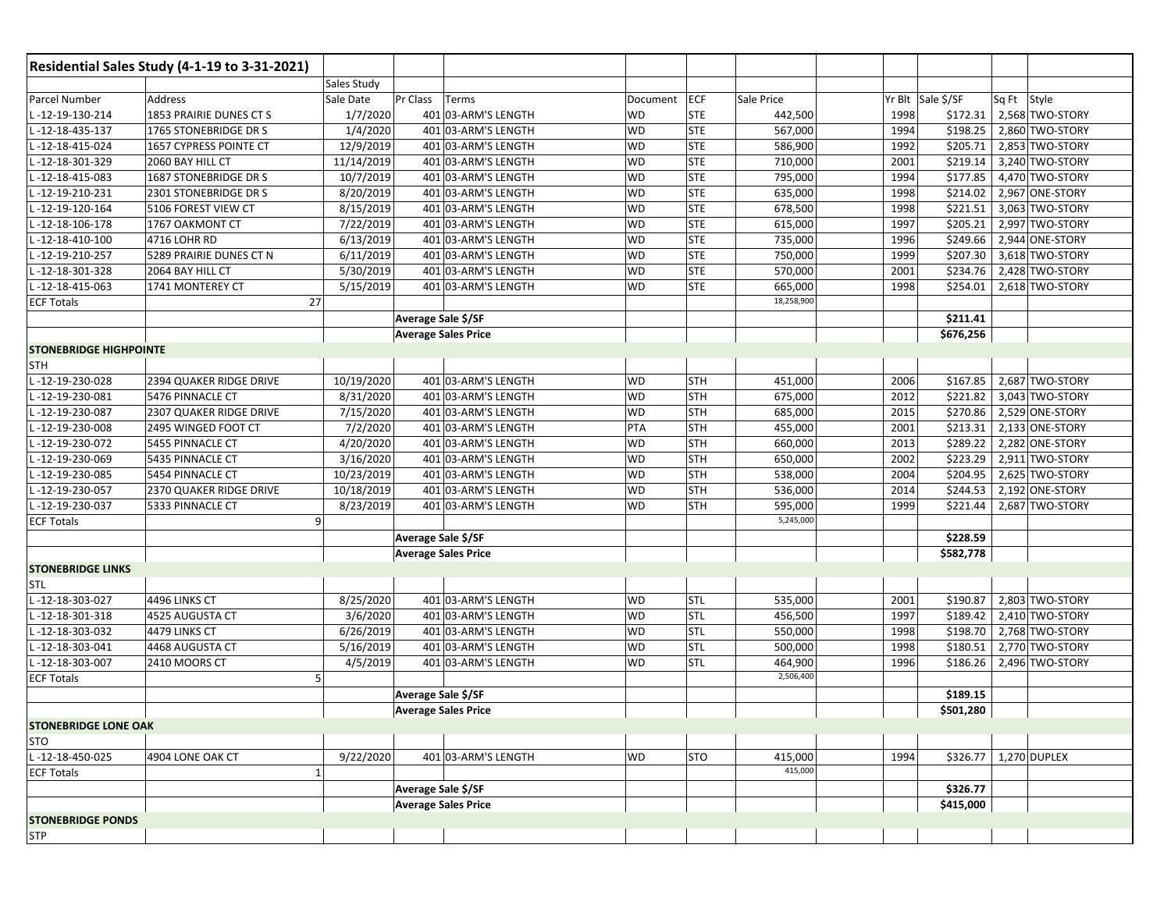|                               | Residential Sales Study (4-1-19 to 3-31-2021) |              |                            |                            |           |            |            |                   |                       |             |                 |
|-------------------------------|-----------------------------------------------|--------------|----------------------------|----------------------------|-----------|------------|------------|-------------------|-----------------------|-------------|-----------------|
|                               |                                               | Sales Study  |                            |                            |           |            |            |                   |                       |             |                 |
| Parcel Number                 | Address                                       | Sale Date    | Pr Class                   | Terms                      | Document  | <b>ECF</b> | Sale Price | Yr Blt Sale \$/SF |                       | Sq Ft Style |                 |
| -12-19-130-214                | 1853 PRAIRIE DUNES CT S                       | 1/7/2020     |                            | 401 03-ARM'S LENGTH        | <b>WD</b> | <b>STE</b> | 442,500    | 1998              | \$172.31              |             | 2,568 TWO-STORY |
| -12-18-435-137                | 1765 STONEBRIDGE DR S                         | 1/4/2020     |                            | 401 03-ARM'S LENGTH        | WD        | <b>STE</b> | 567,000    | 1994              | \$198.25              |             | 2,860 TWO-STORY |
| -12-18-415-024                | 1657 CYPRESS POINTE CT                        | 12/9/2019    |                            | 401 03-ARM'S LENGTH        | <b>WD</b> | <b>STE</b> | 586,900    | 1992              | \$205.71              |             | 2,853 TWO-STORY |
| L-12-18-301-329               | 2060 BAY HILL CT                              | 11/14/2019   |                            | 401 03-ARM'S LENGTH        | <b>WD</b> | <b>STE</b> | 710,000    | 2001              | \$219.14              |             | 3,240 TWO-STORY |
| -12-18-415-083                | 1687 STONEBRIDGE DR S                         | 10/7/2019    |                            | 401 03-ARM'S LENGTH        | WD        | <b>STE</b> | 795,000    | 1994              | \$177.85              |             | 4,470 TWO-STORY |
| -12-19-210-231                | 2301 STONEBRIDGE DR S                         | 8/20/2019    |                            | 401 03-ARM'S LENGTH        | WD        | <b>STE</b> | 635,000    | 1998              | \$214.02              |             | 2,967 ONE-STORY |
| -12-19-120-164                | 5106 FOREST VIEW CT                           | 8/15/2019    |                            | 401 03-ARM'S LENGTH        | <b>WD</b> | <b>STE</b> | 678,500    | 1998              | \$221.51              |             | 3,063 TWO-STORY |
| -12-18-106-178                | 1767 OAKMONT CT                               | 7/22/2019    |                            | 401 03-ARM'S LENGTH        | <b>WD</b> | <b>STE</b> | 615,000    | 1997              | \$205.21              |             | 2,997 TWO-STORY |
| -12-18-410-100                | 4716 LOHR RD                                  | 6/13/2019    |                            | 401 03-ARM'S LENGTH        | WD        | <b>STE</b> | 735,000    | 1996              | \$249.66              |             | 2,944 ONE-STORY |
| -12-19-210-257                | 5289 PRAIRIE DUNES CT N                       | 6/11/2019    |                            | 401 03-ARM'S LENGTH        | WD        | <b>STE</b> | 750,000    | 1999              | \$207.30              |             | 3,618 TWO-STORY |
| -12-18-301-328                | 2064 BAY HILL CT                              | 5/30/2019    |                            | 401 03-ARM'S LENGTH        | <b>WD</b> | <b>STE</b> | 570,000    | 2001              | \$234.76              |             | 2,428 TWO-STORY |
| -12-18-415-063                | 1741 MONTEREY CT                              | 5/15/2019    |                            | 401 03-ARM'S LENGTH        | <b>WD</b> | <b>STE</b> | 665,000    | 1998              | \$254.01              |             | 2,618 TWO-STORY |
| <b>ECF Totals</b>             |                                               | 27           |                            |                            |           |            | 18,258,900 |                   |                       |             |                 |
|                               |                                               |              | Average Sale \$/SF         |                            |           |            |            |                   | \$211.41              |             |                 |
|                               |                                               |              | <b>Average Sales Price</b> |                            |           |            |            |                   | \$676,256             |             |                 |
| <b>STONEBRIDGE HIGHPOINTE</b> |                                               |              |                            |                            |           |            |            |                   |                       |             |                 |
| <b>STH</b>                    |                                               |              |                            |                            |           |            |            |                   |                       |             |                 |
| -12-19-230-028                | 2394 QUAKER RIDGE DRIVE                       | 10/19/2020   |                            | 401 03-ARM'S LENGTH        | <b>WD</b> | <b>STH</b> | 451,000    | 2006              | \$167.85              |             | 2,687 TWO-STORY |
| -12-19-230-081                | 5476 PINNACLE CT                              | 8/31/2020    |                            | 401 03-ARM'S LENGTH        | WD        | <b>STH</b> | 675,000    | 2012              | \$221.82              |             | 3,043 TWO-STORY |
| -12-19-230-087                | 2307 QUAKER RIDGE DRIVE                       | 7/15/2020    |                            | 401 03-ARM'S LENGTH        | <b>WD</b> | STH        | 685,000    | 2015              | \$270.86              |             | 2,529 ONE-STORY |
| -12-19-230-008                | 2495 WINGED FOOT CT                           | 7/2/2020     |                            | 401 03-ARM'S LENGTH        | PTA       | <b>STH</b> | 455,000    | 2001              | \$213.31              |             | 2,133 ONE-STORY |
| -12-19-230-072                | 5455 PINNACLE CT                              | 4/20/2020    |                            | 401 03-ARM'S LENGTH        | WD        | STH        | 660,000    | 2013              | \$289.22              |             | 2,282 ONE-STORY |
| -12-19-230-069                | 5435 PINNACLE CT                              | 3/16/2020    |                            | 401 03-ARM'S LENGTH        | WD        | STH        | 650,000    | 2002              | \$223.29              |             | 2,911 TWO-STORY |
| -12-19-230-085                | 5454 PINNACLE CT                              | 10/23/2019   |                            | 401 03-ARM'S LENGTH        | <b>WD</b> | STH        | 538,000    | 2004              | \$204.95              |             | 2,625 TWO-STORY |
| -12-19-230-057                | 2370 QUAKER RIDGE DRIVE                       | 10/18/2019   |                            | 401 03-ARM'S LENGTH        | WD        | STH        | 536,000    | 2014              | \$244.53              |             | 2,192 ONE-STORY |
| -12-19-230-037                | 5333 PINNACLE CT                              | 8/23/2019    |                            | 401 03-ARM'S LENGTH        | <b>WD</b> | <b>STH</b> | 595,000    | 1999              | \$221.44              |             | 2,687 TWO-STORY |
| <b>ECF Totals</b>             |                                               | 9            |                            |                            |           |            | 5,245,000  |                   |                       |             |                 |
|                               |                                               |              | Average Sale \$/SF         |                            |           |            |            |                   | \$228.59              |             |                 |
|                               |                                               |              |                            | <b>Average Sales Price</b> |           |            |            |                   | \$582,778             |             |                 |
| <b>STONEBRIDGE LINKS</b>      |                                               |              |                            |                            |           |            |            |                   |                       |             |                 |
| <b>STL</b>                    |                                               |              |                            |                            |           |            |            |                   |                       |             |                 |
| -12-18-303-027                | 4496 LINKS CT                                 | 8/25/2020    |                            | 401 03-ARM'S LENGTH        | WD        | <b>STL</b> | 535,000    | 2001              | \$190.87              |             | 2,803 TWO-STORY |
| L-12-18-301-318               | 4525 AUGUSTA CT                               | 3/6/2020     |                            | 401 03-ARM'S LENGTH        | <b>WD</b> | <b>STL</b> | 456,500    | 1997              | \$189.42              |             | 2,410 TWO-STORY |
| L-12-18-303-032               | 4479 LINKS CT                                 | 6/26/2019    |                            | 401 03-ARM'S LENGTH        | WD        | <b>STL</b> | 550,000    | 1998              | \$198.70              |             | 2,768 TWO-STORY |
| -12-18-303-041                | 4468 AUGUSTA CT                               | 5/16/2019    |                            | 401 03-ARM'S LENGTH        | WD        | <b>STL</b> | 500,000    | 1998              | \$180.51              |             | 2,770 TWO-STORY |
| -12-18-303-007                | 2410 MOORS CT                                 | 4/5/2019     |                            | 401 03-ARM'S LENGTH        | WD        | STL        | 464,900    | 1996              | \$186.26              |             | 2,496 TWO-STORY |
| <b>ECF Totals</b>             |                                               | 5            |                            |                            |           |            | 2,506,400  |                   |                       |             |                 |
|                               |                                               |              | Average Sale \$/SF         |                            |           |            |            |                   | \$189.15              |             |                 |
|                               |                                               |              | <b>Average Sales Price</b> |                            |           |            |            |                   | \$501,280             |             |                 |
| <b>STONEBRIDGE LONE OAK</b>   |                                               |              |                            |                            |           |            |            |                   |                       |             |                 |
| <b>STO</b>                    |                                               |              |                            |                            |           |            |            |                   |                       |             |                 |
| L-12-18-450-025               | 4904 LONE OAK CT                              | 9/22/2020    |                            | 401 03-ARM'S LENGTH        | <b>WD</b> | <b>STO</b> | 415,000    | 1994              | \$326.77 1.270 DUPLEX |             |                 |
| <b>ECF Totals</b>             |                                               | $\mathbf{1}$ |                            |                            |           |            | 415,000    |                   |                       |             |                 |
|                               |                                               |              | Average Sale \$/SF         |                            |           |            |            |                   | \$326.77              |             |                 |
|                               |                                               |              |                            | <b>Average Sales Price</b> |           |            |            |                   | \$415,000             |             |                 |
| <b>STONEBRIDGE PONDS</b>      |                                               |              |                            |                            |           |            |            |                   |                       |             |                 |
| <b>STP</b>                    |                                               |              |                            |                            |           |            |            |                   |                       |             |                 |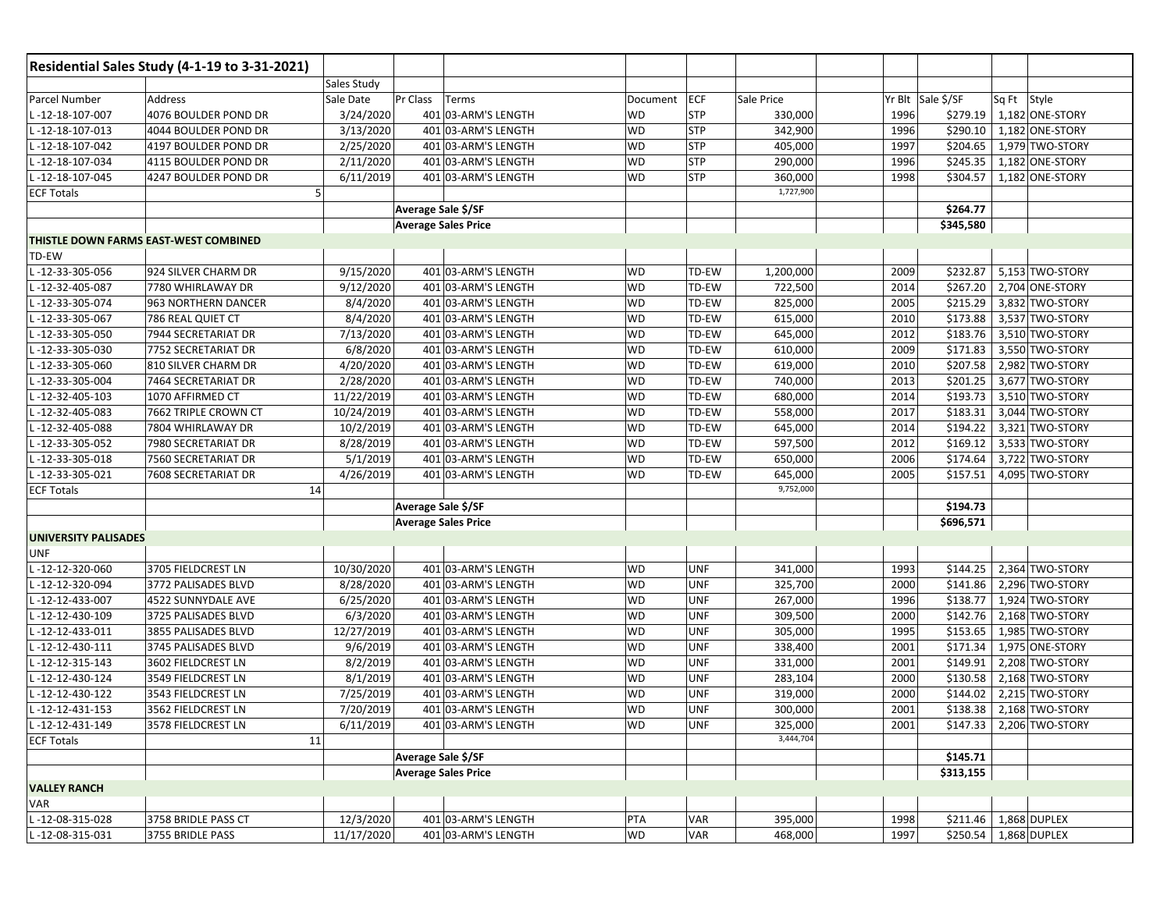|                             | Residential Sales Study (4-1-19 to 3-31-2021) |                    |                            |                            |           |            |            |      |                   |             |                          |
|-----------------------------|-----------------------------------------------|--------------------|----------------------------|----------------------------|-----------|------------|------------|------|-------------------|-------------|--------------------------|
|                             |                                               | <b>Sales Study</b> |                            |                            |           |            |            |      |                   |             |                          |
| Parcel Number               | Address                                       | Sale Date          | Pr Class                   | Terms                      | Document  | ECF        | Sale Price |      | Yr Blt Sale \$/SF | Sq Ft Style |                          |
| -12-18-107-007              | 4076 BOULDER POND DR                          | 3/24/2020          |                            | 401 03-ARM'S LENGTH        | WD        | <b>STP</b> | 330,000    | 1996 | \$279.19          |             | 1,182 ONE-STORY          |
| -12-18-107-013              | 4044 BOULDER POND DR                          | 3/13/2020          |                            | 401 03-ARM'S LENGTH        | <b>WD</b> | <b>STP</b> | 342,900    | 1996 | \$290.10          |             | 1,182 ONE-STORY          |
| -12-18-107-042              | 4197 BOULDER POND DR                          | 2/25/2020          |                            | 401 03-ARM'S LENGTH        | <b>WD</b> | <b>STP</b> | 405,000    | 1997 | \$204.65          |             | 1,979 TWO-STORY          |
| -12-18-107-034              | 4115 BOULDER POND DR                          | 2/11/2020          |                            | 401 03-ARM'S LENGTH        | <b>WD</b> | <b>STP</b> | 290,000    | 1996 | \$245.35          |             | 1,182 ONE-STORY          |
| -12-18-107-045              | 4247 BOULDER POND DR                          | 6/11/2019          |                            | 401 03-ARM'S LENGTH        | WD        | <b>STP</b> | 360,000    | 1998 | \$304.57          |             | 1,182 ONE-STORY          |
| <b>ECF Totals</b>           |                                               | 5                  |                            |                            |           |            | 1,727,900  |      |                   |             |                          |
|                             |                                               |                    | Average Sale \$/SF         |                            |           |            |            |      | \$264.77          |             |                          |
|                             |                                               |                    | <b>Average Sales Price</b> |                            |           |            |            |      | \$345,580         |             |                          |
|                             | THISTLE DOWN FARMS EAST-WEST COMBINED         |                    |                            |                            |           |            |            |      |                   |             |                          |
| TD-EW                       |                                               |                    |                            |                            |           |            |            |      |                   |             |                          |
| -12-33-305-056              | 924 SILVER CHARM DR                           | 9/15/2020          |                            | 401 03-ARM'S LENGTH        | WD        | TD-EW      | 1,200,000  | 2009 | \$232.87          |             | 5,153 TWO-STORY          |
| -12-32-405-087              | 7780 WHIRLAWAY DR                             | 9/12/2020          |                            | 401 03-ARM'S LENGTH        | <b>WD</b> | TD-EW      | 722,500    | 2014 | \$267.20          |             | 2,704 ONE-STORY          |
| -12-33-305-074              | 963 NORTHERN DANCER                           | 8/4/2020           |                            | 401 03-ARM'S LENGTH        | WD        | TD-EW      | 825,000    | 2005 | \$215.29          |             | 3,832 TWO-STORY          |
| -12-33-305-067              | 786 REAL QUIET CT                             | 8/4/2020           |                            | 401 03-ARM'S LENGTH        | WD        | TD-EW      | 615,000    | 2010 | \$173.88          |             | 3,537 TWO-STORY          |
| -12-33-305-050              | 7944 SECRETARIAT DR                           | 7/13/2020          |                            | 401 03-ARM'S LENGTH        | <b>WD</b> | TD-EW      | 645,000    | 2012 | \$183.76          |             | 3,510 TWO-STORY          |
| -12-33-305-030              | 7752 SECRETARIAT DR                           | 6/8/2020           |                            | 401 03-ARM'S LENGTH        | <b>WD</b> | TD-EW      | 610,000    | 2009 | \$171.83          |             | 3,550 TWO-STORY          |
| -12-33-305-060              | 810 SILVER CHARM DR                           | 4/20/2020          |                            | 401 03-ARM'S LENGTH        | <b>WD</b> | TD-EW      | 619,000    | 2010 | \$207.58          |             | 2,982 TWO-STORY          |
| -12-33-305-004              | 7464 SECRETARIAT DR                           | 2/28/2020          |                            | 401 03-ARM'S LENGTH        | WD        | TD-EW      | 740,000    | 2013 | \$201.25          |             | 3,677 TWO-STORY          |
| -12-32-405-103              | 1070 AFFIRMED CT                              | 11/22/2019         |                            | 401 03-ARM'S LENGTH        | <b>WD</b> | TD-EW      | 680,000    | 2014 | \$193.73          |             | 3,510 TWO-STORY          |
| -12-32-405-083              | 7662 TRIPLE CROWN CT                          | 10/24/2019         |                            | 401 03-ARM'S LENGTH        | <b>WD</b> | TD-EW      | 558,000    | 2017 | \$183.31          |             | 3,044 TWO-STORY          |
| -12-32-405-088              | 7804 WHIRLAWAY DR                             | 10/2/2019          |                            | 401 03-ARM'S LENGTH        | WD        | TD-EW      | 645,000    | 2014 | \$194.22          |             | 3,321 TWO-STORY          |
| -12-33-305-052              | 7980 SECRETARIAT DR                           | 8/28/2019          |                            | 401 03-ARM'S LENGTH        | WD        | TD-EW      | 597,500    | 2012 | \$169.12          |             | 3,533 TWO-STORY          |
| -12-33-305-018              | 7560 SECRETARIAT DR                           | 5/1/2019           |                            | 401 03-ARM'S LENGTH        | <b>WD</b> | TD-EW      | 650,000    | 2006 | \$174.64          |             | 3,722 TWO-STORY          |
| -12-33-305-021              | 7608 SECRETARIAT DR                           | 4/26/2019          |                            | 401 03-ARM'S LENGTH        | <b>WD</b> | TD-EW      | 645,000    | 2005 | \$157.51          |             | 4,095 TWO-STORY          |
| <b>ECF Totals</b>           |                                               | 14                 |                            |                            |           |            | 9,752,000  |      |                   |             |                          |
|                             |                                               |                    | Average Sale \$/SF         |                            |           |            |            |      | \$194.73          |             |                          |
|                             |                                               |                    | <b>Average Sales Price</b> |                            |           |            |            |      | \$696,571         |             |                          |
| <b>UNIVERSITY PALISADES</b> |                                               |                    |                            |                            |           |            |            |      |                   |             |                          |
| <b>UNF</b>                  |                                               |                    |                            |                            |           |            |            |      |                   |             |                          |
| -12-12-320-060              | 3705 FIELDCREST LN                            | 10/30/2020         |                            | 401 03-ARM'S LENGTH        | WD        | <b>UNF</b> | 341,000    | 1993 | \$144.25          |             | 2,364 TWO-STORY          |
| -12-12-320-094              | 3772 PALISADES BLVD                           | 8/28/2020          |                            | 401 03-ARM'S LENGTH        | <b>WD</b> | <b>UNF</b> | 325,700    | 2000 | \$141.86          |             | 2,296 TWO-STORY          |
| -12-12-433-007              | 4522 SUNNYDALE AVE                            | 6/25/2020          |                            | 401 03-ARM'S LENGTH        | <b>WD</b> | <b>UNF</b> | 267,000    | 1996 | \$138.77          |             | 1,924 TWO-STORY          |
| -12-12-430-109              | 3725 PALISADES BLVD                           | 6/3/2020           |                            | 401 03-ARM'S LENGTH        | <b>WD</b> | <b>UNF</b> | 309,500    | 2000 | \$142.76          |             | 2,168 TWO-STORY          |
| -12-12-433-011              | 3855 PALISADES BLVD                           | 12/27/2019         |                            | 401 03-ARM'S LENGTH        | <b>WD</b> | <b>UNF</b> | 305,000    | 1995 | \$153.65          |             | 1,985 TWO-STORY          |
| -12-12-430-111              | 3745 PALISADES BLVD                           | 9/6/2019           |                            | 401 03-ARM'S LENGTH        | WD        | <b>UNF</b> | 338,400    | 2001 | \$171.34          |             | 1,975 ONE-STORY          |
| $-12 - 12 - 315 - 143$      | 3602 FIELDCREST LN                            | 8/2/2019           |                            | 401 03-ARM'S LENGTH        | <b>WD</b> | <b>UNF</b> | 331,000    | 2001 | \$149.91          |             | 2,208 TWO-STORY          |
| $-12 - 12 - 430 - 124$      | 3549 FIELDCREST LN                            | 8/1/2019           |                            | 401 03-ARM'S LENGTH        | <b>WD</b> | <b>UNF</b> | 283,104    | 2000 | \$130.58          |             | 2,168 TWO-STORY          |
| -12-12-430-122              | 3543 FIELDCREST LN                            | 7/25/2019          |                            | 401 03-ARM'S LENGTH        | <b>WD</b> | <b>UNF</b> | 319,000    | 2000 | \$144.02          |             | 2,215 TWO-STORY          |
| L-12-12-431-153             | 3562 FIELDCREST LN                            | 7/20/2019          |                            | 401 03-ARM'S LENGTH        | <b>WD</b> | <b>UNF</b> | 300,000    | 2001 |                   |             | \$138.38 2,168 TWO-STORY |
| L-12-12-431-149             | 3578 FIELDCREST LN                            | 6/11/2019          |                            | 401 03-ARM'S LENGTH        | <b>WD</b> | <b>UNF</b> | 325,000    | 2001 |                   |             | \$147.33 2,206 TWO-STORY |
| <b>ECF Totals</b>           |                                               | 11                 |                            |                            |           |            | 3,444,704  |      |                   |             |                          |
|                             |                                               |                    | Average Sale \$/SF         |                            |           |            |            |      | \$145.71          |             |                          |
|                             |                                               |                    |                            | <b>Average Sales Price</b> |           |            |            |      | \$313,155         |             |                          |
| <b>VALLEY RANCH</b>         |                                               |                    |                            |                            |           |            |            |      |                   |             |                          |
| <b>VAR</b>                  |                                               |                    |                            |                            |           |            |            |      |                   |             |                          |
| L-12-08-315-028             | 3758 BRIDLE PASS CT                           | 12/3/2020          |                            | 401 03-ARM'S LENGTH        | PTA       | <b>VAR</b> | 395,000    | 1998 | \$211.46          |             | 1,868 DUPLEX             |
| L-12-08-315-031             | 3755 BRIDLE PASS                              | 11/17/2020         |                            | 401 03-ARM'S LENGTH        | <b>WD</b> | VAR        | 468,000    | 1997 | \$250.54          |             | 1,868 DUPLEX             |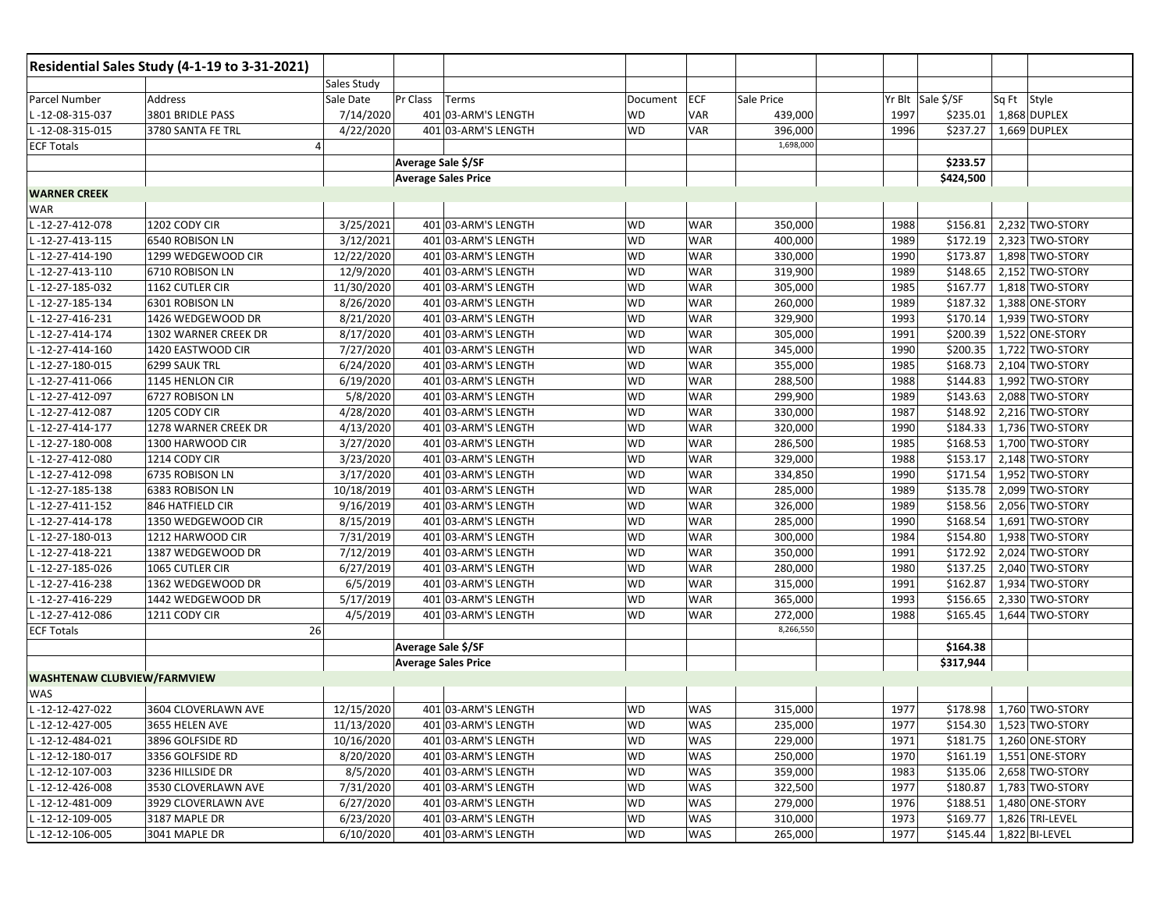|                                    | Residential Sales Study (4-1-19 to 3-31-2021) |                |                            |                     |           |            |            |      |                           |             |                            |
|------------------------------------|-----------------------------------------------|----------------|----------------------------|---------------------|-----------|------------|------------|------|---------------------------|-------------|----------------------------|
|                                    |                                               | Sales Study    |                            |                     |           |            |            |      |                           |             |                            |
| Parcel Number                      | Address                                       | Sale Date      | Pr Class                   | Terms               | Document  | <b>ECF</b> | Sale Price |      | Yr Blt Sale \$/SF         | Sq Ft Style |                            |
| L-12-08-315-037                    | 3801 BRIDLE PASS                              | 7/14/2020      |                            | 401 03-ARM'S LENGTH | <b>WD</b> | VAR        | 439,000    | 1997 | \$235.01                  |             | 1,868 DUPLEX               |
| L-12-08-315-015                    | 3780 SANTA FE TRL                             | 4/22/2020      |                            | 401 03-ARM'S LENGTH | <b>WD</b> | <b>VAR</b> | 396,000    | 1996 | \$237.27                  |             | 1,669 DUPLEX               |
| <b>ECF Totals</b>                  |                                               | $\overline{4}$ |                            |                     |           |            | 1,698,000  |      |                           |             |                            |
|                                    |                                               |                | Average Sale \$/SF         |                     |           |            |            |      | \$233.57                  |             |                            |
|                                    |                                               |                | <b>Average Sales Price</b> |                     |           |            |            |      | \$424,500                 |             |                            |
| <b>WARNER CREEK</b>                |                                               |                |                            |                     |           |            |            |      |                           |             |                            |
| <b>WAR</b>                         |                                               |                |                            |                     |           |            |            |      |                           |             |                            |
| L-12-27-412-078                    | 1202 CODY CIR                                 | 3/25/2021      |                            | 401 03-ARM'S LENGTH | WD        | <b>WAR</b> | 350,000    | 1988 | \$156.81                  |             | 2,232 TWO-STORY            |
| -12-27-413-115                     | 6540 ROBISON LN                               | 3/12/2021      |                            | 401 03-ARM'S LENGTH | <b>WD</b> | WAR        | 400,000    | 1989 | \$172.19                  |             | 2,323 TWO-STORY            |
| 12-27-414-190                      | 1299 WEDGEWOOD CIR                            | 12/22/2020     |                            | 401 03-ARM'S LENGTH | <b>WD</b> | <b>WAR</b> | 330,000    | 1990 | \$173.87                  |             | 1,898 TWO-STORY            |
| L-12-27-413-110                    | 6710 ROBISON LN                               | 12/9/2020      |                            | 401 03-ARM'S LENGTH | <b>WD</b> | WAR        | 319,900    | 1989 | \$148.65                  |             | 2,152 TWO-STORY            |
| L-12-27-185-032                    | 1162 CUTLER CIR                               | 11/30/2020     |                            | 401 03-ARM'S LENGTH | <b>WD</b> | WAR        | 305,000    | 1985 | \$167.77                  |             | 1,818 TWO-STORY            |
| L-12-27-185-134                    | 6301 ROBISON LN                               | 8/26/2020      |                            | 401 03-ARM'S LENGTH | <b>WD</b> | WAR        | 260,000    | 1989 | \$187.32                  |             | 1,388 ONE-STORY            |
| -12-27-416-231                     | 1426 WEDGEWOOD DR                             | 8/21/2020      |                            | 401 03-ARM'S LENGTH | <b>WD</b> | <b>WAR</b> | 329,900    | 1993 | \$170.14                  |             | 1,939 TWO-STORY            |
| L-12-27-414-174                    | 1302 WARNER CREEK DR                          | 8/17/2020      |                            | 401 03-ARM'S LENGTH | <b>WD</b> | WAR        | 305,000    | 1991 | \$200.39                  |             | 1,522 ONE-STORY            |
| -12-27-414-160                     | 1420 EASTWOOD CIR                             | 7/27/2020      |                            | 401 03-ARM'S LENGTH | <b>WD</b> | <b>WAR</b> | 345,000    | 1990 | \$200.35                  |             | 1,722 TWO-STORY            |
| -12-27-180-015                     | 6299 SAUK TRL                                 | 6/24/2020      |                            | 401 03-ARM'S LENGTH | <b>WD</b> | <b>WAR</b> | 355,000    | 1985 | \$168.73                  |             | 2,104 TWO-STORY            |
| -12-27-411-066                     | 1145 HENLON CIR                               | 6/19/2020      |                            | 401 03-ARM'S LENGTH | <b>WD</b> | <b>WAR</b> | 288,500    | 1988 | \$144.83                  |             | 1,992 TWO-STORY            |
| L-12-27-412-097                    | 6727 ROBISON LN                               | 5/8/2020       |                            | 401 03-ARM'S LENGTH | <b>WD</b> | WAR        | 299,900    | 1989 | \$143.63                  |             | 2,088 TWO-STORY            |
| -12-27-412-087                     | 1205 CODY CIR                                 | 4/28/2020      |                            | 401 03-ARM'S LENGTH | <b>WD</b> | <b>WAR</b> | 330,000    | 1987 | \$148.92                  |             | 2,216 TWO-STORY            |
| -12-27-414-177                     | 1278 WARNER CREEK DR                          | 4/13/2020      |                            | 401 03-ARM'S LENGTH | <b>WD</b> | <b>WAR</b> | 320,000    | 1990 | \$184.33                  |             | 1,736 TWO-STORY            |
| -12-27-180-008                     | 1300 HARWOOD CIR                              | 3/27/2020      |                            | 401 03-ARM'S LENGTH | <b>WD</b> | <b>WAR</b> | 286,500    | 1985 | \$168.53                  |             | 1,700 TWO-STORY            |
| -12-27-412-080                     | 1214 CODY CIR                                 | 3/23/2020      |                            | 401 03-ARM'S LENGTH | <b>WD</b> | <b>WAR</b> | 329,000    | 1988 | \$153.17                  |             | 2,148 TWO-STORY            |
| -12-27-412-098                     | 6735 ROBISON LN                               | 3/17/2020      |                            | 401 03-ARM'S LENGTH | <b>WD</b> | <b>WAR</b> | 334,850    | 1990 | \$171.54                  |             | 1,952 TWO-STORY            |
| -12-27-185-138                     | 6383 ROBISON LN                               | 10/18/2019     |                            | 401 03-ARM'S LENGTH | <b>WD</b> | <b>WAR</b> | 285,000    | 1989 | \$135.78                  |             | 2,099 TWO-STORY            |
| -12-27-411-152                     | 846 HATFIELD CIR                              | 9/16/2019      |                            | 401 03-ARM'S LENGTH | <b>WD</b> | <b>WAR</b> | 326,000    | 1989 | \$158.56                  |             | 2,056 TWO-STORY            |
| -12-27-414-178                     | 1350 WEDGEWOOD CIR                            | 8/15/2019      |                            | 401 03-ARM'S LENGTH | <b>WD</b> | WAR        | 285,000    | 1990 | \$168.54                  |             | 1,691 TWO-STORY            |
| L-12-27-180-013                    | 1212 HARWOOD CIR                              | 7/31/2019      |                            | 401 03-ARM'S LENGTH | <b>WD</b> | <b>WAR</b> | 300,000    | 1984 | \$154.80                  |             | 1,938 TWO-STORY            |
| -12-27-418-221                     | 1387 WEDGEWOOD DR                             | 7/12/2019      |                            | 401 03-ARM'S LENGTH | <b>WD</b> | <b>WAR</b> | 350,000    | 1991 | \$172.92                  |             | 2,024 TWO-STORY            |
| -12-27-185-026                     | 1065 CUTLER CIR                               | 6/27/2019      |                            | 401 03-ARM'S LENGTH | WD        | <b>WAR</b> | 280,000    | 1980 | \$137.25                  |             | 2,040 TWO-STORY            |
| -12-27-416-238                     | 1362 WEDGEWOOD DR                             | 6/5/2019       |                            | 401 03-ARM'S LENGTH | <b>WD</b> | <b>WAR</b> | 315,000    | 1991 | \$162.87                  |             | 1,934 TWO-STORY            |
| - 12-27-416-229                    | 1442 WEDGEWOOD DR                             | 5/17/2019      |                            | 401 03-ARM'S LENGTH | WD        | <b>WAR</b> | 365,000    | 1993 | \$156.65                  |             | 2,330 TWO-STORY            |
| -12-27-412-086                     | 1211 CODY CIR                                 | 4/5/2019       |                            | 401 03-ARM'S LENGTH | WD        | WAR        | 272,000    | 1988 | \$165.45                  |             | 1,644 TWO-STORY            |
| <b>ECF Totals</b>                  |                                               | 26             |                            |                     |           |            | 8,266,550  |      |                           |             |                            |
|                                    |                                               |                | Average Sale \$/SF         |                     |           |            |            |      | \$164.38                  |             |                            |
|                                    |                                               |                | <b>Average Sales Price</b> |                     |           |            |            |      | \$317,944                 |             |                            |
| <b>WASHTENAW CLUBVIEW/FARMVIEW</b> |                                               |                |                            |                     |           |            |            |      |                           |             |                            |
| WAS                                |                                               |                |                            |                     |           |            |            |      |                           |             |                            |
| L-12-12-427-022                    | 3604 CLOVERLAWN AVE                           | 12/15/2020     |                            | 401 03-ARM'S LENGTH | WD        | WAS        | 315,000    | 1977 |                           |             | \$178.98   1,760 TWO-STORY |
| L-12-12-427-005                    | 3655 HELEN AVE                                | 11/13/2020     |                            | 401 03-ARM'S LENGTH | <b>WD</b> | <b>WAS</b> | 235,000    | 1977 |                           |             | \$154.30 1,523 TWO-STORY   |
| L-12-12-484-021                    | 3896 GOLFSIDE RD                              | 10/16/2020     |                            | 401 03-ARM'S LENGTH | <b>WD</b> | WAS        | 229,000    | 1971 |                           |             | \$181.75   1,260 ONE-STORY |
| L-12-12-180-017                    | 3356 GOLFSIDE RD                              | 8/20/2020      |                            | 401 03-ARM'S LENGTH | WD        | WAS        | 250,000    | 1970 |                           |             | \$161.19   1,551 ONE-STORY |
| L-12-12-107-003                    | 3236 HILLSIDE DR                              | 8/5/2020       |                            | 401 03-ARM'S LENGTH | WD        | WAS        | 359,000    | 1983 |                           |             | \$135.06 2,658 TWO-STORY   |
| L-12-12-426-008                    | 3530 CLOVERLAWN AVE                           | 7/31/2020      |                            | 401 03-ARM'S LENGTH | WD        | WAS        | 322,500    | 1977 | \$180.87                  |             | 1,783 TWO-STORY            |
| L-12-12-481-009                    | 3929 CLOVERLAWN AVE                           | 6/27/2020      |                            | 401 03-ARM'S LENGTH | WD        | WAS        | 279,000    | 1976 | \$188.51                  |             | 1,480 ONE-STORY            |
| L-12-12-109-005                    | 3187 MAPLE DR                                 | 6/23/2020      |                            | 401 03-ARM'S LENGTH | WD        | WAS        | 310,000    | 1973 | \$169.77                  |             | 1,826 TRI-LEVEL            |
| L-12-12-106-005                    | 3041 MAPLE DR                                 | 6/10/2020      |                            | 401 03-ARM'S LENGTH | WD        | <b>WAS</b> | 265,000    | 1977 | \$145.44   1,822 BI-LEVEL |             |                            |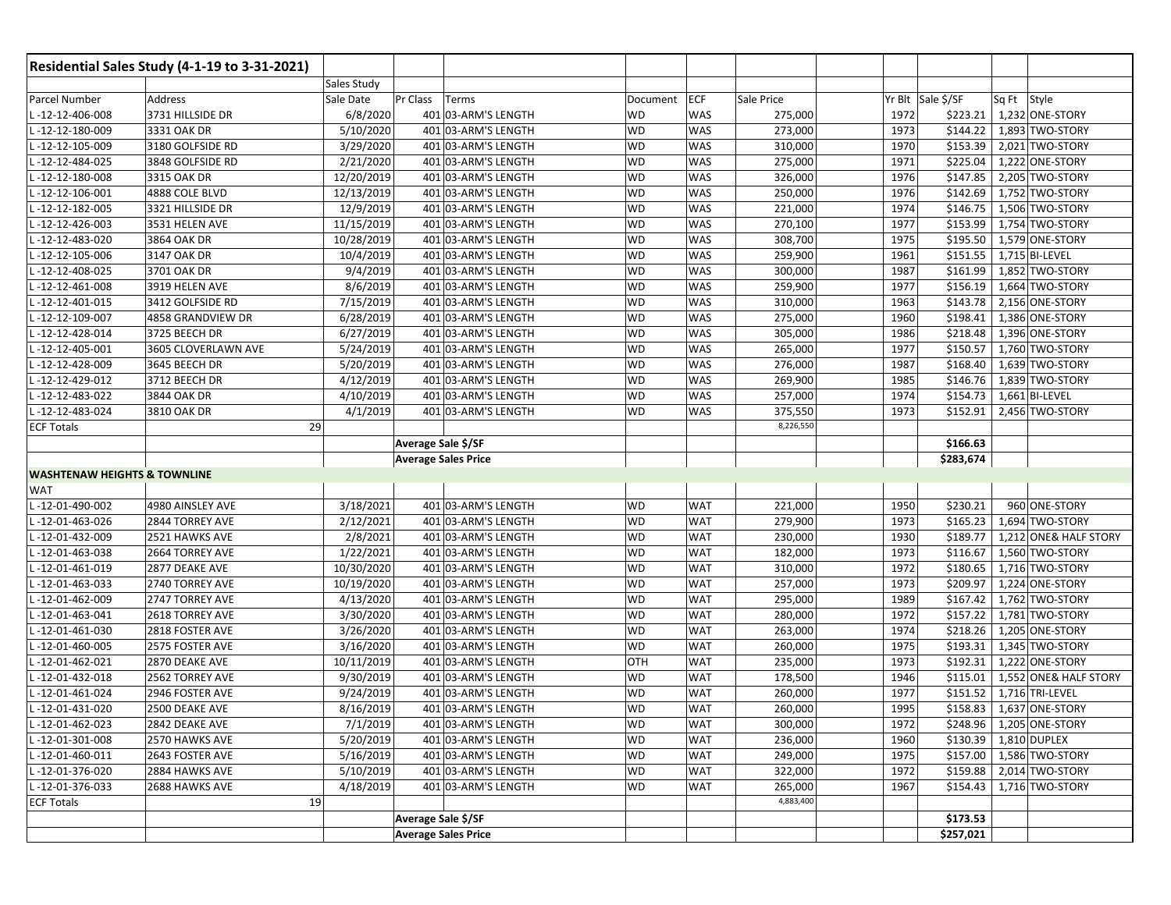|                                         | Residential Sales Study (4-1-19 to 3-31-2021) |                    |                            |           |            |            |      |                         |             |                          |
|-----------------------------------------|-----------------------------------------------|--------------------|----------------------------|-----------|------------|------------|------|-------------------------|-------------|--------------------------|
|                                         |                                               | <b>Sales Study</b> |                            |           |            |            |      |                         |             |                          |
| Parcel Number                           | Address                                       | Sale Date          | Pr Class<br>Terms          | Document  | <b>ECF</b> | Sale Price |      | Yr Blt Sale \$/SF       | Sq Ft Style |                          |
| L-12-12-406-008                         | 3731 HILLSIDE DR                              | 6/8/2020           | 401 03-ARM'S LENGTH        | WD        | <b>WAS</b> | 275,000    | 1972 | \$223.21                |             | 1,232 ONE-STORY          |
| L-12-12-180-009                         | 3331 OAK DR                                   | 5/10/2020          | 401 03-ARM'S LENGTH        | <b>WD</b> | <b>WAS</b> | 273,000    | 1973 | \$144.22                |             | 1,893 TWO-STORY          |
| -12-12-105-009                          | 3180 GOLFSIDE RD                              | 3/29/2020          | 401 03-ARM'S LENGTH        | <b>WD</b> | <b>WAS</b> | 310,000    | 1970 | \$153.39                |             | 2,021 TWO-STORY          |
| -12-12-484-025                          | 3848 GOLFSIDE RD                              | 2/21/2020          | 401 03-ARM'S LENGTH        | WD        | <b>WAS</b> | 275,000    | 1971 | \$225.04                |             | 1,222 ONE-STORY          |
| -12-12-180-008                          | 3315 OAK DR                                   | 12/20/2019         | 401 03-ARM'S LENGTH        | WD        | WAS        | 326,000    | 1976 | \$147.85                |             | 2,205 TWO-STORY          |
| -12-12-106-001                          | 4888 COLE BLVD                                | 12/13/2019         | 401 03-ARM'S LENGTH        | WD        | <b>WAS</b> | 250,000    | 1976 | \$142.69                |             | 1,752 TWO-STORY          |
| -12-12-182-005                          | 3321 HILLSIDE DR                              | 12/9/2019          | 401 03-ARM'S LENGTH        | <b>WD</b> | <b>WAS</b> | 221,000    | 1974 | \$146.75                |             | 1,506 TWO-STORY          |
| -12-12-426-003                          | 3531 HELEN AVE                                | 11/15/2019         | 401 03-ARM'S LENGTH        | WD        | <b>WAS</b> | 270,100    | 1977 | \$153.99                |             | 1,754 TWO-STORY          |
| -12-12-483-020                          | 3864 OAK DR                                   | 10/28/2019         | 401 03-ARM'S LENGTH        | <b>WD</b> | <b>WAS</b> | 308,700    | 1975 | \$195.50                |             | 1,579 ONE-STORY          |
| -12-12-105-006                          | 3147 OAK DR                                   | 10/4/2019          | 401 03-ARM'S LENGTH        | <b>WD</b> | <b>WAS</b> | 259,900    | 1961 | \$151.55                |             | 1,715 BI-LEVEL           |
| -12-12-408-025                          | 3701 OAK DR                                   | 9/4/2019           | 401 03-ARM'S LENGTH        | <b>WD</b> | <b>WAS</b> | 300,000    | 1987 | \$161.99                |             | 1,852 TWO-STORY          |
| $-12-12-461-008$                        | 3919 HELEN AVE                                | 8/6/2019           | 401 03-ARM'S LENGTH        | WD        | <b>WAS</b> | 259,900    | 1977 | \$156.19                |             | 1,664 TWO-STORY          |
| -12-12-401-015                          | 3412 GOLFSIDE RD                              | 7/15/2019          | 401 03-ARM'S LENGTH        | <b>WD</b> | <b>WAS</b> | 310,000    | 1963 | \$143.78                |             | 2,156 ONE-STORY          |
| -12-12-109-007                          | 4858 GRANDVIEW DR                             | 6/28/2019          | 401 03-ARM'S LENGTH        | WD        | <b>WAS</b> | 275,000    | 1960 | \$198.41                |             | 1,386 ONE-STORY          |
| L-12-12-428-014                         | 3725 BEECH DR                                 | 6/27/2019          | 401 03-ARM'S LENGTH        | <b>WD</b> | <b>WAS</b> | 305,000    | 1986 | \$218.48                |             | 1,396 ONE-STORY          |
| -12-12-405-001                          | 3605 CLOVERLAWN AVE                           | 5/24/2019          | 401 03-ARM'S LENGTH        | WD        | <b>WAS</b> | 265,000    | 1977 | \$150.57                |             | 1,760 TWO-STORY          |
| - 12-12-428-009                         | 3645 BEECH DR                                 | 5/20/2019          | 401 03-ARM'S LENGTH        | WD        | <b>WAS</b> | 276,000    | 1987 | \$168.40                |             | 1,639 TWO-STORY          |
| -12-12-429-012                          | 3712 BEECH DR                                 | 4/12/2019          | 401 03-ARM'S LENGTH        | WD        | <b>WAS</b> | 269,900    | 1985 | \$146.76                |             | 1,839 TWO-STORY          |
| L-12-12-483-022                         | 3844 OAK DR                                   | 4/10/2019          | 401 03-ARM'S LENGTH        | <b>WD</b> | <b>WAS</b> | 257,000    | 1974 | \$154.73                |             | 1,661 BI-LEVEL           |
| -12-12-483-024                          | 3810 OAK DR                                   | 4/1/2019           | 401 03-ARM'S LENGTH        | WD        | WAS        | 375,550    | 1973 | \$152.91                |             | 2,456 TWO-STORY          |
| <b>ECF Totals</b>                       |                                               | 29                 |                            |           |            | 8,226,550  |      |                         |             |                          |
|                                         |                                               |                    | Average Sale \$/SF         |           |            |            |      | \$166.63                |             |                          |
|                                         |                                               |                    | <b>Average Sales Price</b> |           |            |            |      | \$283,674               |             |                          |
| <b>WASHTENAW HEIGHTS &amp; TOWNLINE</b> |                                               |                    |                            |           |            |            |      |                         |             |                          |
| <b>WAT</b>                              |                                               |                    |                            |           |            |            |      |                         |             |                          |
| L-12-01-490-002                         | 4980 AINSLEY AVE                              | 3/18/2021          | 401 03-ARM'S LENGTH        | <b>WD</b> | <b>WAT</b> | 221,000    | 1950 | \$230.21                |             | 960 ONE-STORY            |
| -12-01-463-026                          | 2844 TORREY AVE                               | 2/12/2021          | 401 03-ARM'S LENGTH        | <b>WD</b> | <b>WAT</b> | 279,900    | 1973 | \$165.23                |             | 1,694 TWO-STORY          |
| -12-01-432-009                          | 2521 HAWKS AVE                                | 2/8/2021           | 401 03-ARM'S LENGTH        | <b>WD</b> | <b>WAT</b> | 230,000    | 1930 | \$189.77                |             | 1,212 ONE& HALF STORY    |
| -12-01-463-038                          | 2664 TORREY AVE                               | 1/22/2021          | 401 03-ARM'S LENGTH        | WD        | <b>WAT</b> | 182,000    | 1973 | \$116.67                |             | 1,560 TWO-STORY          |
| -12-01-461-019                          | 2877 DEAKE AVE                                | 10/30/2020         | 401 03-ARM'S LENGTH        | WD        | <b>WAT</b> | 310,000    | 1972 | \$180.65                |             | 1,716 TWO-STORY          |
| -12-01-463-033                          | 2740 TORREY AVE                               | 10/19/2020         | 401 03-ARM'S LENGTH        | WD        | <b>WAT</b> | 257,000    | 1973 | \$209.97                |             | 1,224 ONE-STORY          |
| L-12-01-462-009                         | 2747 TORREY AVE                               | 4/13/2020          | 401 03-ARM'S LENGTH        | <b>WD</b> | <b>WAT</b> | 295,000    | 1989 | \$167.42                |             | 1,762 TWO-STORY          |
| -12-01-463-041                          | 2618 TORREY AVE                               | 3/30/2020          | 401 03-ARM'S LENGTH        | WD        | <b>WAT</b> | 280,000    | 1972 | \$157.22                |             | 1,781 TWO-STORY          |
| L-12-01-461-030                         | 2818 FOSTER AVE                               | 3/26/2020          | 401 03-ARM'S LENGTH        | WD        | <b>WAT</b> | 263,000    | 1974 | \$218.26                |             | 1,205 ONE-STORY          |
| -12-01-460-005                          | 2575 FOSTER AVE                               | 3/16/2020          | 401 03-ARM'S LENGTH        | <b>WD</b> | <b>WAT</b> | 260,000    | 1975 | \$193.31                |             | 1,345 TWO-STORY          |
| L-12-01-462-021                         | 2870 DEAKE AVE                                | 10/11/2019         | 401 03-ARM'S LENGTH        | OTH       | <b>WAT</b> | 235,000    | 1973 | \$192.31                |             | 1,222 ONE-STORY          |
| -12-01-432-018                          | 2562 TORREY AVE                               | 9/30/2019          | 401 03-ARM'S LENGTH        | WD        | <b>WAT</b> | 178,500    | 1946 | \$115.01                |             | 1,552 ONE& HALF STORY    |
| L-12-01-461-024                         | 2946 FOSTER AVE                               | 9/24/2019          | 401 03-ARM'S LENGTH        | WD        | <b>WAT</b> | 260,000    | 1977 | \$151.52                |             | 1,716 TRI-LEVEL          |
| L-12-01-431-020                         | 2500 DEAKE AVE                                | 8/16/2019          | 401 03-ARM'S LENGTH        | <b>WD</b> | <b>WAT</b> | 260,000    | 1995 | \$158.83                |             | 1,637 ONE-STORY          |
| L-12-01-462-023                         | 2842 DEAKE AVE                                | 7/1/2019           | 401 03-ARM'S LENGTH        | <b>WD</b> | <b>WAT</b> | 300,000    | 1972 |                         |             | \$248.96 1,205 ONE-STORY |
| L-12-01-301-008                         | 2570 HAWKS AVE                                | 5/20/2019          | 401 03-ARM'S LENGTH        | WD        | <b>WAT</b> | 236,000    | 1960 | \$130.39   1,810 DUPLEX |             |                          |
| L-12-01-460-011                         | 2643 FOSTER AVE                               | 5/16/2019          | 401 03-ARM'S LENGTH        | <b>WD</b> | <b>WAT</b> | 249,000    | 1975 |                         |             | \$157.00 1,586 TWO-STORY |
| L-12-01-376-020                         | 2884 HAWKS AVE                                | 5/10/2019          | 401 03-ARM'S LENGTH        | WD        | <b>WAT</b> | 322,000    | 1972 |                         |             | \$159.88 2,014 TWO-STORY |
| L-12-01-376-033                         | 2688 HAWKS AVE                                | 4/18/2019          | 401 03-ARM'S LENGTH        | WD        | <b>WAT</b> | 265,000    | 1967 |                         |             | \$154.43 1,716 TWO-STORY |
| <b>ECF Totals</b>                       |                                               | 19                 |                            |           |            | 4,883,400  |      |                         |             |                          |
|                                         |                                               |                    | <b>Average Sale \$/SF</b>  |           |            |            |      | \$173.53                |             |                          |
|                                         |                                               |                    | <b>Average Sales Price</b> |           |            |            |      | \$257,021               |             |                          |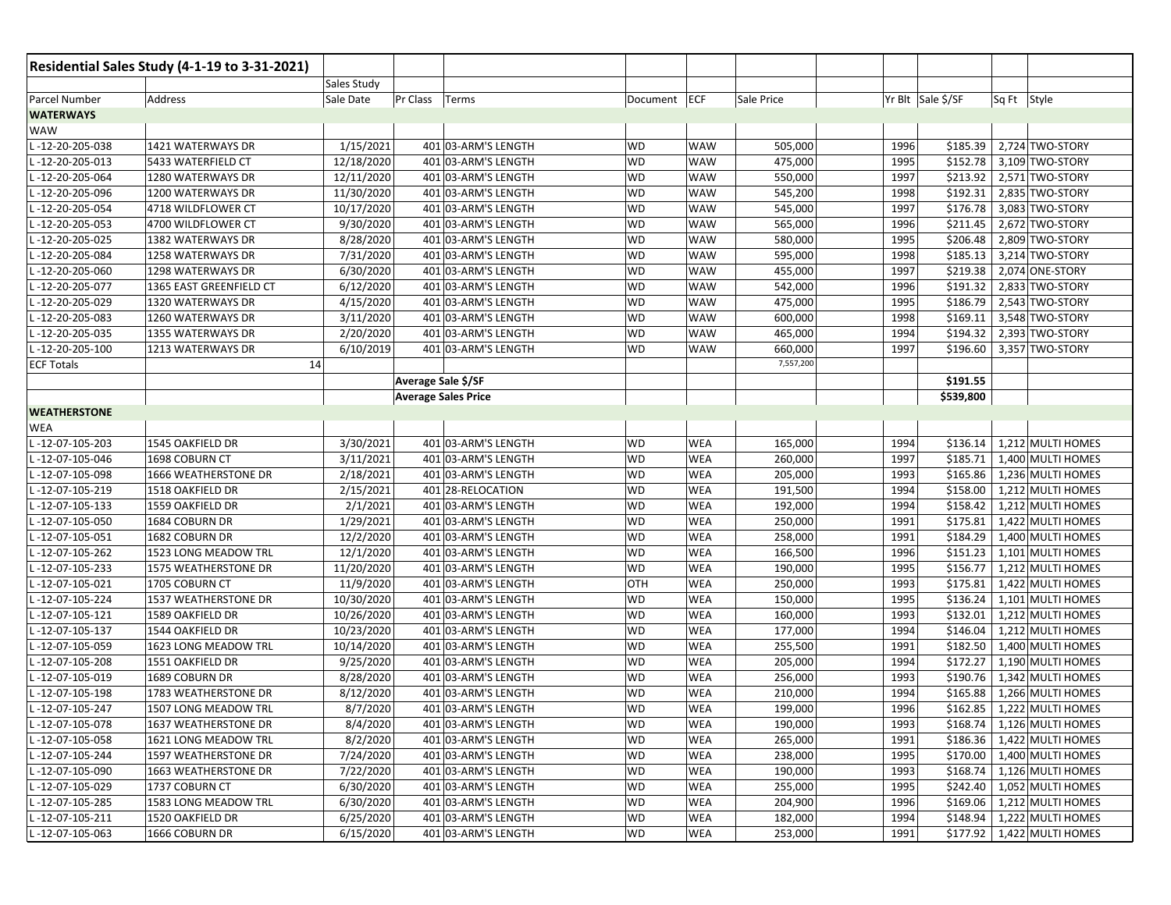| Residential Sales Study (4-1-19 to 3-31-2021) |                         |             |                    |                            |              |            |            |      |                   |             |                              |
|-----------------------------------------------|-------------------------|-------------|--------------------|----------------------------|--------------|------------|------------|------|-------------------|-------------|------------------------------|
|                                               |                         | Sales Study |                    |                            |              |            |            |      |                   |             |                              |
| Parcel Number                                 | Address                 | Sale Date   | Pr Class           | Terms                      | Document ECF |            | Sale Price |      | Yr Blt Sale \$/SF | Sq Ft Style |                              |
| <b>WATERWAYS</b>                              |                         |             |                    |                            |              |            |            |      |                   |             |                              |
| WAW                                           |                         |             |                    |                            |              |            |            |      |                   |             |                              |
| -12-20-205-038                                | 1421 WATERWAYS DR       | 1/15/2021   |                    | 401 03-ARM'S LENGTH        | WD           | <b>WAW</b> | 505,000    | 1996 | \$185.39          |             | 2,724 TWO-STORY              |
| -12-20-205-013                                | 5433 WATERFIELD CT      | 12/18/2020  |                    | 401 03-ARM'S LENGTH        | <b>WD</b>    | <b>WAW</b> | 475,000    | 1995 | \$152.78          |             | 3,109 TWO-STORY              |
| -12-20-205-064                                | 1280 WATERWAYS DR       | 12/11/2020  |                    | 401 03-ARM'S LENGTH        | WD           | <b>WAW</b> | 550,000    | 1997 | \$213.92          |             | 2,571 TWO-STORY              |
| -12-20-205-096                                | 1200 WATERWAYS DR       | 11/30/2020  |                    | 401 03-ARM'S LENGTH        | <b>WD</b>    | <b>WAW</b> | 545,200    | 1998 | \$192.31          |             | 2,835 TWO-STORY              |
| -12-20-205-054                                | 4718 WILDFLOWER CT      | 10/17/2020  |                    | 401 03-ARM'S LENGTH        | <b>WD</b>    | <b>WAW</b> | 545,000    | 1997 | \$176.78          |             | 3,083 TWO-STORY              |
| -12-20-205-053                                | 4700 WILDFLOWER CT      | 9/30/2020   |                    | 401 03-ARM'S LENGTH        | WD           | <b>WAW</b> | 565,000    | 1996 | \$211.45          |             | 2,672 TWO-STORY              |
| -12-20-205-025                                | 1382 WATERWAYS DR       | 8/28/2020   |                    | 401 03-ARM'S LENGTH        | WD           | <b>WAW</b> | 580,000    | 1995 | \$206.48          |             | 2,809 TWO-STORY              |
| -12-20-205-084                                | 1258 WATERWAYS DR       | 7/31/2020   |                    | 401 03-ARM'S LENGTH        | <b>WD</b>    | <b>WAW</b> | 595,000    | 1998 | \$185.13          |             | 3,214 TWO-STORY              |
| - 12-20-205-060                               | 1298 WATERWAYS DR       | 6/30/2020   |                    | 401 03-ARM'S LENGTH        | <b>WD</b>    | <b>WAW</b> | 455,000    | 1997 | \$219.38          |             | 2,074 ONE-STORY              |
| -12-20-205-077                                | 1365 EAST GREENFIELD CT | 6/12/2020   |                    | 401 03-ARM'S LENGTH        | <b>WD</b>    | <b>WAW</b> | 542,000    | 1996 | \$191.32          |             | 2,833 TWO-STORY              |
| -12-20-205-029                                | 1320 WATERWAYS DR       | 4/15/2020   |                    | 401 03-ARM'S LENGTH        | WD           | <b>WAW</b> | 475,000    | 1995 | \$186.79          |             | 2,543 TWO-STORY              |
| -12-20-205-083                                | 1260 WATERWAYS DR       | 3/11/2020   |                    | 401 03-ARM'S LENGTH        | <b>WD</b>    | <b>WAW</b> | 600,000    | 1998 | \$169.11          |             | 3,548 TWO-STORY              |
| - 12-20-205-035                               | 1355 WATERWAYS DR       | 2/20/2020   |                    | 401 03-ARM'S LENGTH        | <b>WD</b>    | <b>WAW</b> | 465,000    | 1994 | \$194.32          |             | 2,393 TWO-STORY              |
| L-12-20-205-100                               | 1213 WATERWAYS DR       | 6/10/2019   |                    | 401 03-ARM'S LENGTH        | WD           | <b>WAW</b> | 660,000    | 1997 | \$196.60          |             | 3,357 TWO-STORY              |
| <b>ECF Totals</b>                             | 14                      |             |                    |                            |              |            | 7,557,200  |      |                   |             |                              |
|                                               |                         |             | Average Sale \$/SF |                            |              |            |            |      | \$191.55          |             |                              |
|                                               |                         |             |                    | <b>Average Sales Price</b> |              |            |            |      | \$539,800         |             |                              |
| <b>WEATHERSTONE</b>                           |                         |             |                    |                            |              |            |            |      |                   |             |                              |
| WEA                                           |                         |             |                    |                            |              |            |            |      |                   |             |                              |
| -12-07-105-203                                | 1545 OAKFIELD DR        | 3/30/2021   |                    | 401 03-ARM'S LENGTH        | WD           | WEA        | 165,000    | 1994 | \$136.14          |             | 1,212 MULTI HOMES            |
| -12-07-105-046                                | 1698 COBURN CT          | 3/11/2021   |                    | 401 03-ARM'S LENGTH        | WD           | <b>WEA</b> | 260,000    | 1997 | \$185.71          |             | 1,400 MULTI HOMES            |
| -12-07-105-098                                | 1666 WEATHERSTONE DR    | 2/18/2021   |                    | 401 03-ARM'S LENGTH        | <b>WD</b>    | <b>WEA</b> | 205,000    | 1993 | \$165.86          |             | 1,236 MULTI HOMES            |
| L-12-07-105-219                               | 1518 OAKFIELD DR        | 2/15/2021   |                    | 401 28-RELOCATION          | WD           | <b>WEA</b> | 191,500    | 1994 | \$158.00          |             | 1,212 MULTI HOMES            |
| -12-07-105-133                                | 1559 OAKFIELD DR        | 2/1/2021    |                    | 401 03-ARM'S LENGTH        | WD           | <b>WEA</b> | 192,000    | 1994 | \$158.42          |             | 1,212 MULTI HOMES            |
| -12-07-105-050                                | 1684 COBURN DR          | 1/29/2021   |                    | 401 03-ARM'S LENGTH        | <b>WD</b>    | WEA        | 250,000    | 1991 | \$175.81          |             | 1,422 MULTI HOMES            |
| - 12-07-105-051                               | 1682 COBURN DR          | 12/2/2020   |                    | 401 03-ARM'S LENGTH        | <b>WD</b>    | <b>WEA</b> | 258,000    | 1991 | \$184.29          |             | 1,400 MULTI HOMES            |
| -12-07-105-262                                | 1523 LONG MEADOW TRL    | 12/1/2020   |                    | 401 03-ARM'S LENGTH        | <b>WD</b>    | <b>WEA</b> | 166,500    | 1996 | \$151.23          |             | 1,101 MULTI HOMES            |
| - 12-07-105-233                               | 1575 WEATHERSTONE DR    | 11/20/2020  |                    | 401 03-ARM'S LENGTH        | <b>WD</b>    | <b>WEA</b> | 190,000    | 1995 | \$156.77          |             | 1,212 MULTI HOMES            |
| -12-07-105-021                                | 1705 COBURN CT          | 11/9/2020   |                    | 401 03-ARM'S LENGTH        | OTH          | <b>WEA</b> | 250,000    | 1993 | \$175.81          |             | 1,422 MULTI HOMES            |
| - 12-07-105-224                               | 1537 WEATHERSTONE DR    | 10/30/2020  |                    | 401 03-ARM'S LENGTH        | <b>WD</b>    | <b>WEA</b> | 150,000    | 1995 | \$136.24          |             | 1,101 MULTI HOMES            |
| - 12-07-105-121                               | 1589 OAKFIELD DR        | 10/26/2020  |                    | 401 03-ARM'S LENGTH        | <b>WD</b>    | <b>WEA</b> | 160,000    | 1993 | \$132.01          |             | 1,212 MULTI HOMES            |
| -12-07-105-137                                | 1544 OAKFIELD DR        | 10/23/2020  |                    | 401 03-ARM'S LENGTH        | <b>WD</b>    | <b>WEA</b> | 177,000    | 1994 | \$146.04          |             | 1,212 MULTI HOMES            |
| -12-07-105-059                                | 1623 LONG MEADOW TRL    | 10/14/2020  |                    | 401 03-ARM'S LENGTH        | <b>WD</b>    | <b>WEA</b> | 255,500    | 1991 | \$182.50          |             | 1,400 MULTI HOMES            |
| -12-07-105-208                                | 1551 OAKFIELD DR        | 9/25/2020   |                    | 401 03-ARM'S LENGTH        | WD           | <b>WEA</b> | 205,000    | 1994 | \$172.27          |             | 1,190 MULTI HOMES            |
| -12-07-105-019                                | 1689 COBURN DR          | 8/28/2020   |                    | 401 03-ARM'S LENGTH        | WD           | WEA        | 256,000    | 1993 | \$190.76          |             | 1,342 MULTI HOMES            |
| -12-07-105-198                                | 1783 WEATHERSTONE DR    | 8/12/2020   |                    | 401 03-ARM'S LENGTH        | WD           | <b>WEA</b> | 210,000    | 1994 | \$165.88          |             | 1,266 MULTI HOMES            |
| . -12-07-105-247                              | 1507 LONG MEADOW TRL    | 8/7/2020    |                    | 401 03-ARM'S LENGTH        | <b>WD</b>    | <b>WEA</b> | 199,000    | 1996 | \$162.85          |             | 1,222 MULTI HOMES            |
| -12-07-105-078                                | 1637 WEATHERSTONE DR    | 8/4/2020    |                    | 401 03-ARM'S LENGTH        | WD           | WEA        | 190,000    | 1993 |                   |             | \$168.74   1,126 MULTI HOMES |
| -12-07-105-058                                | 1621 LONG MEADOW TRL    | 8/2/2020    |                    | 401 03-ARM'S LENGTH        | <b>WD</b>    | WEA        | 265,000    | 1991 | \$186.36          |             | 1,422 MULTI HOMES            |
| - 12-07-105-244                               | 1597 WEATHERSTONE DR    | 7/24/2020   |                    | 401 03-ARM'S LENGTH        | WD           | WEA        | 238,000    | 1995 | \$170.00          |             | 1,400 MULTI HOMES            |
| - 12-07-105-090                               | 1663 WEATHERSTONE DR    | 7/22/2020   |                    | 401 03-ARM'S LENGTH        | WD           | WEA        | 190,000    | 1993 | \$168.74          |             | 1,126 MULTI HOMES            |
| - 12-07-105-029                               | 1737 COBURN CT          | 6/30/2020   |                    | 401 03-ARM'S LENGTH        | WD           | WEA        | 255,000    | 1995 | \$242.40          |             | 1,052 MULTI HOMES            |
| - 12-07-105-285                               | 1583 LONG MEADOW TRL    | 6/30/2020   |                    | 401 03-ARM'S LENGTH        | WD           | WEA        | 204,900    | 1996 | \$169.06          |             | 1,212 MULTI HOMES            |
| L-12-07-105-211                               | 1520 OAKFIELD DR        | 6/25/2020   |                    | 401 03-ARM'S LENGTH        | WD           | <b>WEA</b> | 182,000    | 1994 | \$148.94          |             | 1,222 MULTI HOMES            |
| L-12-07-105-063                               | 1666 COBURN DR          | 6/15/2020   |                    | 401 03-ARM'S LENGTH        | WD           | WEA        | 253,000    | 1991 |                   |             | \$177.92 1,422 MULTI HOMES   |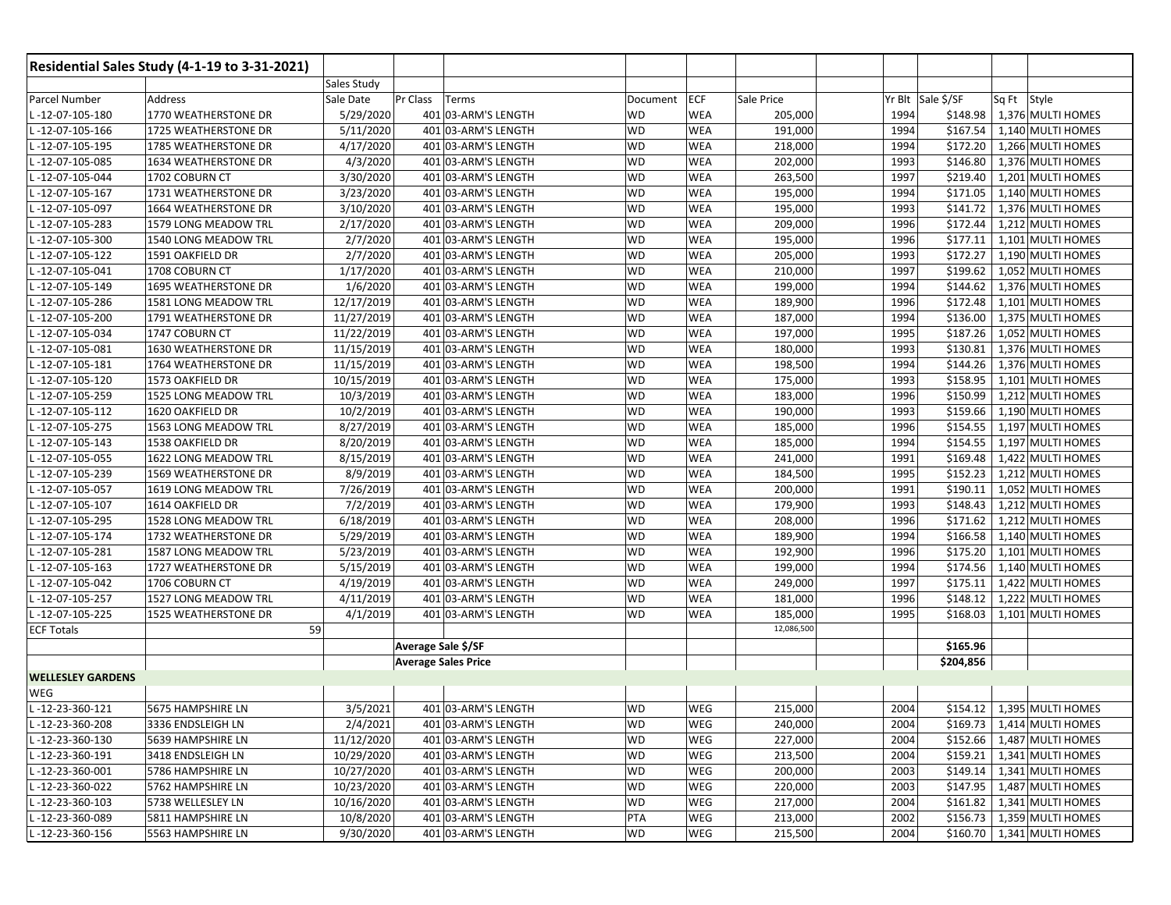| Residential Sales Study (4-1-19 to 3-31-2021) |                      |                       |                            |           |            |            |      |                   |                              |
|-----------------------------------------------|----------------------|-----------------------|----------------------------|-----------|------------|------------|------|-------------------|------------------------------|
|                                               |                      | Sales Study           |                            |           |            |            |      |                   |                              |
| Parcel Number                                 | Address              | Sale Date<br>Pr Class | Terms                      | Document  | <b>ECF</b> | Sale Price |      | Yr Blt Sale \$/SF | Sq Ft Style                  |
| -12-07-105-180                                | 1770 WEATHERSTONE DR | 5/29/2020             | 401 03-ARM'S LENGTH        | WD        | WEA        | 205,000    | 1994 | \$148.98          | 1,376 MULTI HOMES            |
| -12-07-105-166                                | 1725 WEATHERSTONE DR | 5/11/2020             | 401 03-ARM'S LENGTH        | WD        | <b>WEA</b> | 191,000    | 1994 | \$167.54          | 1,140 MULTI HOMES            |
| -12-07-105-195                                | 1785 WEATHERSTONE DR | 4/17/2020             | 401 03-ARM'S LENGTH        | <b>WD</b> | <b>WEA</b> | 218,000    | 1994 | \$172.20          | 1,266 MULTI HOMES            |
| -12-07-105-085                                | 1634 WEATHERSTONE DR | 4/3/2020              | 401 03-ARM'S LENGTH        | WD        | WEA        | 202,000    | 1993 | \$146.80          | 1,376 MULTI HOMES            |
| -12-07-105-044                                | 1702 COBURN CT       | 3/30/2020             | 401 03-ARM'S LENGTH        | WD        | <b>WEA</b> | 263,500    | 1997 | \$219.40          | 1,201 MULTI HOMES            |
| -12-07-105-167                                | 1731 WEATHERSTONE DR | 3/23/2020             | 401 03-ARM'S LENGTH        | <b>WD</b> | <b>WEA</b> | 195,000    | 1994 | \$171.05          | 1,140 MULTI HOMES            |
| -12-07-105-097                                | 1664 WEATHERSTONE DR | 3/10/2020             | 401 03-ARM'S LENGTH        | <b>WD</b> | <b>WEA</b> | 195,000    | 1993 | \$141.72          | 1,376 MULTI HOMES            |
| -12-07-105-283                                | 1579 LONG MEADOW TRL | 2/17/2020             | 401 03-ARM'S LENGTH        | <b>WD</b> | WEA        | 209,000    | 1996 | \$172.44          | 1,212 MULTI HOMES            |
| -12-07-105-300                                | 1540 LONG MEADOW TRL | 2/7/2020              | 401 03-ARM'S LENGTH        | <b>WD</b> | <b>WEA</b> | 195,000    | 1996 | \$177.11          | 1,101 MULTI HOMES            |
| $-12-07-105-122$                              | 1591 OAKFIELD DR     | 2/7/2020              | 401 03-ARM'S LENGTH        | <b>WD</b> | <b>WEA</b> | 205,000    | 1993 | \$172.27          | 1,190 MULTI HOMES            |
| -12-07-105-041                                | 1708 COBURN CT       | 1/17/2020             | 401 03-ARM'S LENGTH        | <b>WD</b> | WEA        | 210,000    | 1997 | \$199.62          | 1,052 MULTI HOMES            |
| $-12-07-105-149$                              | 1695 WEATHERSTONE DR | 1/6/2020              | 401 03-ARM'S LENGTH        | WD        | WEA        | 199,000    | 1994 | \$144.62          | 1,376 MULTI HOMES            |
| $-12-07-105-286$                              | 1581 LONG MEADOW TRL | 12/17/2019            | 401 03-ARM'S LENGTH        | <b>WD</b> | <b>WEA</b> | 189,900    | 1996 | \$172.48          | 1,101 MULTI HOMES            |
| -12-07-105-200                                | 1791 WEATHERSTONE DR | 11/27/2019            | 401 03-ARM'S LENGTH        | <b>WD</b> | <b>WEA</b> | 187,000    | 1994 | \$136.00          | 1,375 MULTI HOMES            |
| -12-07-105-034                                | 1747 COBURN CT       | 11/22/2019            | 401 03-ARM'S LENGTH        | WD        | <b>WEA</b> | 197,000    | 1995 | \$187.26          | 1,052 MULTI HOMES            |
| -12-07-105-081                                | 1630 WEATHERSTONE DR | 11/15/2019            | 401 03-ARM'S LENGTH        | <b>WD</b> | WEA        | 180,000    | 1993 | \$130.81          | 1,376 MULTI HOMES            |
| -12-07-105-181                                | 1764 WEATHERSTONE DR | 11/15/2019            | 401 03-ARM'S LENGTH        | <b>WD</b> | <b>WEA</b> | 198,500    | 1994 | \$144.26          | 1,376 MULTI HOMES            |
| -12-07-105-120                                | 1573 OAKFIELD DR     | 10/15/2019            | 401 03-ARM'S LENGTH        | WD        | <b>WEA</b> | 175,000    | 1993 | \$158.95          | 1,101 MULTI HOMES            |
| -12-07-105-259                                | 1525 LONG MEADOW TRL | 10/3/2019             | 401 03-ARM'S LENGTH        | WD        | <b>WEA</b> | 183,000    | 1996 | \$150.99          | 1,212 MULTI HOMES            |
| -12-07-105-112                                | 1620 OAKFIELD DR     | 10/2/2019             | 401 03-ARM'S LENGTH        | WD        | WEA        | 190,000    | 1993 | \$159.66          | 1,190 MULTI HOMES            |
| -12-07-105-275                                | 1563 LONG MEADOW TRL | 8/27/2019             | 401 03-ARM'S LENGTH        | <b>WD</b> | <b>WEA</b> | 185,000    | 1996 | \$154.55          | 1,197 MULTI HOMES            |
| -12-07-105-143                                | 1538 OAKFIELD DR     | 8/20/2019             | 401 03-ARM'S LENGTH        | <b>WD</b> | <b>WEA</b> | 185,000    | 1994 | \$154.55          | 1,197 MULTI HOMES            |
| -12-07-105-055                                | 1622 LONG MEADOW TRL | 8/15/2019             | 401 03-ARM'S LENGTH        | WD        | <b>WEA</b> | 241,000    | 1991 | \$169.48          | 1,422 MULTI HOMES            |
| -12-07-105-239                                | 1569 WEATHERSTONE DR | 8/9/2019              | 401 03-ARM'S LENGTH        | WD        | WEA        | 184,500    | 1995 | \$152.23          | 1,212 MULTI HOMES            |
| -12-07-105-057                                | 1619 LONG MEADOW TRL | 7/26/2019             | 401 03-ARM'S LENGTH        | <b>WD</b> | <b>WEA</b> | 200,000    | 1991 | \$190.11          | 1,052 MULTI HOMES            |
| -12-07-105-107                                | 1614 OAKFIELD DR     | 7/2/2019              | 401 03-ARM'S LENGTH        | <b>WD</b> | <b>WEA</b> | 179,900    | 1993 | \$148.43          | 1,212 MULTI HOMES            |
| -12-07-105-295                                | 1528 LONG MEADOW TRL | 6/18/2019             | 401 03-ARM'S LENGTH        | WD        | <b>WEA</b> | 208,000    | 1996 | \$171.62          | 1,212 MULTI HOMES            |
| -12-07-105-174                                | 1732 WEATHERSTONE DR | 5/29/2019             | 401 03-ARM'S LENGTH        | WD        | WEA        | 189,900    | 1994 | \$166.58          | 1,140 MULTI HOMES            |
| -12-07-105-281                                | 1587 LONG MEADOW TRL | 5/23/2019             | 401 03-ARM'S LENGTH        | WD        | WEA        | 192,900    | 1996 | \$175.20          | 1,101 MULTI HOMES            |
| -12-07-105-163                                | 1727 WEATHERSTONE DR | 5/15/2019             | 401 03-ARM'S LENGTH        | <b>WD</b> | <b>WEA</b> | 199,000    | 1994 | \$174.56          | 1,140 MULTI HOMES            |
| -12-07-105-042                                | 1706 COBURN CT       | 4/19/2019             | 401 03-ARM'S LENGTH        | <b>WD</b> | <b>WEA</b> | 249,000    | 1997 | \$175.11          | 1,422 MULTI HOMES            |
| -12-07-105-257                                | 1527 LONG MEADOW TRL | 4/11/2019             | 401 03-ARM'S LENGTH        | <b>WD</b> | <b>WEA</b> | 181,000    | 1996 | \$148.12          | 1,222 MULTI HOMES            |
| -12-07-105-225                                | 1525 WEATHERSTONE DR | 4/1/2019              | 401 03-ARM'S LENGTH        | WD        | WEA        | 185,000    | 1995 | \$168.03          | 1,101 MULTI HOMES            |
| <b>ECF Totals</b>                             | 59                   |                       |                            |           |            | 12,086,500 |      |                   |                              |
|                                               |                      | Average Sale \$/SF    |                            |           |            |            |      | \$165.96          |                              |
|                                               |                      |                       | <b>Average Sales Price</b> |           |            |            |      | \$204,856         |                              |
| <b>WELLESLEY GARDENS</b>                      |                      |                       |                            |           |            |            |      |                   |                              |
| WEG                                           |                      |                       |                            |           |            |            |      |                   |                              |
| L-12-23-360-121                               | 5675 HAMPSHIRE LN    | 3/5/2021              | 401 03-ARM'S LENGTH        | <b>WD</b> | WEG        | 215,000    | 2004 |                   | \$154.12   1,395 MULTI HOMES |
| L-12-23-360-208                               | 3336 ENDSLEIGH LN    | 2/4/2021              | 401 03-ARM'S LENGTH        | <b>WD</b> | WEG        | 240,000    | 2004 |                   | \$169.73   1,414 MULTI HOMES |
| L-12-23-360-130                               | 5639 HAMPSHIRE LN    | 11/12/2020            | 401 03-ARM'S LENGTH        | WD        | WEG        | 227,000    | 2004 | \$152.66          | 1,487 MULTI HOMES            |
| L-12-23-360-191                               | 3418 ENDSLEIGH LN    | 10/29/2020            | 401 03-ARM'S LENGTH        | WD        | WEG        | 213,500    | 2004 | \$159.21          | 1,341 MULTI HOMES            |
| L-12-23-360-001                               | 5786 HAMPSHIRE LN    | 10/27/2020            | 401 03-ARM'S LENGTH        | WD        | WEG        | 200,000    | 2003 | \$149.14          | 1,341 MULTI HOMES            |
| L-12-23-360-022                               | 5762 HAMPSHIRE LN    | 10/23/2020            | 401 03-ARM'S LENGTH        | WD        | WEG        | 220,000    | 2003 | \$147.95          | 1,487 MULTI HOMES            |
| L-12-23-360-103                               | 5738 WELLESLEY LN    | 10/16/2020            | 401 03-ARM'S LENGTH        | WD        | WEG        | 217,000    | 2004 | \$161.82          | 1,341 MULTI HOMES            |
| L-12-23-360-089                               | 5811 HAMPSHIRE LN    | 10/8/2020             | 401 03-ARM'S LENGTH        | PTA       | WEG        | 213,000    | 2002 |                   | \$156.73   1,359 MULTI HOMES |
| L-12-23-360-156                               | 5563 HAMPSHIRE LN    | 9/30/2020             | 401 03-ARM'S LENGTH        | WD        | WEG        | 215,500    | 2004 |                   | \$160.70 1,341 MULTI HOMES   |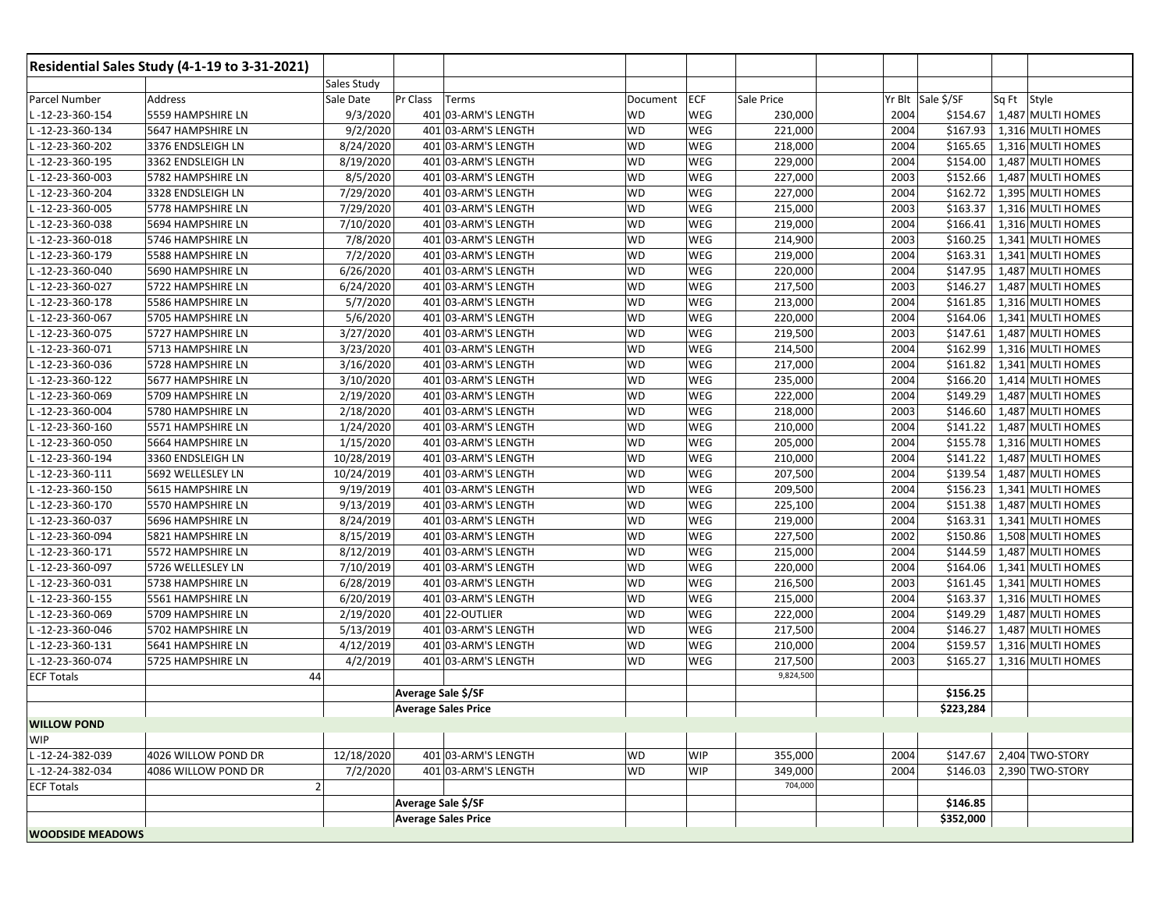|                         | Residential Sales Study (4-1-19 to 3-31-2021) |                       |                            |           |            |            |                   |                                |
|-------------------------|-----------------------------------------------|-----------------------|----------------------------|-----------|------------|------------|-------------------|--------------------------------|
|                         |                                               | Sales Study           |                            |           |            |            |                   |                                |
| Parcel Number           | Address                                       | Pr Class<br>Sale Date | Terms                      | Document  | ECF        | Sale Price | Yr Blt Sale \$/SF | Sq Ft Style                    |
| L-12-23-360-154         | 5559 HAMPSHIRE LN                             | 9/3/2020              | 401 03-ARM'S LENGTH        | WD        | WEG        | 230,000    | \$154.67<br>2004  | 1,487 MULTI HOMES              |
| L-12-23-360-134         | 5647 HAMPSHIRE LN                             | 9/2/2020              | 401 03-ARM'S LENGTH        | <b>WD</b> | WEG        | 221,000    | 2004<br>\$167.93  | 1,316 MULTI HOMES              |
| L-12-23-360-202         | 3376 ENDSLEIGH LN                             | 8/24/2020             | 401 03-ARM'S LENGTH        | <b>WD</b> | WEG        | 218,000    | 2004<br>\$165.65  | 1,316 MULTI HOMES              |
| -12-23-360-195          | 3362 ENDSLEIGH LN                             | 8/19/2020             | 401 03-ARM'S LENGTH        | <b>WD</b> | WEG        | 229,000    | 2004<br>\$154.00  | 1,487 MULTI HOMES              |
| -12-23-360-003          | 5782 HAMPSHIRE LN                             | 8/5/2020              | 401 03-ARM'S LENGTH        | <b>WD</b> | WEG        | 227,000    | 2003<br>\$152.66  | 1,487 MULTI HOMES              |
| -12-23-360-204          | 3328 ENDSLEIGH LN                             | 7/29/2020             | 401 03-ARM'S LENGTH        | <b>WD</b> | WEG        | 227,000    | 2004<br>\$162.72  | 1,395 MULTI HOMES              |
| L-12-23-360-005         | 5778 HAMPSHIRE LN                             | 7/29/2020             | 401 03-ARM'S LENGTH        | <b>WD</b> | WEG        | 215,000    | 2003<br>\$163.37  | 1,316 MULTI HOMES              |
| -12-23-360-038          | 5694 HAMPSHIRE LN                             | 7/10/2020             | 401 03-ARM'S LENGTH        | <b>WD</b> | WEG        | 219,000    | 2004<br>\$166.41  | 1,316 MULTI HOMES              |
| -12-23-360-018          | 5746 HAMPSHIRE LN                             | 7/8/2020              | 401 03-ARM'S LENGTH        | <b>WD</b> | WEG        | 214,900    | 2003<br>\$160.25  | $\overline{1,341}$ MULTI HOMES |
| -12-23-360-179          | 5588 HAMPSHIRE LN                             | 7/2/2020              | 401 03-ARM'S LENGTH        | <b>WD</b> | WEG        | 219,000    | 2004<br>\$163.31  | 1,341 MULTI HOMES              |
| L-12-23-360-040         | 5690 HAMPSHIRE LN                             | 6/26/2020             | 401 03-ARM'S LENGTH        | <b>WD</b> | WEG        | 220,000    | 2004<br>\$147.95  | 1,487 MULTI HOMES              |
| L-12-23-360-027         | 5722 HAMPSHIRE LN                             | 6/24/2020             | 401 03-ARM'S LENGTH        | <b>WD</b> | WEG        | 217,500    | 2003<br>\$146.27  | 1,487 MULTI HOMES              |
| L-12-23-360-178         | 5586 HAMPSHIRE LN                             | 5/7/2020              | 401 03-ARM'S LENGTH        | <b>WD</b> | WEG        | 213,000    | 2004<br>\$161.85  | 1,316 MULTI HOMES              |
| L-12-23-360-067         | 5705 HAMPSHIRE LN                             | 5/6/2020              | 401 03-ARM'S LENGTH        | <b>WD</b> | WEG        | 220,000    | 2004<br>\$164.06  | 1,341 MULTI HOMES              |
| L-12-23-360-075         | 5727 HAMPSHIRE LN                             | 3/27/2020             | 401 03-ARM'S LENGTH        | WD        | <b>WEG</b> | 219,500    | 2003<br>\$147.61  | 1,487 MULTI HOMES              |
| L-12-23-360-071         | 5713 HAMPSHIRE LN                             | 3/23/2020             | 401 03-ARM'S LENGTH        | <b>WD</b> | WEG        | 214,500    | 2004<br>\$162.99  | 1,316 MULTI HOMES              |
| L-12-23-360-036         | 5728 HAMPSHIRE LN                             | 3/16/2020             | 401 03-ARM'S LENGTH        | <b>WD</b> | WEG        | 217,000    | 2004<br>\$161.82  | 1,341 MULTI HOMES              |
| -12-23-360-122          | 5677 HAMPSHIRE LN                             | 3/10/2020             | 401 03-ARM'S LENGTH        | <b>WD</b> | WEG        | 235,000    | 2004<br>\$166.20  | 1,414 MULTI HOMES              |
| L-12-23-360-069         | 5709 HAMPSHIRE LN                             | 2/19/2020             | 401 03-ARM'S LENGTH        | <b>WD</b> | WEG        | 222,000    | \$149.29<br>2004  | 1,487 MULTI HOMES              |
| L-12-23-360-004         | 5780 HAMPSHIRE LN                             | 2/18/2020             | 401 03-ARM'S LENGTH        | <b>WD</b> | WEG        | 218,000    | 2003<br>\$146.60  | 1,487 MULTI HOMES              |
| L-12-23-360-160         | 5571 HAMPSHIRE LN                             | 1/24/2020             | 401 03-ARM'S LENGTH        | <b>WD</b> | WEG        | 210,000    | 2004<br>\$141.22  | 1,487 MULTI HOMES              |
| L-12-23-360-050         | 5664 HAMPSHIRE LN                             | 1/15/2020             | 401 03-ARM'S LENGTH        | <b>WD</b> | WEG        | 205,000    | 2004<br>\$155.78  | 1,316 MULTI HOMES              |
| L-12-23-360-194         | 3360 ENDSLEIGH LN                             | 10/28/2019            | 401 03-ARM'S LENGTH        | <b>WD</b> | WEG        | 210,000    | 2004<br>\$141.22  | 1,487 MULTI HOMES              |
| L-12-23-360-111         | 5692 WELLESLEY LN                             | 10/24/2019            | 401 03-ARM'S LENGTH        | <b>WD</b> | WEG        | 207,500    | 2004<br>\$139.54  | 1,487 MULTI HOMES              |
| L-12-23-360-150         | 5615 HAMPSHIRE LN                             | 9/19/2019             | 401 03-ARM'S LENGTH        | <b>WD</b> | WEG        | 209,500    | 2004<br>\$156.23  | 1,341 MULTI HOMES              |
| -12-23-360-170          | 5570 HAMPSHIRE LN                             | 9/13/2019             | 401 03-ARM'S LENGTH        | <b>WD</b> | WEG        | 225,100    | 2004              | \$151.38   1,487 MULTI HOMES   |
| L-12-23-360-037         | 5696 HAMPSHIRE LN                             | 8/24/2019             | 401 03-ARM'S LENGTH        | <b>WD</b> | WEG        | 219,000    | \$163.31<br>2004  | 1,341 MULTI HOMES              |
| L-12-23-360-094         | 5821 HAMPSHIRE LN                             | 8/15/2019             | 401 03-ARM'S LENGTH        | <b>WD</b> | WEG        | 227,500    | 2002<br>\$150.86  | 1,508 MULTI HOMES              |
| -12-23-360-171          | 5572 HAMPSHIRE LN                             | 8/12/2019             | 401 03-ARM'S LENGTH        | <b>WD</b> | WEG        | 215,000    | 2004<br>\$144.59  | 1,487 MULTI HOMES              |
| -12-23-360-097          | 5726 WELLESLEY LN                             | 7/10/2019             | 401 03-ARM'S LENGTH        | <b>WD</b> | WEG        | 220,000    | 2004<br>\$164.06  | 1,341 MULTI HOMES              |
| -12-23-360-031          | 5738 HAMPSHIRE LN                             | 6/28/2019             | 401 03-ARM'S LENGTH        | <b>WD</b> | WEG        | 216,500    | 2003<br>\$161.45  | 1,341 MULTI HOMES              |
| L-12-23-360-155         | 5561 HAMPSHIRE LN                             | 6/20/2019             | 401 03-ARM'S LENGTH        | <b>WD</b> | WEG        | 215,000    | 2004<br>\$163.37  | 1,316 MULTI HOMES              |
| -12-23-360-069          | 5709 HAMPSHIRE LN                             | 2/19/2020             | 401 22-OUTLIER             | <b>WD</b> | WEG        | 222,000    | 2004<br>\$149.29  | 1,487 MULTI HOMES              |
| -12-23-360-046          | 5702 HAMPSHIRE LN                             | 5/13/2019             | 401 03-ARM'S LENGTH        | <b>WD</b> | WEG        | 217,500    | 2004<br>\$146.27  | 1,487 MULTI HOMES              |
| -12-23-360-131          | 5641 HAMPSHIRE LN                             | 4/12/2019             | 401 03-ARM'S LENGTH        | <b>WD</b> | WEG        | 210,000    | 2004<br>\$159.57  | 1,316 MULTI HOMES              |
| L-12-23-360-074         | 5725 HAMPSHIRE LN                             | 4/2/2019              | 401 03-ARM'S LENGTH        | WD        | WEG        | 217,500    | \$165.27<br>2003  | 1,316 MULTI HOMES              |
| <b>ECF Totals</b>       | 44                                            |                       |                            |           |            | 9,824,500  |                   |                                |
|                         |                                               |                       | Average Sale \$/SF         |           |            |            | \$156.25          |                                |
|                         |                                               |                       | <b>Average Sales Price</b> |           |            |            | \$223,284         |                                |
| <b>WILLOW POND</b>      |                                               |                       |                            |           |            |            |                   |                                |
| <b>WIP</b>              |                                               |                       |                            |           |            |            |                   |                                |
| L-12-24-382-039         | 4026 WILLOW POND DR                           | 12/18/2020            | 401 03-ARM'S LENGTH        | WD        | <b>WIP</b> | 355,000    | 2004              | \$147.67 2,404 TWO-STORY       |
| L-12-24-382-034         | 4086 WILLOW POND DR                           | 7/2/2020              | 401 03-ARM'S LENGTH        | WD        | <b>WIP</b> | 349,000    | 2004<br>\$146.03  | 2,390 TWO-STORY                |
| <b>ECF Totals</b>       | $\overline{2}$                                |                       |                            |           |            | 704,000    |                   |                                |
|                         |                                               |                       | Average Sale \$/SF         |           |            |            | \$146.85          |                                |
|                         |                                               |                       | <b>Average Sales Price</b> |           |            |            | \$352,000         |                                |
| <b>WOODSIDE MEADOWS</b> |                                               |                       |                            |           |            |            |                   |                                |
|                         |                                               |                       |                            |           |            |            |                   |                                |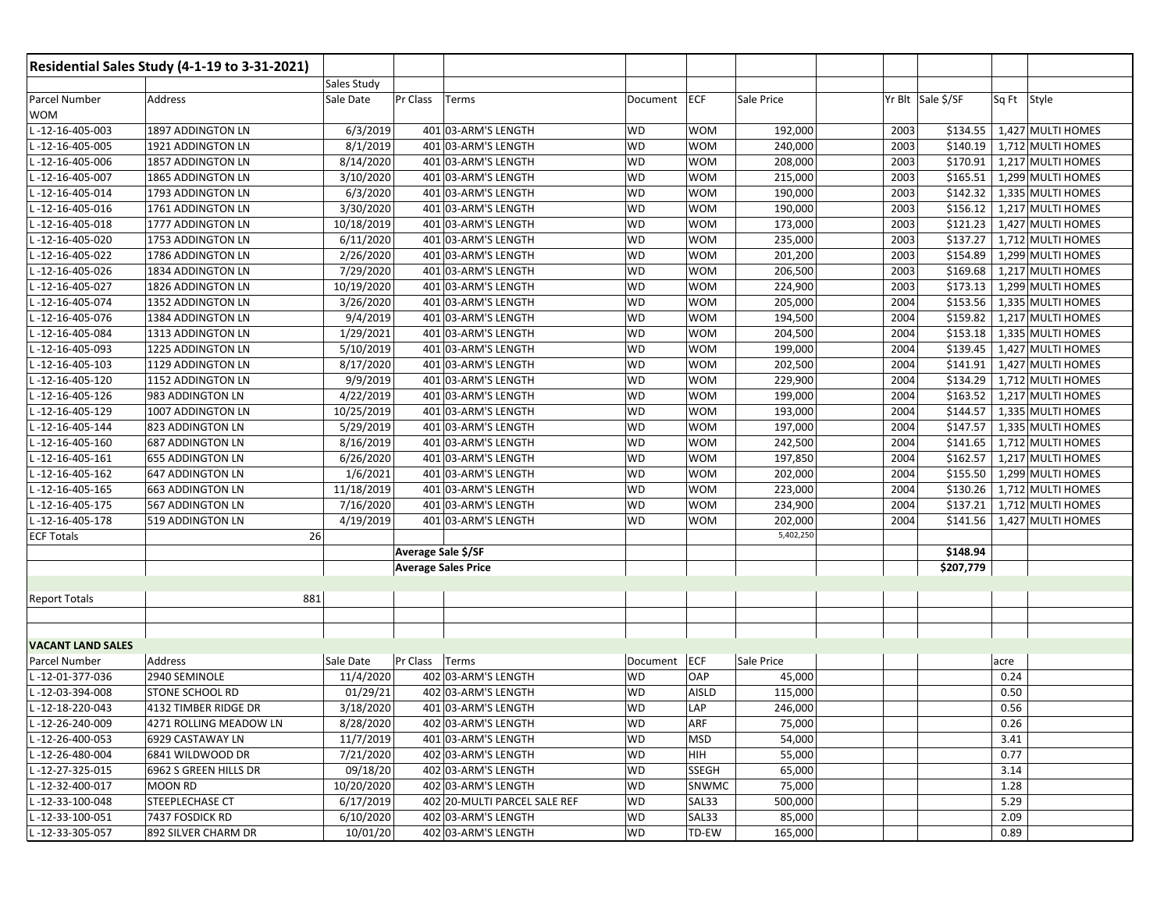| Residential Sales Study (4-1-19 to 3-31-2021) |                         |            |                              |           |              |            |      |                   |             |                   |
|-----------------------------------------------|-------------------------|------------|------------------------------|-----------|--------------|------------|------|-------------------|-------------|-------------------|
| <b>Sales Study</b>                            |                         |            |                              |           |              |            |      |                   |             |                   |
| Parcel Number<br><b>WOM</b>                   | Address                 | Sale Date  | Pr Class<br>Terms            | Document  | <b>ECF</b>   | Sale Price |      | Yr Blt Sale \$/SF | Sq Ft Style |                   |
| L-12-16-405-003                               | 1897 ADDINGTON LN       | 6/3/2019   | 401 03-ARM'S LENGTH          | <b>WD</b> | <b>WOM</b>   | 192,000    | 2003 | \$134.55          |             | 1,427 MULTI HOMES |
| $-12 - 16 - 405 - 005$                        | 1921 ADDINGTON LN       | 8/1/2019   | 401 03-ARM'S LENGTH          | WD        | <b>WOM</b>   | 240,000    | 2003 | \$140.19          |             | 1,712 MULTI HOMES |
| -12-16-405-006                                | 1857 ADDINGTON LN       | 8/14/2020  | 401 03-ARM'S LENGTH          | WD        | <b>WOM</b>   | 208,000    | 2003 | \$170.91          |             | 1,217 MULTI HOMES |
| -12-16-405-007                                | 1865 ADDINGTON LN       | 3/10/2020  | 401 03-ARM'S LENGTH          | WD        | <b>WOM</b>   | 215,000    | 2003 | \$165.51          |             | 1,299 MULTI HOMES |
| -12-16-405-014                                | 1793 ADDINGTON LN       | 6/3/2020   | 401 03-ARM'S LENGTH          | WD        | <b>WOM</b>   | 190,000    | 2003 | \$142.32          |             | 1,335 MULTI HOMES |
| -12-16-405-016                                | 1761 ADDINGTON LN       | 3/30/2020  | 401 03-ARM'S LENGTH          | <b>WD</b> | <b>WOM</b>   | 190,000    | 2003 | \$156.12          |             | 1,217 MULTI HOMES |
| -12-16-405-018                                | 1777 ADDINGTON LN       | 10/18/2019 | 401 03-ARM'S LENGTH          | <b>WD</b> | <b>WOM</b>   | 173,000    | 2003 | \$121.23          |             | 1,427 MULTI HOMES |
| -12-16-405-020                                | 1753 ADDINGTON LN       | 6/11/2020  | 401 03-ARM'S LENGTH          | <b>WD</b> | <b>WOM</b>   | 235,000    | 2003 | \$137.27          |             | 1,712 MULTI HOMES |
| -12-16-405-022                                | 1786 ADDINGTON LN       | 2/26/2020  | 401 03-ARM'S LENGTH          | <b>WD</b> | <b>WOM</b>   | 201,200    | 2003 | \$154.89          |             | 1,299 MULTI HOMES |
| -12-16-405-026                                | 1834 ADDINGTON LN       | 7/29/2020  | 401 03-ARM'S LENGTH          | <b>WD</b> | <b>WOM</b>   | 206,500    | 2003 | \$169.68          |             | 1,217 MULTI HOMES |
| $-12 - 16 - 405 - 027$                        | 1826 ADDINGTON LN       | 10/19/2020 | 401 03-ARM'S LENGTH          | <b>WD</b> | <b>WOM</b>   | 224,900    | 2003 | \$173.13          |             | 1,299 MULTI HOMES |
| $-12 - 16 - 405 - 074$                        | 1352 ADDINGTON LN       | 3/26/2020  | 401 03-ARM'S LENGTH          | <b>WD</b> | <b>WOM</b>   | 205,000    | 2004 | \$153.56          |             | 1,335 MULTI HOMES |
| -12-16-405-076                                | 1384 ADDINGTON LN       | 9/4/2019   | 401 03-ARM'S LENGTH          | <b>WD</b> | <b>WOM</b>   | 194,500    | 2004 | \$159.82          |             | 1,217 MULTI HOMES |
| L-12-16-405-084                               | 1313 ADDINGTON LN       | 1/29/2021  | 401 03-ARM'S LENGTH          | <b>WD</b> | <b>WOM</b>   | 204,500    | 2004 | \$153.18          |             | 1,335 MULTI HOMES |
| -12-16-405-093                                | 1225 ADDINGTON LN       | 5/10/2019  | 401 03-ARM'S LENGTH          | <b>WD</b> | <b>WOM</b>   | 199,000    | 2004 | \$139.45          |             | 1,427 MULTI HOMES |
| -12-16-405-103                                | 1129 ADDINGTON LN       | 8/17/2020  | 401 03-ARM'S LENGTH          | <b>WD</b> | <b>WOM</b>   | 202,500    | 2004 | \$141.91          |             | 1,427 MULTI HOMES |
| -12-16-405-120                                | 1152 ADDINGTON LN       | 9/9/2019   | 401 03-ARM'S LENGTH          | WD        | <b>WOM</b>   | 229,900    | 2004 | \$134.29          |             | 1,712 MULTI HOMES |
| L-12-16-405-126                               | 983 ADDINGTON LN        | 4/22/2019  | 401 03-ARM'S LENGTH          | <b>WD</b> | <b>WOM</b>   | 199,000    | 2004 | \$163.52          |             | 1,217 MULTI HOMES |
| -12-16-405-129                                | 1007 ADDINGTON LN       | 10/25/2019 | 401 03-ARM'S LENGTH          | WD        | <b>WOM</b>   | 193,000    | 2004 | \$144.57          |             | 1,335 MULTI HOMES |
| L-12-16-405-144                               | 823 ADDINGTON LN        | 5/29/2019  | 401 03-ARM'S LENGTH          | <b>WD</b> | <b>WOM</b>   | 197,000    | 2004 | \$147.57          |             | 1,335 MULTI HOMES |
| -12-16-405-160                                | <b>687 ADDINGTON LN</b> | 8/16/2019  | 401 03-ARM'S LENGTH          | WD        | <b>WOM</b>   | 242,500    | 2004 | \$141.65          |             | 1,712 MULTI HOMES |
| L-12-16-405-161                               | <b>655 ADDINGTON LN</b> | 6/26/2020  | 401 03-ARM'S LENGTH          | <b>WD</b> | <b>WOM</b>   | 197,850    | 2004 | \$162.57          |             | 1,217 MULTI HOMES |
| -12-16-405-162                                | <b>647 ADDINGTON LN</b> | 1/6/2021   | 401 03-ARM'S LENGTH          | WD        | <b>WOM</b>   | 202,000    | 2004 | \$155.50          |             | 1,299 MULTI HOMES |
| -12-16-405-165                                | <b>663 ADDINGTON LN</b> | 11/18/2019 | 401 03-ARM'S LENGTH          | <b>WD</b> | <b>WOM</b>   | 223,000    | 2004 | \$130.26          |             | 1,712 MULTI HOMES |
| $-12 - 16 - 405 - 175$                        | 567 ADDINGTON LN        | 7/16/2020  | 401 03-ARM'S LENGTH          | WD        | <b>WOM</b>   | 234,900    | 2004 | \$137.21          |             | 1,712 MULTI HOMES |
| $-12 - 16 - 405 - 178$                        | 519 ADDINGTON LN        | 4/19/2019  | 401 03-ARM'S LENGTH          | <b>WD</b> | <b>WOM</b>   | 202,000    | 2004 | \$141.56          |             | 1,427 MULTI HOMES |
| <b>ECF Totals</b>                             |                         | 26         |                              |           |              | 5,402,250  |      |                   |             |                   |
|                                               |                         |            | Average Sale \$/SF           |           |              |            |      | \$148.94          |             |                   |
|                                               |                         |            | <b>Average Sales Price</b>   |           |              |            |      | \$207,779         |             |                   |
|                                               |                         |            |                              |           |              |            |      |                   |             |                   |
| <b>Report Totals</b>                          |                         | 881        |                              |           |              |            |      |                   |             |                   |
|                                               |                         |            |                              |           |              |            |      |                   |             |                   |
|                                               |                         |            |                              |           |              |            |      |                   |             |                   |
| <b>VACANT LAND SALES</b>                      |                         |            |                              |           |              |            |      |                   |             |                   |
| Parcel Number                                 | Address                 | Sale Date  | Pr Class<br>Terms            | Document  | ECF          | Sale Price |      |                   | acre        |                   |
| L-12-01-377-036                               | 2940 SEMINOLE           | 11/4/2020  | 402 03-ARM'S LENGTH          | WD        | OAP          | 45,000     |      |                   | 0.24        |                   |
| L-12-03-394-008                               | <b>STONE SCHOOL RD</b>  | 01/29/21   | 402 03-ARM'S LENGTH          | WD        | AISLD        | 115,000    |      |                   | 0.50        |                   |
| L-12-18-220-043                               | 4132 TIMBER RIDGE DR    | 3/18/2020  | 401 03-ARM'S LENGTH          | WD        | LAP          | 246,000    |      |                   | 0.56        |                   |
| L-12-26-240-009                               | 4271 ROLLING MEADOW LN  | 8/28/2020  | 402 03-ARM'S LENGTH          | <b>WD</b> | ARF          | 75,000     |      |                   | 0.26        |                   |
| L-12-26-400-053                               | 6929 CASTAWAY LN        | 11/7/2019  | 401 03-ARM'S LENGTH          | <b>WD</b> | <b>MSD</b>   | 54,000     |      |                   | 3.41        |                   |
| L-12-26-480-004                               | 6841 WILDWOOD DR        | 7/21/2020  | 402 03-ARM'S LENGTH          | WD        | HIH          | 55,000     |      |                   | 0.77        |                   |
| L-12-27-325-015                               | 6962 S GREEN HILLS DR   | 09/18/20   | 402 03-ARM'S LENGTH          | <b>WD</b> | <b>SSEGH</b> | 65,000     |      |                   | 3.14        |                   |
| L-12-32-400-017                               | <b>MOON RD</b>          | 10/20/2020 | 402 03-ARM'S LENGTH          | <b>WD</b> | SNWMC        | 75,000     |      |                   | 1.28        |                   |
| L-12-33-100-048                               | STEEPLECHASE CT         | 6/17/2019  | 402 20-MULTI PARCEL SALE REF | <b>WD</b> | SAL33        | 500,000    |      |                   | 5.29        |                   |
| L-12-33-100-051                               | 7437 FOSDICK RD         | 6/10/2020  | 402 03-ARM'S LENGTH          | <b>WD</b> | SAL33        | 85,000     |      |                   | 2.09        |                   |
| L-12-33-305-057                               | 892 SILVER CHARM DR     | 10/01/20   | 402 03-ARM'S LENGTH          | <b>WD</b> | TD-EW        | 165,000    |      |                   | 0.89        |                   |